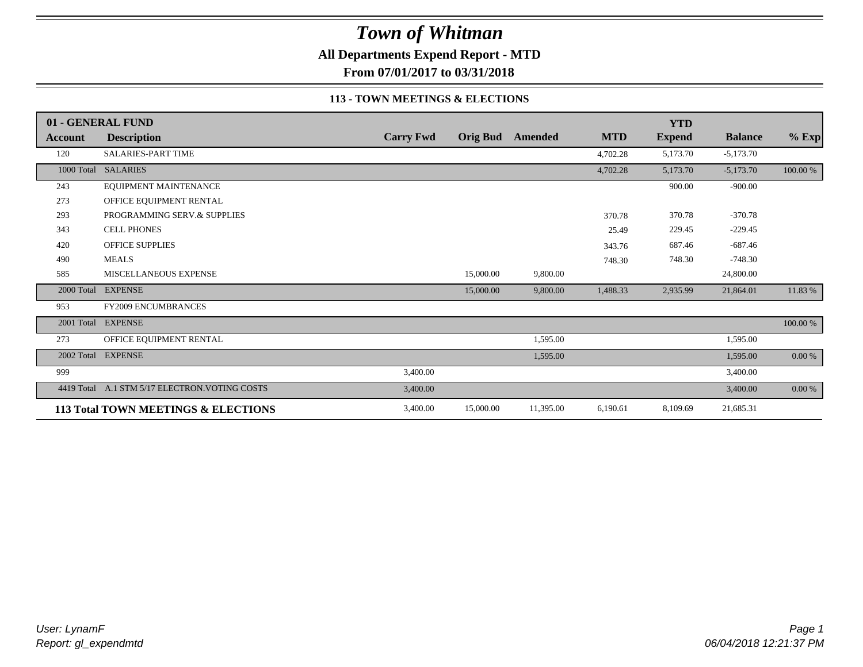**All Departments Expend Report - MTD**

**From 07/01/2017 to 03/31/2018**

### **113 - TOWN MEETINGS & ELECTIONS**

|            | 01 - GENERAL FUND                   |                  |           |                  |            | <b>YTD</b>    |                |             |
|------------|-------------------------------------|------------------|-----------|------------------|------------|---------------|----------------|-------------|
| Account    | <b>Description</b>                  | <b>Carry Fwd</b> |           | Orig Bud Amended | <b>MTD</b> | <b>Expend</b> | <b>Balance</b> | $%$ Exp     |
| 120        | <b>SALARIES-PART TIME</b>           |                  |           |                  | 4,702.28   | 5,173.70      | $-5,173.70$    |             |
|            | 1000 Total SALARIES                 |                  |           |                  | 4,702.28   | 5,173.70      | $-5,173.70$    | 100.00 %    |
| 243        | EQUIPMENT MAINTENANCE               |                  |           |                  |            | 900.00        | $-900.00$      |             |
| 273        | OFFICE EQUIPMENT RENTAL             |                  |           |                  |            |               |                |             |
| 293        | PROGRAMMING SERV.& SUPPLIES         |                  |           |                  | 370.78     | 370.78        | $-370.78$      |             |
| 343        | <b>CELL PHONES</b>                  |                  |           |                  | 25.49      | 229.45        | $-229.45$      |             |
| 420        | <b>OFFICE SUPPLIES</b>              |                  |           |                  | 343.76     | 687.46        | -687.46        |             |
| 490        | <b>MEALS</b>                        |                  |           |                  | 748.30     | 748.30        | $-748.30$      |             |
| 585        | MISCELLANEOUS EXPENSE               |                  | 15,000.00 | 9,800.00         |            |               | 24,800.00      |             |
| 2000 Total | <b>EXPENSE</b>                      |                  | 15,000.00 | 9,800.00         | 1,488.33   | 2,935.99      | 21,864.01      | 11.83 %     |
| 953        | <b>FY2009 ENCUMBRANCES</b>          |                  |           |                  |            |               |                |             |
| 2001 Total | <b>EXPENSE</b>                      |                  |           |                  |            |               |                | $100.00~\%$ |
| 273        | OFFICE EQUIPMENT RENTAL             |                  |           | 1,595.00         |            |               | 1,595.00       |             |
| 2002 Total | <b>EXPENSE</b>                      |                  |           | 1,595.00         |            |               | 1,595.00       | 0.00 %      |
| 999        |                                     | 3,400.00         |           |                  |            |               | 3,400.00       |             |
| 4419 Total | A.1 STM 5/17 ELECTRON VOTING COSTS  | 3,400.00         |           |                  |            |               | 3,400.00       | 0.00 %      |
|            | 113 Total TOWN MEETINGS & ELECTIONS | 3,400.00         | 15,000.00 | 11,395.00        | 6,190.61   | 8,109.69      | 21,685.31      |             |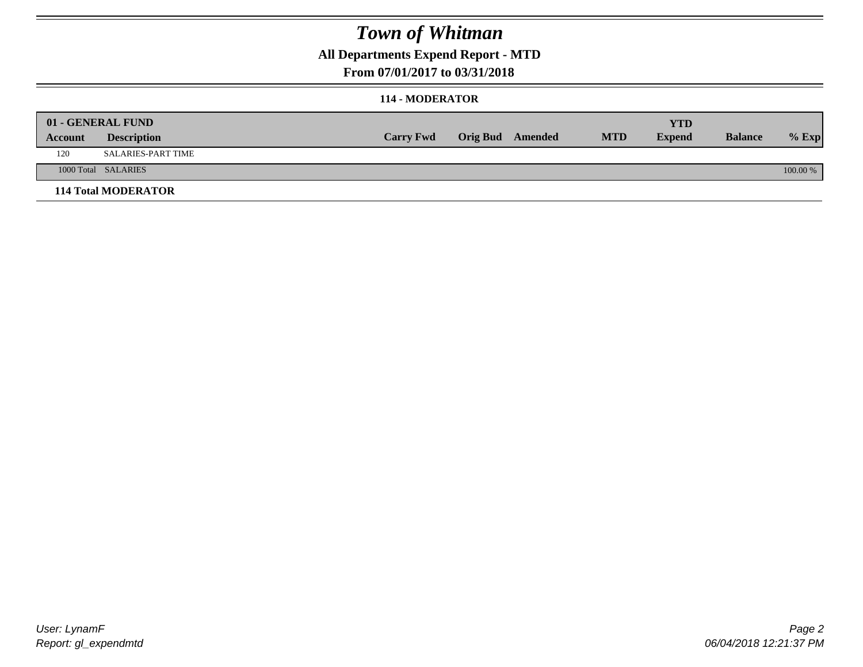### **All Departments Expend Report - MTD**

### **From 07/01/2017 to 03/31/2018**

#### **114 - MODERATOR**

|         | 01 - GENERAL FUND          |                  |                  |            | <b>YTD</b>    |                |          |
|---------|----------------------------|------------------|------------------|------------|---------------|----------------|----------|
| Account | <b>Description</b>         | <b>Carry Fwd</b> | Orig Bud Amended | <b>MTD</b> | <b>Expend</b> | <b>Balance</b> | $%$ Exp  |
| 120     | <b>SALARIES-PART TIME</b>  |                  |                  |            |               |                |          |
|         | 1000 Total SALARIES        |                  |                  |            |               |                | 100.00 % |
|         | <b>114 Total MODERATOR</b> |                  |                  |            |               |                |          |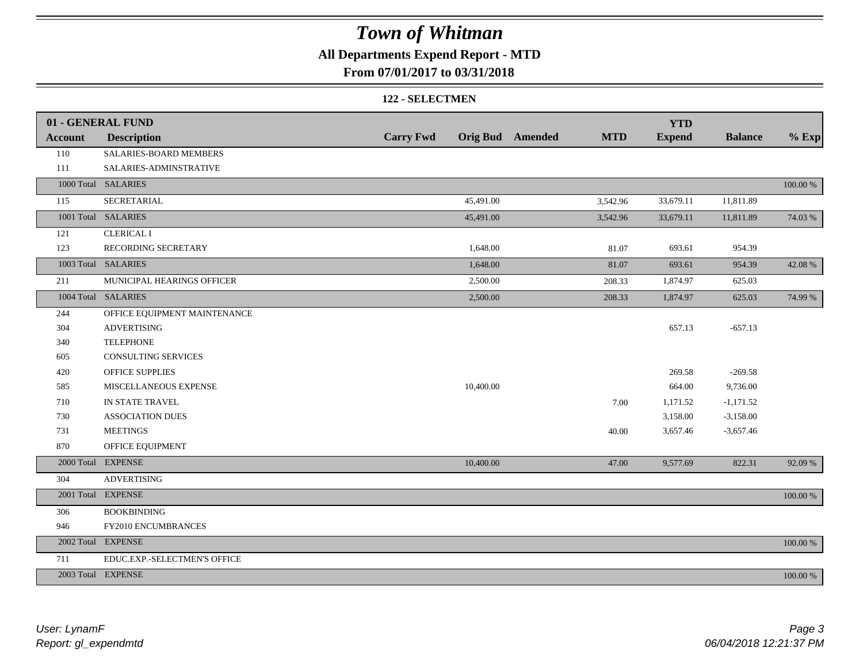### **All Departments Expend Report - MTD**

### **From 07/01/2017 to 03/31/2018**

#### **122 - SELECTMEN**

|                | 01 - GENERAL FUND            |                  |           |                         |            | <b>YTD</b>    |                |             |
|----------------|------------------------------|------------------|-----------|-------------------------|------------|---------------|----------------|-------------|
| <b>Account</b> | <b>Description</b>           | <b>Carry Fwd</b> |           | <b>Orig Bud</b> Amended | <b>MTD</b> | <b>Expend</b> | <b>Balance</b> | $%$ Exp     |
| 110            | SALARIES-BOARD MEMBERS       |                  |           |                         |            |               |                |             |
| 111            | SALARIES-ADMINSTRATIVE       |                  |           |                         |            |               |                |             |
|                | 1000 Total SALARIES          |                  |           |                         |            |               |                | $100.00~\%$ |
| 115            | SECRETARIAL                  |                  | 45,491.00 |                         | 3,542.96   | 33,679.11     | 11,811.89      |             |
|                | 1001 Total SALARIES          |                  | 45,491.00 |                         | 3,542.96   | 33,679.11     | 11,811.89      | 74.03 %     |
| 121            | <b>CLERICAL I</b>            |                  |           |                         |            |               |                |             |
| 123            | RECORDING SECRETARY          |                  | 1,648.00  |                         | 81.07      | 693.61        | 954.39         |             |
|                | 1003 Total SALARIES          |                  | 1,648.00  |                         | 81.07      | 693.61        | 954.39         | 42.08%      |
| 211            | MUNICIPAL HEARINGS OFFICER   |                  | 2,500.00  |                         | 208.33     | 1,874.97      | 625.03         |             |
|                | 1004 Total SALARIES          |                  | 2,500.00  |                         | 208.33     | 1,874.97      | 625.03         | 74.99 %     |
| 244            | OFFICE EQUIPMENT MAINTENANCE |                  |           |                         |            |               |                |             |
| 304            | <b>ADVERTISING</b>           |                  |           |                         |            | 657.13        | $-657.13$      |             |
| 340            | <b>TELEPHONE</b>             |                  |           |                         |            |               |                |             |
| 605            | <b>CONSULTING SERVICES</b>   |                  |           |                         |            |               |                |             |
| 420            | OFFICE SUPPLIES              |                  |           |                         |            | 269.58        | $-269.58$      |             |
| 585            | MISCELLANEOUS EXPENSE        |                  | 10,400.00 |                         |            | 664.00        | 9,736.00       |             |
| 710            | IN STATE TRAVEL              |                  |           |                         | 7.00       | 1,171.52      | $-1,171.52$    |             |
| 730            | <b>ASSOCIATION DUES</b>      |                  |           |                         |            | 3,158.00      | $-3,158.00$    |             |
| 731            | <b>MEETINGS</b>              |                  |           |                         | 40.00      | 3,657.46      | $-3,657.46$    |             |
| 870            | OFFICE EQUIPMENT             |                  |           |                         |            |               |                |             |
|                | 2000 Total EXPENSE           |                  | 10,400.00 |                         | 47.00      | 9,577.69      | 822.31         | 92.09 %     |
| 304            | <b>ADVERTISING</b>           |                  |           |                         |            |               |                |             |
|                | 2001 Total EXPENSE           |                  |           |                         |            |               |                | 100.00 %    |
| 306            | <b>BOOKBINDING</b>           |                  |           |                         |            |               |                |             |
| 946            | FY2010 ENCUMBRANCES          |                  |           |                         |            |               |                |             |
|                | 2002 Total EXPENSE           |                  |           |                         |            |               |                | 100.00 %    |
| 711            | EDUC.EXP.-SELECTMEN'S OFFICE |                  |           |                         |            |               |                |             |
|                | 2003 Total EXPENSE           |                  |           |                         |            |               |                | 100.00 %    |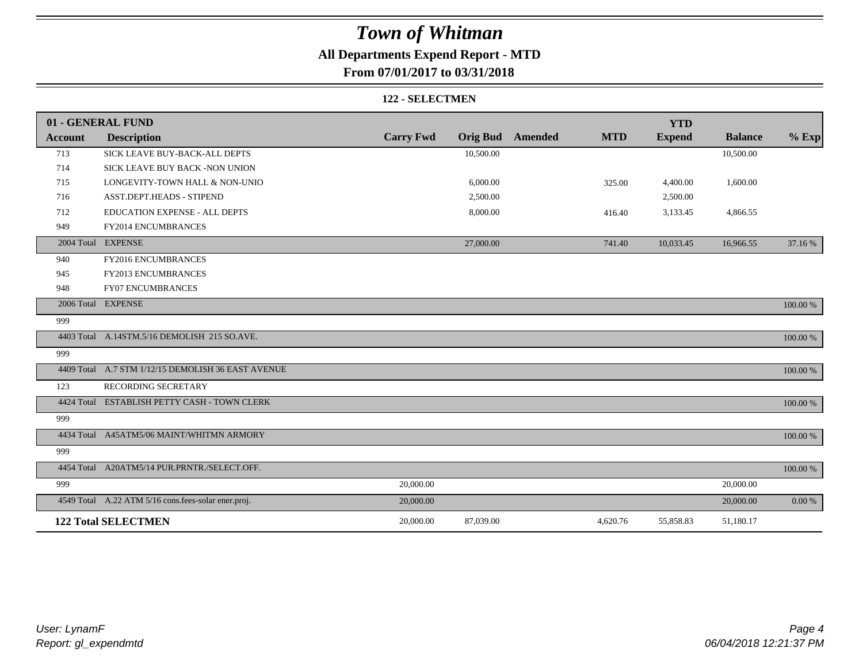# **All Departments Expend Report - MTD**

## **From 07/01/2017 to 03/31/2018**

#### **122 - SELECTMEN**

|                | 01 - GENERAL FUND                                   |                  |                 |                |            | <b>YTD</b>    |                |          |
|----------------|-----------------------------------------------------|------------------|-----------------|----------------|------------|---------------|----------------|----------|
| <b>Account</b> | <b>Description</b>                                  | <b>Carry Fwd</b> | <b>Orig Bud</b> | <b>Amended</b> | <b>MTD</b> | <b>Expend</b> | <b>Balance</b> | $%$ Exp  |
| 713            | SICK LEAVE BUY-BACK-ALL DEPTS                       |                  | 10,500.00       |                |            |               | 10,500.00      |          |
| 714            | SICK LEAVE BUY BACK -NON UNION                      |                  |                 |                |            |               |                |          |
| 715            | LONGEVITY-TOWN HALL & NON-UNIO                      |                  | 6,000.00        |                | 325.00     | 4,400.00      | 1,600.00       |          |
| 716            | ASST.DEPT.HEADS - STIPEND                           |                  | 2,500.00        |                |            | 2,500.00      |                |          |
| 712            | <b>EDUCATION EXPENSE - ALL DEPTS</b>                |                  | 8,000.00        |                | 416.40     | 3,133.45      | 4,866.55       |          |
| 949            | FY2014 ENCUMBRANCES                                 |                  |                 |                |            |               |                |          |
|                | 2004 Total EXPENSE                                  |                  | 27,000.00       |                | 741.40     | 10,033.45     | 16,966.55      | 37.16 %  |
| 940            | FY2016 ENCUMBRANCES                                 |                  |                 |                |            |               |                |          |
| 945            | FY2013 ENCUMBRANCES                                 |                  |                 |                |            |               |                |          |
| 948            | <b>FY07 ENCUMBRANCES</b>                            |                  |                 |                |            |               |                |          |
|                | 2006 Total EXPENSE                                  |                  |                 |                |            |               |                | 100.00 % |
| 999            |                                                     |                  |                 |                |            |               |                |          |
|                | 4403 Total A.14STM.5/16 DEMOLISH 215 SO.AVE.        |                  |                 |                |            |               |                | 100.00 % |
| 999            |                                                     |                  |                 |                |            |               |                |          |
|                | 4409 Total A.7 STM 1/12/15 DEMOLISH 36 EAST AVENUE  |                  |                 |                |            |               |                | 100.00 % |
| 123            | RECORDING SECRETARY                                 |                  |                 |                |            |               |                |          |
|                | 4424 Total ESTABLISH PETTY CASH - TOWN CLERK        |                  |                 |                |            |               |                | 100.00 % |
| 999            |                                                     |                  |                 |                |            |               |                |          |
|                | 4434 Total A45ATM5/06 MAINT/WHITMN ARMORY           |                  |                 |                |            |               |                | 100.00 % |
| 999            |                                                     |                  |                 |                |            |               |                |          |
|                | 4454 Total A20ATM5/14 PUR.PRNTR./SELECT.OFF.        |                  |                 |                |            |               |                | 100.00 % |
| 999            |                                                     | 20,000.00        |                 |                |            |               | 20,000.00      |          |
|                | 4549 Total A.22 ATM 5/16 cons.fees-solar ener.proj. | 20,000.00        |                 |                |            |               | 20,000.00      | 0.00 %   |
|                | <b>122 Total SELECTMEN</b>                          | 20,000.00        | 87,039.00       |                | 4,620.76   | 55,858.83     | 51,180.17      |          |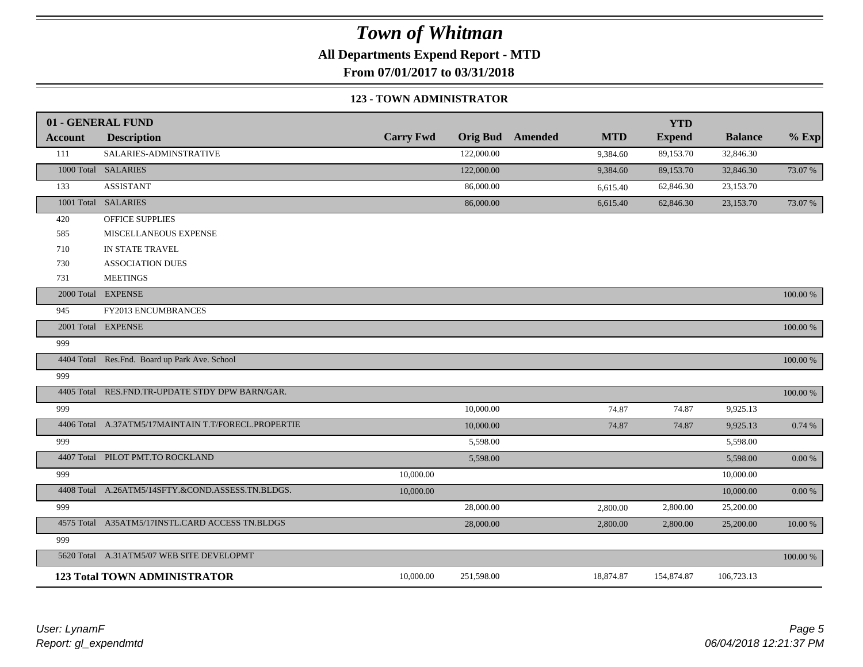**All Departments Expend Report - MTD**

**From 07/01/2017 to 03/31/2018**

#### **123 - TOWN ADMINISTRATOR**

|                | 01 - GENERAL FUND                                   |                  |                 |         |            | <b>YTD</b>    |                |             |
|----------------|-----------------------------------------------------|------------------|-----------------|---------|------------|---------------|----------------|-------------|
| <b>Account</b> | <b>Description</b>                                  | <b>Carry Fwd</b> | <b>Orig Bud</b> | Amended | <b>MTD</b> | <b>Expend</b> | <b>Balance</b> | $%$ Exp     |
| 111            | SALARIES-ADMINSTRATIVE                              |                  | 122,000.00      |         | 9,384.60   | 89,153.70     | 32,846.30      |             |
|                | 1000 Total SALARIES                                 |                  | 122,000.00      |         | 9,384.60   | 89,153.70     | 32,846.30      | 73.07 %     |
| 133            | <b>ASSISTANT</b>                                    |                  | 86,000.00       |         | 6,615.40   | 62,846.30     | 23,153.70      |             |
|                | 1001 Total SALARIES                                 |                  | 86,000.00       |         | 6,615.40   | 62,846.30     | 23,153.70      | 73.07%      |
| 420            | OFFICE SUPPLIES                                     |                  |                 |         |            |               |                |             |
| 585            | MISCELLANEOUS EXPENSE                               |                  |                 |         |            |               |                |             |
| 710            | IN STATE TRAVEL                                     |                  |                 |         |            |               |                |             |
| 730            | <b>ASSOCIATION DUES</b>                             |                  |                 |         |            |               |                |             |
| 731            | <b>MEETINGS</b>                                     |                  |                 |         |            |               |                |             |
|                | 2000 Total EXPENSE                                  |                  |                 |         |            |               |                | 100.00 %    |
| 945            | FY2013 ENCUMBRANCES                                 |                  |                 |         |            |               |                |             |
|                | 2001 Total EXPENSE                                  |                  |                 |         |            |               |                | 100.00 %    |
| 999            |                                                     |                  |                 |         |            |               |                |             |
|                | 4404 Total Res.Fnd. Board up Park Ave. School       |                  |                 |         |            |               |                | 100.00 %    |
| 999            |                                                     |                  |                 |         |            |               |                |             |
| 4405 Total     | RES.FND.TR-UPDATE STDY DPW BARN/GAR.                |                  |                 |         |            |               |                | $100.00~\%$ |
| 999            |                                                     |                  | 10,000.00       |         | 74.87      | 74.87         | 9,925.13       |             |
|                | 4406 Total A.37ATM5/17MAINTAIN T.T/FORECL.PROPERTIE |                  | 10,000.00       |         | 74.87      | 74.87         | 9,925.13       | 0.74%       |
| 999            |                                                     |                  | 5,598.00        |         |            |               | 5,598.00       |             |
|                | 4407 Total PILOT PMT.TO ROCKLAND                    |                  | 5,598.00        |         |            |               | 5,598.00       | 0.00 %      |
| 999            |                                                     | 10,000.00        |                 |         |            |               | 10,000.00      |             |
|                | 4408 Total A.26ATM5/14SFTY.&COND.ASSESS.TN.BLDGS.   | 10,000.00        |                 |         |            |               | 10,000.00      | 0.00 %      |
| 999            |                                                     |                  | 28,000.00       |         | 2,800.00   | 2,800.00      | 25,200.00      |             |
|                | 4575 Total A35ATM5/17INSTL.CARD ACCESS TN.BLDGS     |                  | 28,000.00       |         | 2,800.00   | 2,800.00      | 25,200.00      | 10.00 %     |
| 999            |                                                     |                  |                 |         |            |               |                |             |
|                | 5620 Total A.31ATM5/07 WEB SITE DEVELOPMT           |                  |                 |         |            |               |                | 100.00 %    |
|                | <b>123 Total TOWN ADMINISTRATOR</b>                 | 10,000.00        | 251,598.00      |         | 18,874.87  | 154,874.87    | 106,723.13     |             |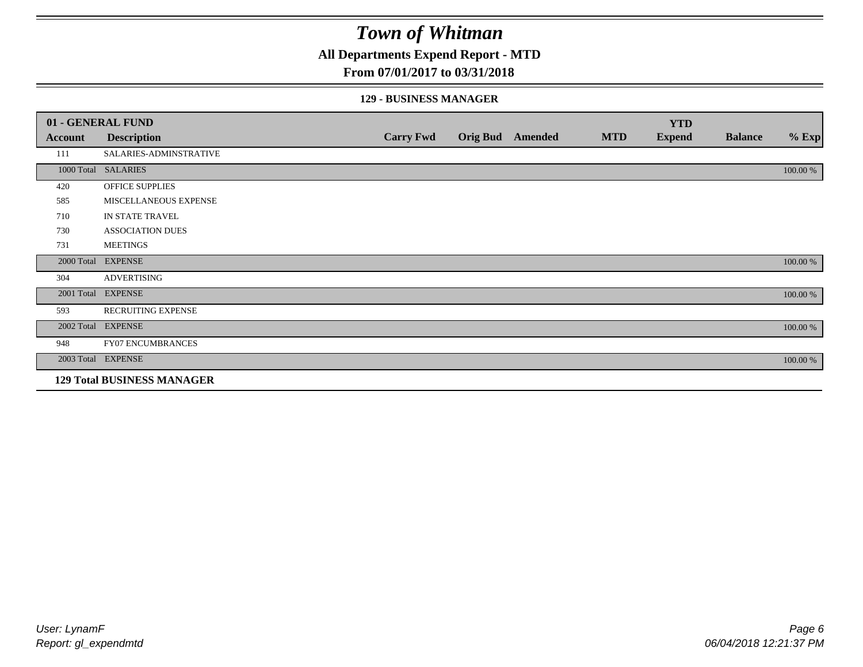**All Departments Expend Report - MTD**

### **From 07/01/2017 to 03/31/2018**

### **129 - BUSINESS MANAGER**

|            | 01 - GENERAL FUND                 |                  |                 |         |            | <b>YTD</b>    |                |          |
|------------|-----------------------------------|------------------|-----------------|---------|------------|---------------|----------------|----------|
| Account    | <b>Description</b>                | <b>Carry Fwd</b> | <b>Orig Bud</b> | Amended | <b>MTD</b> | <b>Expend</b> | <b>Balance</b> | $%$ Exp  |
| 111        | SALARIES-ADMINSTRATIVE            |                  |                 |         |            |               |                |          |
|            | 1000 Total SALARIES               |                  |                 |         |            |               |                | 100.00 % |
| 420        | OFFICE SUPPLIES                   |                  |                 |         |            |               |                |          |
| 585        | MISCELLANEOUS EXPENSE             |                  |                 |         |            |               |                |          |
| 710        | IN STATE TRAVEL                   |                  |                 |         |            |               |                |          |
| 730        | <b>ASSOCIATION DUES</b>           |                  |                 |         |            |               |                |          |
| 731        | <b>MEETINGS</b>                   |                  |                 |         |            |               |                |          |
| 2000 Total | <b>EXPENSE</b>                    |                  |                 |         |            |               |                | 100.00 % |
| 304        | <b>ADVERTISING</b>                |                  |                 |         |            |               |                |          |
| 2001 Total | <b>EXPENSE</b>                    |                  |                 |         |            |               |                | 100.00 % |
| 593        | <b>RECRUITING EXPENSE</b>         |                  |                 |         |            |               |                |          |
|            | 2002 Total EXPENSE                |                  |                 |         |            |               |                | 100.00 % |
| 948        | <b>FY07 ENCUMBRANCES</b>          |                  |                 |         |            |               |                |          |
|            | 2003 Total EXPENSE                |                  |                 |         |            |               |                | 100.00 % |
|            | <b>129 Total BUSINESS MANAGER</b> |                  |                 |         |            |               |                |          |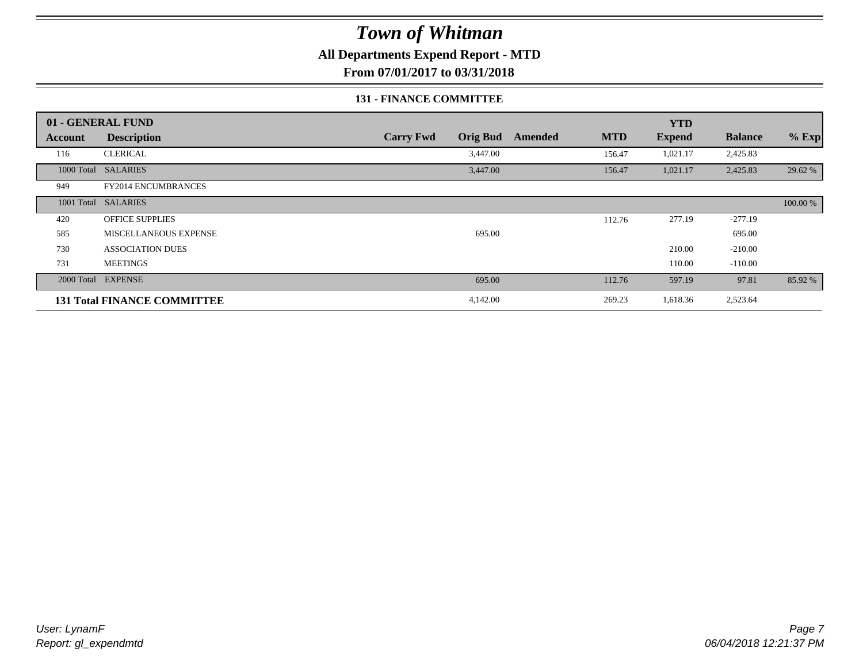**All Departments Expend Report - MTD**

**From 07/01/2017 to 03/31/2018**

### **131 - FINANCE COMMITTEE**

|         | 01 - GENERAL FUND                  |                                     |                       | <b>YTD</b>    |                |          |
|---------|------------------------------------|-------------------------------------|-----------------------|---------------|----------------|----------|
| Account | <b>Description</b>                 | <b>Orig Bud</b><br><b>Carry Fwd</b> | <b>MTD</b><br>Amended | <b>Expend</b> | <b>Balance</b> | $%$ Exp  |
| 116     | <b>CLERICAL</b>                    | 3,447.00                            | 156.47                | 1,021.17      | 2,425.83       |          |
|         | 1000 Total SALARIES                | 3,447.00                            | 156.47                | 1,021.17      | 2,425.83       | 29.62 %  |
| 949     | FY2014 ENCUMBRANCES                |                                     |                       |               |                |          |
|         | 1001 Total SALARIES                |                                     |                       |               |                | 100.00 % |
| 420     | <b>OFFICE SUPPLIES</b>             |                                     | 112.76                | 277.19        | $-277.19$      |          |
| 585     | MISCELLANEOUS EXPENSE              | 695.00                              |                       |               | 695.00         |          |
| 730     | <b>ASSOCIATION DUES</b>            |                                     |                       | 210.00        | $-210.00$      |          |
| 731     | <b>MEETINGS</b>                    |                                     |                       | 110.00        | $-110.00$      |          |
|         | 2000 Total EXPENSE                 | 695.00                              | 112.76                | 597.19        | 97.81          | 85.92 %  |
|         | <b>131 Total FINANCE COMMITTEE</b> | 4,142.00                            | 269.23                | 1,618.36      | 2,523.64       |          |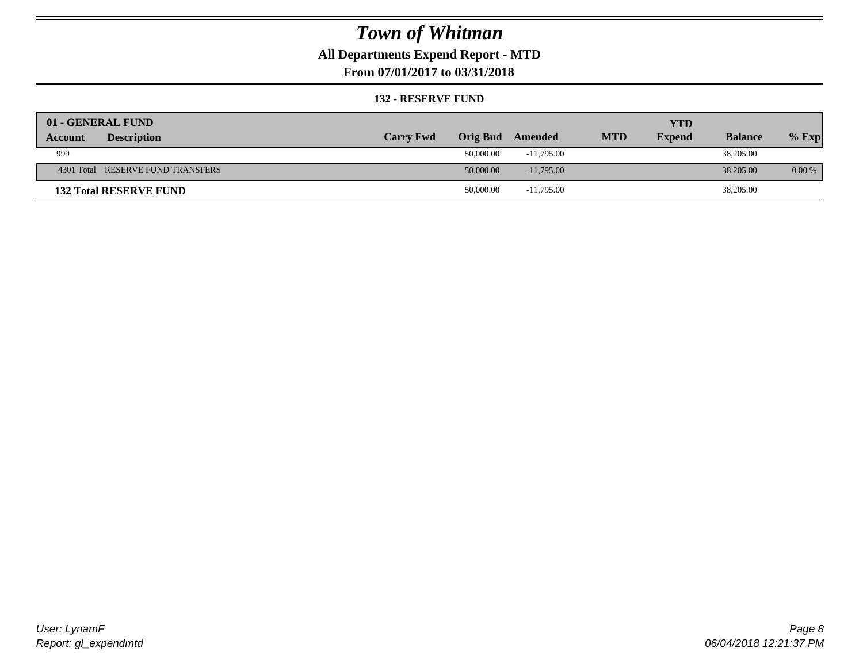### **All Departments Expend Report - MTD**

**From 07/01/2017 to 03/31/2018**

#### **132 - RESERVE FUND**

| 01 - GENERAL FUND                 |                  |                 |              |            | <b>YTD</b>    |                |          |
|-----------------------------------|------------------|-----------------|--------------|------------|---------------|----------------|----------|
| <b>Description</b><br>Account     | <b>Carry Fwd</b> | <b>Orig Bud</b> | Amended      | <b>MTD</b> | <b>Expend</b> | <b>Balance</b> | $%$ Exp  |
| 999                               |                  | 50,000.00       | -11.795.00   |            |               | 38,205.00      |          |
| 4301 Total RESERVE FUND TRANSFERS |                  | 50,000,00       | $-11.795.00$ |            |               | 38,205.00      | $0.00\%$ |
| <b>132 Total RESERVE FUND</b>     |                  | 50,000.00       | $-11,795.00$ |            |               | 38,205.00      |          |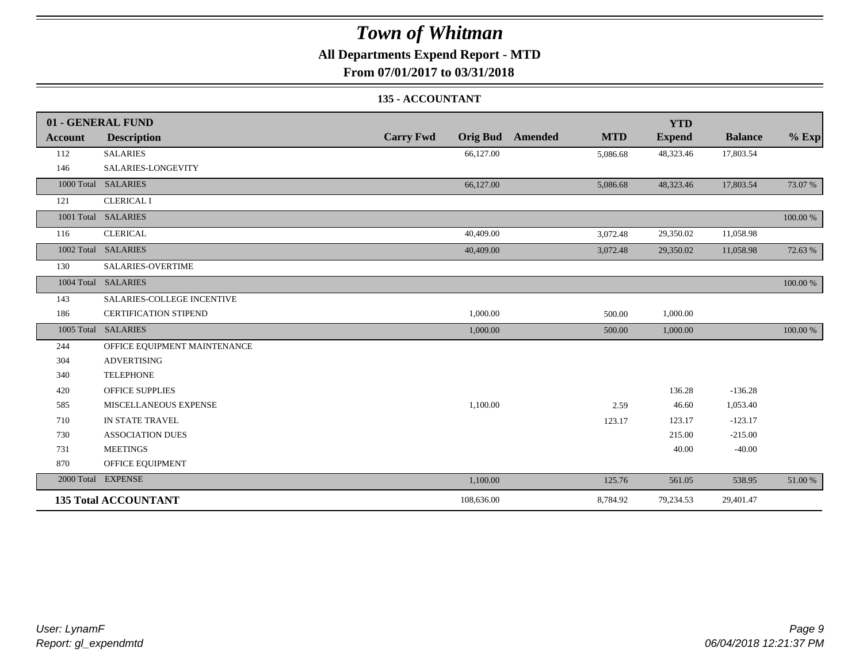### **All Departments Expend Report - MTD**

**From 07/01/2017 to 03/31/2018**

### **135 - ACCOUNTANT**

|         | 01 - GENERAL FUND            |                                     |                       | <b>YTD</b>    |                |          |
|---------|------------------------------|-------------------------------------|-----------------------|---------------|----------------|----------|
| Account | <b>Description</b>           | <b>Carry Fwd</b><br><b>Orig Bud</b> | <b>MTD</b><br>Amended | <b>Expend</b> | <b>Balance</b> | $%$ Exp  |
| 112     | <b>SALARIES</b>              | 66,127.00                           | 5,086.68              | 48,323.46     | 17,803.54      |          |
| 146     | SALARIES-LONGEVITY           |                                     |                       |               |                |          |
|         | 1000 Total SALARIES          | 66,127.00                           | 5,086.68              | 48,323.46     | 17,803.54      | 73.07 %  |
| 121     | <b>CLERICAL I</b>            |                                     |                       |               |                |          |
|         | 1001 Total SALARIES          |                                     |                       |               |                | 100.00 % |
| 116     | <b>CLERICAL</b>              | 40,409.00                           | 3,072.48              | 29,350.02     | 11,058.98      |          |
|         | 1002 Total SALARIES          | 40,409.00                           | 3,072.48              | 29,350.02     | 11,058.98      | 72.63 %  |
| 130     | SALARIES-OVERTIME            |                                     |                       |               |                |          |
|         | 1004 Total SALARIES          |                                     |                       |               |                | 100.00 % |
| 143     | SALARIES-COLLEGE INCENTIVE   |                                     |                       |               |                |          |
| 186     | <b>CERTIFICATION STIPEND</b> | 1,000.00                            | 500.00                | 1,000.00      |                |          |
|         | 1005 Total SALARIES          | 1,000.00                            | 500.00                | 1,000.00      |                | 100.00 % |
| 244     | OFFICE EQUIPMENT MAINTENANCE |                                     |                       |               |                |          |
| 304     | <b>ADVERTISING</b>           |                                     |                       |               |                |          |
| 340     | <b>TELEPHONE</b>             |                                     |                       |               |                |          |
| 420     | <b>OFFICE SUPPLIES</b>       |                                     |                       | 136.28        | $-136.28$      |          |
| 585     | MISCELLANEOUS EXPENSE        | 1,100.00                            | 2.59                  | 46.60         | 1,053.40       |          |
| 710     | IN STATE TRAVEL              |                                     | 123.17                | 123.17        | $-123.17$      |          |
| 730     | <b>ASSOCIATION DUES</b>      |                                     |                       | 215.00        | $-215.00$      |          |
| 731     | <b>MEETINGS</b>              |                                     |                       | 40.00         | $-40.00$       |          |
| 870     | OFFICE EQUIPMENT             |                                     |                       |               |                |          |
|         | 2000 Total EXPENSE           | 1,100.00                            | 125.76                | 561.05        | 538.95         | 51.00 %  |
|         | <b>135 Total ACCOUNTANT</b>  | 108,636.00                          | 8,784.92              | 79,234.53     | 29,401.47      |          |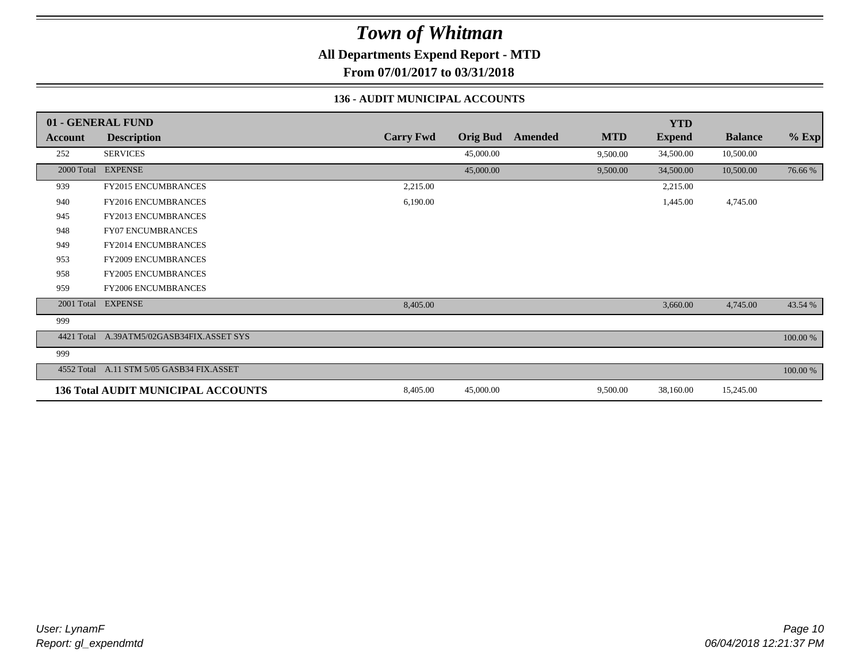**All Departments Expend Report - MTD**

**From 07/01/2017 to 03/31/2018**

### **136 - AUDIT MUNICIPAL ACCOUNTS**

|            | 01 - GENERAL FUND                         |                  |                 |         |            | <b>YTD</b>    |                |          |
|------------|-------------------------------------------|------------------|-----------------|---------|------------|---------------|----------------|----------|
| Account    | <b>Description</b>                        | <b>Carry Fwd</b> | <b>Orig Bud</b> | Amended | <b>MTD</b> | <b>Expend</b> | <b>Balance</b> | $%$ Exp  |
| 252        | <b>SERVICES</b>                           |                  | 45,000.00       |         | 9,500.00   | 34,500.00     | 10,500.00      |          |
|            | 2000 Total EXPENSE                        |                  | 45,000.00       |         | 9,500.00   | 34,500.00     | 10,500.00      | 76.66%   |
| 939        | FY2015 ENCUMBRANCES                       | 2,215.00         |                 |         |            | 2,215.00      |                |          |
| 940        | <b>FY2016 ENCUMBRANCES</b>                | 6,190.00         |                 |         |            | 1,445.00      | 4,745.00       |          |
| 945        | FY2013 ENCUMBRANCES                       |                  |                 |         |            |               |                |          |
| 948        | <b>FY07 ENCUMBRANCES</b>                  |                  |                 |         |            |               |                |          |
| 949        | <b>FY2014 ENCUMBRANCES</b>                |                  |                 |         |            |               |                |          |
| 953        | <b>FY2009 ENCUMBRANCES</b>                |                  |                 |         |            |               |                |          |
| 958        | FY2005 ENCUMBRANCES                       |                  |                 |         |            |               |                |          |
| 959        | FY2006 ENCUMBRANCES                       |                  |                 |         |            |               |                |          |
|            | 2001 Total EXPENSE                        | 8,405.00         |                 |         |            | 3,660.00      | 4,745.00       | 43.54 %  |
| 999        |                                           |                  |                 |         |            |               |                |          |
| 4421 Total | A.39ATM5/02GASB34FIX.ASSET SYS            |                  |                 |         |            |               |                | 100.00 % |
| 999        |                                           |                  |                 |         |            |               |                |          |
|            | 4552 Total A.11 STM 5/05 GASB34 FIX.ASSET |                  |                 |         |            |               |                | 100.00 % |
|            | 136 Total AUDIT MUNICIPAL ACCOUNTS        | 8,405.00         | 45,000.00       |         | 9,500.00   | 38,160.00     | 15,245.00      |          |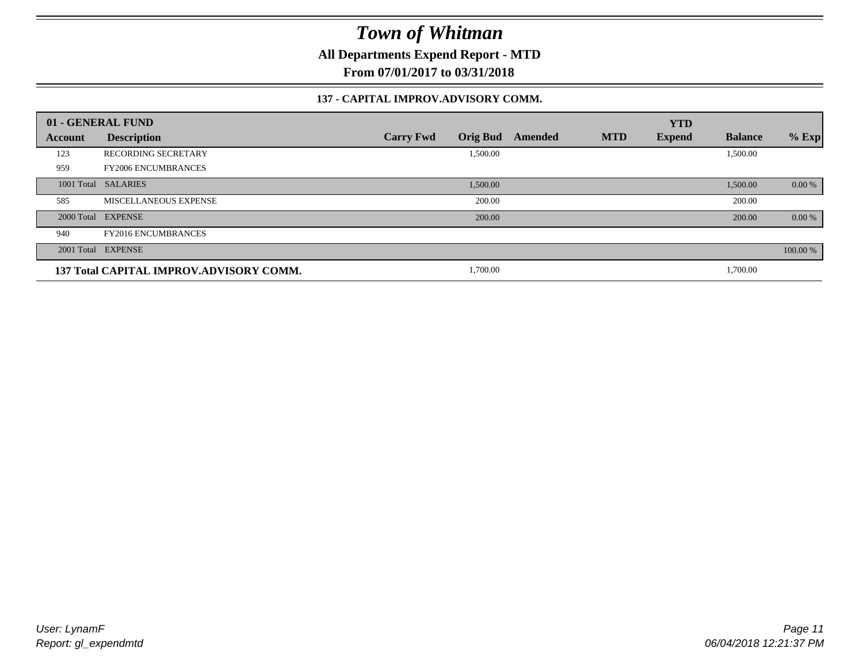**All Departments Expend Report - MTD**

**From 07/01/2017 to 03/31/2018**

### **137 - CAPITAL IMPROV.ADVISORY COMM.**

|                | 01 - GENERAL FUND                       |                                     |         |            | <b>YTD</b>    |                |          |
|----------------|-----------------------------------------|-------------------------------------|---------|------------|---------------|----------------|----------|
| <b>Account</b> | <b>Description</b>                      | <b>Orig Bud</b><br><b>Carry Fwd</b> | Amended | <b>MTD</b> | <b>Expend</b> | <b>Balance</b> | $%$ Exp  |
| 123            | <b>RECORDING SECRETARY</b>              | 1,500.00                            |         |            |               | 1,500.00       |          |
| 959            | <b>FY2006 ENCUMBRANCES</b>              |                                     |         |            |               |                |          |
| 1001 Total     | <b>SALARIES</b>                         | 1,500.00                            |         |            |               | 1,500.00       | 0.00 %   |
| 585            | MISCELLANEOUS EXPENSE                   | 200.00                              |         |            |               | 200.00         |          |
|                | 2000 Total EXPENSE                      | 200.00                              |         |            |               | 200.00         | 0.00 %   |
| 940            | <b>FY2016 ENCUMBRANCES</b>              |                                     |         |            |               |                |          |
|                | 2001 Total EXPENSE                      |                                     |         |            |               |                | 100.00 % |
|                | 137 Total CAPITAL IMPROV.ADVISORY COMM. | 1,700.00                            |         |            |               | 1,700.00       |          |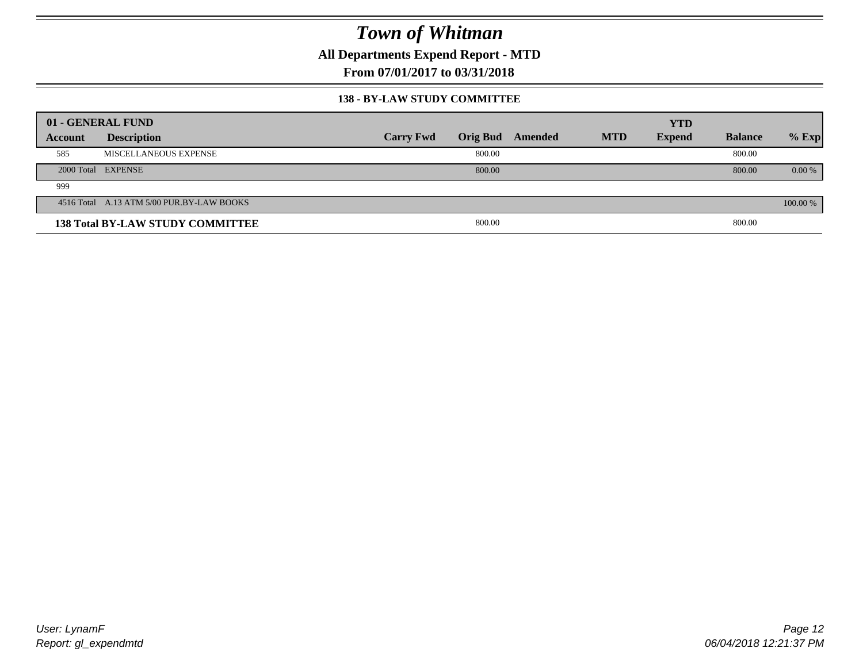**All Departments Expend Report - MTD**

**From 07/01/2017 to 03/31/2018**

#### **138 - BY-LAW STUDY COMMITTEE**

|         | 01 - GENERAL FUND                         |                  |        |                  |            | <b>YTD</b>    |                |          |
|---------|-------------------------------------------|------------------|--------|------------------|------------|---------------|----------------|----------|
| Account | <b>Description</b>                        | <b>Carry Fwd</b> |        | Orig Bud Amended | <b>MTD</b> | <b>Expend</b> | <b>Balance</b> | $%$ Exp  |
| 585     | MISCELLANEOUS EXPENSE                     |                  | 800.00 |                  |            |               | 800.00         |          |
|         | 2000 Total EXPENSE                        |                  | 800.00 |                  |            |               | 800.00         | $0.00\%$ |
| 999     |                                           |                  |        |                  |            |               |                |          |
|         | 4516 Total A.13 ATM 5/00 PUR.BY-LAW BOOKS |                  |        |                  |            |               |                | 100.00 % |
|         | <b>138 Total BY-LAW STUDY COMMITTEE</b>   |                  | 800.00 |                  |            |               | 800.00         |          |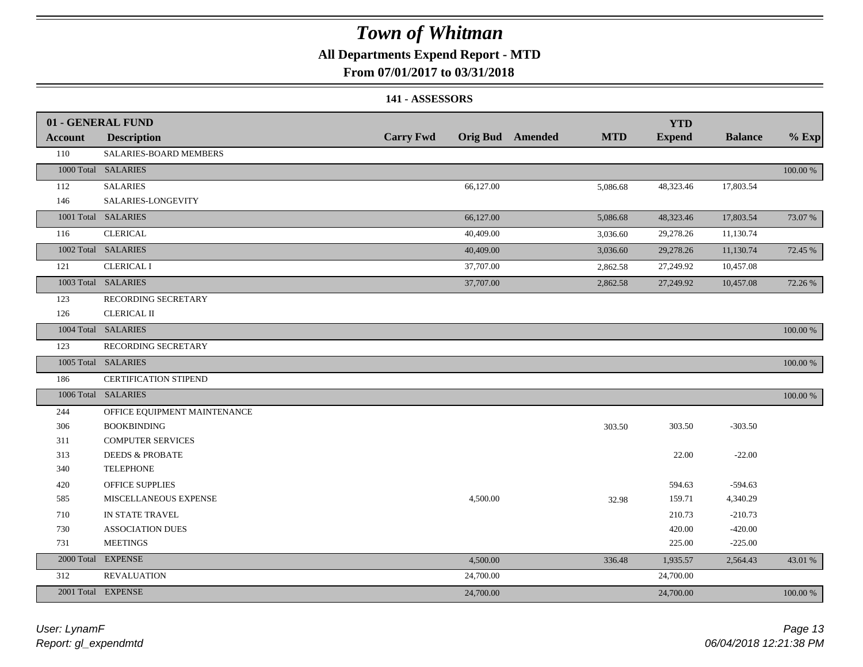### **All Departments Expend Report - MTD**

### **From 07/01/2017 to 03/31/2018**

#### **141 - ASSESSORS**

|            | 01 - GENERAL FUND            |                  |           |                         |            | <b>YTD</b>    |                |          |
|------------|------------------------------|------------------|-----------|-------------------------|------------|---------------|----------------|----------|
| Account    | <b>Description</b>           | <b>Carry Fwd</b> |           | <b>Orig Bud</b> Amended | <b>MTD</b> | <b>Expend</b> | <b>Balance</b> | $%$ Exp  |
| 110        | SALARIES-BOARD MEMBERS       |                  |           |                         |            |               |                |          |
|            | 1000 Total SALARIES          |                  |           |                         |            |               |                | 100.00 % |
| 112        | <b>SALARIES</b>              |                  | 66,127.00 |                         | 5,086.68   | 48,323.46     | 17,803.54      |          |
| 146        | SALARIES-LONGEVITY           |                  |           |                         |            |               |                |          |
|            | 1001 Total SALARIES          |                  | 66,127.00 |                         | 5,086.68   | 48,323.46     | 17,803.54      | 73.07%   |
| 116        | <b>CLERICAL</b>              |                  | 40,409.00 |                         | 3,036.60   | 29,278.26     | 11,130.74      |          |
|            | 1002 Total SALARIES          |                  | 40,409.00 |                         | 3,036.60   | 29,278.26     | 11,130.74      | 72.45 %  |
| 121        | <b>CLERICAL I</b>            |                  | 37,707.00 |                         | 2,862.58   | 27,249.92     | 10,457.08      |          |
|            | 1003 Total SALARIES          |                  | 37,707.00 |                         | 2,862.58   | 27,249.92     | 10,457.08      | 72.26 %  |
| 123        | RECORDING SECRETARY          |                  |           |                         |            |               |                |          |
| 126        | <b>CLERICAL II</b>           |                  |           |                         |            |               |                |          |
|            | 1004 Total SALARIES          |                  |           |                         |            |               |                | 100.00 % |
| 123        | RECORDING SECRETARY          |                  |           |                         |            |               |                |          |
|            | 1005 Total SALARIES          |                  |           |                         |            |               |                | 100.00 % |
| 186        | <b>CERTIFICATION STIPEND</b> |                  |           |                         |            |               |                |          |
|            | 1006 Total SALARIES          |                  |           |                         |            |               |                | 100.00 % |
| 244        | OFFICE EQUIPMENT MAINTENANCE |                  |           |                         |            |               |                |          |
| 306        | <b>BOOKBINDING</b>           |                  |           |                         | 303.50     | 303.50        | $-303.50$      |          |
| 311        | <b>COMPUTER SERVICES</b>     |                  |           |                         |            |               |                |          |
| 313        | <b>DEEDS &amp; PROBATE</b>   |                  |           |                         |            | 22.00         | $-22.00$       |          |
| 340        | <b>TELEPHONE</b>             |                  |           |                         |            |               |                |          |
| 420        | <b>OFFICE SUPPLIES</b>       |                  |           |                         |            | 594.63        | $-594.63$      |          |
| 585        | MISCELLANEOUS EXPENSE        |                  | 4,500.00  |                         | 32.98      | 159.71        | 4,340.29       |          |
| 710        | IN STATE TRAVEL              |                  |           |                         |            | 210.73        | $-210.73$      |          |
| 730        | <b>ASSOCIATION DUES</b>      |                  |           |                         |            | 420.00        | $-420.00$      |          |
| 731        | <b>MEETINGS</b>              |                  |           |                         |            | 225.00        | $-225.00$      |          |
| 2000 Total | <b>EXPENSE</b>               |                  | 4,500.00  |                         | 336.48     | 1,935.57      | 2,564.43       | 43.01 %  |
| 312        | <b>REVALUATION</b>           |                  | 24,700.00 |                         |            | 24,700.00     |                |          |
|            | 2001 Total EXPENSE           |                  | 24,700.00 |                         |            | 24,700.00     |                | 100.00 % |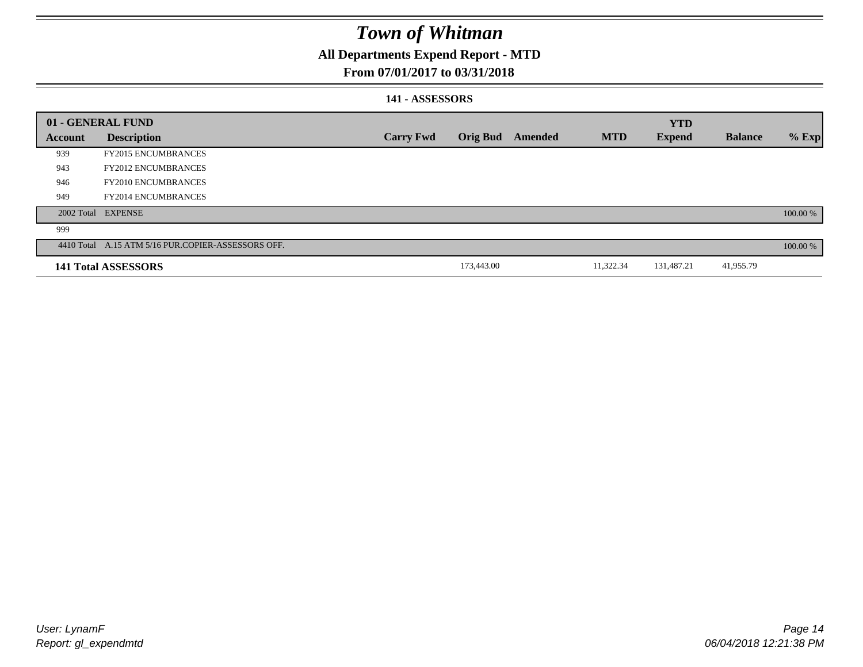### **All Departments Expend Report - MTD**

### **From 07/01/2017 to 03/31/2018**

### **141 - ASSESSORS**

|         | 01 - GENERAL FUND                                  |                  |                 |         |            | <b>YTD</b>    |                |          |
|---------|----------------------------------------------------|------------------|-----------------|---------|------------|---------------|----------------|----------|
| Account | <b>Description</b>                                 | <b>Carry Fwd</b> | <b>Orig Bud</b> | Amended | <b>MTD</b> | <b>Expend</b> | <b>Balance</b> | $%$ Exp  |
| 939     | <b>FY2015 ENCUMBRANCES</b>                         |                  |                 |         |            |               |                |          |
| 943     | <b>FY2012 ENCUMBRANCES</b>                         |                  |                 |         |            |               |                |          |
| 946     | <b>FY2010 ENCUMBRANCES</b>                         |                  |                 |         |            |               |                |          |
| 949     | <b>FY2014 ENCUMBRANCES</b>                         |                  |                 |         |            |               |                |          |
|         | 2002 Total EXPENSE                                 |                  |                 |         |            |               |                | 100.00 % |
| 999     |                                                    |                  |                 |         |            |               |                |          |
|         | 4410 Total A.15 ATM 5/16 PUR.COPIER-ASSESSORS OFF. |                  |                 |         |            |               |                | 100.00 % |
|         | 141 Total ASSESSORS                                |                  | 173,443.00      |         | 11,322.34  | 131,487.21    | 41,955.79      |          |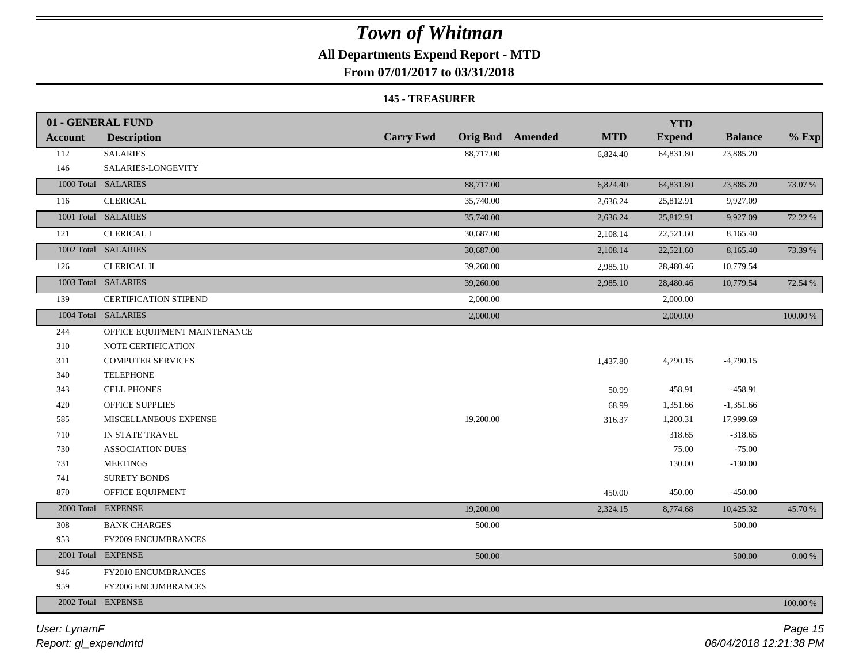## **All Departments Expend Report - MTD**

**From 07/01/2017 to 03/31/2018**

#### **145 - TREASURER**

|                | 01 - GENERAL FUND            |                  |                                       | <b>YTD</b>    |                |           |
|----------------|------------------------------|------------------|---------------------------------------|---------------|----------------|-----------|
| <b>Account</b> | <b>Description</b>           | <b>Carry Fwd</b> | <b>MTD</b><br><b>Orig Bud</b> Amended | <b>Expend</b> | <b>Balance</b> | $%$ Exp   |
| 112            | <b>SALARIES</b>              | 88,717.00        | 6,824.40                              | 64,831.80     | 23,885.20      |           |
| 146            | SALARIES-LONGEVITY           |                  |                                       |               |                |           |
|                | 1000 Total SALARIES          | 88,717.00        | 6,824.40                              | 64,831.80     | 23,885.20      | 73.07%    |
| 116            | <b>CLERICAL</b>              | 35,740.00        | 2,636.24                              | 25,812.91     | 9,927.09       |           |
|                | 1001 Total SALARIES          | 35,740.00        | 2,636.24                              | 25,812.91     | 9,927.09       | 72.22 %   |
| 121            | <b>CLERICAL I</b>            | 30,687.00        | 2,108.14                              | 22,521.60     | 8,165.40       |           |
|                | 1002 Total SALARIES          | 30,687.00        | 2,108.14                              | 22,521.60     | 8,165.40       | 73.39 %   |
| 126            | CLERICAL II                  | 39,260.00        | 2,985.10                              | 28,480.46     | 10,779.54      |           |
|                | 1003 Total SALARIES          | 39,260.00        | 2,985.10                              | 28,480.46     | 10,779.54      | 72.54 %   |
| 139            | CERTIFICATION STIPEND        | 2,000.00         |                                       | 2,000.00      |                |           |
|                | 1004 Total SALARIES          | 2,000.00         |                                       | 2,000.00      |                | 100.00 %  |
| 244            | OFFICE EQUIPMENT MAINTENANCE |                  |                                       |               |                |           |
| 310            | NOTE CERTIFICATION           |                  |                                       |               |                |           |
| 311            | <b>COMPUTER SERVICES</b>     |                  | 1,437.80                              | 4,790.15      | $-4,790.15$    |           |
| 340            | <b>TELEPHONE</b>             |                  |                                       |               |                |           |
| 343            | <b>CELL PHONES</b>           |                  | 50.99                                 | 458.91        | $-458.91$      |           |
| 420            | OFFICE SUPPLIES              |                  | 68.99                                 | 1,351.66      | $-1,351.66$    |           |
| 585            | MISCELLANEOUS EXPENSE        | 19,200.00        | 316.37                                | 1,200.31      | 17,999.69      |           |
| 710            | IN STATE TRAVEL              |                  |                                       | 318.65        | $-318.65$      |           |
| 730            | <b>ASSOCIATION DUES</b>      |                  |                                       | 75.00         | $-75.00$       |           |
| 731            | <b>MEETINGS</b>              |                  |                                       | 130.00        | $-130.00$      |           |
| 741            | <b>SURETY BONDS</b>          |                  |                                       |               |                |           |
| 870            | OFFICE EQUIPMENT             |                  | 450.00                                | 450.00        | $-450.00$      |           |
|                | 2000 Total EXPENSE           | 19,200.00        | 2,324.15                              | 8,774.68      | 10,425.32      | 45.70%    |
| 308            | <b>BANK CHARGES</b>          | 500.00           |                                       |               | 500.00         |           |
| 953            | FY2009 ENCUMBRANCES          |                  |                                       |               |                |           |
|                | 2001 Total EXPENSE           | 500.00           |                                       |               | 500.00         | $0.00 \%$ |
| 946            | FY2010 ENCUMBRANCES          |                  |                                       |               |                |           |
| 959            | FY2006 ENCUMBRANCES          |                  |                                       |               |                |           |
|                | 2002 Total EXPENSE           |                  |                                       |               |                | 100.00 %  |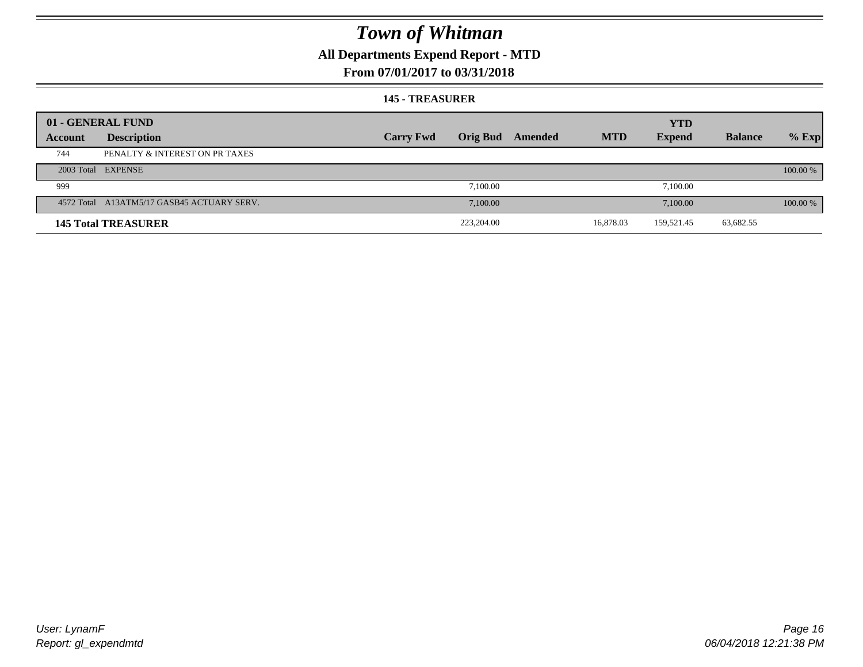## **All Departments Expend Report - MTD**

### **From 07/01/2017 to 03/31/2018**

#### **145 - TREASURER**

|         | 01 - GENERAL FUND                          |                  |                 |         |            | <b>YTD</b>    |                |          |
|---------|--------------------------------------------|------------------|-----------------|---------|------------|---------------|----------------|----------|
| Account | <b>Description</b>                         | <b>Carry Fwd</b> | <b>Orig Bud</b> | Amended | <b>MTD</b> | <b>Expend</b> | <b>Balance</b> | $%$ Exp  |
| 744     | PENALTY & INTEREST ON PR TAXES             |                  |                 |         |            |               |                |          |
|         | 2003 Total EXPENSE                         |                  |                 |         |            |               |                | 100.00 % |
| 999     |                                            |                  | 7.100.00        |         |            | 7,100.00      |                |          |
|         | 4572 Total A13ATM5/17 GASB45 ACTUARY SERV. |                  | 7.100.00        |         |            | 7,100.00      |                | 100.00 % |
|         | <b>145 Total TREASURER</b>                 |                  | 223,204.00      |         | 16,878.03  | 159,521.45    | 63,682.55      |          |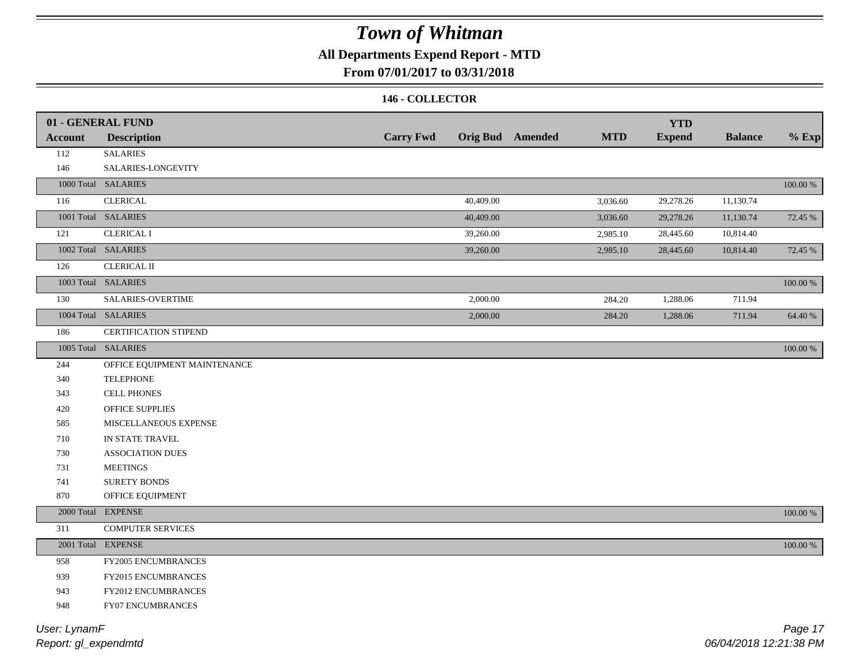## **All Departments Expend Report - MTD**

### **From 07/01/2017 to 03/31/2018**

### **146 - COLLECTOR**

|                | 01 - GENERAL FUND            |                  |           |                         |            | <b>YTD</b>    |                |             |
|----------------|------------------------------|------------------|-----------|-------------------------|------------|---------------|----------------|-------------|
| <b>Account</b> | <b>Description</b>           | <b>Carry Fwd</b> |           | <b>Orig Bud</b> Amended | <b>MTD</b> | <b>Expend</b> | <b>Balance</b> | $%$ Exp     |
| 112            | <b>SALARIES</b>              |                  |           |                         |            |               |                |             |
| 146            | SALARIES-LONGEVITY           |                  |           |                         |            |               |                |             |
|                | 1000 Total SALARIES          |                  |           |                         |            |               |                | $100.00~\%$ |
| 116            | <b>CLERICAL</b>              |                  | 40,409.00 |                         | 3,036.60   | 29,278.26     | 11,130.74      |             |
|                | 1001 Total SALARIES          |                  | 40,409.00 |                         | 3,036.60   | 29,278.26     | 11,130.74      | 72.45 %     |
| 121            | <b>CLERICAL I</b>            |                  | 39,260.00 |                         | 2,985.10   | 28,445.60     | 10,814.40      |             |
|                | 1002 Total SALARIES          |                  | 39,260.00 |                         | 2,985.10   | 28,445.60     | 10,814.40      | 72.45 %     |
| 126            | <b>CLERICAL II</b>           |                  |           |                         |            |               |                |             |
|                | 1003 Total SALARIES          |                  |           |                         |            |               |                | 100.00 %    |
| 130            | SALARIES-OVERTIME            |                  | 2,000.00  |                         | 284.20     | 1,288.06      | 711.94         |             |
|                | 1004 Total SALARIES          |                  | 2,000.00  |                         | 284.20     | 1,288.06      | 711.94         | 64.40 %     |
| 186            | CERTIFICATION STIPEND        |                  |           |                         |            |               |                |             |
|                | 1005 Total SALARIES          |                  |           |                         |            |               |                | 100.00 %    |
| 244            | OFFICE EQUIPMENT MAINTENANCE |                  |           |                         |            |               |                |             |
| 340            | <b>TELEPHONE</b>             |                  |           |                         |            |               |                |             |
| 343            | <b>CELL PHONES</b>           |                  |           |                         |            |               |                |             |
| 420            | <b>OFFICE SUPPLIES</b>       |                  |           |                         |            |               |                |             |
| 585            | MISCELLANEOUS EXPENSE        |                  |           |                         |            |               |                |             |
| 710            | IN STATE TRAVEL              |                  |           |                         |            |               |                |             |
| 730            | <b>ASSOCIATION DUES</b>      |                  |           |                         |            |               |                |             |
| 731            | <b>MEETINGS</b>              |                  |           |                         |            |               |                |             |
| 741            | SURETY BONDS                 |                  |           |                         |            |               |                |             |
| 870            | OFFICE EQUIPMENT             |                  |           |                         |            |               |                |             |
|                | 2000 Total EXPENSE           |                  |           |                         |            |               |                | 100.00 %    |
| 311            | <b>COMPUTER SERVICES</b>     |                  |           |                         |            |               |                |             |
|                | 2001 Total EXPENSE           |                  |           |                         |            |               |                | $100.00~\%$ |
| 958            | FY2005 ENCUMBRANCES          |                  |           |                         |            |               |                |             |
| 939            | FY2015 ENCUMBRANCES          |                  |           |                         |            |               |                |             |
| 943            | FY2012 ENCUMBRANCES          |                  |           |                         |            |               |                |             |
| 948            | FY07 ENCUMBRANCES            |                  |           |                         |            |               |                |             |
|                |                              |                  |           |                         |            |               |                |             |

*Report: gl\_expendmtd User: LynamF*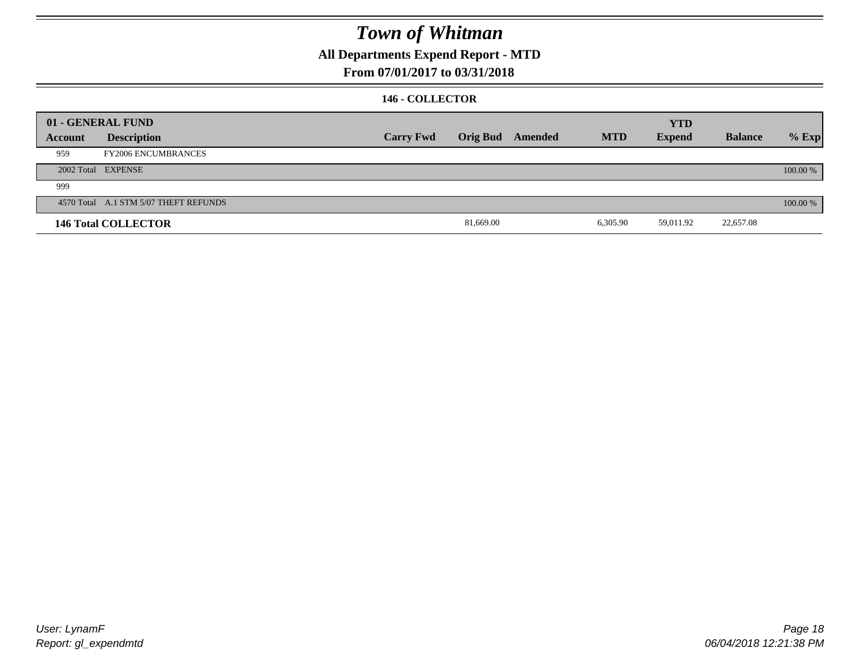### **All Departments Expend Report - MTD**

### **From 07/01/2017 to 03/31/2018**

### **146 - COLLECTOR**

|         | 01 - GENERAL FUND                     |                  |           |                  |            | <b>YTD</b>    |                |          |
|---------|---------------------------------------|------------------|-----------|------------------|------------|---------------|----------------|----------|
| Account | <b>Description</b>                    | <b>Carry Fwd</b> |           | Orig Bud Amended | <b>MTD</b> | <b>Expend</b> | <b>Balance</b> | $%$ Exp  |
| 959     | <b>FY2006 ENCUMBRANCES</b>            |                  |           |                  |            |               |                |          |
|         | 2002 Total EXPENSE                    |                  |           |                  |            |               |                | 100.00 % |
| 999     |                                       |                  |           |                  |            |               |                |          |
|         | 4570 Total A.1 STM 5/07 THEFT REFUNDS |                  |           |                  |            |               |                | 100.00 % |
|         | <b>146 Total COLLECTOR</b>            |                  | 81,669.00 |                  | 6,305.90   | 59,011.92     | 22,657.08      |          |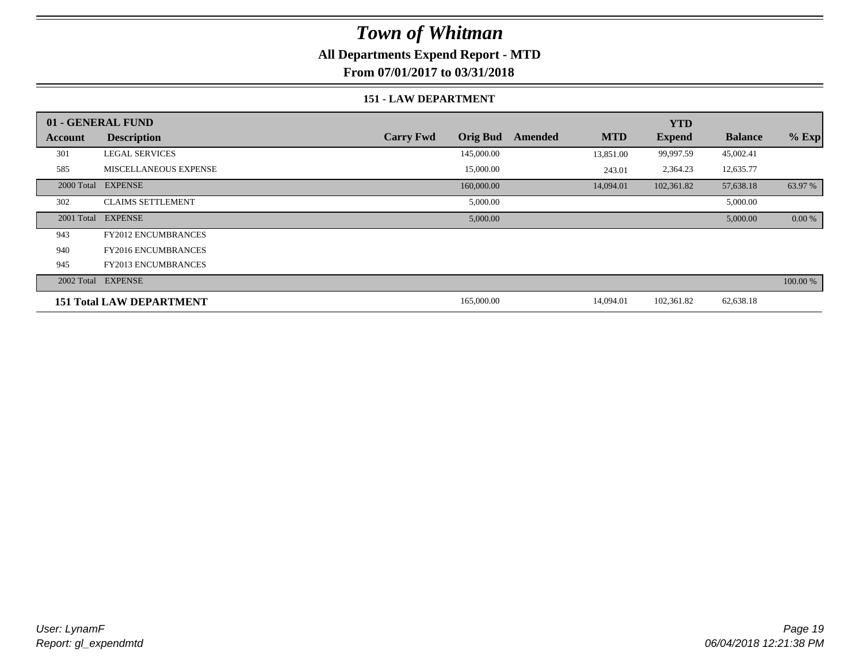### **All Departments Expend Report - MTD**

**From 07/01/2017 to 03/31/2018**

#### **151 - LAW DEPARTMENT**

|                | 01 - GENERAL FUND               |                  |                 |                |            | <b>YTD</b>    |                |           |
|----------------|---------------------------------|------------------|-----------------|----------------|------------|---------------|----------------|-----------|
| <b>Account</b> | <b>Description</b>              | <b>Carry Fwd</b> | <b>Orig Bud</b> | <b>Amended</b> | <b>MTD</b> | <b>Expend</b> | <b>Balance</b> | $%$ Exp   |
| 301            | <b>LEGAL SERVICES</b>           |                  | 145,000.00      |                | 13,851.00  | 99,997.59     | 45,002.41      |           |
| 585            | <b>MISCELLANEOUS EXPENSE</b>    |                  | 15,000.00       |                | 243.01     | 2,364.23      | 12,635.77      |           |
|                | 2000 Total EXPENSE              |                  | 160,000.00      |                | 14,094.01  | 102,361.82    | 57,638.18      | 63.97 %   |
| 302            | <b>CLAIMS SETTLEMENT</b>        |                  | 5,000.00        |                |            |               | 5,000.00       |           |
|                | 2001 Total EXPENSE              |                  | 5,000.00        |                |            |               | 5,000.00       | $0.00 \%$ |
| 943            | <b>FY2012 ENCUMBRANCES</b>      |                  |                 |                |            |               |                |           |
| 940            | <b>FY2016 ENCUMBRANCES</b>      |                  |                 |                |            |               |                |           |
| 945            | <b>FY2013 ENCUMBRANCES</b>      |                  |                 |                |            |               |                |           |
|                | 2002 Total EXPENSE              |                  |                 |                |            |               |                | 100.00 %  |
|                | <b>151 Total LAW DEPARTMENT</b> |                  | 165,000.00      |                | 14.094.01  | 102,361.82    | 62,638.18      |           |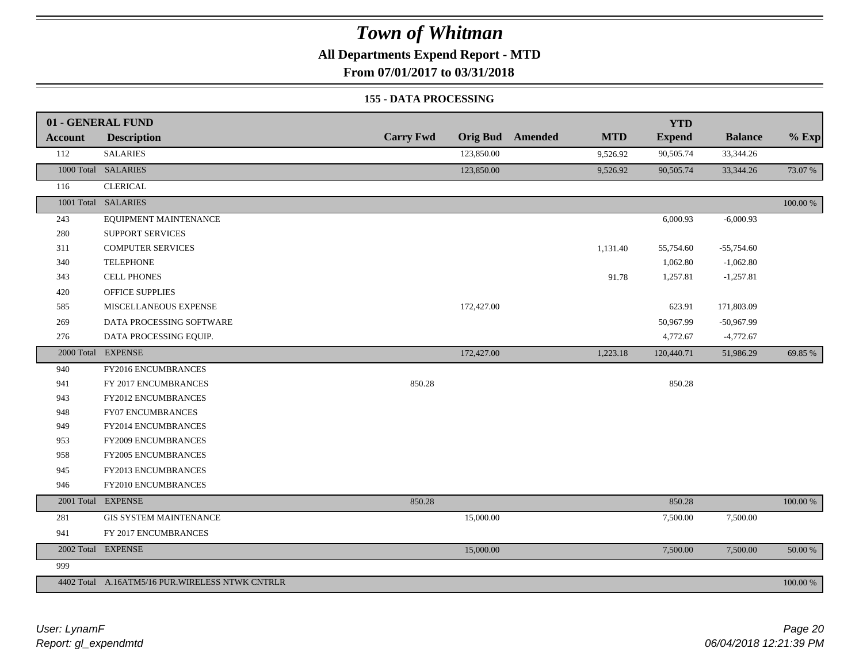**All Departments Expend Report - MTD**

**From 07/01/2017 to 03/31/2018**

#### **155 - DATA PROCESSING**

|                | 01 - GENERAL FUND                               |                  |                 |         |            | <b>YTD</b>    |                |             |
|----------------|-------------------------------------------------|------------------|-----------------|---------|------------|---------------|----------------|-------------|
| <b>Account</b> | <b>Description</b>                              | <b>Carry Fwd</b> | <b>Orig Bud</b> | Amended | <b>MTD</b> | <b>Expend</b> | <b>Balance</b> | $%$ Exp     |
| 112            | <b>SALARIES</b>                                 |                  | 123,850.00      |         | 9,526.92   | 90,505.74     | 33,344.26      |             |
|                | 1000 Total SALARIES                             |                  | 123,850.00      |         | 9,526.92   | 90,505.74     | 33, 344. 26    | 73.07%      |
| 116            | <b>CLERICAL</b>                                 |                  |                 |         |            |               |                |             |
|                | 1001 Total SALARIES                             |                  |                 |         |            |               |                | $100.00~\%$ |
| 243            | EQUIPMENT MAINTENANCE                           |                  |                 |         |            | 6,000.93      | $-6,000.93$    |             |
| 280            | SUPPORT SERVICES                                |                  |                 |         |            |               |                |             |
| 311            | <b>COMPUTER SERVICES</b>                        |                  |                 |         | 1,131.40   | 55,754.60     | $-55,754.60$   |             |
| 340            | <b>TELEPHONE</b>                                |                  |                 |         |            | 1,062.80      | $-1,062.80$    |             |
| 343            | <b>CELL PHONES</b>                              |                  |                 |         | 91.78      | 1,257.81      | $-1,257.81$    |             |
| 420            | <b>OFFICE SUPPLIES</b>                          |                  |                 |         |            |               |                |             |
| 585            | MISCELLANEOUS EXPENSE                           |                  | 172,427.00      |         |            | 623.91        | 171,803.09     |             |
| 269            | DATA PROCESSING SOFTWARE                        |                  |                 |         |            | 50,967.99     | $-50,967.99$   |             |
| 276            | DATA PROCESSING EQUIP.                          |                  |                 |         |            | 4,772.67      | $-4,772.67$    |             |
|                | 2000 Total EXPENSE                              |                  | 172,427.00      |         | 1,223.18   | 120,440.71    | 51,986.29      | 69.85 %     |
| 940            | FY2016 ENCUMBRANCES                             |                  |                 |         |            |               |                |             |
| 941            | FY 2017 ENCUMBRANCES                            | 850.28           |                 |         |            | 850.28        |                |             |
| 943            | FY2012 ENCUMBRANCES                             |                  |                 |         |            |               |                |             |
| 948            | <b>FY07 ENCUMBRANCES</b>                        |                  |                 |         |            |               |                |             |
| 949            | FY2014 ENCUMBRANCES                             |                  |                 |         |            |               |                |             |
| 953            | FY2009 ENCUMBRANCES                             |                  |                 |         |            |               |                |             |
| 958            | FY2005 ENCUMBRANCES                             |                  |                 |         |            |               |                |             |
| 945            | FY2013 ENCUMBRANCES                             |                  |                 |         |            |               |                |             |
| 946            | FY2010 ENCUMBRANCES                             |                  |                 |         |            |               |                |             |
|                | 2001 Total EXPENSE                              | 850.28           |                 |         |            | 850.28        |                | $100.00~\%$ |
| 281            | <b>GIS SYSTEM MAINTENANCE</b>                   |                  | 15,000.00       |         |            | 7,500.00      | 7,500.00       |             |
| 941            | FY 2017 ENCUMBRANCES                            |                  |                 |         |            |               |                |             |
|                | 2002 Total EXPENSE                              |                  | 15,000.00       |         |            | 7,500.00      | 7,500.00       | 50.00 %     |
| 999            |                                                 |                  |                 |         |            |               |                |             |
|                | 4402 Total A.16ATM5/16 PUR.WIRELESS NTWK CNTRLR |                  |                 |         |            |               |                | $100.00~\%$ |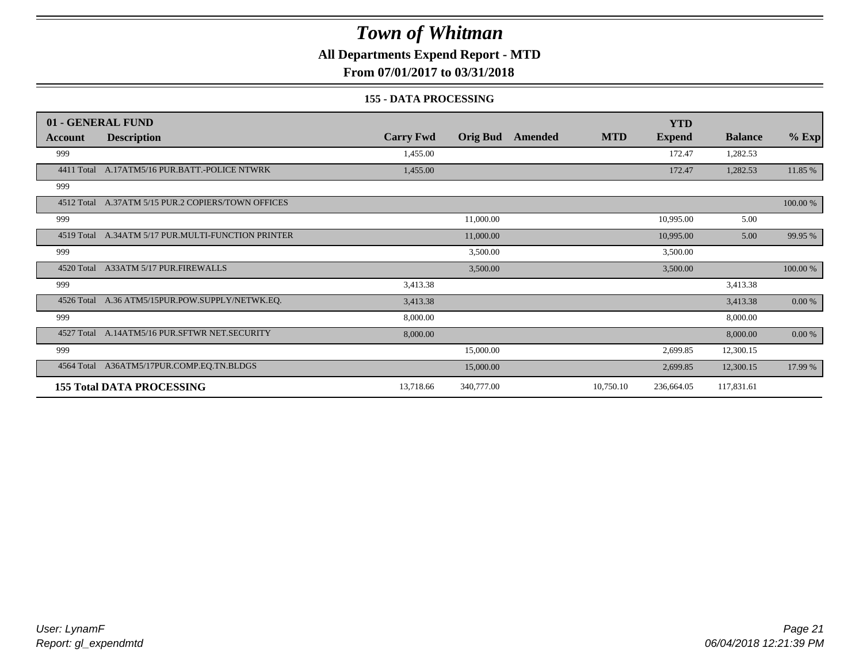**All Departments Expend Report - MTD**

**From 07/01/2017 to 03/31/2018**

#### **155 - DATA PROCESSING**

|            | 01 - GENERAL FUND                                  |                  |                 |         |            | <b>YTD</b>    |                |           |
|------------|----------------------------------------------------|------------------|-----------------|---------|------------|---------------|----------------|-----------|
| Account    | <b>Description</b>                                 | <b>Carry Fwd</b> | <b>Orig Bud</b> | Amended | <b>MTD</b> | <b>Expend</b> | <b>Balance</b> | $%$ Exp   |
| 999        |                                                    | 1,455.00         |                 |         |            | 172.47        | 1,282.53       |           |
|            | 4411 Total A.17ATM5/16 PUR.BATT.-POLICE NTWRK      | 1,455.00         |                 |         |            | 172.47        | 1,282.53       | 11.85 %   |
| 999        |                                                    |                  |                 |         |            |               |                |           |
|            | 4512 Total A.37ATM 5/15 PUR.2 COPIERS/TOWN OFFICES |                  |                 |         |            |               |                | 100.00 %  |
| 999        |                                                    |                  | 11,000.00       |         |            | 10,995.00     | 5.00           |           |
| 4519 Total | A.34ATM 5/17 PUR.MULTI-FUNCTION PRINTER            |                  | 11,000.00       |         |            | 10,995.00     | 5.00           | 99.95 %   |
| 999        |                                                    |                  | 3,500.00        |         |            | 3,500.00      |                |           |
|            | 4520 Total A33ATM 5/17 PUR.FIREWALLS               |                  | 3,500.00        |         |            | 3,500.00      |                | 100.00 %  |
| 999        |                                                    | 3,413.38         |                 |         |            |               | 3,413.38       |           |
|            | 4526 Total A.36 ATM5/15PUR.POW.SUPPLY/NETWK.EQ.    | 3,413.38         |                 |         |            |               | 3,413.38       | $0.00 \%$ |
| 999        |                                                    | 8,000.00         |                 |         |            |               | 8,000.00       |           |
|            | 4527 Total A.14ATM5/16 PUR.SFTWR NET.SECURITY      | 8,000.00         |                 |         |            |               | 8,000.00       | 0.00 %    |
| 999        |                                                    |                  | 15,000.00       |         |            | 2,699.85      | 12,300.15      |           |
| 4564 Total | A36ATM5/17PUR.COMP.EQ.TN.BLDGS                     |                  | 15,000.00       |         |            | 2,699.85      | 12,300.15      | 17.99 %   |
|            | <b>155 Total DATA PROCESSING</b>                   | 13,718.66        | 340,777.00      |         | 10,750.10  | 236,664.05    | 117,831.61     |           |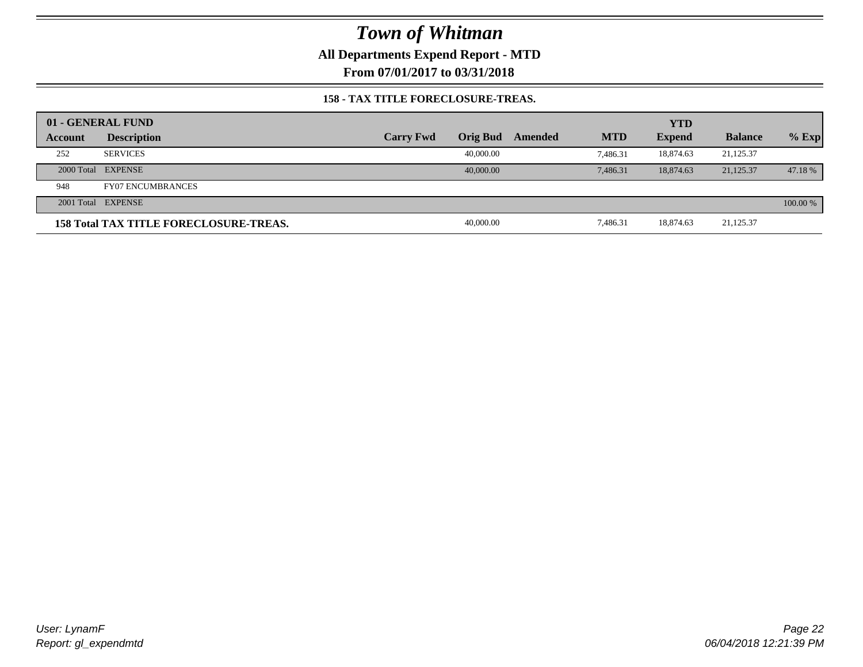**All Departments Expend Report - MTD**

**From 07/01/2017 to 03/31/2018**

### **158 - TAX TITLE FORECLOSURE-TREAS.**

|         | 01 - GENERAL FUND                             |                  |           |         |            | <b>YTD</b>    |                |          |
|---------|-----------------------------------------------|------------------|-----------|---------|------------|---------------|----------------|----------|
| Account | <b>Description</b>                            | <b>Carry Fwd</b> | Orig Bud  | Amended | <b>MTD</b> | <b>Expend</b> | <b>Balance</b> | $%$ Exp  |
| 252     | <b>SERVICES</b>                               |                  | 40,000.00 |         | 7.486.31   | 18.874.63     | 21,125.37      |          |
|         | 2000 Total EXPENSE                            |                  | 40,000,00 |         | 7.486.31   | 18.874.63     | 21,125,37      | 47.18 %  |
| 948     | <b>FY07 ENCUMBRANCES</b>                      |                  |           |         |            |               |                |          |
|         | 2001 Total EXPENSE                            |                  |           |         |            |               |                | 100.00 % |
|         | <b>158 Total TAX TITLE FORECLOSURE-TREAS.</b> |                  | 40,000.00 |         | 7,486.31   | 18,874.63     | 21,125.37      |          |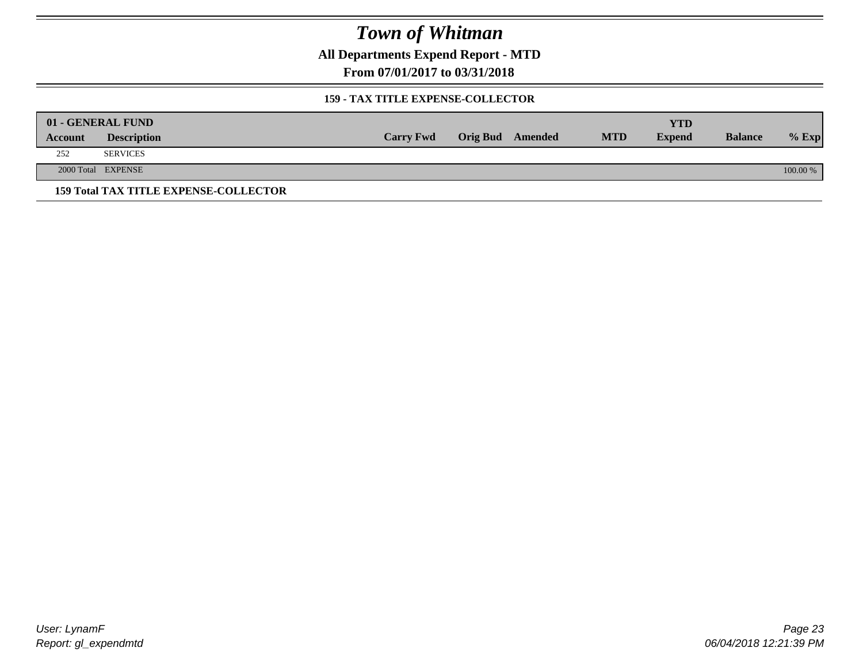**All Departments Expend Report - MTD**

**From 07/01/2017 to 03/31/2018**

#### **159 - TAX TITLE EXPENSE-COLLECTOR**

|         | 01 - GENERAL FUND                            |                  |                         |            | YTD           |                |          |
|---------|----------------------------------------------|------------------|-------------------------|------------|---------------|----------------|----------|
| Account | <b>Description</b>                           | <b>Carry Fwd</b> | <b>Orig Bud</b> Amended | <b>MTD</b> | <b>Expend</b> | <b>Balance</b> | $%$ Exp  |
| 252     | <b>SERVICES</b>                              |                  |                         |            |               |                |          |
|         | 2000 Total EXPENSE                           |                  |                         |            |               |                | 100.00 % |
|         | <b>159 Total TAX TITLE EXPENSE-COLLECTOR</b> |                  |                         |            |               |                |          |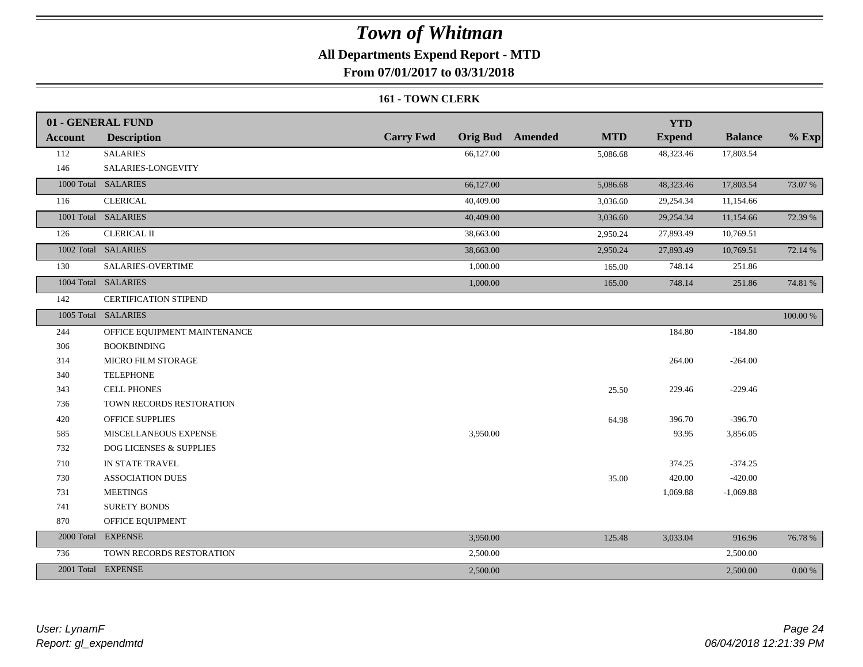## **All Departments Expend Report - MTD**

**From 07/01/2017 to 03/31/2018**

#### **161 - TOWN CLERK**

|                | 01 - GENERAL FUND            |                  |                                       | <b>YTD</b>    |                |           |
|----------------|------------------------------|------------------|---------------------------------------|---------------|----------------|-----------|
| <b>Account</b> | <b>Description</b>           | <b>Carry Fwd</b> | <b>Orig Bud</b> Amended<br><b>MTD</b> | <b>Expend</b> | <b>Balance</b> | $%$ Exp   |
| 112            | <b>SALARIES</b>              | 66,127.00        | 5,086.68                              | 48,323.46     | 17,803.54      |           |
| 146            | SALARIES-LONGEVITY           |                  |                                       |               |                |           |
|                | 1000 Total SALARIES          | 66,127.00        | 5,086.68                              | 48,323.46     | 17,803.54      | 73.07 %   |
| 116            | <b>CLERICAL</b>              | 40,409.00        | 3,036.60                              | 29,254.34     | 11,154.66      |           |
|                | 1001 Total SALARIES          | 40,409.00        | 3,036.60                              | 29,254.34     | 11,154.66      | 72.39 %   |
| 126            | <b>CLERICAL II</b>           | 38,663.00        | 2,950.24                              | 27,893.49     | 10,769.51      |           |
|                | 1002 Total SALARIES          | 38,663.00        | 2,950.24                              | 27,893.49     | 10,769.51      | 72.14 %   |
| 130            | SALARIES-OVERTIME            | 1,000.00         | 165.00                                | 748.14        | 251.86         |           |
|                | 1004 Total SALARIES          | 1,000.00         | 165.00                                | 748.14        | 251.86         | 74.81 %   |
| 142            | <b>CERTIFICATION STIPEND</b> |                  |                                       |               |                |           |
|                | 1005 Total SALARIES          |                  |                                       |               |                | 100.00 %  |
| 244            | OFFICE EQUIPMENT MAINTENANCE |                  |                                       | 184.80        | $-184.80$      |           |
| 306            | <b>BOOKBINDING</b>           |                  |                                       |               |                |           |
| 314            | <b>MICRO FILM STORAGE</b>    |                  |                                       | 264.00        | $-264.00$      |           |
| 340            | <b>TELEPHONE</b>             |                  |                                       |               |                |           |
| 343            | <b>CELL PHONES</b>           |                  | 25.50                                 | 229.46        | $-229.46$      |           |
| 736            | TOWN RECORDS RESTORATION     |                  |                                       |               |                |           |
| 420            | <b>OFFICE SUPPLIES</b>       |                  | 64.98                                 | 396.70        | $-396.70$      |           |
| 585            | MISCELLANEOUS EXPENSE        | 3,950.00         |                                       | 93.95         | 3,856.05       |           |
| 732            | DOG LICENSES & SUPPLIES      |                  |                                       |               |                |           |
| 710            | IN STATE TRAVEL              |                  |                                       | 374.25        | $-374.25$      |           |
| 730            | <b>ASSOCIATION DUES</b>      |                  | 35.00                                 | 420.00        | $-420.00$      |           |
| 731            | <b>MEETINGS</b>              |                  |                                       | 1,069.88      | $-1,069.88$    |           |
| 741            | <b>SURETY BONDS</b>          |                  |                                       |               |                |           |
| 870            | OFFICE EQUIPMENT             |                  |                                       |               |                |           |
|                | 2000 Total EXPENSE           | 3,950.00         | 125.48                                | 3,033.04      | 916.96         | 76.78 %   |
| 736            | TOWN RECORDS RESTORATION     | 2,500.00         |                                       |               | 2,500.00       |           |
|                | 2001 Total EXPENSE           | 2,500.00         |                                       |               | 2,500.00       | $0.00 \%$ |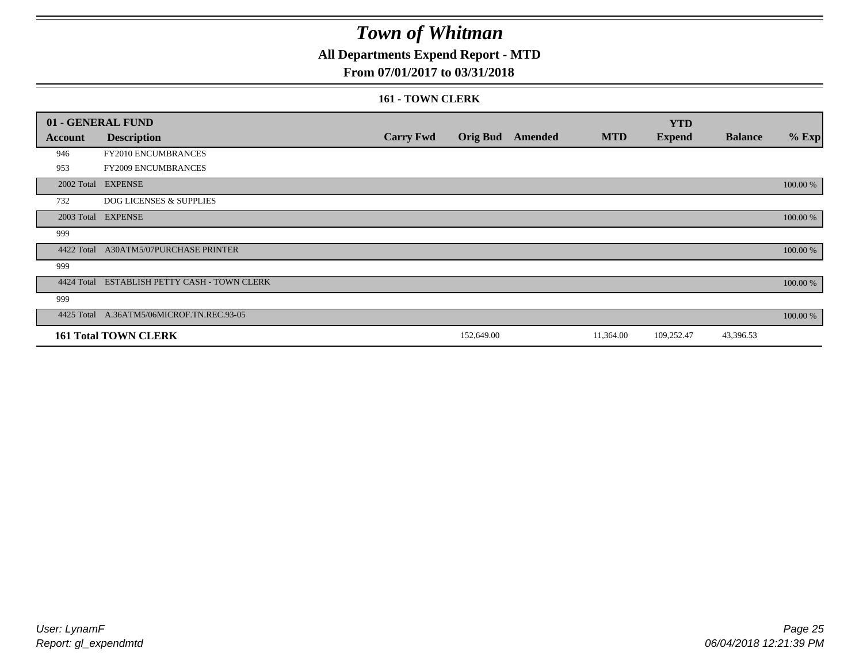## **All Departments Expend Report - MTD**

### **From 07/01/2017 to 03/31/2018**

#### **161 - TOWN CLERK**

|            | 01 - GENERAL FUND                         |                  |                 |                |            | <b>YTD</b>    |                |          |
|------------|-------------------------------------------|------------------|-----------------|----------------|------------|---------------|----------------|----------|
| Account    | <b>Description</b>                        | <b>Carry Fwd</b> | <b>Orig Bud</b> | <b>Amended</b> | <b>MTD</b> | <b>Expend</b> | <b>Balance</b> | $%$ Exp  |
| 946        | FY2010 ENCUMBRANCES                       |                  |                 |                |            |               |                |          |
| 953        | <b>FY2009 ENCUMBRANCES</b>                |                  |                 |                |            |               |                |          |
|            | 2002 Total EXPENSE                        |                  |                 |                |            |               |                | 100.00 % |
| 732        | <b>DOG LICENSES &amp; SUPPLIES</b>        |                  |                 |                |            |               |                |          |
| 2003 Total | <b>EXPENSE</b>                            |                  |                 |                |            |               |                | 100.00 % |
| 999        |                                           |                  |                 |                |            |               |                |          |
| 4422 Total | A30ATM5/07PURCHASE PRINTER                |                  |                 |                |            |               |                | 100.00 % |
| 999        |                                           |                  |                 |                |            |               |                |          |
| 4424 Total | ESTABLISH PETTY CASH - TOWN CLERK         |                  |                 |                |            |               |                | 100.00 % |
| 999        |                                           |                  |                 |                |            |               |                |          |
|            | 4425 Total A.36ATM5/06MICROF.TN.REC.93-05 |                  |                 |                |            |               |                | 100.00 % |
|            | <b>161 Total TOWN CLERK</b>               |                  | 152,649.00      |                | 11,364.00  | 109,252.47    | 43,396.53      |          |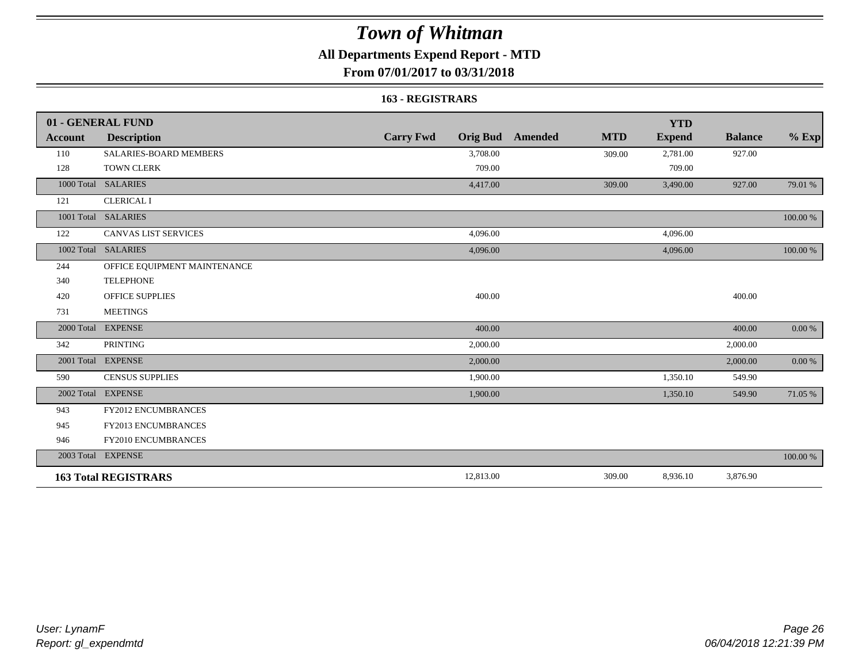## **All Departments Expend Report - MTD**

### **From 07/01/2017 to 03/31/2018**

#### **163 - REGISTRARS**

|                | 01 - GENERAL FUND             |                                     |                       | <b>YTD</b>    |                |            |
|----------------|-------------------------------|-------------------------------------|-----------------------|---------------|----------------|------------|
| <b>Account</b> | <b>Description</b>            | <b>Carry Fwd</b><br><b>Orig Bud</b> | <b>MTD</b><br>Amended | <b>Expend</b> | <b>Balance</b> | $%$ Exp    |
| 110            | <b>SALARIES-BOARD MEMBERS</b> | 3,708.00                            | 309.00                | 2,781.00      | 927.00         |            |
| 128            | <b>TOWN CLERK</b>             | 709.00                              |                       | 709.00        |                |            |
|                | 1000 Total SALARIES           | 4,417.00                            | 309.00                | 3,490.00      | 927.00         | 79.01 %    |
| 121            | <b>CLERICAL I</b>             |                                     |                       |               |                |            |
|                | 1001 Total SALARIES           |                                     |                       |               |                | 100.00 %   |
| 122            | <b>CANVAS LIST SERVICES</b>   | 4,096.00                            |                       | 4,096.00      |                |            |
|                | 1002 Total SALARIES           | 4,096.00                            |                       | 4,096.00      |                | 100.00 %   |
| 244            | OFFICE EQUIPMENT MAINTENANCE  |                                     |                       |               |                |            |
| 340            | <b>TELEPHONE</b>              |                                     |                       |               |                |            |
| 420            | <b>OFFICE SUPPLIES</b>        | 400.00                              |                       |               | 400.00         |            |
| 731            | <b>MEETINGS</b>               |                                     |                       |               |                |            |
| 2000 Total     | <b>EXPENSE</b>                | 400.00                              |                       |               | 400.00         | $0.00\ \%$ |
| 342            | <b>PRINTING</b>               | 2,000.00                            |                       |               | 2,000.00       |            |
|                | 2001 Total EXPENSE            | 2,000.00                            |                       |               | 2,000.00       | $0.00\ \%$ |
| 590            | <b>CENSUS SUPPLIES</b>        | 1,900.00                            |                       | 1,350.10      | 549.90         |            |
| 2002 Total     | <b>EXPENSE</b>                | 1,900.00                            |                       | 1,350.10      | 549.90         | 71.05 %    |
| 943            | <b>FY2012 ENCUMBRANCES</b>    |                                     |                       |               |                |            |
| 945            | FY2013 ENCUMBRANCES           |                                     |                       |               |                |            |
| 946            | FY2010 ENCUMBRANCES           |                                     |                       |               |                |            |
|                | 2003 Total EXPENSE            |                                     |                       |               |                | 100.00 %   |
|                | <b>163 Total REGISTRARS</b>   | 12,813.00                           | 309.00                | 8,936.10      | 3,876.90       |            |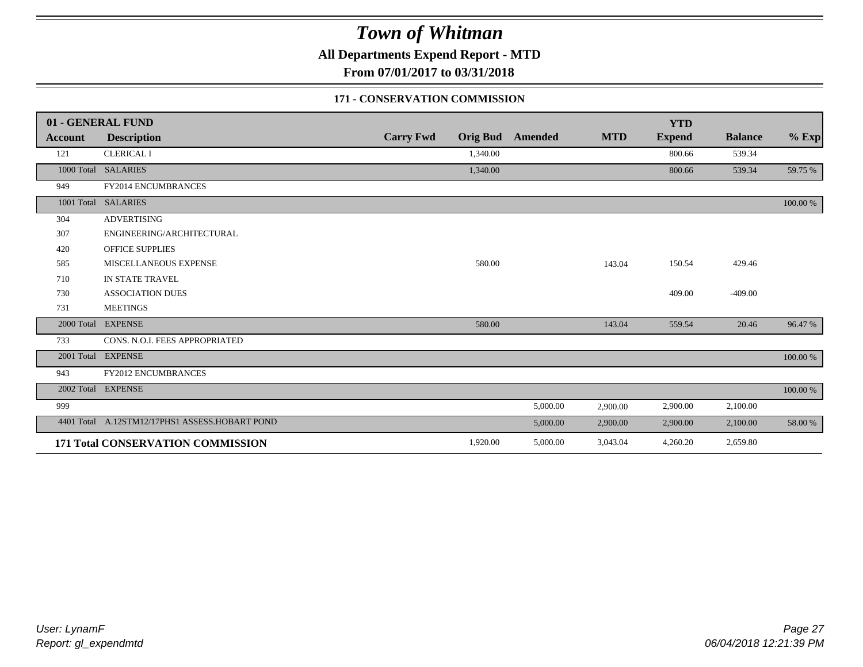**All Departments Expend Report - MTD**

**From 07/01/2017 to 03/31/2018**

### **171 - CONSERVATION COMMISSION**

|                | 01 - GENERAL FUND                              |                  |                 |          |            | <b>YTD</b>    |                |          |
|----------------|------------------------------------------------|------------------|-----------------|----------|------------|---------------|----------------|----------|
| <b>Account</b> | <b>Description</b>                             | <b>Carry Fwd</b> | <b>Orig Bud</b> | Amended  | <b>MTD</b> | <b>Expend</b> | <b>Balance</b> | $%$ Exp  |
| 121            | <b>CLERICAL I</b>                              |                  | 1,340.00        |          |            | 800.66        | 539.34         |          |
|                | 1000 Total SALARIES                            |                  | 1,340.00        |          |            | 800.66        | 539.34         | 59.75 %  |
| 949            | <b>FY2014 ENCUMBRANCES</b>                     |                  |                 |          |            |               |                |          |
| 1001 Total     | <b>SALARIES</b>                                |                  |                 |          |            |               |                | 100.00 % |
| 304            | <b>ADVERTISING</b>                             |                  |                 |          |            |               |                |          |
| 307            | ENGINEERING/ARCHITECTURAL                      |                  |                 |          |            |               |                |          |
| 420            | <b>OFFICE SUPPLIES</b>                         |                  |                 |          |            |               |                |          |
| 585            | <b>MISCELLANEOUS EXPENSE</b>                   |                  | 580.00          |          | 143.04     | 150.54        | 429.46         |          |
| 710            | IN STATE TRAVEL                                |                  |                 |          |            |               |                |          |
| 730            | <b>ASSOCIATION DUES</b>                        |                  |                 |          |            | 409.00        | $-409.00$      |          |
| 731            | <b>MEETINGS</b>                                |                  |                 |          |            |               |                |          |
| 2000 Total     | <b>EXPENSE</b>                                 |                  | 580.00          |          | 143.04     | 559.54        | 20.46          | 96.47 %  |
| 733            | CONS. N.O.I. FEES APPROPRIATED                 |                  |                 |          |            |               |                |          |
| 2001 Total     | <b>EXPENSE</b>                                 |                  |                 |          |            |               |                | 100.00 % |
| 943            | <b>FY2012 ENCUMBRANCES</b>                     |                  |                 |          |            |               |                |          |
|                | 2002 Total EXPENSE                             |                  |                 |          |            |               |                | 100.00 % |
| 999            |                                                |                  |                 | 5,000.00 | 2,900.00   | 2,900.00      | 2,100.00       |          |
|                | 4401 Total A.12STM12/17PHS1 ASSESS.HOBART POND |                  |                 | 5,000.00 | 2,900.00   | 2,900.00      | 2,100.00       | 58.00 %  |
|                | 171 Total CONSERVATION COMMISSION              |                  | 1,920.00        | 5,000.00 | 3,043.04   | 4,260.20      | 2,659.80       |          |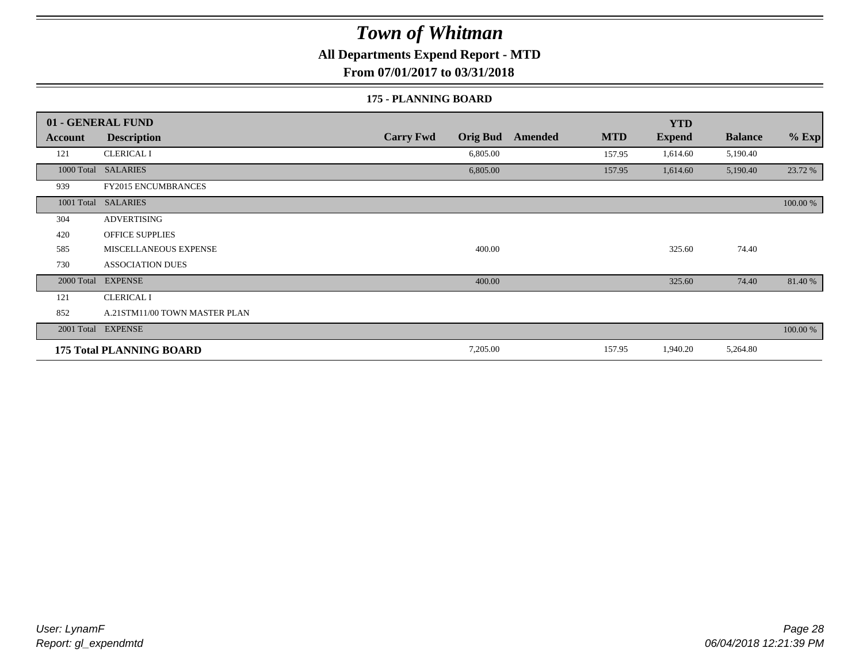**All Departments Expend Report - MTD**

**From 07/01/2017 to 03/31/2018**

#### **175 - PLANNING BOARD**

|                | 01 - GENERAL FUND               |                                     |                       | <b>YTD</b>    |                |          |
|----------------|---------------------------------|-------------------------------------|-----------------------|---------------|----------------|----------|
| <b>Account</b> | <b>Description</b>              | <b>Carry Fwd</b><br><b>Orig Bud</b> | <b>MTD</b><br>Amended | <b>Expend</b> | <b>Balance</b> | $%$ Exp  |
| 121            | <b>CLERICAL I</b>               | 6,805.00                            | 157.95                | 1,614.60      | 5,190.40       |          |
| 1000 Total     | <b>SALARIES</b>                 | 6,805.00                            | 157.95                | 1,614.60      | 5,190.40       | 23.72 %  |
| 939            | <b>FY2015 ENCUMBRANCES</b>      |                                     |                       |               |                |          |
| 1001 Total     | <b>SALARIES</b>                 |                                     |                       |               |                | 100.00 % |
| 304            | <b>ADVERTISING</b>              |                                     |                       |               |                |          |
| 420            | <b>OFFICE SUPPLIES</b>          |                                     |                       |               |                |          |
| 585            | MISCELLANEOUS EXPENSE           | 400.00                              |                       | 325.60        | 74.40          |          |
| 730            | <b>ASSOCIATION DUES</b>         |                                     |                       |               |                |          |
| 2000 Total     | <b>EXPENSE</b>                  | 400.00                              |                       | 325.60        | 74.40          | 81.40 %  |
| 121            | <b>CLERICAL I</b>               |                                     |                       |               |                |          |
| 852            | A.21STM11/00 TOWN MASTER PLAN   |                                     |                       |               |                |          |
|                | 2001 Total EXPENSE              |                                     |                       |               |                | 100.00 % |
|                | <b>175 Total PLANNING BOARD</b> | 7,205.00                            | 157.95                | 1,940.20      | 5,264.80       |          |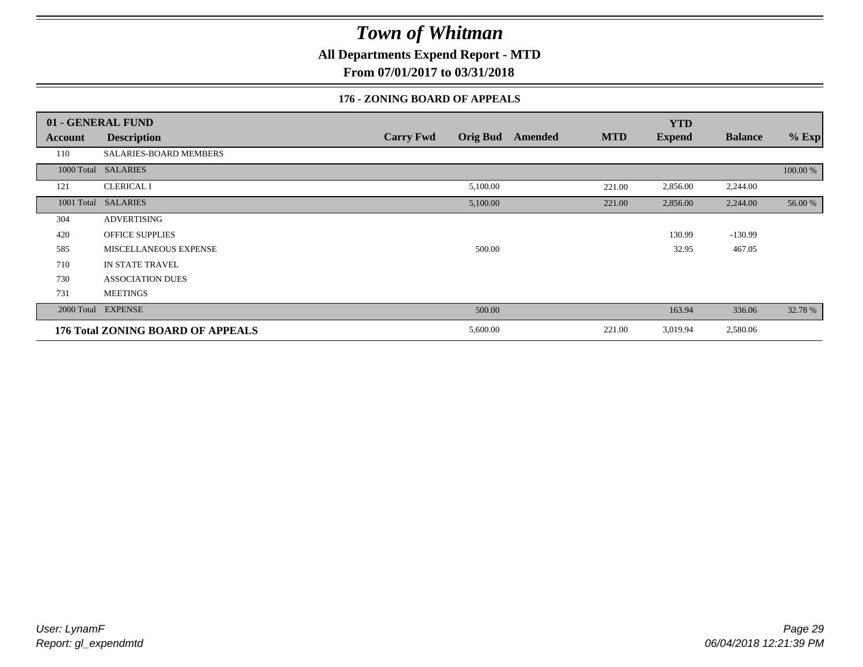**All Departments Expend Report - MTD**

**From 07/01/2017 to 03/31/2018**

### **176 - ZONING BOARD OF APPEALS**

|            | 01 - GENERAL FUND                 |                                     |                              | <b>YTD</b>    |                |          |
|------------|-----------------------------------|-------------------------------------|------------------------------|---------------|----------------|----------|
| Account    | <b>Description</b>                | <b>Carry Fwd</b><br><b>Orig Bud</b> | <b>MTD</b><br><b>Amended</b> | <b>Expend</b> | <b>Balance</b> | $%$ Exp  |
| 110        | SALARIES-BOARD MEMBERS            |                                     |                              |               |                |          |
|            | 1000 Total SALARIES               |                                     |                              |               |                | 100.00 % |
| 121        | <b>CLERICAL I</b>                 | 5,100.00                            | 221.00                       | 2,856.00      | 2,244.00       |          |
| 1001 Total | <b>SALARIES</b>                   | 5,100.00                            | 221.00                       | 2,856.00      | 2,244.00       | 56.00 %  |
| 304        | ADVERTISING                       |                                     |                              |               |                |          |
| 420        | <b>OFFICE SUPPLIES</b>            |                                     |                              | 130.99        | $-130.99$      |          |
| 585        | MISCELLANEOUS EXPENSE             | 500.00                              |                              | 32.95         | 467.05         |          |
| 710        | <b>IN STATE TRAVEL</b>            |                                     |                              |               |                |          |
| 730        | <b>ASSOCIATION DUES</b>           |                                     |                              |               |                |          |
| 731        | <b>MEETINGS</b>                   |                                     |                              |               |                |          |
| 2000 Total | <b>EXPENSE</b>                    | 500.00                              |                              | 163.94        | 336.06         | 32.78 %  |
|            | 176 Total ZONING BOARD OF APPEALS | 5,600.00                            | 221.00                       | 3,019.94      | 2,580.06       |          |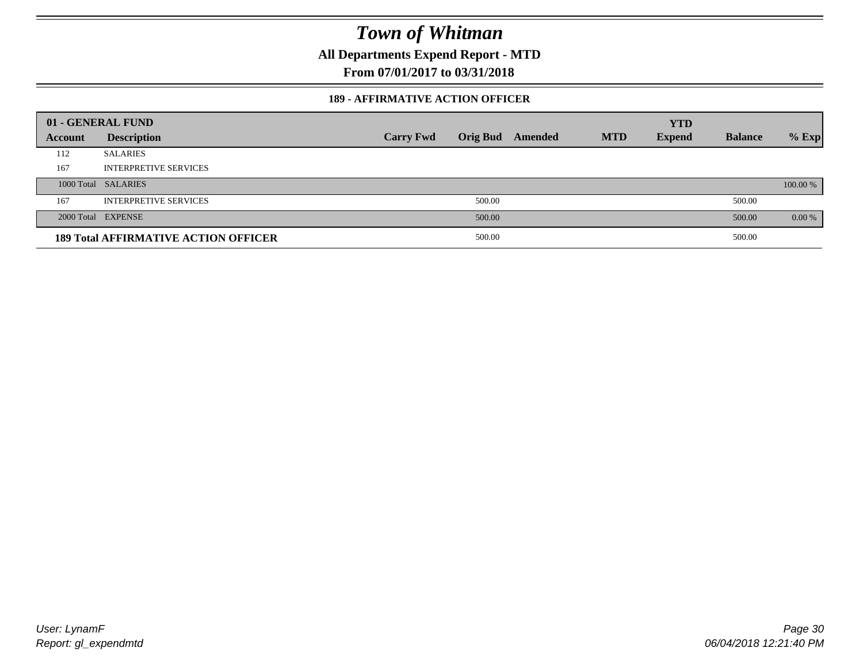**All Departments Expend Report - MTD**

**From 07/01/2017 to 03/31/2018**

### **189 - AFFIRMATIVE ACTION OFFICER**

|         | 01 - GENERAL FUND                           |                  |        |                         |            | <b>YTD</b>    |                |          |
|---------|---------------------------------------------|------------------|--------|-------------------------|------------|---------------|----------------|----------|
| Account | <b>Description</b>                          | <b>Carry Fwd</b> |        | <b>Orig Bud</b> Amended | <b>MTD</b> | <b>Expend</b> | <b>Balance</b> | $%$ Exp  |
| 112     | <b>SALARIES</b>                             |                  |        |                         |            |               |                |          |
| 167     | <b>INTERPRETIVE SERVICES</b>                |                  |        |                         |            |               |                |          |
|         | 1000 Total SALARIES                         |                  |        |                         |            |               |                | 100.00 % |
| 167     | <b>INTERPRETIVE SERVICES</b>                |                  | 500.00 |                         |            |               | 500.00         |          |
|         | 2000 Total EXPENSE                          |                  | 500.00 |                         |            |               | 500.00         | $0.00\%$ |
|         | <b>189 Total AFFIRMATIVE ACTION OFFICER</b> |                  | 500.00 |                         |            |               | 500.00         |          |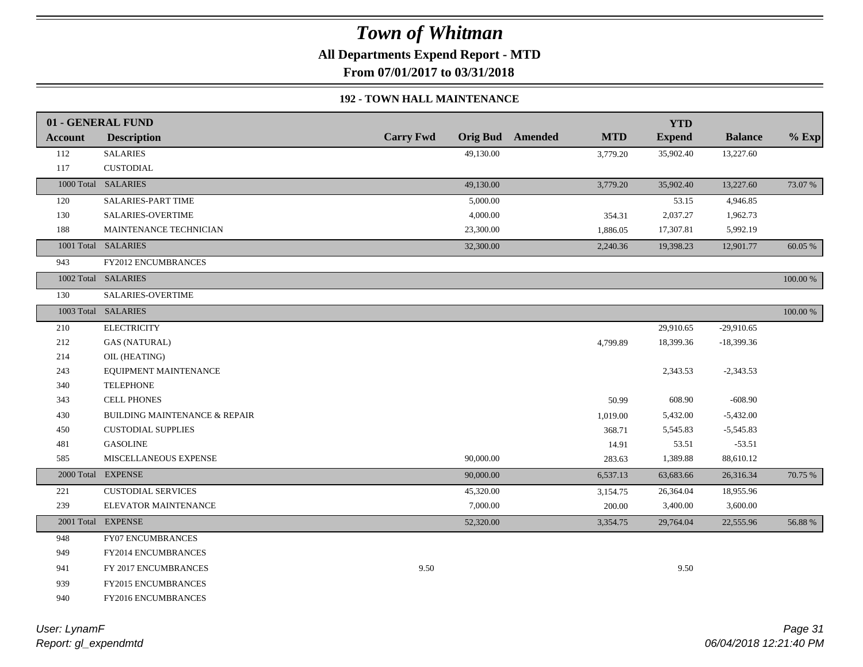**All Departments Expend Report - MTD**

**From 07/01/2017 to 03/31/2018**

### **192 - TOWN HALL MAINTENANCE**

|                | 01 - GENERAL FUND                        |                  |           |                         |            | <b>YTD</b>    |                |             |
|----------------|------------------------------------------|------------------|-----------|-------------------------|------------|---------------|----------------|-------------|
| <b>Account</b> | <b>Description</b>                       | <b>Carry Fwd</b> |           | <b>Orig Bud</b> Amended | <b>MTD</b> | <b>Expend</b> | <b>Balance</b> | $%$ Exp     |
| 112            | <b>SALARIES</b>                          |                  | 49,130.00 |                         | 3,779.20   | 35,902.40     | 13,227.60      |             |
| 117            | <b>CUSTODIAL</b>                         |                  |           |                         |            |               |                |             |
|                | 1000 Total SALARIES                      |                  | 49,130.00 |                         | 3,779.20   | 35,902.40     | 13,227.60      | 73.07 %     |
| 120            | SALARIES-PART TIME                       |                  | 5,000.00  |                         |            | 53.15         | 4,946.85       |             |
| 130            | <b>SALARIES-OVERTIME</b>                 |                  | 4,000.00  |                         | 354.31     | 2,037.27      | 1,962.73       |             |
| 188            | MAINTENANCE TECHNICIAN                   |                  | 23,300.00 |                         | 1,886.05   | 17,307.81     | 5,992.19       |             |
|                | 1001 Total SALARIES                      |                  | 32,300.00 |                         | 2,240.36   | 19,398.23     | 12,901.77      | 60.05 %     |
| 943            | <b>FY2012 ENCUMBRANCES</b>               |                  |           |                         |            |               |                |             |
|                | 1002 Total SALARIES                      |                  |           |                         |            |               |                | 100.00 %    |
| 130            | SALARIES-OVERTIME                        |                  |           |                         |            |               |                |             |
|                | 1003 Total SALARIES                      |                  |           |                         |            |               |                | $100.00~\%$ |
| 210            | <b>ELECTRICITY</b>                       |                  |           |                         |            | 29,910.65     | $-29,910.65$   |             |
| 212            | <b>GAS (NATURAL)</b>                     |                  |           |                         | 4,799.89   | 18,399.36     | $-18,399.36$   |             |
| 214            | OIL (HEATING)                            |                  |           |                         |            |               |                |             |
| 243            | EQUIPMENT MAINTENANCE                    |                  |           |                         |            | 2,343.53      | $-2,343.53$    |             |
| 340            | <b>TELEPHONE</b>                         |                  |           |                         |            |               |                |             |
| 343            | <b>CELL PHONES</b>                       |                  |           |                         | 50.99      | 608.90        | $-608.90$      |             |
| 430            | <b>BUILDING MAINTENANCE &amp; REPAIR</b> |                  |           |                         | 1,019.00   | 5,432.00      | $-5,432.00$    |             |
| 450            | <b>CUSTODIAL SUPPLIES</b>                |                  |           |                         | 368.71     | 5,545.83      | $-5,545.83$    |             |
| 481            | <b>GASOLINE</b>                          |                  |           |                         | 14.91      | 53.51         | $-53.51$       |             |
| 585            | MISCELLANEOUS EXPENSE                    |                  | 90,000.00 |                         | 283.63     | 1,389.88      | 88,610.12      |             |
| 2000 Total     | <b>EXPENSE</b>                           |                  | 90,000.00 |                         | 6,537.13   | 63,683.66     | 26,316.34      | 70.75 %     |
| 221            | <b>CUSTODIAL SERVICES</b>                |                  | 45,320.00 |                         | 3,154.75   | 26,364.04     | 18,955.96      |             |
| 239            | ELEVATOR MAINTENANCE                     |                  | 7,000.00  |                         | 200.00     | 3,400.00      | 3,600.00       |             |
|                | 2001 Total EXPENSE                       |                  | 52,320.00 |                         | 3,354.75   | 29,764.04     | 22,555.96      | 56.88%      |
| 948            | <b>FY07 ENCUMBRANCES</b>                 |                  |           |                         |            |               |                |             |
| 949            | <b>FY2014 ENCUMBRANCES</b>               |                  |           |                         |            |               |                |             |
| 941            | FY 2017 ENCUMBRANCES                     | 9.50             |           |                         |            | 9.50          |                |             |
| 939            | <b>FY2015 ENCUMBRANCES</b>               |                  |           |                         |            |               |                |             |
| 940            | FY2016 ENCUMBRANCES                      |                  |           |                         |            |               |                |             |
|                |                                          |                  |           |                         |            |               |                |             |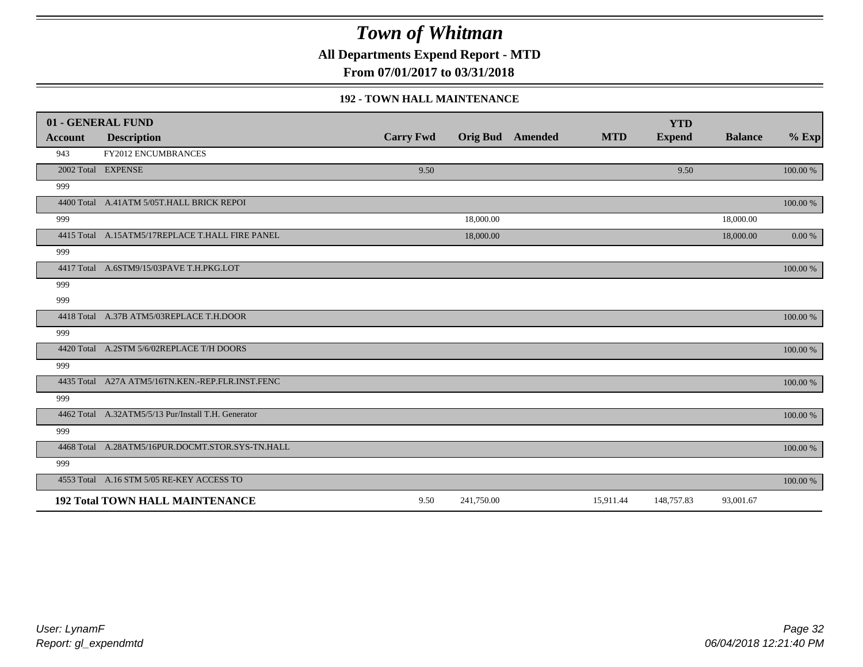**All Departments Expend Report - MTD**

**From 07/01/2017 to 03/31/2018**

#### **192 - TOWN HALL MAINTENANCE**

|                | 01 - GENERAL FUND                                   |                  |                         |            | <b>YTD</b>    |                |          |
|----------------|-----------------------------------------------------|------------------|-------------------------|------------|---------------|----------------|----------|
| <b>Account</b> | <b>Description</b>                                  | <b>Carry Fwd</b> | <b>Orig Bud</b> Amended | <b>MTD</b> | <b>Expend</b> | <b>Balance</b> | $%$ Exp  |
| 943            | FY2012 ENCUMBRANCES                                 |                  |                         |            |               |                |          |
|                | 2002 Total EXPENSE                                  | 9.50             |                         |            | 9.50          |                | 100.00 % |
| 999            |                                                     |                  |                         |            |               |                |          |
|                | 4400 Total A.41ATM 5/05T.HALL BRICK REPOI           |                  |                         |            |               |                | 100.00 % |
| 999            |                                                     |                  | 18,000.00               |            |               | 18,000.00      |          |
|                | 4415 Total A.15ATM5/17REPLACE T.HALL FIRE PANEL     |                  | 18,000.00               |            |               | 18,000.00      | 0.00 %   |
| 999            |                                                     |                  |                         |            |               |                |          |
|                | 4417 Total A.6STM9/15/03PAVE T.H.PKG.LOT            |                  |                         |            |               |                | 100.00 % |
| 999            |                                                     |                  |                         |            |               |                |          |
| 999            |                                                     |                  |                         |            |               |                |          |
|                | 4418 Total A.37B ATM5/03REPLACE T.H.DOOR            |                  |                         |            |               |                | 100.00 % |
| 999            |                                                     |                  |                         |            |               |                |          |
|                | 4420 Total A.2STM 5/6/02REPLACE T/H DOORS           |                  |                         |            |               |                | 100.00 % |
| 999            |                                                     |                  |                         |            |               |                |          |
|                | 4435 Total A27A ATM5/16TN.KEN.-REP.FLR.INST.FENC    |                  |                         |            |               |                | 100.00 % |
| 999            |                                                     |                  |                         |            |               |                |          |
|                | 4462 Total A.32ATM5/5/13 Pur/Install T.H. Generator |                  |                         |            |               |                | 100.00 % |
| 999            |                                                     |                  |                         |            |               |                |          |
|                | 4468 Total A.28ATM5/16PUR.DOCMT.STOR.SYS-TN.HALL    |                  |                         |            |               |                | 100.00 % |
| 999            |                                                     |                  |                         |            |               |                |          |
|                | 4553 Total A.16 STM 5/05 RE-KEY ACCESS TO           |                  |                         |            |               |                | 100.00 % |
|                | <b>192 Total TOWN HALL MAINTENANCE</b>              | 9.50             | 241,750.00              | 15,911.44  | 148,757.83    | 93,001.67      |          |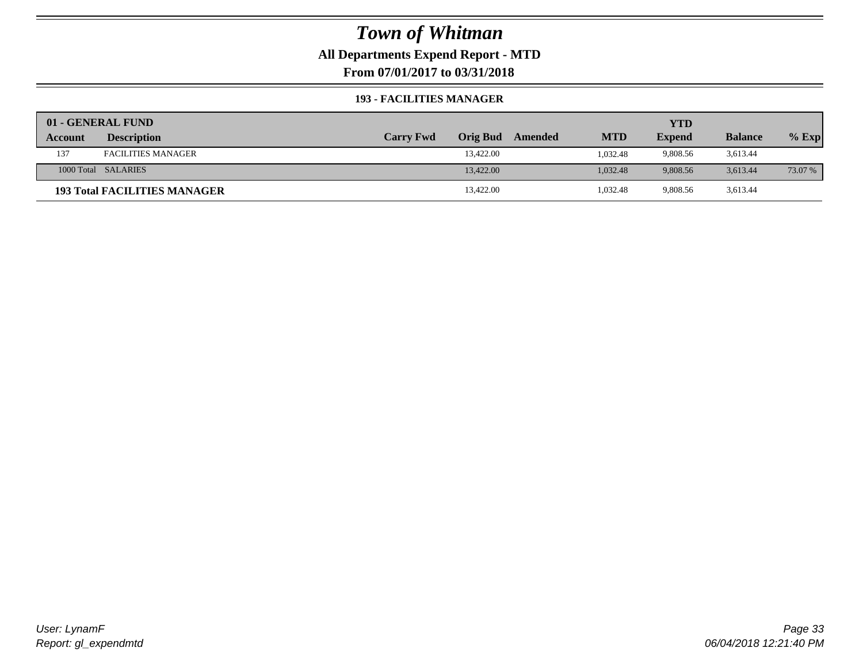### **All Departments Expend Report - MTD**

**From 07/01/2017 to 03/31/2018**

### **193 - FACILITIES MANAGER**

|         | 01 - GENERAL FUND                   |                  |                 |         |            | YTD           |                |         |
|---------|-------------------------------------|------------------|-----------------|---------|------------|---------------|----------------|---------|
| Account | <b>Description</b>                  | <b>Carry Fwd</b> | <b>Orig Bud</b> | Amended | <b>MTD</b> | <b>Expend</b> | <b>Balance</b> | $%$ Exp |
| 137     | <b>FACILITIES MANAGER</b>           |                  | 13.422.00       |         | 1.032.48   | 9,808.56      | 3,613.44       |         |
|         | 1000 Total SALARIES                 |                  | 13,422.00       |         | 1.032.48   | 9,808.56      | 3.613.44       | 73.07 % |
|         | <b>193 Total FACILITIES MANAGER</b> |                  | 13,422.00       |         | 1,032.48   | 9,808.56      | 3,613.44       |         |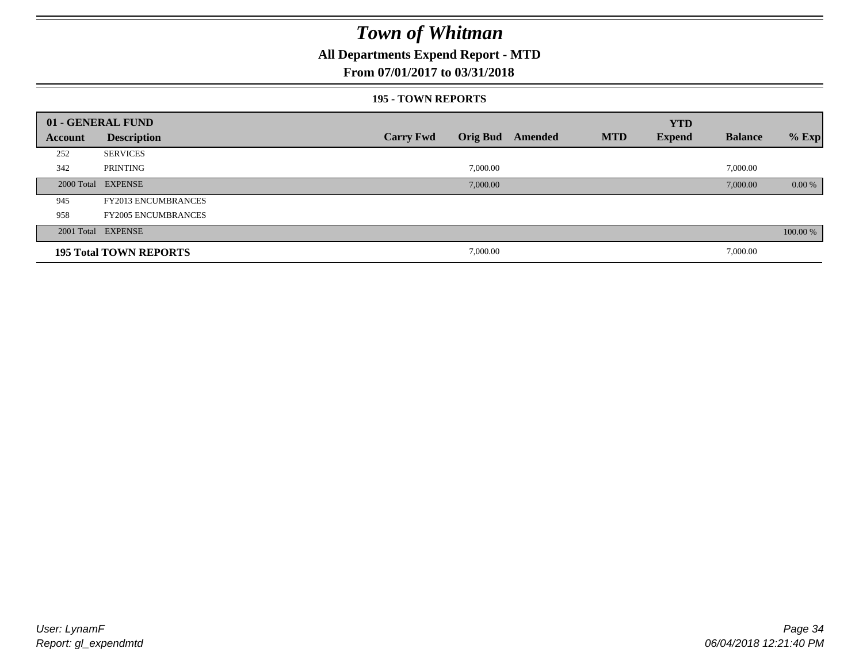### **All Departments Expend Report - MTD**

### **From 07/01/2017 to 03/31/2018**

#### **195 - TOWN REPORTS**

|         | 01 - GENERAL FUND             |                  |          |                         |            | <b>YTD</b>    |                |          |
|---------|-------------------------------|------------------|----------|-------------------------|------------|---------------|----------------|----------|
| Account | <b>Description</b>            | <b>Carry Fwd</b> |          | <b>Orig Bud</b> Amended | <b>MTD</b> | <b>Expend</b> | <b>Balance</b> | $%$ Exp  |
| 252     | <b>SERVICES</b>               |                  |          |                         |            |               |                |          |
| 342     | PRINTING                      |                  | 7,000.00 |                         |            |               | 7,000.00       |          |
|         | 2000 Total EXPENSE            |                  | 7,000.00 |                         |            |               | 7,000.00       | $0.00\%$ |
| 945     | <b>FY2013 ENCUMBRANCES</b>    |                  |          |                         |            |               |                |          |
| 958     | <b>FY2005 ENCUMBRANCES</b>    |                  |          |                         |            |               |                |          |
|         | 2001 Total EXPENSE            |                  |          |                         |            |               |                | 100.00 % |
|         | <b>195 Total TOWN REPORTS</b> |                  | 7,000.00 |                         |            |               | 7,000.00       |          |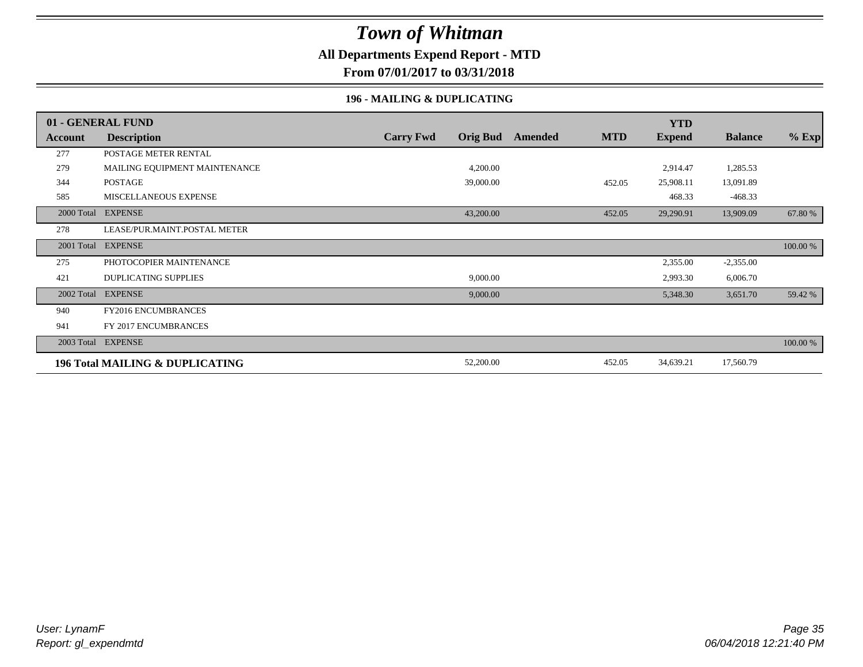### **All Departments Expend Report - MTD**

**From 07/01/2017 to 03/31/2018**

### **196 - MAILING & DUPLICATING**

|         | 01 - GENERAL FUND                          |                  |                 |         |            | <b>YTD</b>    |                |          |
|---------|--------------------------------------------|------------------|-----------------|---------|------------|---------------|----------------|----------|
| Account | <b>Description</b>                         | <b>Carry Fwd</b> | <b>Orig Bud</b> | Amended | <b>MTD</b> | <b>Expend</b> | <b>Balance</b> | $%$ Exp  |
| 277     | POSTAGE METER RENTAL                       |                  |                 |         |            |               |                |          |
| 279     | MAILING EQUIPMENT MAINTENANCE              |                  | 4,200.00        |         |            | 2,914.47      | 1,285.53       |          |
| 344     | <b>POSTAGE</b>                             |                  | 39,000.00       |         | 452.05     | 25,908.11     | 13,091.89      |          |
| 585     | MISCELLANEOUS EXPENSE                      |                  |                 |         |            | 468.33        | $-468.33$      |          |
|         | 2000 Total EXPENSE                         |                  | 43,200.00       |         | 452.05     | 29,290.91     | 13,909.09      | 67.80 %  |
| 278     | LEASE/PUR.MAINT.POSTAL METER               |                  |                 |         |            |               |                |          |
|         | 2001 Total EXPENSE                         |                  |                 |         |            |               |                | 100.00 % |
| 275     | PHOTOCOPIER MAINTENANCE                    |                  |                 |         |            | 2,355.00      | $-2,355.00$    |          |
| 421     | <b>DUPLICATING SUPPLIES</b>                |                  | 9,000.00        |         |            | 2,993.30      | 6,006.70       |          |
|         | 2002 Total EXPENSE                         |                  | 9,000.00        |         |            | 5,348.30      | 3,651.70       | 59.42 %  |
| 940     | FY2016 ENCUMBRANCES                        |                  |                 |         |            |               |                |          |
| 941     | FY 2017 ENCUMBRANCES                       |                  |                 |         |            |               |                |          |
|         | 2003 Total EXPENSE                         |                  |                 |         |            |               |                | 100.00 % |
|         | <b>196 Total MAILING &amp; DUPLICATING</b> |                  | 52,200.00       |         | 452.05     | 34,639.21     | 17,560.79      |          |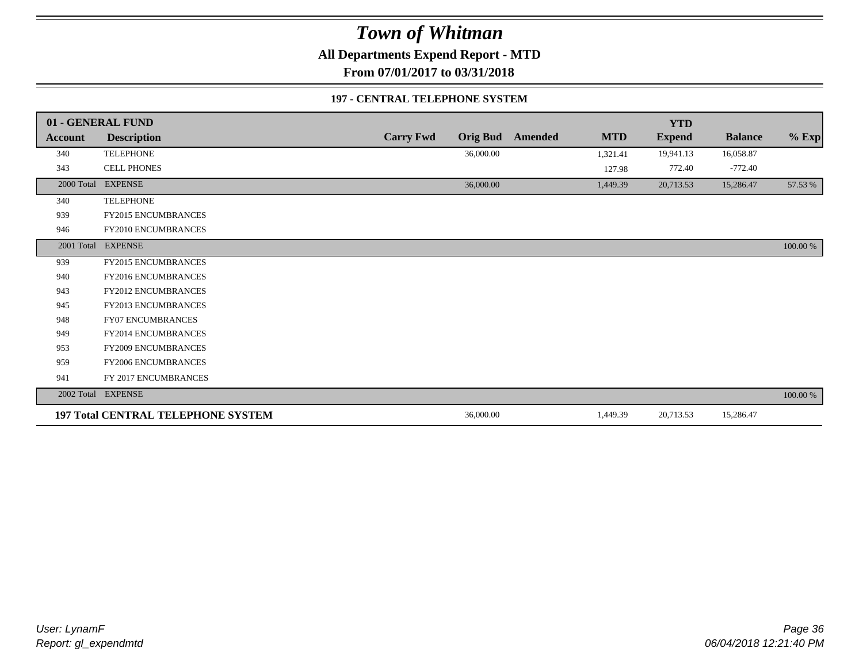**All Departments Expend Report - MTD**

**From 07/01/2017 to 03/31/2018**

### **197 - CENTRAL TELEPHONE SYSTEM**

|            | 01 - GENERAL FUND                         |                  |                 |         |            | <b>YTD</b>    |                |          |
|------------|-------------------------------------------|------------------|-----------------|---------|------------|---------------|----------------|----------|
| Account    | <b>Description</b>                        | <b>Carry Fwd</b> | <b>Orig Bud</b> | Amended | <b>MTD</b> | <b>Expend</b> | <b>Balance</b> | $%$ Exp  |
| 340        | <b>TELEPHONE</b>                          |                  | 36,000.00       |         | 1,321.41   | 19,941.13     | 16,058.87      |          |
| 343        | <b>CELL PHONES</b>                        |                  |                 |         | 127.98     | 772.40        | $-772.40$      |          |
| 2000 Total | <b>EXPENSE</b>                            |                  | 36,000.00       |         | 1,449.39   | 20,713.53     | 15,286.47      | 57.53 %  |
| 340        | <b>TELEPHONE</b>                          |                  |                 |         |            |               |                |          |
| 939        | FY2015 ENCUMBRANCES                       |                  |                 |         |            |               |                |          |
| 946        | FY2010 ENCUMBRANCES                       |                  |                 |         |            |               |                |          |
|            | 2001 Total EXPENSE                        |                  |                 |         |            |               |                | 100.00 % |
| 939        | <b>FY2015 ENCUMBRANCES</b>                |                  |                 |         |            |               |                |          |
| 940        | FY2016 ENCUMBRANCES                       |                  |                 |         |            |               |                |          |
| 943        | <b>FY2012 ENCUMBRANCES</b>                |                  |                 |         |            |               |                |          |
| 945        | FY2013 ENCUMBRANCES                       |                  |                 |         |            |               |                |          |
| 948        | <b>FY07 ENCUMBRANCES</b>                  |                  |                 |         |            |               |                |          |
| 949        | <b>FY2014 ENCUMBRANCES</b>                |                  |                 |         |            |               |                |          |
| 953        | <b>FY2009 ENCUMBRANCES</b>                |                  |                 |         |            |               |                |          |
| 959        | <b>FY2006 ENCUMBRANCES</b>                |                  |                 |         |            |               |                |          |
| 941        | FY 2017 ENCUMBRANCES                      |                  |                 |         |            |               |                |          |
|            | 2002 Total EXPENSE                        |                  |                 |         |            |               |                | 100.00 % |
|            | <b>197 Total CENTRAL TELEPHONE SYSTEM</b> |                  | 36,000.00       |         | 1,449.39   | 20,713.53     | 15,286.47      |          |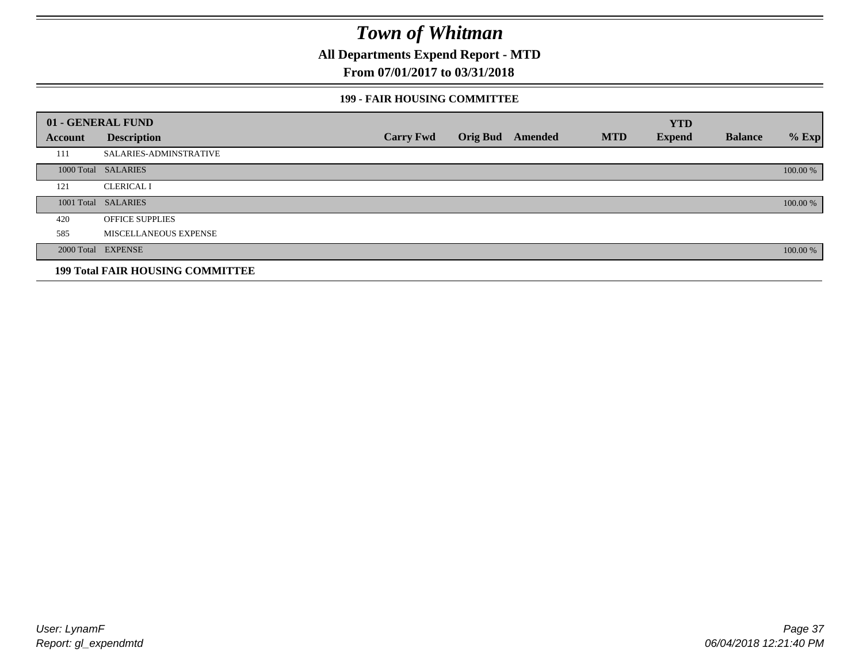**All Departments Expend Report - MTD**

### **From 07/01/2017 to 03/31/2018**

#### **199 - FAIR HOUSING COMMITTEE**

|         | 01 - GENERAL FUND                       |                  |                         |            | <b>YTD</b>    |                |          |
|---------|-----------------------------------------|------------------|-------------------------|------------|---------------|----------------|----------|
| Account | <b>Description</b>                      | <b>Carry Fwd</b> | <b>Orig Bud</b> Amended | <b>MTD</b> | <b>Expend</b> | <b>Balance</b> | $%$ Exp  |
| 111     | <b>SALARIES-ADMINSTRATIVE</b>           |                  |                         |            |               |                |          |
|         | 1000 Total SALARIES                     |                  |                         |            |               |                | 100.00 % |
| 121     | <b>CLERICAL I</b>                       |                  |                         |            |               |                |          |
|         | 1001 Total SALARIES                     |                  |                         |            |               |                | 100.00 % |
| 420     | <b>OFFICE SUPPLIES</b>                  |                  |                         |            |               |                |          |
| 585     | MISCELLANEOUS EXPENSE                   |                  |                         |            |               |                |          |
|         | 2000 Total EXPENSE                      |                  |                         |            |               |                | 100.00 % |
|         | <b>199 Total FAIR HOUSING COMMITTEE</b> |                  |                         |            |               |                |          |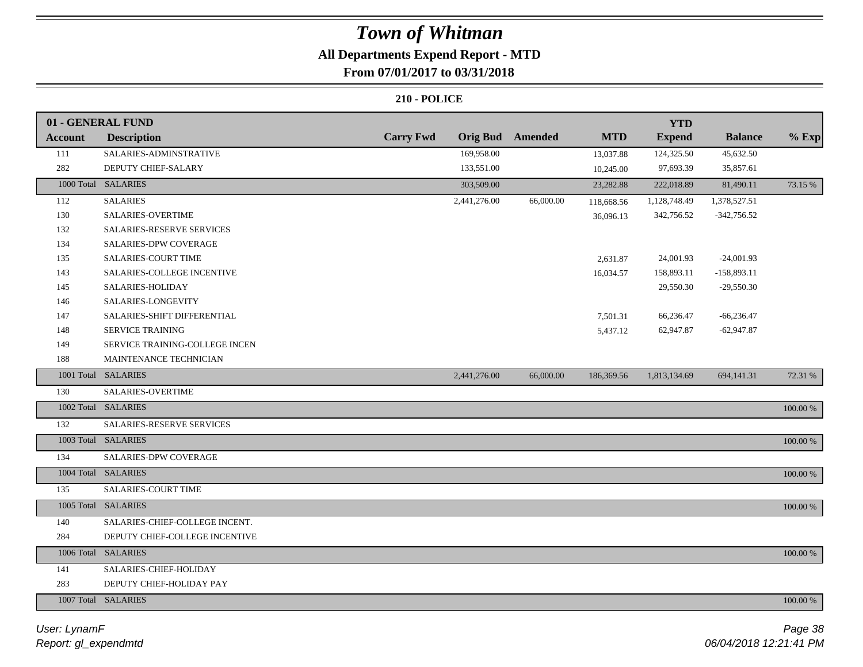### **All Departments Expend Report - MTD**

### **From 07/01/2017 to 03/31/2018**

|                | 01 - GENERAL FUND                |                  |              |                         |            | <b>YTD</b>    |                |          |
|----------------|----------------------------------|------------------|--------------|-------------------------|------------|---------------|----------------|----------|
| <b>Account</b> | <b>Description</b>               | <b>Carry Fwd</b> |              | <b>Orig Bud</b> Amended | <b>MTD</b> | <b>Expend</b> | <b>Balance</b> | $%$ Exp  |
| 111            | SALARIES-ADMINSTRATIVE           |                  | 169,958.00   |                         | 13,037.88  | 124,325.50    | 45,632.50      |          |
| 282            | DEPUTY CHIEF-SALARY              |                  | 133,551.00   |                         | 10,245.00  | 97,693.39     | 35,857.61      |          |
|                | 1000 Total SALARIES              |                  | 303,509.00   |                         | 23,282.88  | 222,018.89    | 81,490.11      | 73.15 %  |
| 112            | <b>SALARIES</b>                  |                  | 2,441,276.00 | 66,000.00               | 118,668.56 | 1,128,748.49  | 1,378,527.51   |          |
| 130            | <b>SALARIES-OVERTIME</b>         |                  |              |                         | 36,096.13  | 342,756.52    | $-342,756.52$  |          |
| 132            | <b>SALARIES-RESERVE SERVICES</b> |                  |              |                         |            |               |                |          |
| 134            | <b>SALARIES-DPW COVERAGE</b>     |                  |              |                         |            |               |                |          |
| 135            | SALARIES-COURT TIME              |                  |              |                         | 2,631.87   | 24,001.93     | $-24,001.93$   |          |
| 143            | SALARIES-COLLEGE INCENTIVE       |                  |              |                         | 16,034.57  | 158,893.11    | $-158,893.11$  |          |
| 145            | SALARIES-HOLIDAY                 |                  |              |                         |            | 29,550.30     | $-29,550.30$   |          |
| 146            | SALARIES-LONGEVITY               |                  |              |                         |            |               |                |          |
| 147            | SALARIES-SHIFT DIFFERENTIAL      |                  |              |                         | 7,501.31   | 66,236.47     | $-66,236.47$   |          |
| 148            | <b>SERVICE TRAINING</b>          |                  |              |                         | 5,437.12   | 62,947.87     | $-62,947.87$   |          |
| 149            | SERVICE TRAINING-COLLEGE INCEN   |                  |              |                         |            |               |                |          |
| 188            | MAINTENANCE TECHNICIAN           |                  |              |                         |            |               |                |          |
|                | 1001 Total SALARIES              |                  | 2,441,276.00 | 66,000.00               | 186,369.56 | 1,813,134.69  | 694,141.31     | 72.31 %  |
| 130            | <b>SALARIES-OVERTIME</b>         |                  |              |                         |            |               |                |          |
|                | 1002 Total SALARIES              |                  |              |                         |            |               |                | 100.00 % |
| 132            | SALARIES-RESERVE SERVICES        |                  |              |                         |            |               |                |          |
|                | 1003 Total SALARIES              |                  |              |                         |            |               |                | 100.00 % |
| 134            | SALARIES-DPW COVERAGE            |                  |              |                         |            |               |                |          |
|                | 1004 Total SALARIES              |                  |              |                         |            |               |                | 100.00 % |
| 135            | <b>SALARIES-COURT TIME</b>       |                  |              |                         |            |               |                |          |
|                | 1005 Total SALARIES              |                  |              |                         |            |               |                | 100.00 % |
| 140            | SALARIES-CHIEF-COLLEGE INCENT.   |                  |              |                         |            |               |                |          |
| 284            | DEPUTY CHIEF-COLLEGE INCENTIVE   |                  |              |                         |            |               |                |          |
|                | 1006 Total SALARIES              |                  |              |                         |            |               |                | 100.00 % |
| 141            | SALARIES-CHIEF-HOLIDAY           |                  |              |                         |            |               |                |          |
| 283            | DEPUTY CHIEF-HOLIDAY PAY         |                  |              |                         |            |               |                |          |
|                | 1007 Total SALARIES              |                  |              |                         |            |               |                | 100.00 % |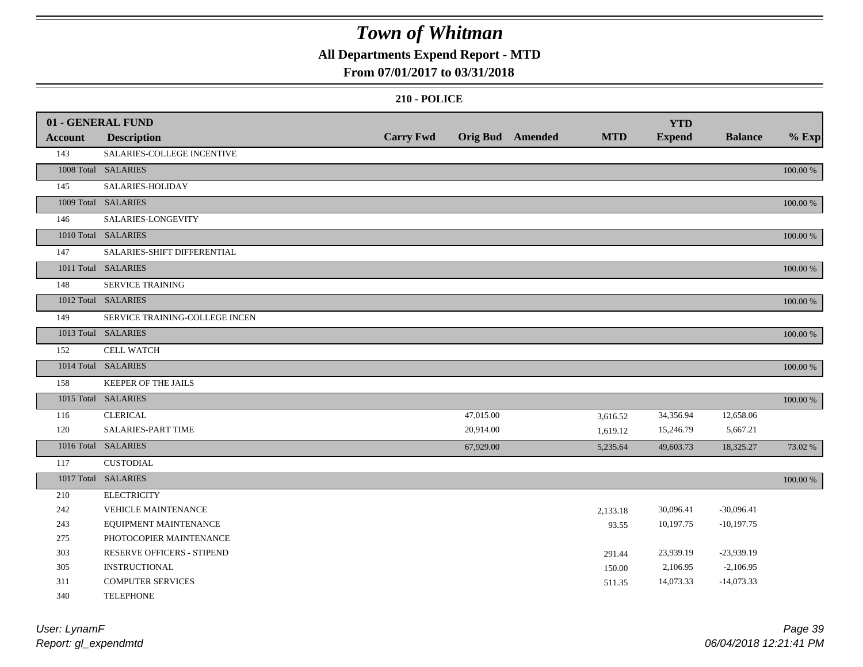### **All Departments Expend Report - MTD**

#### **From 07/01/2017 to 03/31/2018**

|                | 01 - GENERAL FUND              |                  |           |                         |            | <b>YTD</b>    |                |          |
|----------------|--------------------------------|------------------|-----------|-------------------------|------------|---------------|----------------|----------|
| <b>Account</b> | <b>Description</b>             | <b>Carry Fwd</b> |           | <b>Orig Bud</b> Amended | <b>MTD</b> | <b>Expend</b> | <b>Balance</b> | $%$ Exp  |
| 143            | SALARIES-COLLEGE INCENTIVE     |                  |           |                         |            |               |                |          |
|                | 1008 Total SALARIES            |                  |           |                         |            |               |                | 100.00 % |
| 145            | SALARIES-HOLIDAY               |                  |           |                         |            |               |                |          |
|                | 1009 Total SALARIES            |                  |           |                         |            |               |                | 100.00 % |
| 146            | SALARIES-LONGEVITY             |                  |           |                         |            |               |                |          |
|                | 1010 Total SALARIES            |                  |           |                         |            |               |                | 100.00 % |
| 147            | SALARIES-SHIFT DIFFERENTIAL    |                  |           |                         |            |               |                |          |
|                | 1011 Total SALARIES            |                  |           |                         |            |               |                | 100.00 % |
| 148            | <b>SERVICE TRAINING</b>        |                  |           |                         |            |               |                |          |
|                | 1012 Total SALARIES            |                  |           |                         |            |               |                | 100.00 % |
| 149            | SERVICE TRAINING-COLLEGE INCEN |                  |           |                         |            |               |                |          |
|                | 1013 Total SALARIES            |                  |           |                         |            |               |                | 100.00 % |
| 152            | <b>CELL WATCH</b>              |                  |           |                         |            |               |                |          |
|                | 1014 Total SALARIES            |                  |           |                         |            |               |                | 100.00 % |
| 158            | KEEPER OF THE JAILS            |                  |           |                         |            |               |                |          |
|                | 1015 Total SALARIES            |                  |           |                         |            |               |                | 100.00 % |
| 116            | <b>CLERICAL</b>                |                  | 47,015.00 |                         | 3,616.52   | 34,356.94     | 12,658.06      |          |
| 120            | SALARIES-PART TIME             |                  | 20,914.00 |                         | 1,619.12   | 15,246.79     | 5,667.21       |          |
|                | 1016 Total SALARIES            |                  | 67,929.00 |                         | 5,235.64   | 49,603.73     | 18,325.27      | 73.02 %  |
| 117            | <b>CUSTODIAL</b>               |                  |           |                         |            |               |                |          |
|                | 1017 Total SALARIES            |                  |           |                         |            |               |                | 100.00 % |
| 210            | <b>ELECTRICITY</b>             |                  |           |                         |            |               |                |          |
| 242            | <b>VEHICLE MAINTENANCE</b>     |                  |           |                         | 2,133.18   | 30,096.41     | $-30,096.41$   |          |
| 243            | EQUIPMENT MAINTENANCE          |                  |           |                         | 93.55      | 10,197.75     | $-10,197.75$   |          |
| 275            | PHOTOCOPIER MAINTENANCE        |                  |           |                         |            |               |                |          |
| 303            | RESERVE OFFICERS - STIPEND     |                  |           |                         | 291.44     | 23,939.19     | $-23,939.19$   |          |
| 305            | <b>INSTRUCTIONAL</b>           |                  |           |                         | 150.00     | 2,106.95      | $-2,106.95$    |          |
| 311            | <b>COMPUTER SERVICES</b>       |                  |           |                         | 511.35     | 14,073.33     | $-14,073.33$   |          |
| 340            | <b>TELEPHONE</b>               |                  |           |                         |            |               |                |          |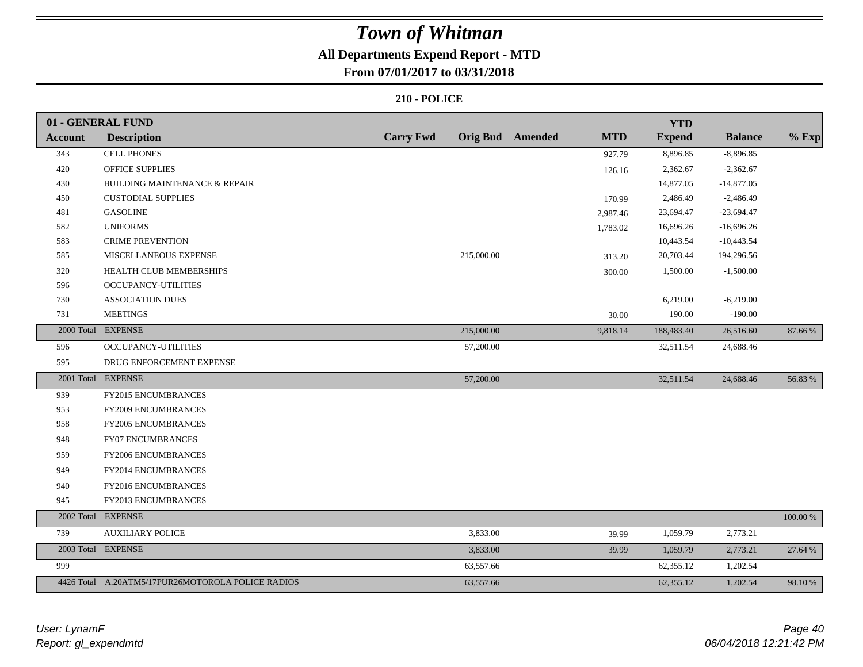### **All Departments Expend Report - MTD**

### **From 07/01/2017 to 03/31/2018**

|                | 01 - GENERAL FUND                                 |                  |            |                         |            | <b>YTD</b>    |                |          |
|----------------|---------------------------------------------------|------------------|------------|-------------------------|------------|---------------|----------------|----------|
| <b>Account</b> | <b>Description</b>                                | <b>Carry Fwd</b> |            | <b>Orig Bud</b> Amended | <b>MTD</b> | <b>Expend</b> | <b>Balance</b> | $%$ Exp  |
| 343            | <b>CELL PHONES</b>                                |                  |            |                         | 927.79     | 8,896.85      | $-8,896.85$    |          |
| 420            | <b>OFFICE SUPPLIES</b>                            |                  |            |                         | 126.16     | 2,362.67      | $-2,362.67$    |          |
| 430            | <b>BUILDING MAINTENANCE &amp; REPAIR</b>          |                  |            |                         |            | 14,877.05     | $-14,877.05$   |          |
| 450            | <b>CUSTODIAL SUPPLIES</b>                         |                  |            |                         | 170.99     | 2,486.49      | $-2,486.49$    |          |
| 481            | <b>GASOLINE</b>                                   |                  |            |                         | 2,987.46   | 23,694.47     | $-23,694.47$   |          |
| 582            | <b>UNIFORMS</b>                                   |                  |            |                         | 1,783.02   | 16,696.26     | $-16,696.26$   |          |
| 583            | <b>CRIME PREVENTION</b>                           |                  |            |                         |            | 10,443.54     | $-10,443.54$   |          |
| 585            | MISCELLANEOUS EXPENSE                             |                  | 215,000.00 |                         | 313.20     | 20,703.44     | 194,296.56     |          |
| 320            | HEALTH CLUB MEMBERSHIPS                           |                  |            |                         | 300.00     | 1,500.00      | $-1,500.00$    |          |
| 596            | <b>OCCUPANCY-UTILITIES</b>                        |                  |            |                         |            |               |                |          |
| 730            | <b>ASSOCIATION DUES</b>                           |                  |            |                         |            | 6,219.00      | $-6,219.00$    |          |
| 731            | <b>MEETINGS</b>                                   |                  |            |                         | 30.00      | 190.00        | $-190.00$      |          |
| 2000 Total     | <b>EXPENSE</b>                                    |                  | 215,000.00 |                         | 9,818.14   | 188,483.40    | 26,516.60      | 87.66 %  |
| 596            | OCCUPANCY-UTILITIES                               |                  | 57,200.00  |                         |            | 32,511.54     | 24,688.46      |          |
| 595            | DRUG ENFORCEMENT EXPENSE                          |                  |            |                         |            |               |                |          |
|                | 2001 Total EXPENSE                                |                  | 57,200.00  |                         |            | 32,511.54     | 24,688.46      | 56.83 %  |
| 939            | <b>FY2015 ENCUMBRANCES</b>                        |                  |            |                         |            |               |                |          |
| 953            | FY2009 ENCUMBRANCES                               |                  |            |                         |            |               |                |          |
| 958            | <b>FY2005 ENCUMBRANCES</b>                        |                  |            |                         |            |               |                |          |
| 948            | <b>FY07 ENCUMBRANCES</b>                          |                  |            |                         |            |               |                |          |
| 959            | <b>FY2006 ENCUMBRANCES</b>                        |                  |            |                         |            |               |                |          |
| 949            | FY2014 ENCUMBRANCES                               |                  |            |                         |            |               |                |          |
| 940            | FY2016 ENCUMBRANCES                               |                  |            |                         |            |               |                |          |
| 945            | FY2013 ENCUMBRANCES                               |                  |            |                         |            |               |                |          |
|                | 2002 Total EXPENSE                                |                  |            |                         |            |               |                | 100.00 % |
| 739            | <b>AUXILIARY POLICE</b>                           |                  | 3,833.00   |                         | 39.99      | 1,059.79      | 2,773.21       |          |
|                | 2003 Total EXPENSE                                |                  | 3,833.00   |                         | 39.99      | 1,059.79      | 2,773.21       | 27.64 %  |
| 999            |                                                   |                  | 63,557.66  |                         |            | 62,355.12     | 1,202.54       |          |
|                | 4426 Total A.20ATM5/17PUR26MOTOROLA POLICE RADIOS |                  | 63,557.66  |                         |            | 62,355.12     | 1,202.54       | 98.10%   |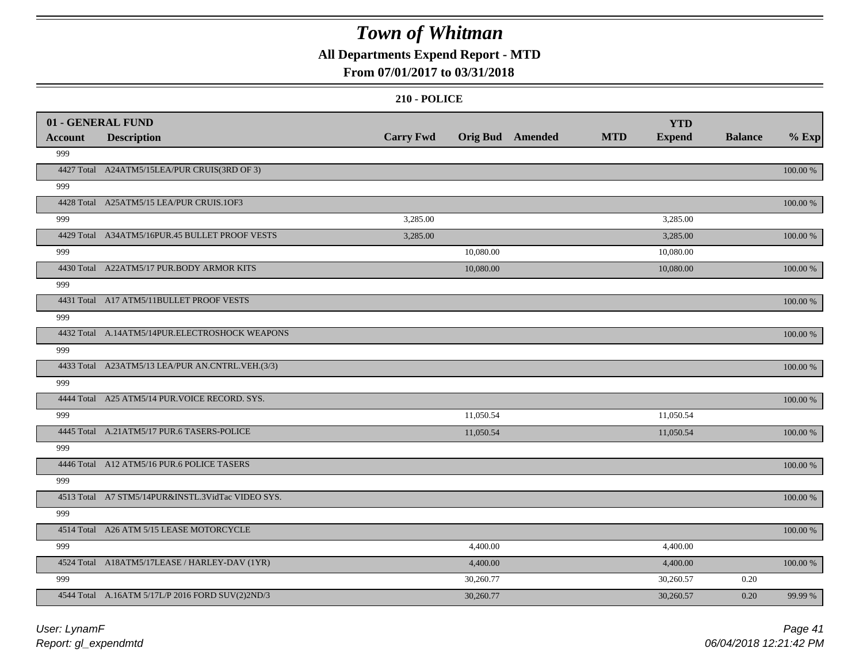### **All Departments Expend Report - MTD**

#### **From 07/01/2017 to 03/31/2018**

|                | 01 - GENERAL FUND                                 |                  |                         |            | <b>YTD</b>    |                |             |
|----------------|---------------------------------------------------|------------------|-------------------------|------------|---------------|----------------|-------------|
| <b>Account</b> | <b>Description</b>                                | <b>Carry Fwd</b> | <b>Orig Bud</b> Amended | <b>MTD</b> | <b>Expend</b> | <b>Balance</b> | $%$ Exp     |
| 999            |                                                   |                  |                         |            |               |                |             |
|                | 4427 Total A24ATM5/15LEA/PUR CRUIS(3RD OF 3)      |                  |                         |            |               |                | 100.00 %    |
| 999            |                                                   |                  |                         |            |               |                |             |
|                | 4428 Total A25ATM5/15 LEA/PUR CRUIS.1OF3          |                  |                         |            |               |                | 100.00 %    |
| 999            |                                                   | 3,285.00         |                         |            | 3,285.00      |                |             |
|                | 4429 Total A34ATM5/16PUR.45 BULLET PROOF VESTS    | 3,285.00         |                         |            | 3,285.00      |                | 100.00 %    |
| 999            |                                                   |                  | 10,080.00               |            | 10,080.00     |                |             |
|                | 4430 Total A22ATM5/17 PUR.BODY ARMOR KITS         |                  | 10,080.00               |            | 10,080.00     |                | 100.00 %    |
| 999            |                                                   |                  |                         |            |               |                |             |
|                | 4431 Total A17 ATM5/11BULLET PROOF VESTS          |                  |                         |            |               |                | 100.00 %    |
| 999            |                                                   |                  |                         |            |               |                |             |
|                | 4432 Total A.14ATM5/14PUR.ELECTROSHOCK WEAPONS    |                  |                         |            |               |                | $100.00~\%$ |
| 999            |                                                   |                  |                         |            |               |                |             |
|                | 4433 Total A23ATM5/13 LEA/PUR AN.CNTRL.VEH.(3/3)  |                  |                         |            |               |                | 100.00 %    |
| 999            |                                                   |                  |                         |            |               |                |             |
|                | 4444 Total A25 ATM5/14 PUR. VOICE RECORD. SYS.    |                  |                         |            |               |                | 100.00 %    |
| 999            |                                                   |                  | 11,050.54               |            | 11,050.54     |                |             |
|                | 4445 Total A.21ATM5/17 PUR.6 TASERS-POLICE        |                  | 11,050.54               |            | 11,050.54     |                | 100.00 %    |
| 999            |                                                   |                  |                         |            |               |                |             |
|                | 4446 Total A12 ATM5/16 PUR.6 POLICE TASERS        |                  |                         |            |               |                | 100.00 %    |
| 999            |                                                   |                  |                         |            |               |                |             |
|                | 4513 Total A7 STM5/14PUR&INSTL.3VidTac VIDEO SYS. |                  |                         |            |               |                | 100.00 %    |
| 999            |                                                   |                  |                         |            |               |                |             |
|                | 4514 Total A26 ATM 5/15 LEASE MOTORCYCLE          |                  |                         |            |               |                | 100.00 %    |
| 999            |                                                   |                  | 4,400.00                |            | 4,400.00      |                |             |
|                | 4524 Total A18ATM5/17LEASE / HARLEY-DAV (1YR)     |                  | 4,400.00                |            | 4,400.00      |                | 100.00 %    |
| 999            |                                                   |                  | 30,260.77               |            | 30,260.57     | 0.20           |             |
|                | 4544 Total A.16ATM 5/17L/P 2016 FORD SUV(2)2ND/3  |                  | 30,260.77               |            | 30,260.57     | 0.20           | 99.99 %     |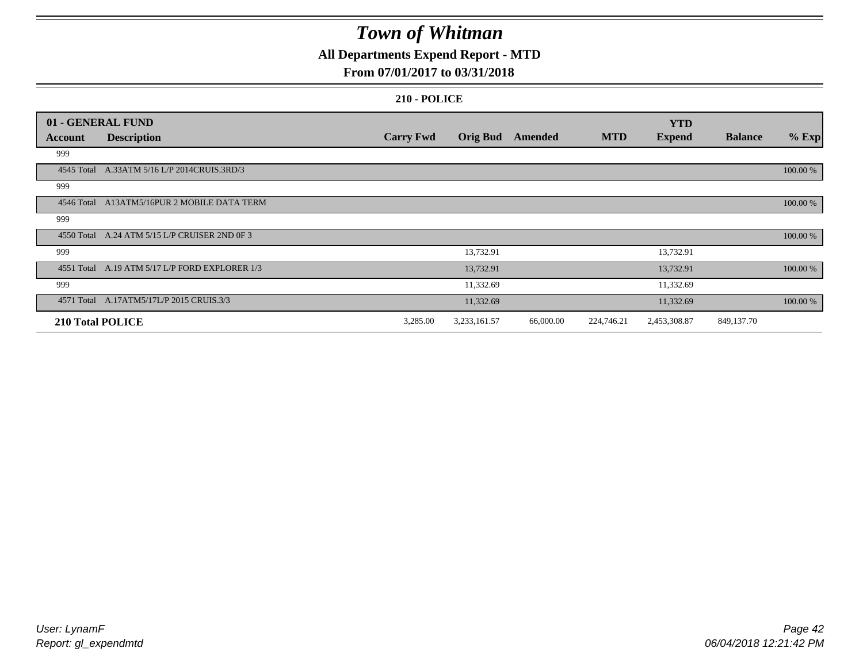### **All Departments Expend Report - MTD**

#### **From 07/01/2017 to 03/31/2018**

|         | 01 - GENERAL FUND                              |                  |                 |           |            | <b>YTD</b>    |                |          |
|---------|------------------------------------------------|------------------|-----------------|-----------|------------|---------------|----------------|----------|
| Account | <b>Description</b>                             | <b>Carry Fwd</b> | <b>Orig Bud</b> | Amended   | <b>MTD</b> | <b>Expend</b> | <b>Balance</b> | $%$ Exp  |
| 999     |                                                |                  |                 |           |            |               |                |          |
|         | 4545 Total A.33ATM 5/16 L/P 2014CRUIS.3RD/3    |                  |                 |           |            |               |                | 100.00 % |
| 999     |                                                |                  |                 |           |            |               |                |          |
|         | 4546 Total A13ATM5/16PUR 2 MOBILE DATA TERM    |                  |                 |           |            |               |                | 100.00 % |
| 999     |                                                |                  |                 |           |            |               |                |          |
|         | 4550 Total A.24 ATM 5/15 L/P CRUISER 2ND 0F 3  |                  |                 |           |            |               |                | 100.00 % |
| 999     |                                                |                  | 13,732.91       |           |            | 13,732.91     |                |          |
|         | 4551 Total A.19 ATM 5/17 L/P FORD EXPLORER 1/3 |                  | 13,732.91       |           |            | 13,732.91     |                | 100.00 % |
| 999     |                                                |                  | 11,332.69       |           |            | 11,332.69     |                |          |
|         | 4571 Total A.17ATM5/17L/P 2015 CRUIS.3/3       |                  | 11,332.69       |           |            | 11,332.69     |                | 100.00 % |
|         | <b>210 Total POLICE</b>                        | 3,285.00         | 3,233,161.57    | 66,000.00 | 224,746.21 | 2,453,308.87  | 849,137.70     |          |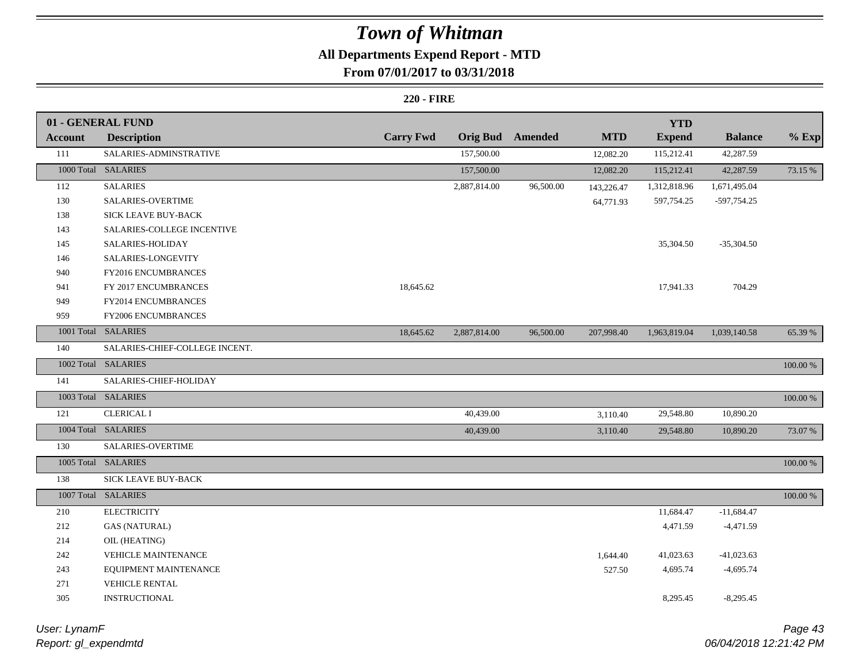### **All Departments Expend Report - MTD**

### **From 07/01/2017 to 03/31/2018**

|                | 01 - GENERAL FUND                 |                  |              |                         |            | <b>YTD</b>    |                |             |
|----------------|-----------------------------------|------------------|--------------|-------------------------|------------|---------------|----------------|-------------|
| <b>Account</b> | <b>Description</b>                | <b>Carry Fwd</b> |              | <b>Orig Bud</b> Amended | <b>MTD</b> | <b>Expend</b> | <b>Balance</b> | $%$ Exp     |
| 111            | SALARIES-ADMINSTRATIVE            |                  | 157,500.00   |                         | 12,082.20  | 115,212.41    | 42,287.59      |             |
|                | 1000 Total SALARIES               |                  | 157,500.00   |                         | 12,082.20  | 115,212.41    | 42,287.59      | 73.15 %     |
| 112            | <b>SALARIES</b>                   |                  | 2,887,814.00 | 96,500.00               | 143,226.47 | 1,312,818.96  | 1,671,495.04   |             |
| 130            | <b>SALARIES-OVERTIME</b>          |                  |              |                         | 64,771.93  | 597,754.25    | $-597,754.25$  |             |
| 138            | <b>SICK LEAVE BUY-BACK</b>        |                  |              |                         |            |               |                |             |
| 143            | <b>SALARIES-COLLEGE INCENTIVE</b> |                  |              |                         |            |               |                |             |
| 145            | SALARIES-HOLIDAY                  |                  |              |                         |            | 35,304.50     | $-35,304.50$   |             |
| 146            | SALARIES-LONGEVITY                |                  |              |                         |            |               |                |             |
| 940            | FY2016 ENCUMBRANCES               |                  |              |                         |            |               |                |             |
| 941            | FY 2017 ENCUMBRANCES              | 18,645.62        |              |                         |            | 17,941.33     | 704.29         |             |
| 949            | FY2014 ENCUMBRANCES               |                  |              |                         |            |               |                |             |
| 959            | <b>FY2006 ENCUMBRANCES</b>        |                  |              |                         |            |               |                |             |
|                | 1001 Total SALARIES               | 18,645.62        | 2,887,814.00 | 96,500.00               | 207,998.40 | 1,963,819.04  | 1,039,140.58   | 65.39 %     |
| 140            | SALARIES-CHIEF-COLLEGE INCENT.    |                  |              |                         |            |               |                |             |
|                | 1002 Total SALARIES               |                  |              |                         |            |               |                | $100.00~\%$ |
| 141            | SALARIES-CHIEF-HOLIDAY            |                  |              |                         |            |               |                |             |
|                | 1003 Total SALARIES               |                  |              |                         |            |               |                | 100.00 %    |
| 121            | <b>CLERICAL I</b>                 |                  | 40,439.00    |                         | 3,110.40   | 29,548.80     | 10,890.20      |             |
|                | 1004 Total SALARIES               |                  | 40,439.00    |                         | 3,110.40   | 29,548.80     | 10,890.20      | 73.07 %     |
| 130            | <b>SALARIES-OVERTIME</b>          |                  |              |                         |            |               |                |             |
|                | 1005 Total SALARIES               |                  |              |                         |            |               |                | 100.00 %    |
| 138            | <b>SICK LEAVE BUY-BACK</b>        |                  |              |                         |            |               |                |             |
|                | 1007 Total SALARIES               |                  |              |                         |            |               |                | $100.00~\%$ |
| 210            | <b>ELECTRICITY</b>                |                  |              |                         |            | 11,684.47     | $-11,684.47$   |             |
| 212            | <b>GAS (NATURAL)</b>              |                  |              |                         |            | 4,471.59      | $-4,471.59$    |             |
| 214            | OIL (HEATING)                     |                  |              |                         |            |               |                |             |
| 242            | <b>VEHICLE MAINTENANCE</b>        |                  |              |                         | 1,644.40   | 41,023.63     | $-41,023.63$   |             |
| 243            | EQUIPMENT MAINTENANCE             |                  |              |                         | 527.50     | 4,695.74      | $-4,695.74$    |             |
| 271            | VEHICLE RENTAL                    |                  |              |                         |            |               |                |             |
| 305            | INSTRUCTIONAL                     |                  |              |                         |            | 8,295.45      | $-8,295.45$    |             |
|                |                                   |                  |              |                         |            |               |                |             |

| User: LynamF         |  |
|----------------------|--|
| Report: gl_expendmtd |  |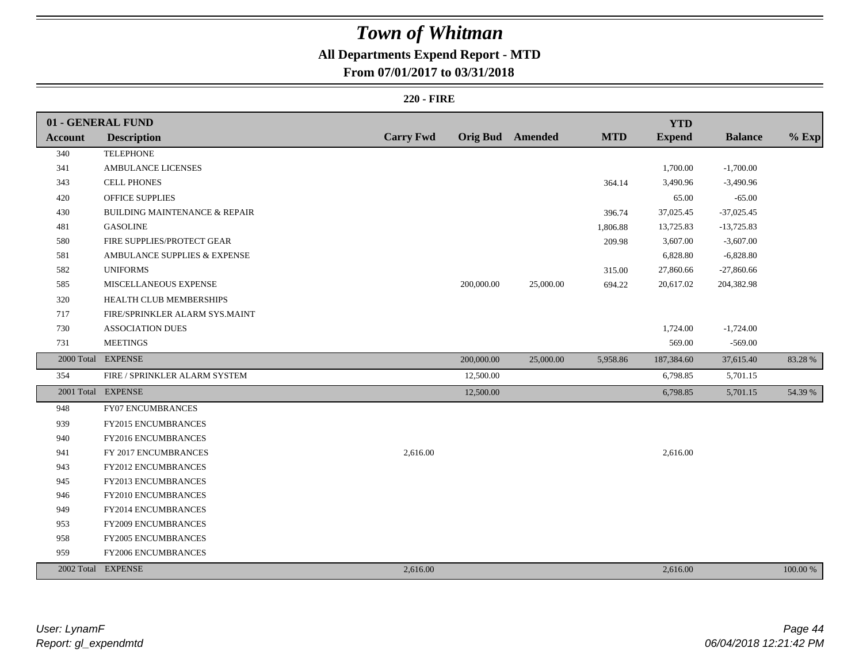### **All Departments Expend Report - MTD**

### **From 07/01/2017 to 03/31/2018**

|                | 01 - GENERAL FUND                        |                  |            |                         |            | <b>YTD</b>    |                |          |
|----------------|------------------------------------------|------------------|------------|-------------------------|------------|---------------|----------------|----------|
| <b>Account</b> | <b>Description</b>                       | <b>Carry Fwd</b> |            | <b>Orig Bud</b> Amended | <b>MTD</b> | <b>Expend</b> | <b>Balance</b> | $%$ Exp  |
| 340            | <b>TELEPHONE</b>                         |                  |            |                         |            |               |                |          |
| 341            | AMBULANCE LICENSES                       |                  |            |                         |            | 1,700.00      | $-1,700.00$    |          |
| 343            | <b>CELL PHONES</b>                       |                  |            |                         | 364.14     | 3,490.96      | $-3,490.96$    |          |
| 420            | OFFICE SUPPLIES                          |                  |            |                         |            | 65.00         | $-65.00$       |          |
| 430            | <b>BUILDING MAINTENANCE &amp; REPAIR</b> |                  |            |                         | 396.74     | 37,025.45     | $-37,025.45$   |          |
| 481            | <b>GASOLINE</b>                          |                  |            |                         | 1,806.88   | 13,725.83     | $-13,725.83$   |          |
| 580            | FIRE SUPPLIES/PROTECT GEAR               |                  |            |                         | 209.98     | 3,607.00      | $-3,607.00$    |          |
| 581            | AMBULANCE SUPPLIES & EXPENSE             |                  |            |                         |            | 6,828.80      | $-6,828.80$    |          |
| 582            | <b>UNIFORMS</b>                          |                  |            |                         | 315.00     | 27,860.66     | $-27,860.66$   |          |
| 585            | MISCELLANEOUS EXPENSE                    |                  | 200,000.00 | 25,000.00               | 694.22     | 20,617.02     | 204,382.98     |          |
| 320            | HEALTH CLUB MEMBERSHIPS                  |                  |            |                         |            |               |                |          |
| 717            | FIRE/SPRINKLER ALARM SYS.MAINT           |                  |            |                         |            |               |                |          |
| 730            | ASSOCIATION DUES                         |                  |            |                         |            | 1,724.00      | $-1,724.00$    |          |
| 731            | <b>MEETINGS</b>                          |                  |            |                         |            | 569.00        | $-569.00$      |          |
|                | 2000 Total EXPENSE                       |                  | 200,000.00 | 25,000.00               | 5,958.86   | 187,384.60    | 37,615.40      | 83.28 %  |
| 354            | FIRE / SPRINKLER ALARM SYSTEM            |                  | 12,500.00  |                         |            | 6,798.85      | 5,701.15       |          |
|                | 2001 Total EXPENSE                       |                  | 12,500.00  |                         |            | 6,798.85      | 5,701.15       | 54.39 %  |
| 948            | <b>FY07 ENCUMBRANCES</b>                 |                  |            |                         |            |               |                |          |
| 939            | FY2015 ENCUMBRANCES                      |                  |            |                         |            |               |                |          |
| 940            | FY2016 ENCUMBRANCES                      |                  |            |                         |            |               |                |          |
| 941            | FY 2017 ENCUMBRANCES                     | 2,616.00         |            |                         |            | 2,616.00      |                |          |
| 943            | <b>FY2012 ENCUMBRANCES</b>               |                  |            |                         |            |               |                |          |
| 945            | FY2013 ENCUMBRANCES                      |                  |            |                         |            |               |                |          |
| 946            | FY2010 ENCUMBRANCES                      |                  |            |                         |            |               |                |          |
| 949            | FY2014 ENCUMBRANCES                      |                  |            |                         |            |               |                |          |
| 953            | FY2009 ENCUMBRANCES                      |                  |            |                         |            |               |                |          |
| 958            | <b>FY2005 ENCUMBRANCES</b>               |                  |            |                         |            |               |                |          |
| 959            | FY2006 ENCUMBRANCES                      |                  |            |                         |            |               |                |          |
|                | 2002 Total EXPENSE                       | 2,616.00         |            |                         |            | 2,616.00      |                | 100.00 % |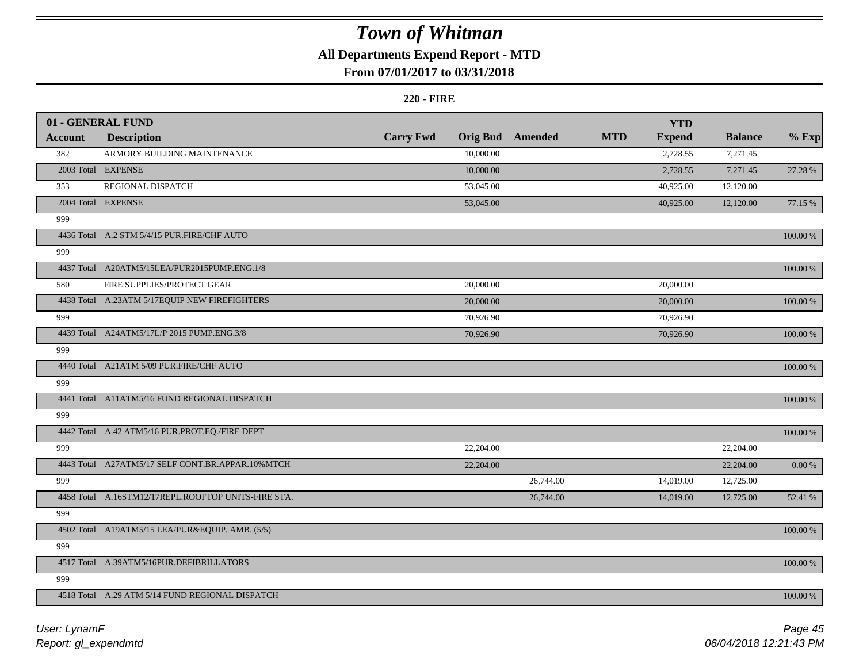### **All Departments Expend Report - MTD**

### **From 07/01/2017 to 03/31/2018**

|                | 01 - GENERAL FUND                                   |                  |                         |           |            | <b>YTD</b>    |                |             |
|----------------|-----------------------------------------------------|------------------|-------------------------|-----------|------------|---------------|----------------|-------------|
| <b>Account</b> | <b>Description</b>                                  | <b>Carry Fwd</b> | <b>Orig Bud</b> Amended |           | <b>MTD</b> | <b>Expend</b> | <b>Balance</b> | $%$ Exp     |
| 382            | ARMORY BUILDING MAINTENANCE                         |                  | 10,000.00               |           |            | 2,728.55      | 7,271.45       |             |
|                | 2003 Total EXPENSE                                  |                  | 10,000.00               |           |            | 2,728.55      | 7,271.45       | 27.28 %     |
| 353            | REGIONAL DISPATCH                                   |                  | 53,045.00               |           |            | 40,925.00     | 12,120.00      |             |
|                | 2004 Total EXPENSE                                  |                  | 53,045.00               |           |            | 40,925.00     | 12,120.00      | 77.15 %     |
| 999            |                                                     |                  |                         |           |            |               |                |             |
|                | 4436 Total A.2 STM 5/4/15 PUR.FIRE/CHF AUTO         |                  |                         |           |            |               |                | 100.00 %    |
| 999            |                                                     |                  |                         |           |            |               |                |             |
|                | 4437 Total A20ATM5/15LEA/PUR2015PUMP.ENG.1/8        |                  |                         |           |            |               |                | $100.00~\%$ |
| 580            | FIRE SUPPLIES/PROTECT GEAR                          |                  | 20,000.00               |           |            | 20,000.00     |                |             |
|                | 4438 Total A.23ATM 5/17EQUIP NEW FIREFIGHTERS       |                  | 20,000.00               |           |            | 20,000.00     |                | 100.00 %    |
| 999            |                                                     |                  | 70,926.90               |           |            | 70,926.90     |                |             |
|                | 4439 Total A24ATM5/17L/P 2015 PUMP.ENG.3/8          |                  | 70,926.90               |           |            | 70,926.90     |                | 100.00 %    |
| 999            |                                                     |                  |                         |           |            |               |                |             |
|                | 4440 Total A21ATM 5/09 PUR.FIRE/CHF AUTO            |                  |                         |           |            |               |                | 100.00 %    |
| 999            |                                                     |                  |                         |           |            |               |                |             |
|                | 4441 Total A11ATM5/16 FUND REGIONAL DISPATCH        |                  |                         |           |            |               |                | $100.00~\%$ |
| 999            |                                                     |                  |                         |           |            |               |                |             |
|                | 4442 Total A.42 ATM5/16 PUR.PROT.EQ./FIRE DEPT      |                  |                         |           |            |               |                | 100.00 %    |
| 999            |                                                     |                  | 22,204.00               |           |            |               | 22,204.00      |             |
|                | 4443 Total A27ATM5/17 SELF CONT.BR.APPAR.10%MTCH    |                  | 22,204.00               |           |            |               | 22,204.00      | 0.00 %      |
| 999            |                                                     |                  |                         | 26,744.00 |            | 14,019.00     | 12,725.00      |             |
|                | 4458 Total A.16STM12/17REPL.ROOFTOP UNITS-FIRE STA. |                  |                         | 26,744.00 |            | 14,019.00     | 12,725.00      | 52.41 %     |
| 999            |                                                     |                  |                         |           |            |               |                |             |
|                | 4502 Total A19ATM5/15 LEA/PUR&EQUIP. AMB. (5/5)     |                  |                         |           |            |               |                | $100.00~\%$ |
| 999            |                                                     |                  |                         |           |            |               |                |             |
|                | 4517 Total A.39ATM5/16PUR.DEFIBRILLATORS            |                  |                         |           |            |               |                | 100.00 %    |
| 999            |                                                     |                  |                         |           |            |               |                |             |
|                | 4518 Total A.29 ATM 5/14 FUND REGIONAL DISPATCH     |                  |                         |           |            |               |                | 100.00 %    |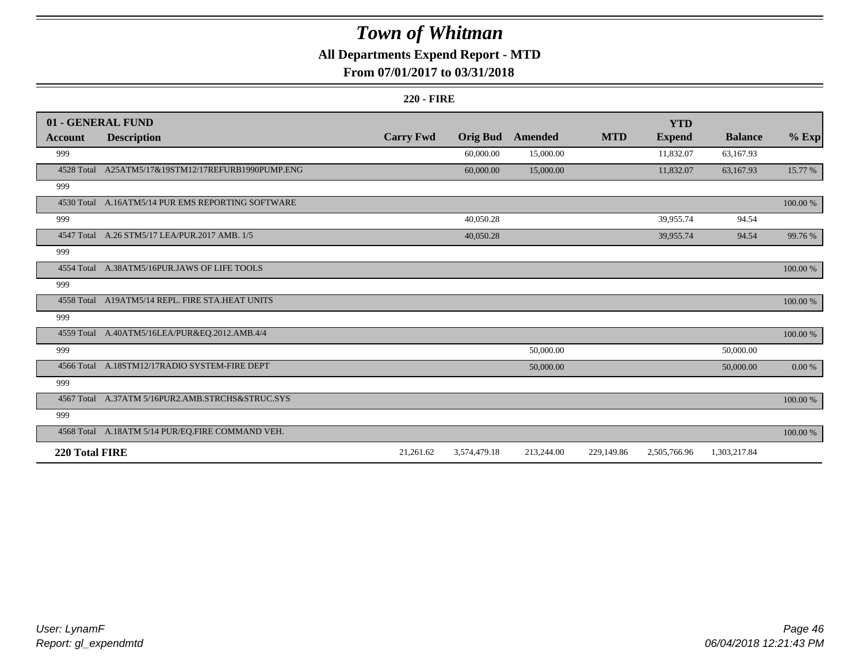### **All Departments Expend Report - MTD**

### **From 07/01/2017 to 03/31/2018**

|                | 01 - GENERAL FUND                                  |                  |                 |            |            | <b>YTD</b>    |                |            |
|----------------|----------------------------------------------------|------------------|-----------------|------------|------------|---------------|----------------|------------|
| Account        | <b>Description</b>                                 | <b>Carry Fwd</b> | <b>Orig Bud</b> | Amended    | <b>MTD</b> | <b>Expend</b> | <b>Balance</b> | $%$ Exp    |
| 999            |                                                    |                  | 60,000.00       | 15,000.00  |            | 11,832.07     | 63,167.93      |            |
|                | 4528 Total A25ATM5/17&19STM12/17REFURB1990PUMP.ENG |                  | 60,000.00       | 15,000.00  |            | 11,832.07     | 63,167.93      | 15.77 %    |
| 999            |                                                    |                  |                 |            |            |               |                |            |
|                | 4530 Total A.16ATM5/14 PUR EMS REPORTING SOFTWARE  |                  |                 |            |            |               |                | 100.00 %   |
| 999            |                                                    |                  | 40,050.28       |            |            | 39,955.74     | 94.54          |            |
|                | 4547 Total A.26 STM5/17 LEA/PUR.2017 AMB. 1/5      |                  | 40,050.28       |            |            | 39,955.74     | 94.54          | 99.76 %    |
| 999            |                                                    |                  |                 |            |            |               |                |            |
|                | 4554 Total A.38ATM5/16PUR.JAWS OF LIFE TOOLS       |                  |                 |            |            |               |                | 100.00 %   |
| 999            |                                                    |                  |                 |            |            |               |                |            |
|                | 4558 Total A19ATM5/14 REPL. FIRE STA.HEAT UNITS    |                  |                 |            |            |               |                | 100.00 %   |
| 999            |                                                    |                  |                 |            |            |               |                |            |
|                | 4559 Total A.40ATM5/16LEA/PUR&EQ.2012.AMB.4/4      |                  |                 |            |            |               |                | 100.00 %   |
| 999            |                                                    |                  |                 | 50,000.00  |            |               | 50,000.00      |            |
|                | 4566 Total A.18STM12/17RADIO SYSTEM-FIRE DEPT      |                  |                 | 50,000.00  |            |               | 50,000.00      | $0.00\,\%$ |
| 999            |                                                    |                  |                 |            |            |               |                |            |
|                | 4567 Total A.37ATM 5/16PUR2.AMB.STRCHS&STRUC.SYS   |                  |                 |            |            |               |                | 100.00 %   |
| 999            |                                                    |                  |                 |            |            |               |                |            |
|                | 4568 Total A.18ATM 5/14 PUR/EQ.FIRE COMMAND VEH.   |                  |                 |            |            |               |                | 100.00 %   |
| 220 Total FIRE |                                                    | 21,261.62        | 3,574,479.18    | 213,244.00 | 229,149.86 | 2,505,766.96  | 1,303,217.84   |            |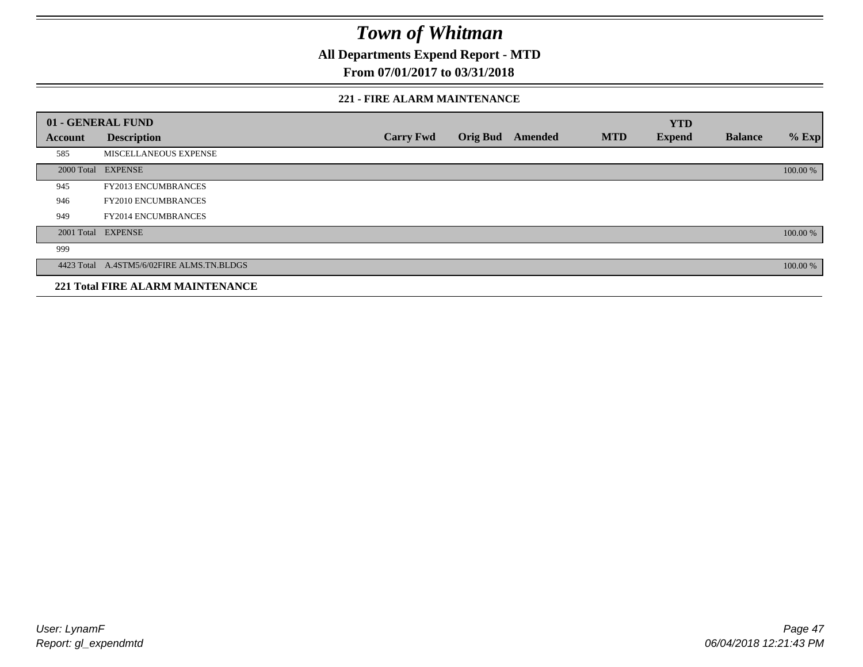**All Departments Expend Report - MTD**

### **From 07/01/2017 to 03/31/2018**

#### **221 - FIRE ALARM MAINTENANCE**

|         | 01 - GENERAL FUND                         |                  |                 |         |            | <b>YTD</b>    |                |          |
|---------|-------------------------------------------|------------------|-----------------|---------|------------|---------------|----------------|----------|
| Account | <b>Description</b>                        | <b>Carry Fwd</b> | <b>Orig Bud</b> | Amended | <b>MTD</b> | <b>Expend</b> | <b>Balance</b> | $%$ Exp  |
| 585     | MISCELLANEOUS EXPENSE                     |                  |                 |         |            |               |                |          |
|         | 2000 Total EXPENSE                        |                  |                 |         |            |               |                | 100.00 % |
| 945     | <b>FY2013 ENCUMBRANCES</b>                |                  |                 |         |            |               |                |          |
| 946     | <b>FY2010 ENCUMBRANCES</b>                |                  |                 |         |            |               |                |          |
| 949     | <b>FY2014 ENCUMBRANCES</b>                |                  |                 |         |            |               |                |          |
|         | 2001 Total EXPENSE                        |                  |                 |         |            |               |                | 100.00 % |
| 999     |                                           |                  |                 |         |            |               |                |          |
|         | 4423 Total A.4STM5/6/02FIRE ALMS.TN.BLDGS |                  |                 |         |            |               |                | 100.00 % |
|         | <b>221 Total FIRE ALARM MAINTENANCE</b>   |                  |                 |         |            |               |                |          |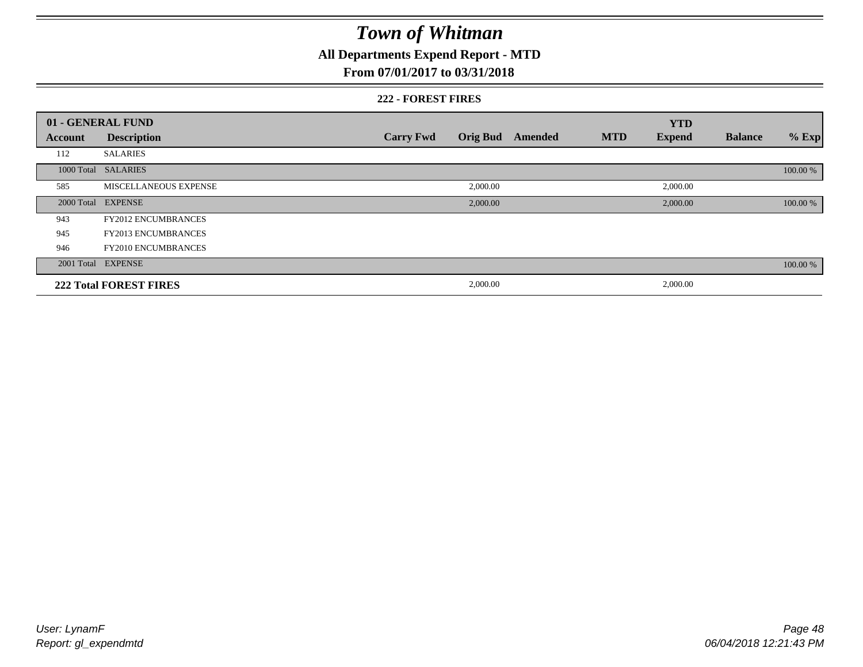### **All Departments Expend Report - MTD**

#### **From 07/01/2017 to 03/31/2018**

#### **222 - FOREST FIRES**

|         | 01 - GENERAL FUND             |                  |          |                         |            | <b>YTD</b>    |                |          |
|---------|-------------------------------|------------------|----------|-------------------------|------------|---------------|----------------|----------|
| Account | <b>Description</b>            | <b>Carry Fwd</b> |          | <b>Orig Bud</b> Amended | <b>MTD</b> | <b>Expend</b> | <b>Balance</b> | $%$ Exp  |
| 112     | <b>SALARIES</b>               |                  |          |                         |            |               |                |          |
|         | 1000 Total SALARIES           |                  |          |                         |            |               |                | 100.00 % |
| 585     | MISCELLANEOUS EXPENSE         |                  | 2,000.00 |                         |            | 2,000.00      |                |          |
|         | 2000 Total EXPENSE            |                  | 2,000.00 |                         |            | 2,000.00      |                | 100.00 % |
| 943     | <b>FY2012 ENCUMBRANCES</b>    |                  |          |                         |            |               |                |          |
| 945     | <b>FY2013 ENCUMBRANCES</b>    |                  |          |                         |            |               |                |          |
| 946     | <b>FY2010 ENCUMBRANCES</b>    |                  |          |                         |            |               |                |          |
|         | 2001 Total EXPENSE            |                  |          |                         |            |               |                | 100.00 % |
|         | <b>222 Total FOREST FIRES</b> |                  | 2,000.00 |                         |            | 2,000.00      |                |          |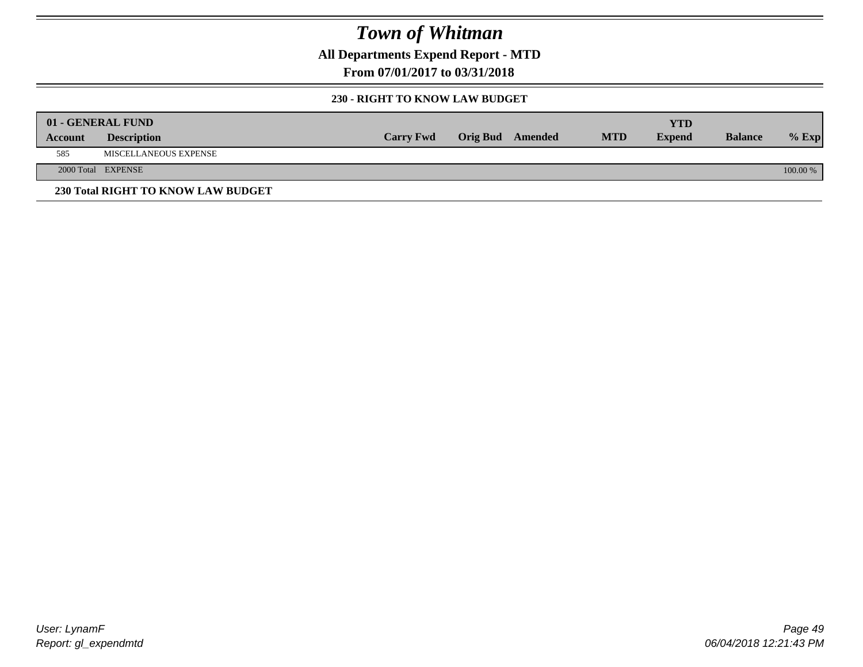**All Departments Expend Report - MTD**

**From 07/01/2017 to 03/31/2018**

#### **230 - RIGHT TO KNOW LAW BUDGET**

|         | 01 - GENERAL FUND                  |                  |                         |            | YTD           |                |            |
|---------|------------------------------------|------------------|-------------------------|------------|---------------|----------------|------------|
| Account | <b>Description</b>                 | <b>Carry Fwd</b> | <b>Orig Bud</b> Amended | <b>MTD</b> | <b>Expend</b> | <b>Balance</b> | $%$ Exp    |
| 585     | MISCELLANEOUS EXPENSE              |                  |                         |            |               |                |            |
|         | 2000 Total EXPENSE                 |                  |                         |            |               |                | $100.00\%$ |
|         | 230 Total RIGHT TO KNOW LAW BUDGET |                  |                         |            |               |                |            |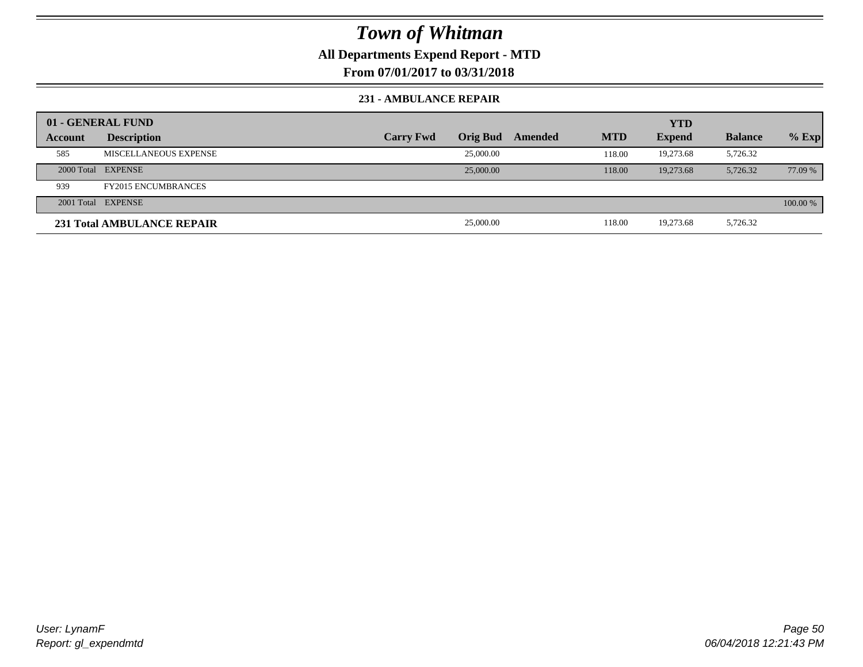### **All Departments Expend Report - MTD**

**From 07/01/2017 to 03/31/2018**

#### **231 - AMBULANCE REPAIR**

|         | 01 - GENERAL FUND            |                  |                 |         |            | <b>YTD</b>    |                |          |
|---------|------------------------------|------------------|-----------------|---------|------------|---------------|----------------|----------|
| Account | <b>Description</b>           | <b>Carry Fwd</b> | <b>Orig Bud</b> | Amended | <b>MTD</b> | <b>Expend</b> | <b>Balance</b> | $%$ Exp  |
| 585     | <b>MISCELLANEOUS EXPENSE</b> |                  | 25,000.00       |         | 118.00     | 19.273.68     | 5,726.32       |          |
|         | 2000 Total EXPENSE           |                  | 25,000.00       |         | 118.00     | 19.273.68     | 5,726.32       | 77.09 %  |
| 939     | <b>FY2015 ENCUMBRANCES</b>   |                  |                 |         |            |               |                |          |
|         | 2001 Total EXPENSE           |                  |                 |         |            |               |                | 100.00 % |
|         | 231 Total AMBULANCE REPAIR   |                  | 25,000.00       |         | 118.00     | 19,273.68     | 5,726.32       |          |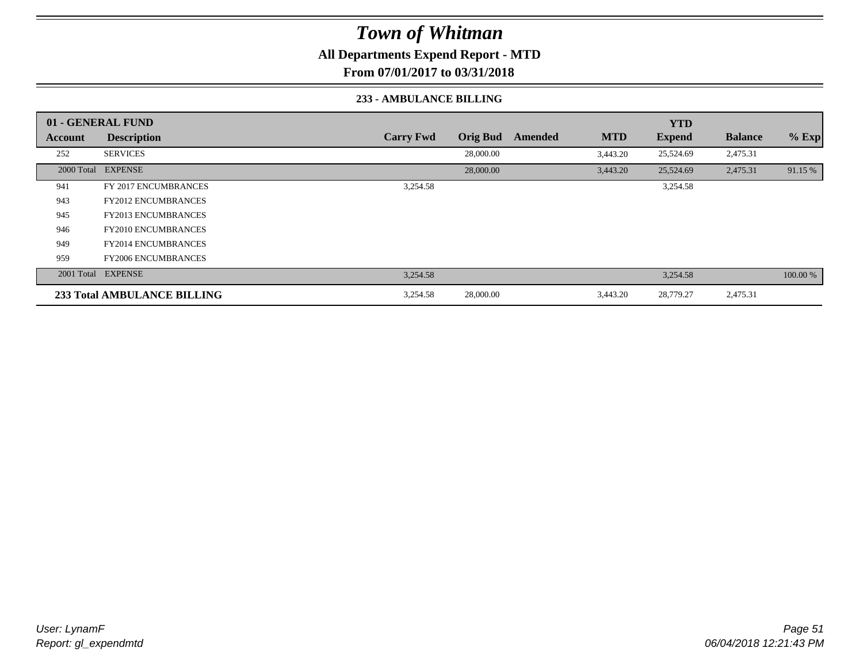**All Departments Expend Report - MTD**

**From 07/01/2017 to 03/31/2018**

#### **233 - AMBULANCE BILLING**

|         | 01 - GENERAL FUND           |                  |                 |         |            | <b>YTD</b>    |                |          |
|---------|-----------------------------|------------------|-----------------|---------|------------|---------------|----------------|----------|
| Account | <b>Description</b>          | <b>Carry Fwd</b> | <b>Orig Bud</b> | Amended | <b>MTD</b> | <b>Expend</b> | <b>Balance</b> | $%$ Exp  |
| 252     | <b>SERVICES</b>             |                  | 28,000.00       |         | 3,443.20   | 25,524.69     | 2,475.31       |          |
|         | 2000 Total EXPENSE          |                  | 28,000.00       |         | 3,443.20   | 25,524.69     | 2,475.31       | 91.15 %  |
| 941     | FY 2017 ENCUMBRANCES        | 3,254.58         |                 |         |            | 3,254.58      |                |          |
| 943     | <b>FY2012 ENCUMBRANCES</b>  |                  |                 |         |            |               |                |          |
| 945     | <b>FY2013 ENCUMBRANCES</b>  |                  |                 |         |            |               |                |          |
| 946     | <b>FY2010 ENCUMBRANCES</b>  |                  |                 |         |            |               |                |          |
| 949     | <b>FY2014 ENCUMBRANCES</b>  |                  |                 |         |            |               |                |          |
| 959     | <b>FY2006 ENCUMBRANCES</b>  |                  |                 |         |            |               |                |          |
|         | 2001 Total EXPENSE          | 3,254.58         |                 |         |            | 3,254.58      |                | 100.00 % |
|         | 233 Total AMBULANCE BILLING | 3,254.58         | 28,000.00       |         | 3,443.20   | 28,779.27     | 2,475.31       |          |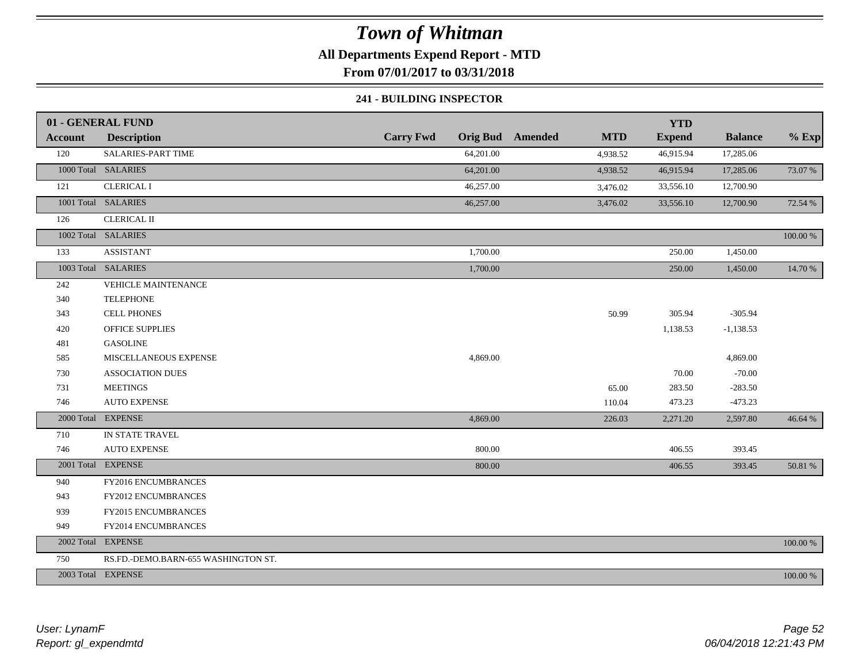**All Departments Expend Report - MTD**

**From 07/01/2017 to 03/31/2018**

#### **241 - BUILDING INSPECTOR**

|            | 01 - GENERAL FUND                   |                  |                                       | <b>YTD</b>    |                |             |
|------------|-------------------------------------|------------------|---------------------------------------|---------------|----------------|-------------|
| Account    | <b>Description</b>                  | <b>Carry Fwd</b> | <b>Orig Bud</b> Amended<br><b>MTD</b> | <b>Expend</b> | <b>Balance</b> | $%$ Exp     |
| 120        | SALARIES-PART TIME                  | 64,201.00        | 4,938.52                              | 46,915.94     | 17,285.06      |             |
|            | 1000 Total SALARIES                 | 64,201.00        | 4,938.52                              | 46,915.94     | 17,285.06      | 73.07 %     |
| 121        | <b>CLERICAL I</b>                   | 46,257.00        | 3,476.02                              | 33,556.10     | 12,700.90      |             |
|            | 1001 Total SALARIES                 | 46,257.00        | 3,476.02                              | 33,556.10     | 12,700.90      | 72.54 %     |
| 126        | <b>CLERICAL II</b>                  |                  |                                       |               |                |             |
|            | 1002 Total SALARIES                 |                  |                                       |               |                | $100.00~\%$ |
| 133        | <b>ASSISTANT</b>                    | 1,700.00         |                                       | 250.00        | 1,450.00       |             |
|            | 1003 Total SALARIES                 | 1,700.00         |                                       | 250.00        | 1,450.00       | 14.70 %     |
| 242        | <b>VEHICLE MAINTENANCE</b>          |                  |                                       |               |                |             |
| 340        | <b>TELEPHONE</b>                    |                  |                                       |               |                |             |
| 343        | <b>CELL PHONES</b>                  |                  | 50.99                                 | 305.94        | $-305.94$      |             |
| 420        | <b>OFFICE SUPPLIES</b>              |                  |                                       | 1,138.53      | $-1,138.53$    |             |
| 481        | <b>GASOLINE</b>                     |                  |                                       |               |                |             |
| 585        | MISCELLANEOUS EXPENSE               | 4,869.00         |                                       |               | 4,869.00       |             |
| 730        | <b>ASSOCIATION DUES</b>             |                  |                                       | 70.00         | $-70.00$       |             |
| 731        | <b>MEETINGS</b>                     |                  | 65.00                                 | 283.50        | $-283.50$      |             |
| 746        | <b>AUTO EXPENSE</b>                 |                  | 110.04                                | 473.23        | $-473.23$      |             |
| 2000 Total | <b>EXPENSE</b>                      | 4,869.00         | 226.03                                | 2,271.20      | 2,597.80       | 46.64 %     |
| 710        | IN STATE TRAVEL                     |                  |                                       |               |                |             |
| 746        | <b>AUTO EXPENSE</b>                 | 800.00           |                                       | 406.55        | 393.45         |             |
|            | 2001 Total EXPENSE                  | 800.00           |                                       | 406.55        | 393.45         | 50.81 %     |
| 940        | FY2016 ENCUMBRANCES                 |                  |                                       |               |                |             |
| 943        | FY2012 ENCUMBRANCES                 |                  |                                       |               |                |             |
| 939        | FY2015 ENCUMBRANCES                 |                  |                                       |               |                |             |
| 949        | FY2014 ENCUMBRANCES                 |                  |                                       |               |                |             |
|            | 2002 Total EXPENSE                  |                  |                                       |               |                | 100.00 %    |
| 750        | RS.FD.-DEMO.BARN-655 WASHINGTON ST. |                  |                                       |               |                |             |
|            | 2003 Total EXPENSE                  |                  |                                       |               |                | 100.00 %    |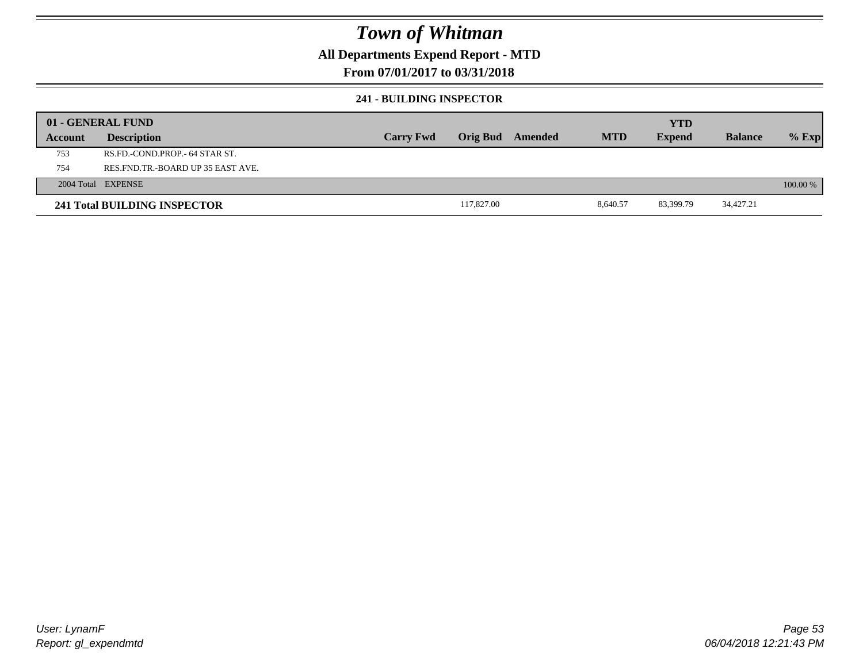### **All Departments Expend Report - MTD**

### **From 07/01/2017 to 03/31/2018**

#### **241 - BUILDING INSPECTOR**

|         | 01 - GENERAL FUND                     |                  |            |         |            | <b>YTD</b>    |                |            |
|---------|---------------------------------------|------------------|------------|---------|------------|---------------|----------------|------------|
| Account | <b>Description</b>                    | <b>Carry Fwd</b> | Orig Bud   | Amended | <b>MTD</b> | <b>Expend</b> | <b>Balance</b> | $%$ Exp    |
| 753     | RS.FD.-COND.PROP.- 64 STAR ST.        |                  |            |         |            |               |                |            |
| 754     | RES. FND. TR. - BOARD UP 35 EAST AVE. |                  |            |         |            |               |                |            |
|         | 2004 Total EXPENSE                    |                  |            |         |            |               |                | $100.00\%$ |
|         | 241 Total BUILDING INSPECTOR          |                  | 117,827.00 |         | 8.640.57   | 83.399.79     | 34,427.21      |            |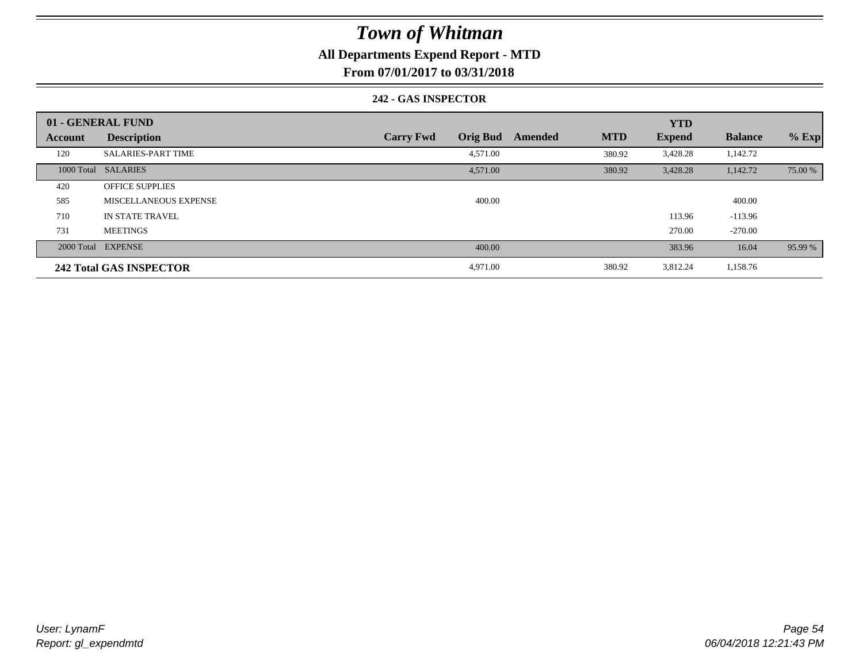### **All Departments Expend Report - MTD**

**From 07/01/2017 to 03/31/2018**

#### **242 - GAS INSPECTOR**

|                | 01 - GENERAL FUND              |                                     |                       | <b>YTD</b>    |                |         |
|----------------|--------------------------------|-------------------------------------|-----------------------|---------------|----------------|---------|
| <b>Account</b> | <b>Description</b>             | <b>Orig Bud</b><br><b>Carry Fwd</b> | <b>MTD</b><br>Amended | <b>Expend</b> | <b>Balance</b> | $%$ Exp |
| 120            | <b>SALARIES-PART TIME</b>      | 4,571.00                            | 380.92                | 3,428.28      | 1,142.72       |         |
|                | 1000 Total SALARIES            | 4,571.00                            | 380.92                | 3,428.28      | 1,142.72       | 75.00 % |
| 420            | <b>OFFICE SUPPLIES</b>         |                                     |                       |               |                |         |
| 585            | MISCELLANEOUS EXPENSE          | 400.00                              |                       |               | 400.00         |         |
| 710            | <b>IN STATE TRAVEL</b>         |                                     |                       | 113.96        | $-113.96$      |         |
| 731            | <b>MEETINGS</b>                |                                     |                       | 270.00        | $-270.00$      |         |
|                | 2000 Total EXPENSE             | 400.00                              |                       | 383.96        | 16.04          | 95.99 % |
|                | <b>242 Total GAS INSPECTOR</b> | 4,971.00                            | 380.92                | 3,812.24      | 1,158.76       |         |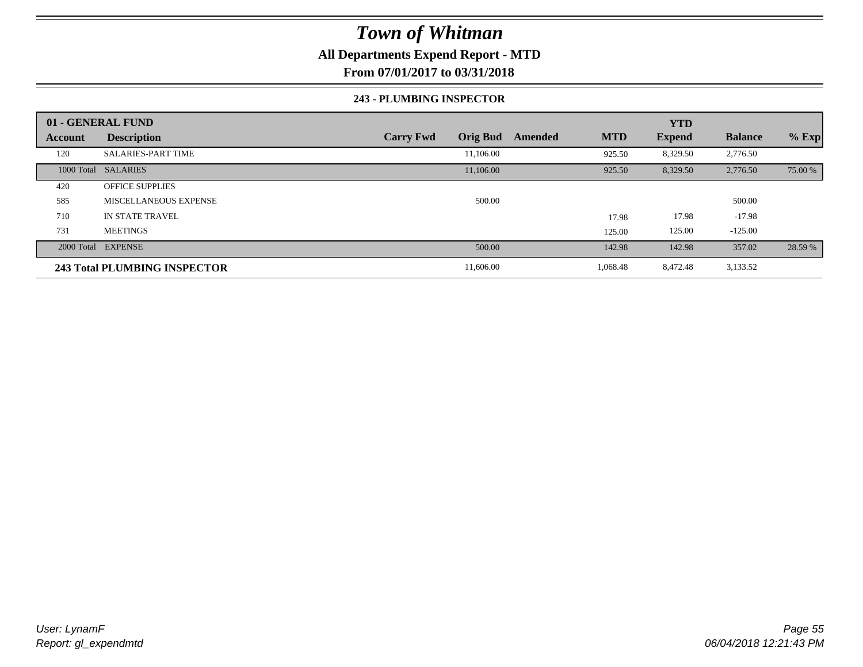### **All Departments Expend Report - MTD**

**From 07/01/2017 to 03/31/2018**

#### **243 - PLUMBING INSPECTOR**

|         | 01 - GENERAL FUND                   |                                     |                       | <b>YTD</b>    |                |         |
|---------|-------------------------------------|-------------------------------------|-----------------------|---------------|----------------|---------|
| Account | <b>Description</b>                  | <b>Orig Bud</b><br><b>Carry Fwd</b> | <b>MTD</b><br>Amended | <b>Expend</b> | <b>Balance</b> | $%$ Exp |
| 120     | <b>SALARIES-PART TIME</b>           | 11.106.00                           | 925.50                | 8,329.50      | 2,776.50       |         |
|         | 1000 Total SALARIES                 | 11,106.00                           | 925.50                | 8,329.50      | 2,776.50       | 75.00 % |
| 420     | <b>OFFICE SUPPLIES</b>              |                                     |                       |               |                |         |
| 585     | MISCELLANEOUS EXPENSE               | 500.00                              |                       |               | 500.00         |         |
| 710     | <b>IN STATE TRAVEL</b>              |                                     | 17.98                 | 17.98         | $-17.98$       |         |
| 731     | <b>MEETINGS</b>                     |                                     | 125.00                | 125.00        | $-125.00$      |         |
|         | 2000 Total EXPENSE                  | 500.00                              | 142.98                | 142.98        | 357.02         | 28.59 % |
|         | <b>243 Total PLUMBING INSPECTOR</b> | 11,606.00                           | 1,068.48              | 8,472.48      | 3,133.52       |         |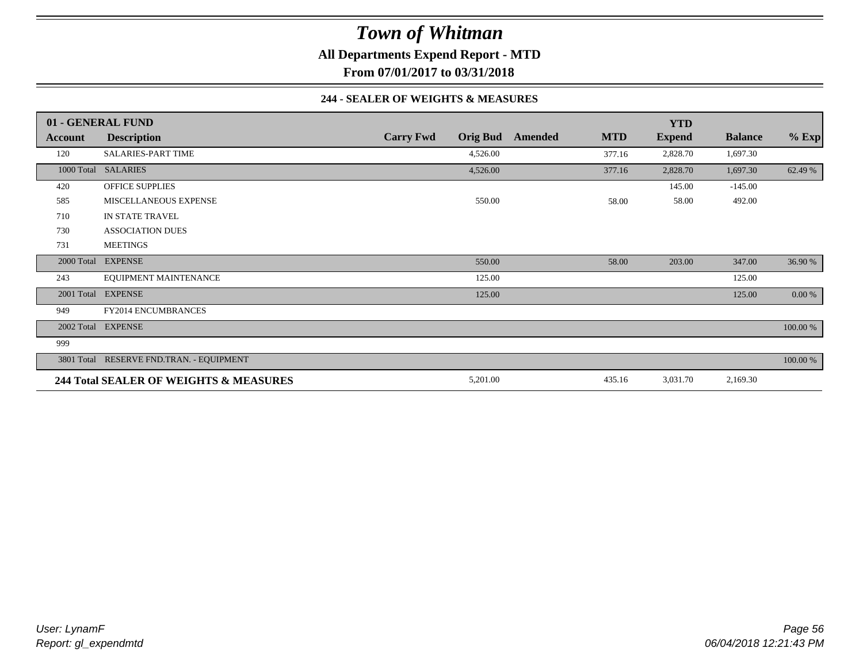**All Departments Expend Report - MTD**

**From 07/01/2017 to 03/31/2018**

#### **244 - SEALER OF WEIGHTS & MEASURES**

|         | 01 - GENERAL FUND                        |                  |                 |         |            | <b>YTD</b>    |                |          |
|---------|------------------------------------------|------------------|-----------------|---------|------------|---------------|----------------|----------|
| Account | <b>Description</b>                       | <b>Carry Fwd</b> | <b>Orig Bud</b> | Amended | <b>MTD</b> | <b>Expend</b> | <b>Balance</b> | $%$ Exp  |
| 120     | <b>SALARIES-PART TIME</b>                |                  | 4,526.00        |         | 377.16     | 2,828.70      | 1,697.30       |          |
|         | 1000 Total SALARIES                      |                  | 4,526.00        |         | 377.16     | 2,828.70      | 1,697.30       | 62.49 %  |
| 420     | <b>OFFICE SUPPLIES</b>                   |                  |                 |         |            | 145.00        | $-145.00$      |          |
| 585     | MISCELLANEOUS EXPENSE                    |                  | 550.00          |         | 58.00      | 58.00         | 492.00         |          |
| 710     | IN STATE TRAVEL                          |                  |                 |         |            |               |                |          |
| 730     | <b>ASSOCIATION DUES</b>                  |                  |                 |         |            |               |                |          |
| 731     | <b>MEETINGS</b>                          |                  |                 |         |            |               |                |          |
|         | 2000 Total EXPENSE                       |                  | 550.00          |         | 58.00      | 203.00        | 347.00         | 36.90 %  |
| 243     | EQUIPMENT MAINTENANCE                    |                  | 125.00          |         |            |               | 125.00         |          |
|         | 2001 Total EXPENSE                       |                  | 125.00          |         |            |               | 125.00         | 0.00 %   |
| 949     | FY2014 ENCUMBRANCES                      |                  |                 |         |            |               |                |          |
|         | 2002 Total EXPENSE                       |                  |                 |         |            |               |                | 100.00 % |
| 999     |                                          |                  |                 |         |            |               |                |          |
|         | 3801 Total RESERVE FND.TRAN. - EQUIPMENT |                  |                 |         |            |               |                | 100.00 % |
|         | 244 Total SEALER OF WEIGHTS & MEASURES   |                  | 5,201.00        |         | 435.16     | 3,031.70      | 2,169.30       |          |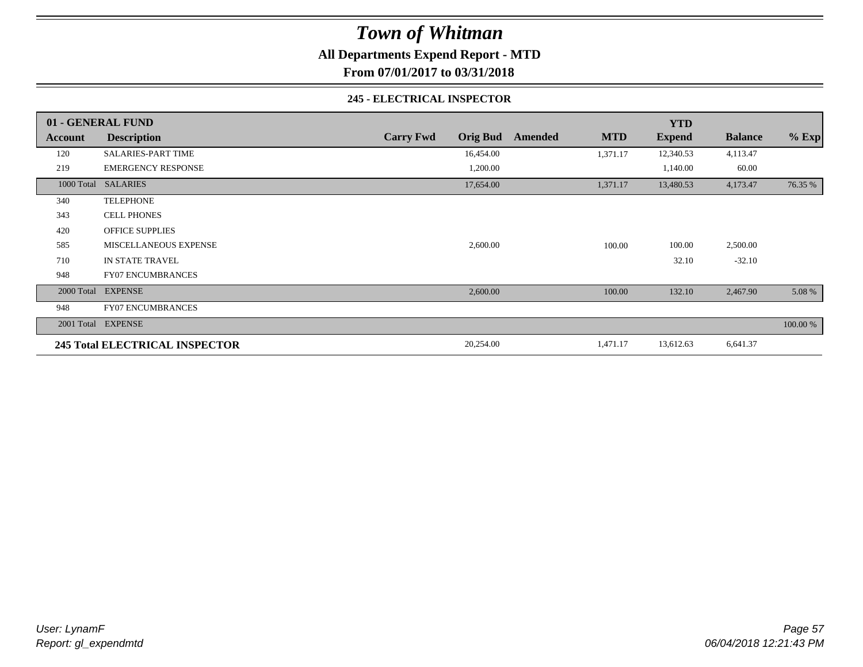**All Departments Expend Report - MTD**

**From 07/01/2017 to 03/31/2018**

#### **245 - ELECTRICAL INSPECTOR**

|         | 01 - GENERAL FUND                     |                                     |                       | <b>YTD</b>    |                |          |
|---------|---------------------------------------|-------------------------------------|-----------------------|---------------|----------------|----------|
| Account | <b>Description</b>                    | <b>Carry Fwd</b><br><b>Orig Bud</b> | <b>MTD</b><br>Amended | <b>Expend</b> | <b>Balance</b> | $%$ Exp  |
| 120     | <b>SALARIES-PART TIME</b>             | 16,454.00                           | 1,371.17              | 12,340.53     | 4,113.47       |          |
| 219     | <b>EMERGENCY RESPONSE</b>             | 1,200.00                            |                       | 1,140.00      | 60.00          |          |
|         | 1000 Total SALARIES                   | 17,654.00                           | 1,371.17              | 13,480.53     | 4,173.47       | 76.35 %  |
| 340     | <b>TELEPHONE</b>                      |                                     |                       |               |                |          |
| 343     | <b>CELL PHONES</b>                    |                                     |                       |               |                |          |
| 420     | <b>OFFICE SUPPLIES</b>                |                                     |                       |               |                |          |
| 585     | MISCELLANEOUS EXPENSE                 | 2,600.00                            | 100.00                | 100.00        | 2,500.00       |          |
| 710     | IN STATE TRAVEL                       |                                     |                       | 32.10         | $-32.10$       |          |
| 948     | <b>FY07 ENCUMBRANCES</b>              |                                     |                       |               |                |          |
|         | 2000 Total EXPENSE                    | 2,600.00                            | 100.00                | 132.10        | 2,467.90       | 5.08 %   |
| 948     | <b>FY07 ENCUMBRANCES</b>              |                                     |                       |               |                |          |
|         | 2001 Total EXPENSE                    |                                     |                       |               |                | 100.00 % |
|         | <b>245 Total ELECTRICAL INSPECTOR</b> | 20,254.00                           | 1,471.17              | 13,612.63     | 6,641.37       |          |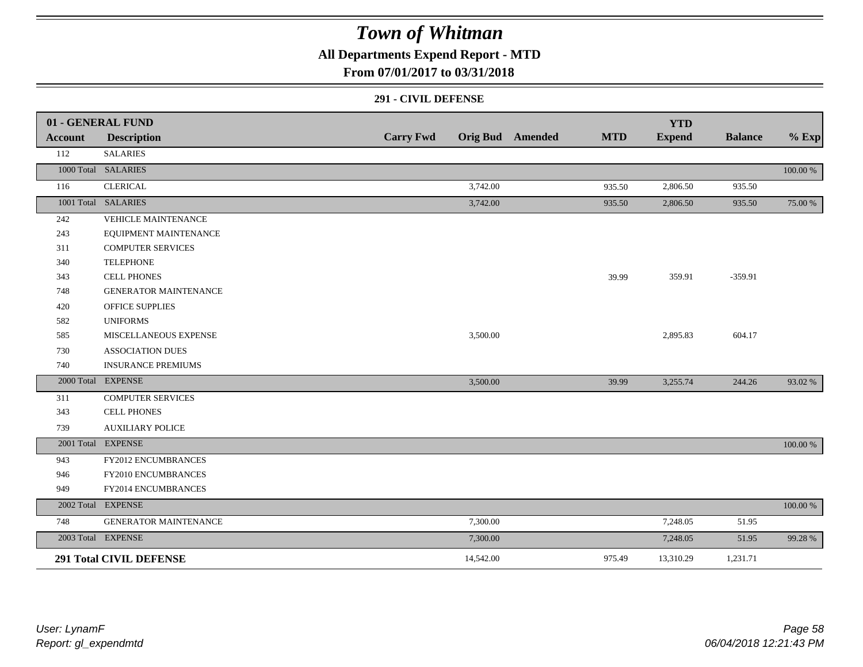**All Departments Expend Report - MTD**

### **From 07/01/2017 to 03/31/2018**

#### **291 - CIVIL DEFENSE**

|         | 01 - GENERAL FUND              |                  |           |                         |            | <b>YTD</b>    |                |             |
|---------|--------------------------------|------------------|-----------|-------------------------|------------|---------------|----------------|-------------|
| Account | <b>Description</b>             | <b>Carry Fwd</b> |           | <b>Orig Bud</b> Amended | <b>MTD</b> | <b>Expend</b> | <b>Balance</b> | $%$ Exp     |
| 112     | <b>SALARIES</b>                |                  |           |                         |            |               |                |             |
|         | 1000 Total SALARIES            |                  |           |                         |            |               |                | 100.00 %    |
| 116     | <b>CLERICAL</b>                |                  | 3,742.00  |                         | 935.50     | 2,806.50      | 935.50         |             |
|         | 1001 Total SALARIES            |                  | 3,742.00  |                         | 935.50     | 2,806.50      | 935.50         | 75.00 %     |
| 242     | <b>VEHICLE MAINTENANCE</b>     |                  |           |                         |            |               |                |             |
| 243     | EQUIPMENT MAINTENANCE          |                  |           |                         |            |               |                |             |
| 311     | <b>COMPUTER SERVICES</b>       |                  |           |                         |            |               |                |             |
| 340     | <b>TELEPHONE</b>               |                  |           |                         |            |               |                |             |
| 343     | <b>CELL PHONES</b>             |                  |           |                         | 39.99      | 359.91        | $-359.91$      |             |
| 748     | <b>GENERATOR MAINTENANCE</b>   |                  |           |                         |            |               |                |             |
| 420     | <b>OFFICE SUPPLIES</b>         |                  |           |                         |            |               |                |             |
| 582     | <b>UNIFORMS</b>                |                  |           |                         |            |               |                |             |
| 585     | MISCELLANEOUS EXPENSE          |                  | 3,500.00  |                         |            | 2,895.83      | 604.17         |             |
| 730     | <b>ASSOCIATION DUES</b>        |                  |           |                         |            |               |                |             |
| 740     | <b>INSURANCE PREMIUMS</b>      |                  |           |                         |            |               |                |             |
|         | 2000 Total EXPENSE             |                  | 3,500.00  |                         | 39.99      | 3,255.74      | 244.26         | 93.02 %     |
| 311     | <b>COMPUTER SERVICES</b>       |                  |           |                         |            |               |                |             |
| 343     | <b>CELL PHONES</b>             |                  |           |                         |            |               |                |             |
| 739     | <b>AUXILIARY POLICE</b>        |                  |           |                         |            |               |                |             |
|         | 2001 Total EXPENSE             |                  |           |                         |            |               |                | 100.00 %    |
| 943     | <b>FY2012 ENCUMBRANCES</b>     |                  |           |                         |            |               |                |             |
| 946     | FY2010 ENCUMBRANCES            |                  |           |                         |            |               |                |             |
| 949     | FY2014 ENCUMBRANCES            |                  |           |                         |            |               |                |             |
|         | 2002 Total EXPENSE             |                  |           |                         |            |               |                | $100.00~\%$ |
| 748     | GENERATOR MAINTENANCE          |                  | 7,300.00  |                         |            | 7,248.05      | 51.95          |             |
|         | 2003 Total EXPENSE             |                  | 7,300.00  |                         |            | 7,248.05      | 51.95          | 99.28 %     |
|         | <b>291 Total CIVIL DEFENSE</b> |                  | 14,542.00 |                         | 975.49     | 13,310.29     | 1,231.71       |             |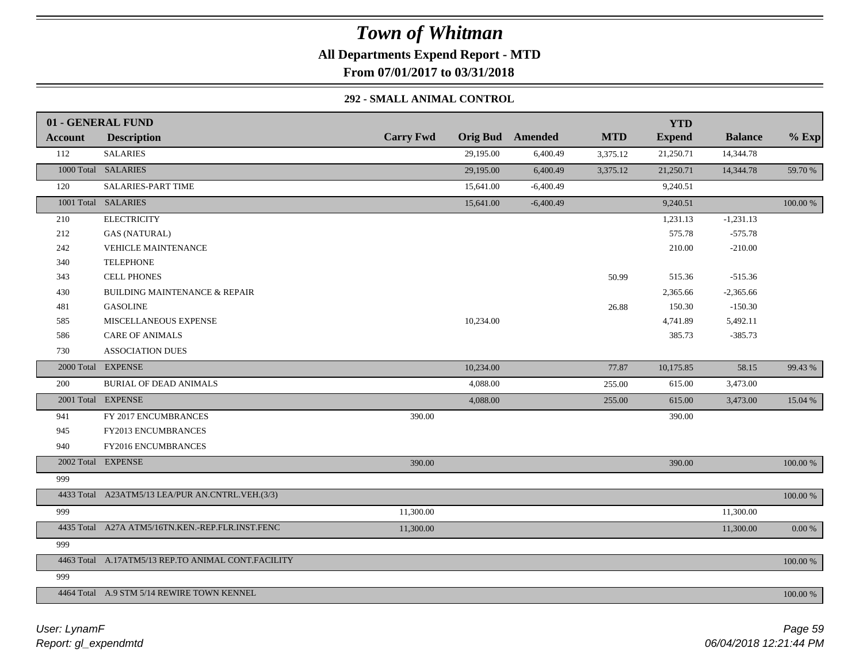### *Town of Whitman* **All Departments Expend Report - MTD From 07/01/2017 to 03/31/2018**

#### **292 - SMALL ANIMAL CONTROL**

|                | 01 - GENERAL FUND                                  |                  |           |                         |            | <b>YTD</b>    |                |             |
|----------------|----------------------------------------------------|------------------|-----------|-------------------------|------------|---------------|----------------|-------------|
| <b>Account</b> | <b>Description</b>                                 | <b>Carry Fwd</b> |           | <b>Orig Bud</b> Amended | <b>MTD</b> | <b>Expend</b> | <b>Balance</b> | $%$ Exp     |
| 112            | <b>SALARIES</b>                                    |                  | 29,195.00 | 6,400.49                | 3,375.12   | 21,250.71     | 14,344.78      |             |
|                | 1000 Total SALARIES                                |                  | 29,195.00 | 6,400.49                | 3,375.12   | 21,250.71     | 14,344.78      | 59.70 %     |
| 120            | SALARIES-PART TIME                                 |                  | 15,641.00 | $-6,400.49$             |            | 9,240.51      |                |             |
|                | 1001 Total SALARIES                                |                  | 15,641.00 | $-6,400.49$             |            | 9,240.51      |                | 100.00 %    |
| 210            | <b>ELECTRICITY</b>                                 |                  |           |                         |            | 1,231.13      | $-1,231.13$    |             |
| 212            | <b>GAS (NATURAL)</b>                               |                  |           |                         |            | 575.78        | $-575.78$      |             |
| 242            | <b>VEHICLE MAINTENANCE</b>                         |                  |           |                         |            | 210.00        | $-210.00$      |             |
| 340            | <b>TELEPHONE</b>                                   |                  |           |                         |            |               |                |             |
| 343            | <b>CELL PHONES</b>                                 |                  |           |                         | 50.99      | 515.36        | $-515.36$      |             |
| 430            | <b>BUILDING MAINTENANCE &amp; REPAIR</b>           |                  |           |                         |            | 2,365.66      | $-2,365.66$    |             |
| 481            | <b>GASOLINE</b>                                    |                  |           |                         | 26.88      | 150.30        | $-150.30$      |             |
| 585            | MISCELLANEOUS EXPENSE                              |                  | 10,234.00 |                         |            | 4,741.89      | 5,492.11       |             |
| 586            | <b>CARE OF ANIMALS</b>                             |                  |           |                         |            | 385.73        | $-385.73$      |             |
| 730            | <b>ASSOCIATION DUES</b>                            |                  |           |                         |            |               |                |             |
|                | 2000 Total EXPENSE                                 |                  | 10,234.00 |                         | 77.87      | 10,175.85     | 58.15          | 99.43 %     |
| 200            | <b>BURIAL OF DEAD ANIMALS</b>                      |                  | 4,088.00  |                         | 255.00     | 615.00        | 3,473.00       |             |
|                | 2001 Total EXPENSE                                 |                  | 4,088.00  |                         | 255.00     | 615.00        | 3,473.00       | 15.04 %     |
| 941            | FY 2017 ENCUMBRANCES                               | 390.00           |           |                         |            | 390.00        |                |             |
| 945            | FY2013 ENCUMBRANCES                                |                  |           |                         |            |               |                |             |
| 940            | FY2016 ENCUMBRANCES                                |                  |           |                         |            |               |                |             |
|                | 2002 Total EXPENSE                                 | 390.00           |           |                         |            | 390.00        |                | $100.00~\%$ |
| 999            |                                                    |                  |           |                         |            |               |                |             |
|                | 4433 Total A23ATM5/13 LEA/PUR AN.CNTRL.VEH.(3/3)   |                  |           |                         |            |               |                | 100.00 %    |
| 999            |                                                    | 11,300.00        |           |                         |            |               | 11,300.00      |             |
|                | 4435 Total A27A ATM5/16TN.KEN.-REP.FLR.INST.FENC   | 11,300.00        |           |                         |            |               | 11,300.00      | $0.00\ \%$  |
| 999            |                                                    |                  |           |                         |            |               |                |             |
|                | 4463 Total A.17ATM5/13 REP.TO ANIMAL CONT.FACILITY |                  |           |                         |            |               |                | 100.00 %    |
| 999            |                                                    |                  |           |                         |            |               |                |             |
|                | 4464 Total A.9 STM 5/14 REWIRE TOWN KENNEL         |                  |           |                         |            |               |                | 100.00 %    |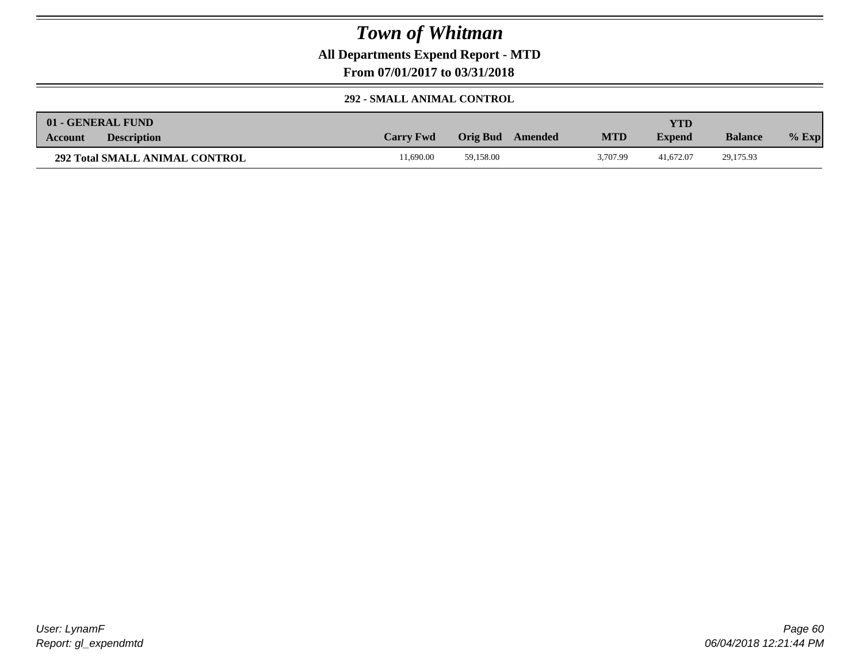**All Departments Expend Report - MTD**

**From 07/01/2017 to 03/31/2018**

#### **292 - SMALL ANIMAL CONTROL**

| 01 - GENERAL FUND                     |                  |                     |            | YTD           |                |         |
|---------------------------------------|------------------|---------------------|------------|---------------|----------------|---------|
| <b>Description</b><br><b>Account</b>  | <b>Carry Fwd</b> | Orig Bud<br>Amended | <b>MTD</b> | <b>Expend</b> | <b>Balance</b> | $%$ Exp |
| <b>292 Total SMALL ANIMAL CONTROL</b> | 1.690.00         | 59.158.00           | 3.707.99   | 41,672.07     | 29,175.93      |         |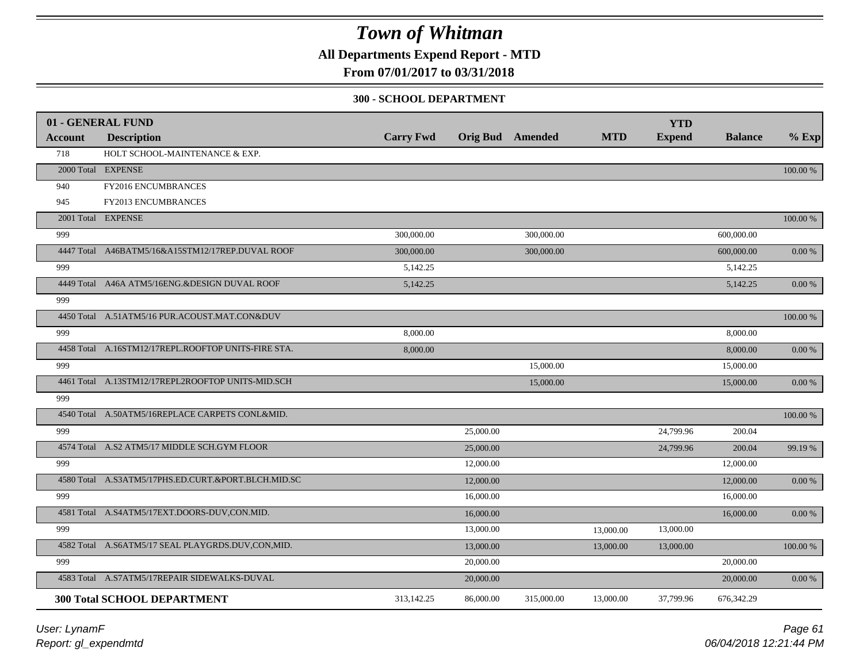**All Departments Expend Report - MTD**

### **From 07/01/2017 to 03/31/2018**

#### **300 - SCHOOL DEPARTMENT**

|         | 01 - GENERAL FUND                                   |                  |                         |            | <b>MTD</b> | <b>YTD</b>    | <b>Balance</b> |            |
|---------|-----------------------------------------------------|------------------|-------------------------|------------|------------|---------------|----------------|------------|
| Account | <b>Description</b>                                  | <b>Carry Fwd</b> | <b>Orig Bud</b> Amended |            |            | <b>Expend</b> |                | $%$ Exp    |
| 718     | HOLT SCHOOL-MAINTENANCE & EXP.                      |                  |                         |            |            |               |                |            |
|         | 2000 Total EXPENSE                                  |                  |                         |            |            |               |                | 100.00 %   |
| 940     | FY2016 ENCUMBRANCES                                 |                  |                         |            |            |               |                |            |
| 945     | FY2013 ENCUMBRANCES                                 |                  |                         |            |            |               |                |            |
|         | 2001 Total EXPENSE                                  |                  |                         |            |            |               |                | 100.00 %   |
| 999     |                                                     | 300,000.00       |                         | 300,000.00 |            |               | 600,000.00     |            |
|         | 4447 Total A46BATM5/16&A15STM12/17REP.DUVAL ROOF    | 300,000.00       |                         | 300,000.00 |            |               | 600,000.00     | 0.00 %     |
| 999     |                                                     | 5,142.25         |                         |            |            |               | 5,142.25       |            |
|         | 4449 Total A46A ATM5/16ENG.&DESIGN DUVAL ROOF       | 5,142.25         |                         |            |            |               | 5,142.25       | 0.00 %     |
| 999     |                                                     |                  |                         |            |            |               |                |            |
|         | 4450 Total A.51ATM5/16 PUR.ACOUST.MAT.CON&DUV       |                  |                         |            |            |               |                | 100.00 %   |
| 999     |                                                     | 8,000.00         |                         |            |            |               | 8,000.00       |            |
|         | 4458 Total A.16STM12/17REPL.ROOFTOP UNITS-FIRE STA. | 8,000.00         |                         |            |            |               | 8,000.00       | 0.00 %     |
| 999     |                                                     |                  |                         | 15,000.00  |            |               | 15,000.00      |            |
|         | 4461 Total A.13STM12/17REPL2ROOFTOP UNITS-MID.SCH   |                  |                         | 15,000.00  |            |               | 15,000.00      | 0.00 %     |
| 999     |                                                     |                  |                         |            |            |               |                |            |
|         | 4540 Total A.50ATM5/16REPLACE CARPETS CONL&MID.     |                  |                         |            |            |               |                | 100.00 %   |
| 999     |                                                     |                  | 25,000.00               |            |            | 24,799.96     | 200.04         |            |
|         | 4574 Total A.S2 ATM5/17 MIDDLE SCH.GYM FLOOR        |                  | 25,000.00               |            |            | 24,799.96     | 200.04         | 99.19 %    |
| 999     |                                                     |                  | 12,000.00               |            |            |               | 12,000.00      |            |
|         | 4580 Total A.S3ATM5/17PHS.ED.CURT.&PORT.BLCH.MID.SC |                  | 12,000.00               |            |            |               | 12,000.00      | 0.00 %     |
| 999     |                                                     |                  | 16,000.00               |            |            |               | 16,000.00      |            |
|         | 4581 Total A.S4ATM5/17EXT.DOORS-DUV,CON.MID.        |                  | 16,000.00               |            |            |               | 16,000.00      | 0.00 %     |
| 999     |                                                     |                  | 13,000.00               |            | 13,000.00  | 13,000.00     |                |            |
|         | 4582 Total A.S6ATM5/17 SEAL PLAYGRDS.DUV,CON,MID.   |                  | 13,000.00               |            |            |               |                |            |
|         |                                                     |                  |                         |            | 13,000.00  | 13,000.00     |                | 100.00 %   |
| 999     |                                                     |                  | 20,000.00               |            |            |               | 20,000.00      |            |
|         | 4583 Total A.S7ATM5/17REPAIR SIDEWALKS-DUVAL        |                  | 20,000.00               |            |            |               | 20,000.00      | $0.00\ \%$ |
|         | <b>300 Total SCHOOL DEPARTMENT</b>                  | 313,142.25       | 86,000.00               | 315,000.00 | 13,000.00  | 37,799.96     | 676,342.29     |            |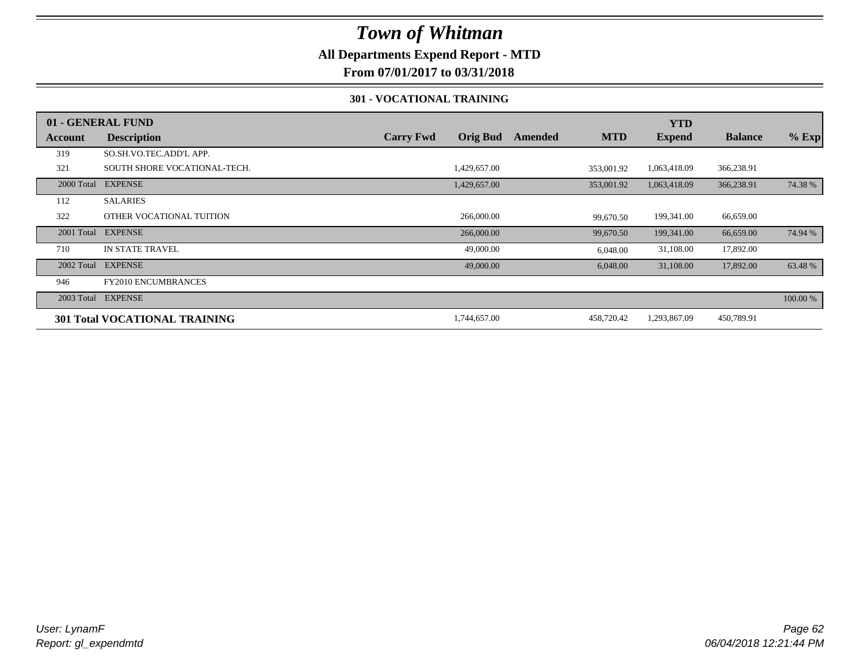### **All Departments Expend Report - MTD**

**From 07/01/2017 to 03/31/2018**

#### **301 - VOCATIONAL TRAINING**

|            | 01 - GENERAL FUND                    |                  |                 |         |            | <b>YTD</b>    |                |          |
|------------|--------------------------------------|------------------|-----------------|---------|------------|---------------|----------------|----------|
| Account    | <b>Description</b>                   | <b>Carry Fwd</b> | <b>Orig Bud</b> | Amended | <b>MTD</b> | <b>Expend</b> | <b>Balance</b> | $%$ Exp  |
| 319        | SO.SH.VO.TEC.ADD'L APP.              |                  |                 |         |            |               |                |          |
| 321        | SOUTH SHORE VOCATIONAL-TECH.         |                  | 1,429,657.00    |         | 353,001.92 | 1,063,418.09  | 366,238.91     |          |
| 2000 Total | <b>EXPENSE</b>                       |                  | 1,429,657.00    |         | 353,001.92 | 1,063,418.09  | 366,238.91     | 74.38 %  |
| 112        | <b>SALARIES</b>                      |                  |                 |         |            |               |                |          |
| 322        | OTHER VOCATIONAL TUITION             |                  | 266,000.00      |         | 99,670.50  | 199,341.00    | 66,659.00      |          |
| 2001 Total | <b>EXPENSE</b>                       |                  | 266,000.00      |         | 99,670.50  | 199,341.00    | 66,659.00      | 74.94 %  |
| 710        | <b>IN STATE TRAVEL</b>               |                  | 49,000.00       |         | 6,048.00   | 31,108.00     | 17,892.00      |          |
| 2002 Total | <b>EXPENSE</b>                       |                  | 49,000.00       |         | 6,048.00   | 31,108.00     | 17,892.00      | 63.48 %  |
| 946        | <b>FY2010 ENCUMBRANCES</b>           |                  |                 |         |            |               |                |          |
| 2003 Total | <b>EXPENSE</b>                       |                  |                 |         |            |               |                | 100.00 % |
|            | <b>301 Total VOCATIONAL TRAINING</b> |                  | 1,744,657.00    |         | 458,720.42 | 1,293,867.09  | 450,789.91     |          |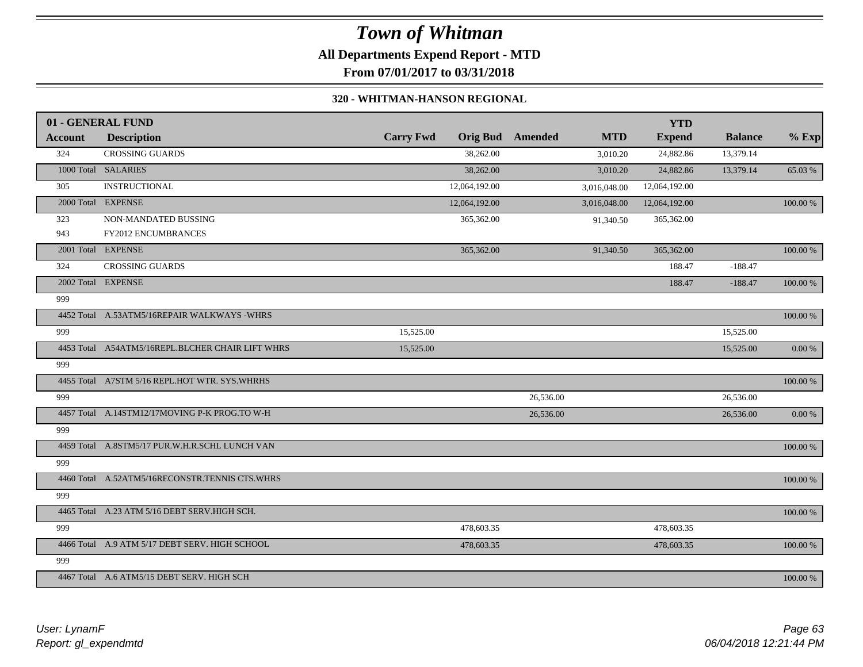### *Town of Whitman* **All Departments Expend Report - MTD From 07/01/2017 to 03/31/2018**

#### **320 - WHITMAN-HANSON REGIONAL**

|                | 01 - GENERAL FUND                                |                  |                 |           |              | <b>YTD</b>    |                |             |
|----------------|--------------------------------------------------|------------------|-----------------|-----------|--------------|---------------|----------------|-------------|
| <b>Account</b> | <b>Description</b>                               | <b>Carry Fwd</b> | <b>Orig Bud</b> | Amended   | <b>MTD</b>   | <b>Expend</b> | <b>Balance</b> | $%$ Exp     |
| 324            | <b>CROSSING GUARDS</b>                           |                  | 38,262.00       |           | 3,010.20     | 24,882.86     | 13,379.14      |             |
|                | 1000 Total SALARIES                              |                  | 38,262.00       |           | 3,010.20     | 24,882.86     | 13,379.14      | 65.03 %     |
| 305            | <b>INSTRUCTIONAL</b>                             |                  | 12,064,192.00   |           | 3,016,048.00 | 12,064,192.00 |                |             |
|                | 2000 Total EXPENSE                               |                  | 12,064,192.00   |           | 3,016,048.00 | 12,064,192.00 |                | $100.00~\%$ |
| 323            | NON-MANDATED BUSSING                             |                  | 365,362.00      |           | 91,340.50    | 365,362.00    |                |             |
| 943            | FY2012 ENCUMBRANCES                              |                  |                 |           |              |               |                |             |
|                | 2001 Total EXPENSE                               |                  | 365,362.00      |           | 91,340.50    | 365,362.00    |                | 100.00 %    |
| 324            | <b>CROSSING GUARDS</b>                           |                  |                 |           |              | 188.47        | $-188.47$      |             |
|                | 2002 Total EXPENSE                               |                  |                 |           |              | 188.47        | $-188.47$      | 100.00 %    |
| 999            |                                                  |                  |                 |           |              |               |                |             |
|                | 4452 Total A.53ATM5/16REPAIR WALKWAYS -WHRS      |                  |                 |           |              |               |                | 100.00 %    |
| 999            |                                                  | 15,525.00        |                 |           |              |               | 15,525.00      |             |
|                | 4453 Total A54ATM5/16REPL.BLCHER CHAIR LIFT WHRS | 15,525.00        |                 |           |              |               | 15,525.00      | $0.00~\%$   |
| 999            |                                                  |                  |                 |           |              |               |                |             |
|                | 4455 Total A7STM 5/16 REPL.HOT WTR. SYS.WHRHS    |                  |                 |           |              |               |                | 100.00 %    |
| 999            |                                                  |                  |                 | 26,536.00 |              |               | 26,536.00      |             |
|                | 4457 Total A.14STM12/17MOVING P-K PROG.TO W-H    |                  |                 | 26,536.00 |              |               | 26,536.00      | 0.00 %      |
| 999            |                                                  |                  |                 |           |              |               |                |             |
|                | 4459 Total A.8STM5/17 PUR.W.H.R.SCHL LUNCH VAN   |                  |                 |           |              |               |                | 100.00 %    |
| 999            |                                                  |                  |                 |           |              |               |                |             |
|                | 4460 Total A.52ATM5/16RECONSTR.TENNIS CTS.WHRS   |                  |                 |           |              |               |                | 100.00 %    |
| 999            |                                                  |                  |                 |           |              |               |                |             |
|                | 4465 Total A.23 ATM 5/16 DEBT SERV.HIGH SCH.     |                  |                 |           |              |               |                | $100.00~\%$ |
| 999            |                                                  |                  | 478,603.35      |           |              | 478,603.35    |                |             |
|                | 4466 Total A.9 ATM 5/17 DEBT SERV. HIGH SCHOOL   |                  | 478,603.35      |           |              | 478,603.35    |                | 100.00 %    |
| 999            |                                                  |                  |                 |           |              |               |                |             |
|                | 4467 Total A.6 ATM5/15 DEBT SERV. HIGH SCH       |                  |                 |           |              |               |                | 100.00 %    |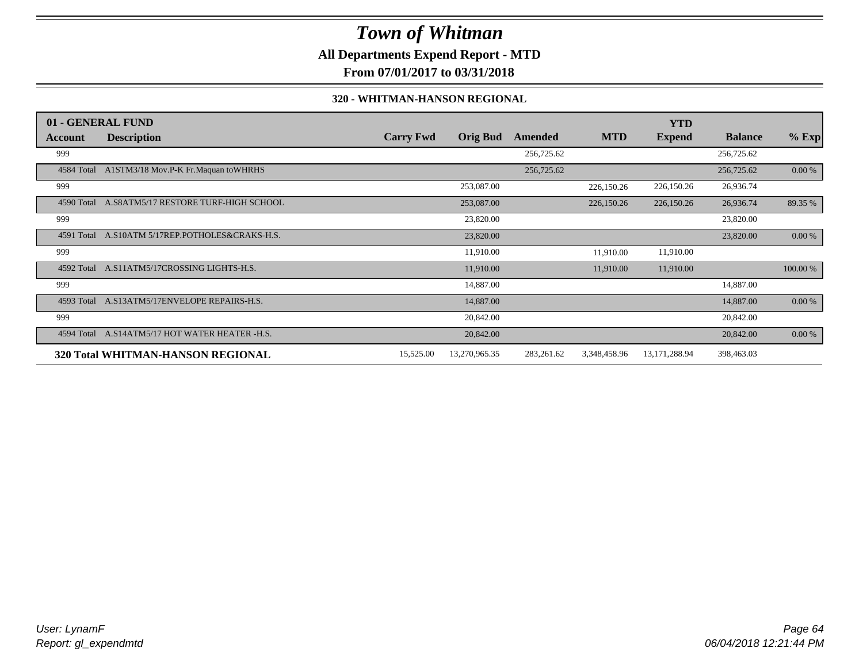**All Departments Expend Report - MTD**

**From 07/01/2017 to 03/31/2018**

#### **320 - WHITMAN-HANSON REGIONAL**

|            | 01 - GENERAL FUND                              |                  |                 |            |              | <b>YTD</b>       |                |          |
|------------|------------------------------------------------|------------------|-----------------|------------|--------------|------------------|----------------|----------|
| Account    | <b>Description</b>                             | <b>Carry Fwd</b> | <b>Orig Bud</b> | Amended    | <b>MTD</b>   | <b>Expend</b>    | <b>Balance</b> | $%$ Exp  |
| 999        |                                                |                  |                 | 256,725.62 |              |                  | 256,725.62     |          |
|            | 4584 Total A1STM3/18 Mov.P-K Fr.Maquan toWHRHS |                  |                 | 256,725.62 |              |                  | 256,725.62     | 0.00 %   |
| 999        |                                                |                  | 253,087.00      |            | 226,150.26   | 226,150.26       | 26,936.74      |          |
| 4590 Total | A.S8ATM5/17 RESTORE TURF-HIGH SCHOOL           |                  | 253,087.00      |            | 226,150.26   | 226,150.26       | 26,936.74      | 89.35 %  |
| 999        |                                                |                  | 23,820.00       |            |              |                  | 23,820.00      |          |
| 4591 Total | A.S10ATM 5/17REP.POTHOLES&CRAKS-H.S.           |                  | 23,820.00       |            |              |                  | 23,820.00      | 0.00 %   |
| 999        |                                                |                  | 11,910.00       |            | 11,910.00    | 11,910.00        |                |          |
| 4592 Total | A.S11ATM5/17CROSSING LIGHTS-H.S.               |                  | 11,910.00       |            | 11,910.00    | 11,910.00        |                | 100.00 % |
| 999        |                                                |                  | 14,887.00       |            |              |                  | 14,887.00      |          |
| 4593 Total | A.S13ATM5/17ENVELOPE REPAIRS-H.S.              |                  | 14,887.00       |            |              |                  | 14,887.00      | 0.00 %   |
| 999        |                                                |                  | 20,842.00       |            |              |                  | 20,842.00      |          |
| 4594 Total | A.S14ATM5/17 HOT WATER HEATER -H.S.            |                  | 20,842.00       |            |              |                  | 20,842.00      | 0.00 %   |
|            | <b>320 Total WHITMAN-HANSON REGIONAL</b>       | 15,525.00        | 13,270,965.35   | 283,261.62 | 3,348,458.96 | 13, 171, 288. 94 | 398,463.03     |          |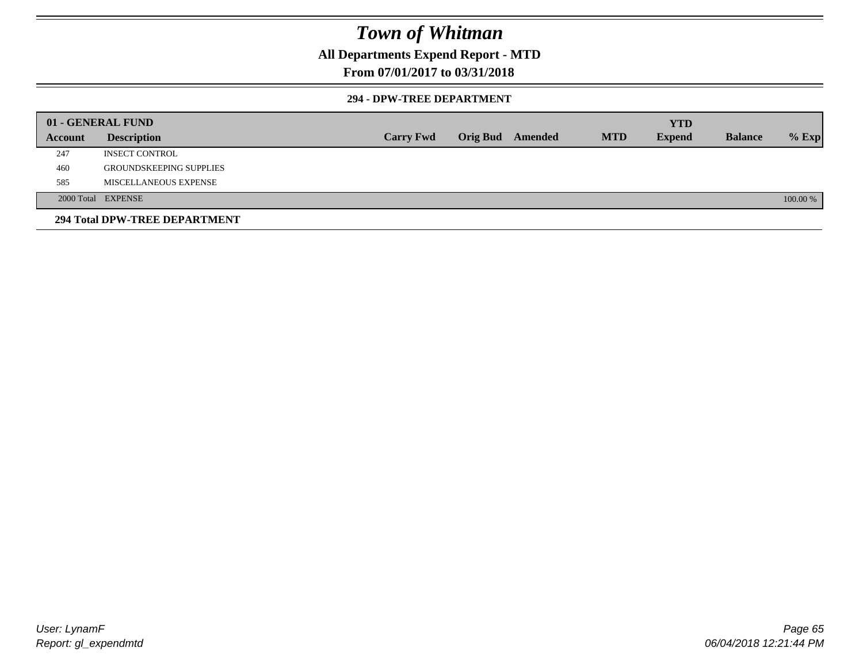### **All Departments Expend Report - MTD**

### **From 07/01/2017 to 03/31/2018**

#### **294 - DPW-TREE DEPARTMENT**

|         | 01 - GENERAL FUND              |                  |                         |            | <b>YTD</b>    |                |          |
|---------|--------------------------------|------------------|-------------------------|------------|---------------|----------------|----------|
| Account | <b>Description</b>             | <b>Carry Fwd</b> | <b>Orig Bud</b> Amended | <b>MTD</b> | <b>Expend</b> | <b>Balance</b> | $%$ Exp  |
| 247     | <b>INSECT CONTROL</b>          |                  |                         |            |               |                |          |
| 460     | <b>GROUNDSKEEPING SUPPLIES</b> |                  |                         |            |               |                |          |
| 585     | MISCELLANEOUS EXPENSE          |                  |                         |            |               |                |          |
|         | 2000 Total EXPENSE             |                  |                         |            |               |                | 100.00 % |
|         | 294 Total DPW-TREE DEPARTMENT  |                  |                         |            |               |                |          |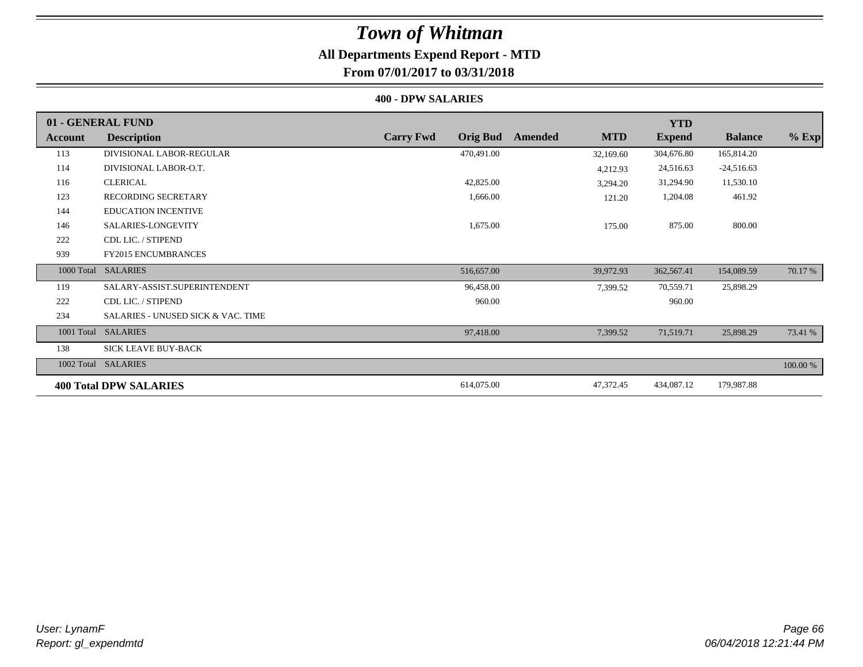### **All Departments Expend Report - MTD From 07/01/2017 to 03/31/2018**

#### **400 - DPW SALARIES**

|            | 01 - GENERAL FUND                             |                                     |                       | <b>YTD</b>    |                |          |
|------------|-----------------------------------------------|-------------------------------------|-----------------------|---------------|----------------|----------|
| Account    | <b>Description</b>                            | <b>Carry Fwd</b><br><b>Orig Bud</b> | <b>MTD</b><br>Amended | <b>Expend</b> | <b>Balance</b> | $%$ Exp  |
| 113        | DIVISIONAL LABOR-REGULAR                      | 470,491.00                          | 32,169.60             | 304,676.80    | 165,814.20     |          |
| 114        | DIVISIONAL LABOR-O.T.                         |                                     | 4,212.93              | 24,516.63     | $-24,516.63$   |          |
| 116        | <b>CLERICAL</b>                               | 42,825.00                           | 3,294.20              | 31,294.90     | 11,530.10      |          |
| 123        | <b>RECORDING SECRETARY</b>                    | 1,666.00                            | 121.20                | 1,204.08      | 461.92         |          |
| 144        | <b>EDUCATION INCENTIVE</b>                    |                                     |                       |               |                |          |
| 146        | SALARIES-LONGEVITY                            | 1,675.00                            | 175.00                | 875.00        | 800.00         |          |
| 222        | CDL LIC. / STIPEND                            |                                     |                       |               |                |          |
| 939        | <b>FY2015 ENCUMBRANCES</b>                    |                                     |                       |               |                |          |
| 1000 Total | <b>SALARIES</b>                               | 516,657.00                          | 39,972.93             | 362,567.41    | 154,089.59     | 70.17 %  |
| 119        | SALARY-ASSIST.SUPERINTENDENT                  | 96,458.00                           | 7,399.52              | 70,559.71     | 25,898.29      |          |
| 222        | CDL LIC. / STIPEND                            | 960.00                              |                       | 960.00        |                |          |
| 234        | <b>SALARIES - UNUSED SICK &amp; VAC. TIME</b> |                                     |                       |               |                |          |
| 1001 Total | <b>SALARIES</b>                               | 97,418.00                           | 7,399.52              | 71,519.71     | 25,898.29      | 73.41 %  |
| 138        | <b>SICK LEAVE BUY-BACK</b>                    |                                     |                       |               |                |          |
|            | 1002 Total SALARIES                           |                                     |                       |               |                | 100.00 % |
|            | <b>400 Total DPW SALARIES</b>                 | 614,075.00                          | 47,372.45             | 434,087.12    | 179,987.88     |          |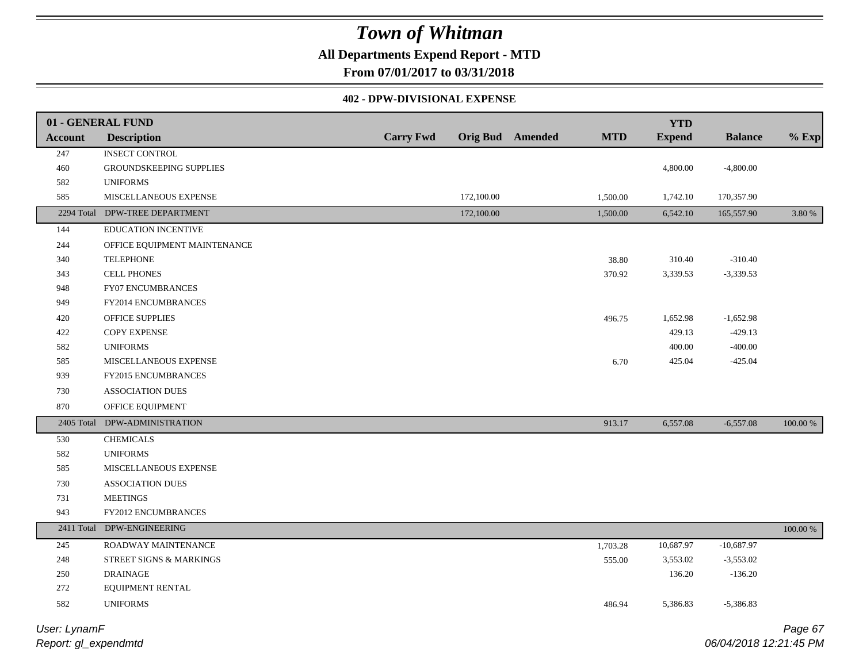### **All Departments Expend Report - MTD**

**From 07/01/2017 to 03/31/2018**

#### **402 - DPW-DIVISIONAL EXPENSE**

|                | 01 - GENERAL FUND              |                  |            |                         |            | <b>YTD</b>    |                |             |
|----------------|--------------------------------|------------------|------------|-------------------------|------------|---------------|----------------|-------------|
| <b>Account</b> | <b>Description</b>             | <b>Carry Fwd</b> |            | <b>Orig Bud</b> Amended | <b>MTD</b> | <b>Expend</b> | <b>Balance</b> | $%$ Exp     |
| 247            | <b>INSECT CONTROL</b>          |                  |            |                         |            |               |                |             |
| 460            | <b>GROUNDSKEEPING SUPPLIES</b> |                  |            |                         |            | 4,800.00      | $-4,800.00$    |             |
| 582            | <b>UNIFORMS</b>                |                  |            |                         |            |               |                |             |
| 585            | MISCELLANEOUS EXPENSE          |                  | 172,100.00 |                         | 1,500.00   | 1,742.10      | 170,357.90     |             |
|                | 2294 Total DPW-TREE DEPARTMENT |                  | 172,100.00 |                         | 1,500.00   | 6,542.10      | 165,557.90     | 3.80 %      |
| 144            | <b>EDUCATION INCENTIVE</b>     |                  |            |                         |            |               |                |             |
| 244            | OFFICE EQUIPMENT MAINTENANCE   |                  |            |                         |            |               |                |             |
| 340            | <b>TELEPHONE</b>               |                  |            |                         | 38.80      | 310.40        | $-310.40$      |             |
| 343            | <b>CELL PHONES</b>             |                  |            |                         | 370.92     | 3,339.53      | $-3,339.53$    |             |
| 948            | FY07 ENCUMBRANCES              |                  |            |                         |            |               |                |             |
| 949            | FY2014 ENCUMBRANCES            |                  |            |                         |            |               |                |             |
| 420            | OFFICE SUPPLIES                |                  |            |                         | 496.75     | 1,652.98      | $-1,652.98$    |             |
| 422            | <b>COPY EXPENSE</b>            |                  |            |                         |            | 429.13        | $-429.13$      |             |
| 582            | <b>UNIFORMS</b>                |                  |            |                         |            | 400.00        | $-400.00$      |             |
| 585            | MISCELLANEOUS EXPENSE          |                  |            |                         | 6.70       | 425.04        | $-425.04$      |             |
| 939            | FY2015 ENCUMBRANCES            |                  |            |                         |            |               |                |             |
| 730            | ASSOCIATION DUES               |                  |            |                         |            |               |                |             |
| 870            | OFFICE EQUIPMENT               |                  |            |                         |            |               |                |             |
| 2405 Total     | DPW-ADMINISTRATION             |                  |            |                         | 913.17     | 6,557.08      | $-6,557.08$    | 100.00 %    |
| 530            | <b>CHEMICALS</b>               |                  |            |                         |            |               |                |             |
| 582            | <b>UNIFORMS</b>                |                  |            |                         |            |               |                |             |
| 585            | MISCELLANEOUS EXPENSE          |                  |            |                         |            |               |                |             |
| 730            | <b>ASSOCIATION DUES</b>        |                  |            |                         |            |               |                |             |
| 731            | <b>MEETINGS</b>                |                  |            |                         |            |               |                |             |
| 943            | FY2012 ENCUMBRANCES            |                  |            |                         |            |               |                |             |
| 2411 Total     | DPW-ENGINEERING                |                  |            |                         |            |               |                | $100.00~\%$ |
| 245            | ROADWAY MAINTENANCE            |                  |            |                         | 1,703.28   | 10,687.97     | $-10,687.97$   |             |
| 248            | STREET SIGNS & MARKINGS        |                  |            |                         | 555.00     | 3,553.02      | $-3,553.02$    |             |
| $250\,$        | <b>DRAINAGE</b>                |                  |            |                         |            | 136.20        | $-136.20$      |             |
| 272            | EQUIPMENT RENTAL               |                  |            |                         |            |               |                |             |
| 582            | <b>UNIFORMS</b>                |                  |            |                         | 486.94     | 5,386.83      | $-5,386.83$    |             |
|                |                                |                  |            |                         |            |               |                |             |

*Report: gl\_expendmtd User: LynamF*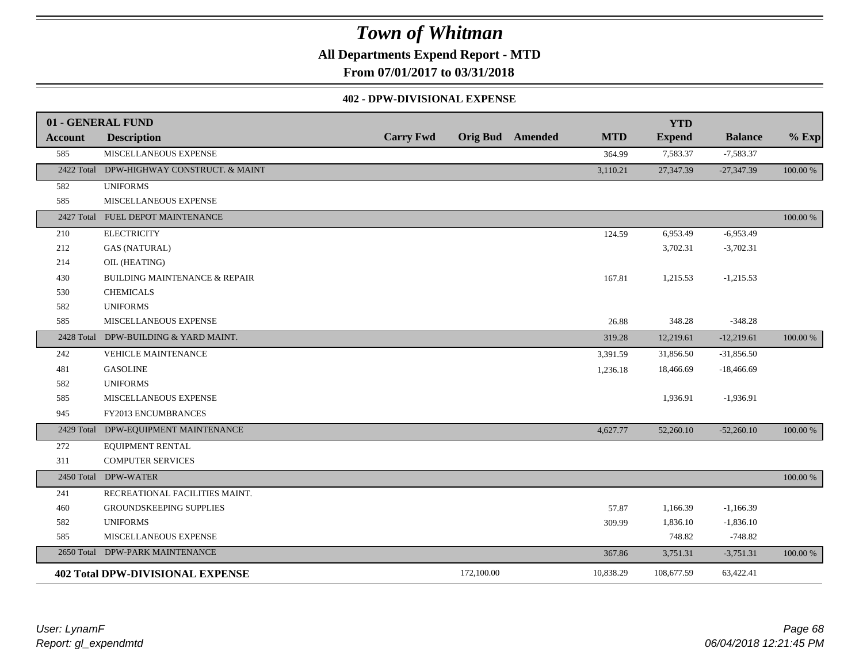**All Departments Expend Report - MTD**

**From 07/01/2017 to 03/31/2018**

#### **402 - DPW-DIVISIONAL EXPENSE**

|                | 01 - GENERAL FUND                        |                  |            |                         |            | <b>YTD</b>    |                |          |
|----------------|------------------------------------------|------------------|------------|-------------------------|------------|---------------|----------------|----------|
| <b>Account</b> | <b>Description</b>                       | <b>Carry Fwd</b> |            | <b>Orig Bud</b> Amended | <b>MTD</b> | <b>Expend</b> | <b>Balance</b> | $%$ Exp  |
| 585            | MISCELLANEOUS EXPENSE                    |                  |            |                         | 364.99     | 7,583.37      | $-7,583.37$    |          |
| 2422 Total     | DPW-HIGHWAY CONSTRUCT. & MAINT           |                  |            |                         | 3,110.21   | 27,347.39     | $-27,347.39$   | 100.00 % |
| 582            | <b>UNIFORMS</b>                          |                  |            |                         |            |               |                |          |
| 585            | MISCELLANEOUS EXPENSE                    |                  |            |                         |            |               |                |          |
|                | 2427 Total FUEL DEPOT MAINTENANCE        |                  |            |                         |            |               |                | 100.00 % |
| 210            | <b>ELECTRICITY</b>                       |                  |            |                         | 124.59     | 6,953.49      | $-6,953.49$    |          |
| 212            | <b>GAS (NATURAL)</b>                     |                  |            |                         |            | 3,702.31      | $-3,702.31$    |          |
| 214            | OIL (HEATING)                            |                  |            |                         |            |               |                |          |
| 430            | <b>BUILDING MAINTENANCE &amp; REPAIR</b> |                  |            |                         | 167.81     | 1,215.53      | $-1,215.53$    |          |
| 530            | <b>CHEMICALS</b>                         |                  |            |                         |            |               |                |          |
| 582            | <b>UNIFORMS</b>                          |                  |            |                         |            |               |                |          |
| 585            | MISCELLANEOUS EXPENSE                    |                  |            |                         | 26.88      | 348.28        | $-348.28$      |          |
|                | 2428 Total DPW-BUILDING & YARD MAINT.    |                  |            |                         | 319.28     | 12,219.61     | $-12,219.61$   | 100.00 % |
| 242            | <b>VEHICLE MAINTENANCE</b>               |                  |            |                         | 3,391.59   | 31,856.50     | $-31,856.50$   |          |
| 481            | <b>GASOLINE</b>                          |                  |            |                         | 1,236.18   | 18,466.69     | $-18,466.69$   |          |
| 582            | <b>UNIFORMS</b>                          |                  |            |                         |            |               |                |          |
| 585            | MISCELLANEOUS EXPENSE                    |                  |            |                         |            | 1,936.91      | $-1,936.91$    |          |
| 945            | FY2013 ENCUMBRANCES                      |                  |            |                         |            |               |                |          |
|                | 2429 Total DPW-EQUIPMENT MAINTENANCE     |                  |            |                         | 4,627.77   | 52,260.10     | $-52,260.10$   | 100.00 % |
| 272            | EQUIPMENT RENTAL                         |                  |            |                         |            |               |                |          |
| 311            | <b>COMPUTER SERVICES</b>                 |                  |            |                         |            |               |                |          |
|                | 2450 Total DPW-WATER                     |                  |            |                         |            |               |                | 100.00 % |
| 241            | RECREATIONAL FACILITIES MAINT.           |                  |            |                         |            |               |                |          |
| 460            | GROUNDSKEEPING SUPPLIES                  |                  |            |                         | 57.87      | 1,166.39      | $-1,166.39$    |          |
| 582            | <b>UNIFORMS</b>                          |                  |            |                         | 309.99     | 1,836.10      | $-1,836.10$    |          |
| 585            | MISCELLANEOUS EXPENSE                    |                  |            |                         |            | 748.82        | $-748.82$      |          |
|                | 2650 Total DPW-PARK MAINTENANCE          |                  |            |                         | 367.86     | 3,751.31      | $-3,751.31$    | 100.00 % |
|                | <b>402 Total DPW-DIVISIONAL EXPENSE</b>  |                  | 172,100.00 |                         | 10,838.29  | 108,677.59    | 63,422.41      |          |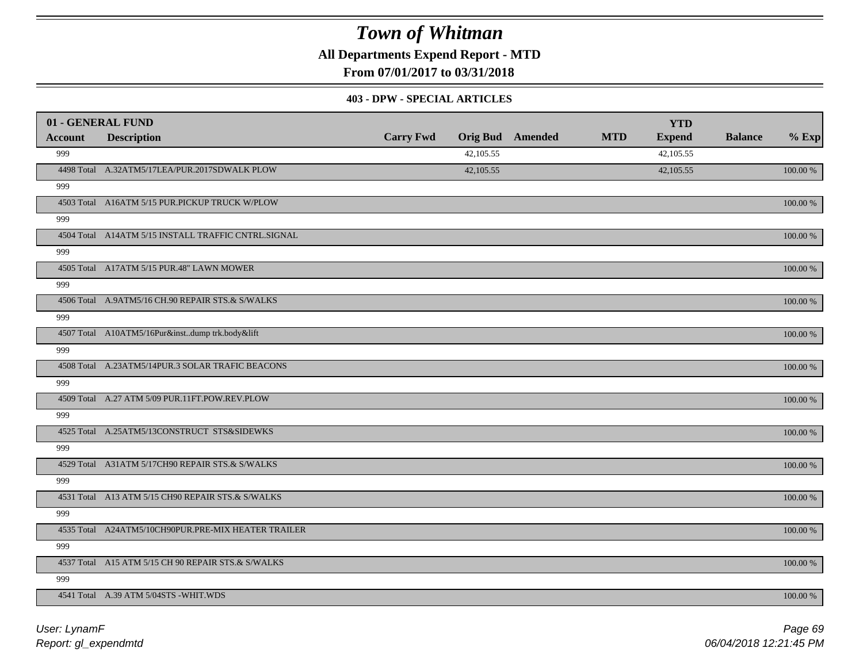**All Departments Expend Report - MTD**

**From 07/01/2017 to 03/31/2018**

#### **403 - DPW - SPECIAL ARTICLES**

|                | 01 - GENERAL FUND                                   |                  |           |                         |            | <b>YTD</b>    |                |             |
|----------------|-----------------------------------------------------|------------------|-----------|-------------------------|------------|---------------|----------------|-------------|
| <b>Account</b> | <b>Description</b>                                  | <b>Carry Fwd</b> |           | <b>Orig Bud</b> Amended | <b>MTD</b> | <b>Expend</b> | <b>Balance</b> | $%$ Exp     |
| 999            |                                                     |                  | 42,105.55 |                         |            | 42,105.55     |                |             |
|                | 4498 Total A.32ATM5/17LEA/PUR.2017SDWALK PLOW       |                  | 42,105.55 |                         |            | 42,105.55     |                | $100.00~\%$ |
| 999            |                                                     |                  |           |                         |            |               |                |             |
|                | 4503 Total A16ATM 5/15 PUR.PICKUP TRUCK W/PLOW      |                  |           |                         |            |               |                | 100.00 %    |
| 999            |                                                     |                  |           |                         |            |               |                |             |
|                | 4504 Total A14ATM 5/15 INSTALL TRAFFIC CNTRL.SIGNAL |                  |           |                         |            |               |                | 100.00 %    |
| 999            |                                                     |                  |           |                         |            |               |                |             |
|                | 4505 Total A17ATM 5/15 PUR.48" LAWN MOWER           |                  |           |                         |            |               |                | $100.00~\%$ |
| 999            |                                                     |                  |           |                         |            |               |                |             |
|                | 4506 Total A.9ATM5/16 CH.90 REPAIR STS.& S/WALKS    |                  |           |                         |            |               |                | 100.00 %    |
| 999            |                                                     |                  |           |                         |            |               |                |             |
|                | 4507 Total A10ATM5/16Pur&instdump trk.body&lift     |                  |           |                         |            |               |                | 100.00 %    |
| 999            |                                                     |                  |           |                         |            |               |                |             |
|                | 4508 Total A.23ATM5/14PUR.3 SOLAR TRAFIC BEACONS    |                  |           |                         |            |               |                | 100.00 %    |
| 999            |                                                     |                  |           |                         |            |               |                |             |
|                | 4509 Total A.27 ATM 5/09 PUR.11FT.POW.REV.PLOW      |                  |           |                         |            |               |                | 100.00 %    |
| 999            |                                                     |                  |           |                         |            |               |                |             |
|                | 4525 Total A.25ATM5/13CONSTRUCT STS&SIDEWKS         |                  |           |                         |            |               |                | 100.00 %    |
| 999            |                                                     |                  |           |                         |            |               |                |             |
|                | 4529 Total A31ATM 5/17CH90 REPAIR STS.& S/WALKS     |                  |           |                         |            |               |                | $100.00~\%$ |
| 999            |                                                     |                  |           |                         |            |               |                |             |
|                | 4531 Total A13 ATM 5/15 CH90 REPAIR STS.& S/WALKS   |                  |           |                         |            |               |                | $100.00~\%$ |
| 999            |                                                     |                  |           |                         |            |               |                |             |
|                | 4535 Total A24ATM5/10CH90PUR.PRE-MIX HEATER TRAILER |                  |           |                         |            |               |                | 100.00 %    |
| 999            |                                                     |                  |           |                         |            |               |                |             |
|                | 4537 Total A15 ATM 5/15 CH 90 REPAIR STS.& S/WALKS  |                  |           |                         |            |               |                | 100.00 %    |
| 999            |                                                     |                  |           |                         |            |               |                |             |
|                | 4541 Total A.39 ATM 5/04STS -WHIT.WDS               |                  |           |                         |            |               |                | 100.00 %    |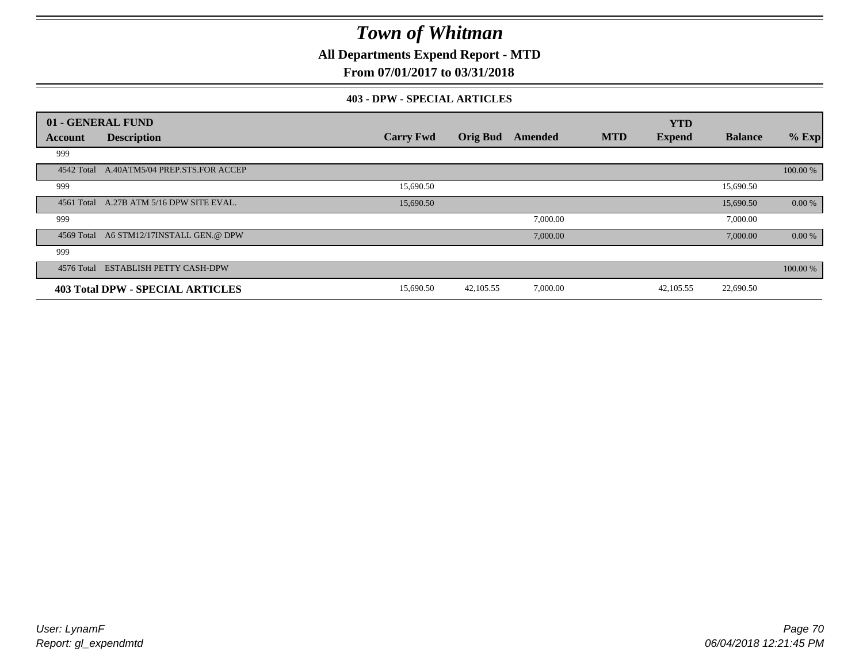**All Departments Expend Report - MTD**

### **From 07/01/2017 to 03/31/2018**

#### **403 - DPW - SPECIAL ARTICLES**

| 01 - GENERAL FUND |                                           |                  |                 |          |            | <b>YTD</b>    |                |          |
|-------------------|-------------------------------------------|------------------|-----------------|----------|------------|---------------|----------------|----------|
| Account           | <b>Description</b>                        | <b>Carry Fwd</b> | <b>Orig Bud</b> | Amended  | <b>MTD</b> | <b>Expend</b> | <b>Balance</b> | $%$ Exp  |
| 999               |                                           |                  |                 |          |            |               |                |          |
|                   | 4542 Total A.40ATM5/04 PREP.STS.FOR ACCEP |                  |                 |          |            |               |                | 100.00 % |
| 999               |                                           | 15,690.50        |                 |          |            |               | 15,690.50      |          |
|                   | 4561 Total A.27B ATM 5/16 DPW SITE EVAL.  | 15,690.50        |                 |          |            |               | 15,690.50      | 0.00 %   |
| 999               |                                           |                  |                 | 7,000.00 |            |               | 7,000.00       |          |
|                   | 4569 Total A6 STM12/17INSTALL GEN.@ DPW   |                  |                 | 7,000.00 |            |               | 7,000.00       | 0.00 %   |
| 999               |                                           |                  |                 |          |            |               |                |          |
| 4576 Total        | <b>ESTABLISH PETTY CASH-DPW</b>           |                  |                 |          |            |               |                | 100.00 % |
|                   | 403 Total DPW - SPECIAL ARTICLES          | 15,690.50        | 42,105.55       | 7,000.00 |            | 42,105.55     | 22,690.50      |          |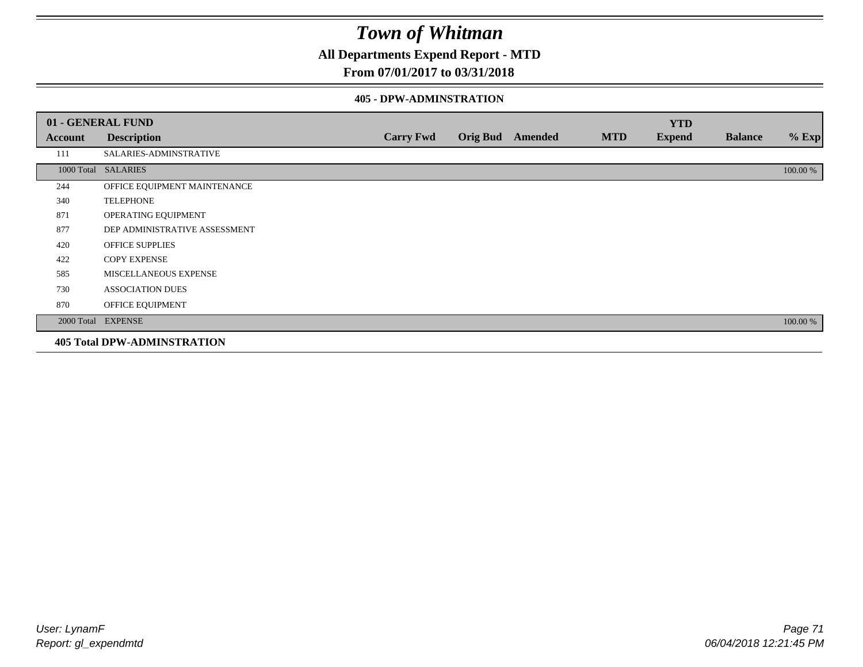**All Departments Expend Report - MTD**

### **From 07/01/2017 to 03/31/2018**

#### **405 - DPW-ADMINSTRATION**

|         | 01 - GENERAL FUND                  |                  |                  |            | <b>YTD</b>    |                |          |
|---------|------------------------------------|------------------|------------------|------------|---------------|----------------|----------|
| Account | <b>Description</b>                 | <b>Carry Fwd</b> | Orig Bud Amended | <b>MTD</b> | <b>Expend</b> | <b>Balance</b> | $%$ Exp  |
| 111     | SALARIES-ADMINSTRATIVE             |                  |                  |            |               |                |          |
|         | 1000 Total SALARIES                |                  |                  |            |               |                | 100.00 % |
| 244     | OFFICE EQUIPMENT MAINTENANCE       |                  |                  |            |               |                |          |
| 340     | <b>TELEPHONE</b>                   |                  |                  |            |               |                |          |
| 871     | OPERATING EQUIPMENT                |                  |                  |            |               |                |          |
| 877     | DEP ADMINISTRATIVE ASSESSMENT      |                  |                  |            |               |                |          |
| 420     | <b>OFFICE SUPPLIES</b>             |                  |                  |            |               |                |          |
| 422     | <b>COPY EXPENSE</b>                |                  |                  |            |               |                |          |
| 585     | MISCELLANEOUS EXPENSE              |                  |                  |            |               |                |          |
| 730     | <b>ASSOCIATION DUES</b>            |                  |                  |            |               |                |          |
| 870     | OFFICE EQUIPMENT                   |                  |                  |            |               |                |          |
|         | 2000 Total EXPENSE                 |                  |                  |            |               |                | 100.00 % |
|         | <b>405 Total DPW-ADMINSTRATION</b> |                  |                  |            |               |                |          |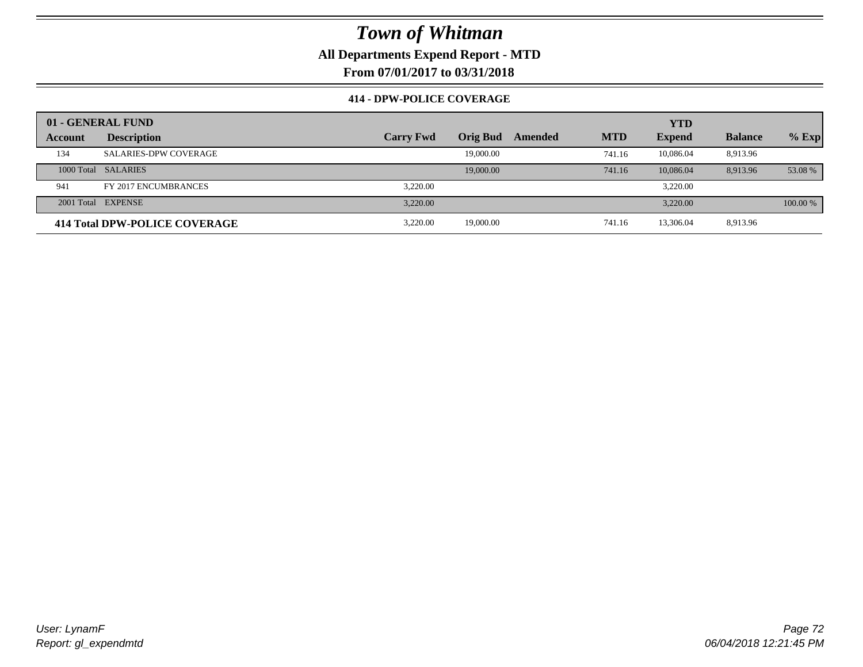**All Departments Expend Report - MTD**

**From 07/01/2017 to 03/31/2018**

#### **414 - DPW-POLICE COVERAGE**

|         | 01 - GENERAL FUND             |                  |                 |         |            | <b>YTD</b>    |                |          |
|---------|-------------------------------|------------------|-----------------|---------|------------|---------------|----------------|----------|
| Account | <b>Description</b>            | <b>Carry Fwd</b> | <b>Orig Bud</b> | Amended | <b>MTD</b> | <b>Expend</b> | <b>Balance</b> | $%$ Exp  |
| 134     | <b>SALARIES-DPW COVERAGE</b>  |                  | 19,000.00       |         | 741.16     | 10.086.04     | 8,913.96       |          |
|         | 1000 Total SALARIES           |                  | 19,000.00       |         | 741.16     | 10,086.04     | 8,913.96       | 53.08 %  |
| 941     | FY 2017 ENCUMBRANCES          | 3.220.00         |                 |         |            | 3,220.00      |                |          |
|         | 2001 Total EXPENSE            | 3.220.00         |                 |         |            | 3.220.00      |                | 100.00 % |
|         | 414 Total DPW-POLICE COVERAGE | 3.220.00         | 19,000.00       |         | 741.16     | 13.306.04     | 8,913.96       |          |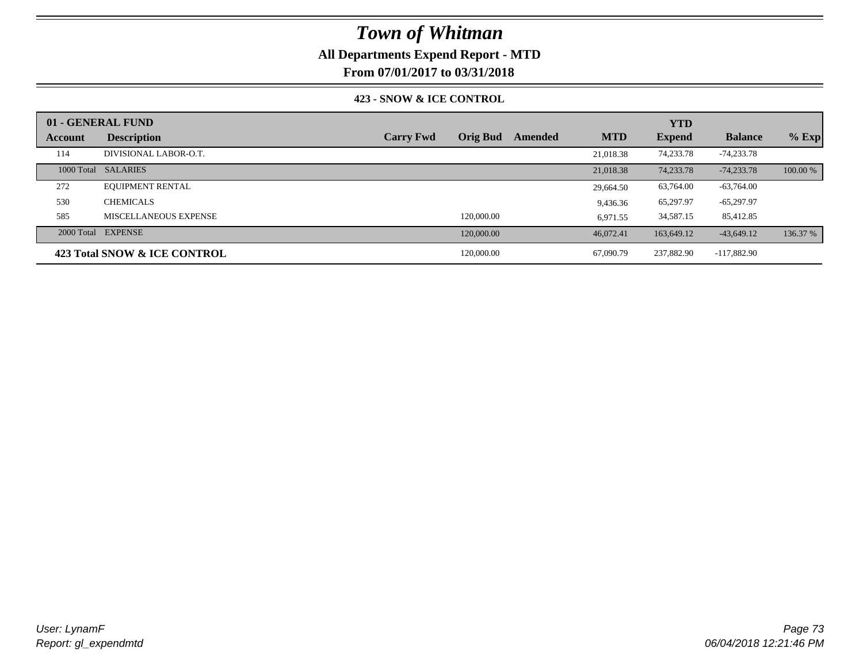## **All Departments Expend Report - MTD**

**From 07/01/2017 to 03/31/2018**

### **423 - SNOW & ICE CONTROL**

|         | 01 - GENERAL FUND            |                  |                 |         |            | <b>YTD</b>    |                |          |
|---------|------------------------------|------------------|-----------------|---------|------------|---------------|----------------|----------|
| Account | <b>Description</b>           | <b>Carry Fwd</b> | <b>Orig Bud</b> | Amended | <b>MTD</b> | <b>Expend</b> | <b>Balance</b> | $%$ Exp  |
| 114     | DIVISIONAL LABOR-O.T.        |                  |                 |         | 21.018.38  | 74,233.78     | $-74,233.78$   |          |
|         | 1000 Total SALARIES          |                  |                 |         | 21.018.38  | 74,233.78     | $-74,233.78$   | 100.00 % |
| 272     | <b>EQUIPMENT RENTAL</b>      |                  |                 |         | 29,664.50  | 63,764.00     | $-63,764.00$   |          |
| 530     | <b>CHEMICALS</b>             |                  |                 |         | 9,436.36   | 65,297.97     | $-65,297.97$   |          |
| 585     | MISCELLANEOUS EXPENSE        |                  | 120,000.00      |         | 6,971.55   | 34,587.15     | 85,412.85      |          |
|         | 2000 Total EXPENSE           |                  | 120,000.00      |         | 46,072.41  | 163,649.12    | $-43,649.12$   | 136.37 % |
|         | 423 Total SNOW & ICE CONTROL |                  | 120,000.00      |         | 67,090.79  | 237,882.90    | $-117,882.90$  |          |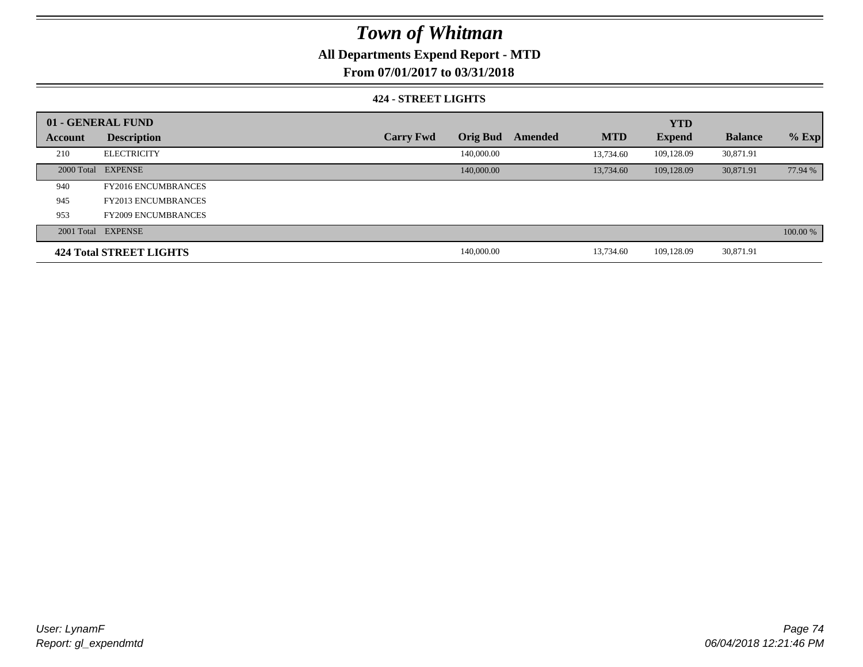## **All Departments Expend Report - MTD**

**From 07/01/2017 to 03/31/2018**

### **424 - STREET LIGHTS**

|         | 01 - GENERAL FUND          |                  |                 |         | <b>YTD</b> |               |                |          |
|---------|----------------------------|------------------|-----------------|---------|------------|---------------|----------------|----------|
| Account | <b>Description</b>         | <b>Carry Fwd</b> | <b>Orig Bud</b> | Amended | <b>MTD</b> | <b>Expend</b> | <b>Balance</b> | $%$ Exp  |
| 210     | <b>ELECTRICITY</b>         |                  | 140,000.00      |         | 13.734.60  | 109,128.09    | 30,871.91      |          |
|         | 2000 Total EXPENSE         |                  | 140,000.00      |         | 13,734.60  | 109,128.09    | 30,871.91      | 77.94 %  |
| 940     | <b>FY2016 ENCUMBRANCES</b> |                  |                 |         |            |               |                |          |
| 945     | <b>FY2013 ENCUMBRANCES</b> |                  |                 |         |            |               |                |          |
| 953     | <b>FY2009 ENCUMBRANCES</b> |                  |                 |         |            |               |                |          |
|         | 2001 Total EXPENSE         |                  |                 |         |            |               |                | 100.00 % |
|         | 424 Total STREET LIGHTS    |                  | 140,000.00      |         | 13,734.60  | 109,128.09    | 30,871.91      |          |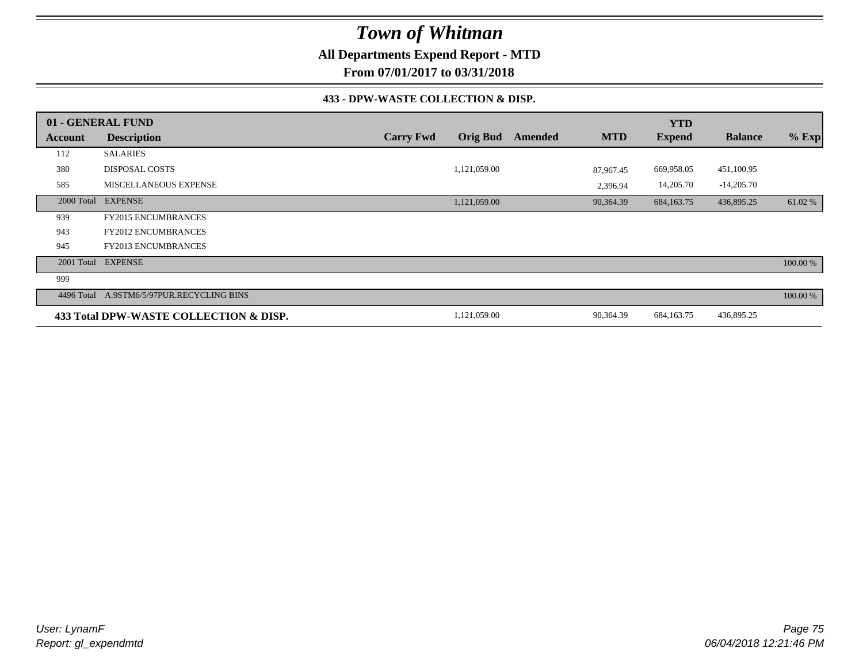**All Departments Expend Report - MTD**

**From 07/01/2017 to 03/31/2018**

### **433 - DPW-WASTE COLLECTION & DISP.**

|         | 01 - GENERAL FUND                         |                  |                 |         |            | <b>YTD</b>    |                |          |
|---------|-------------------------------------------|------------------|-----------------|---------|------------|---------------|----------------|----------|
| Account | <b>Description</b>                        | <b>Carry Fwd</b> | <b>Orig Bud</b> | Amended | <b>MTD</b> | <b>Expend</b> | <b>Balance</b> | $%$ Exp  |
| 112     | <b>SALARIES</b>                           |                  |                 |         |            |               |                |          |
| 380     | <b>DISPOSAL COSTS</b>                     |                  | 1,121,059.00    |         | 87,967.45  | 669,958.05    | 451,100.95     |          |
| 585     | <b>MISCELLANEOUS EXPENSE</b>              |                  |                 |         | 2,396.94   | 14,205.70     | $-14,205.70$   |          |
|         | 2000 Total EXPENSE                        |                  | 1,121,059.00    |         | 90,364.39  | 684, 163. 75  | 436,895.25     | 61.02%   |
| 939     | <b>FY2015 ENCUMBRANCES</b>                |                  |                 |         |            |               |                |          |
| 943     | <b>FY2012 ENCUMBRANCES</b>                |                  |                 |         |            |               |                |          |
| 945     | <b>FY2013 ENCUMBRANCES</b>                |                  |                 |         |            |               |                |          |
|         | 2001 Total EXPENSE                        |                  |                 |         |            |               |                | 100.00 % |
| 999     |                                           |                  |                 |         |            |               |                |          |
|         | 4496 Total A.9STM6/5/97PUR.RECYCLING BINS |                  |                 |         |            |               |                | 100.00 % |
|         | 433 Total DPW-WASTE COLLECTION & DISP.    |                  | 1,121,059.00    |         | 90,364.39  | 684, 163. 75  | 436,895.25     |          |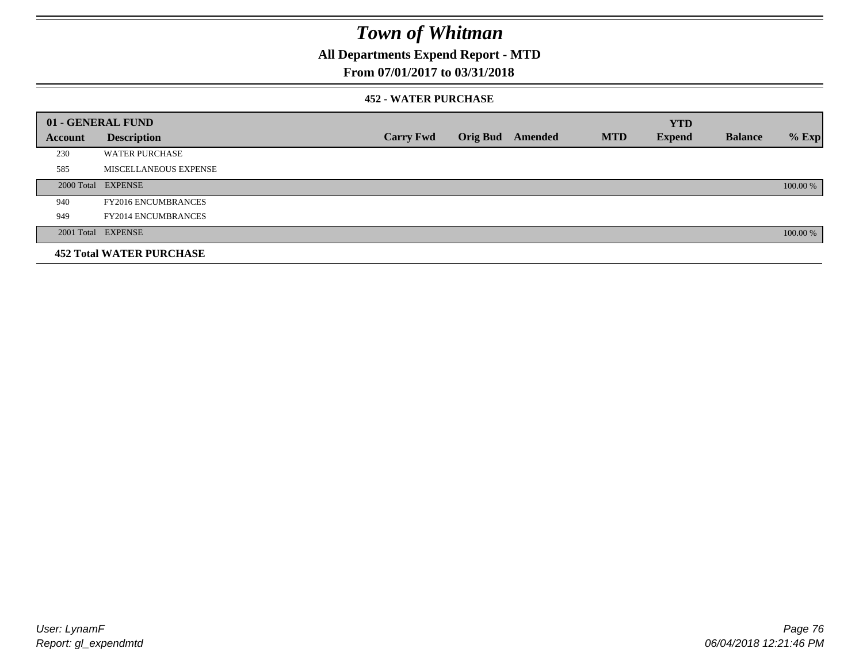## **All Departments Expend Report - MTD**

## **From 07/01/2017 to 03/31/2018**

### **452 - WATER PURCHASE**

|         | 01 - GENERAL FUND               |                  |                 |         |            | <b>YTD</b>    |                |          |
|---------|---------------------------------|------------------|-----------------|---------|------------|---------------|----------------|----------|
| Account | <b>Description</b>              | <b>Carry Fwd</b> | <b>Orig Bud</b> | Amended | <b>MTD</b> | <b>Expend</b> | <b>Balance</b> | $%$ Exp  |
| 230     | <b>WATER PURCHASE</b>           |                  |                 |         |            |               |                |          |
| 585     | MISCELLANEOUS EXPENSE           |                  |                 |         |            |               |                |          |
|         | 2000 Total EXPENSE              |                  |                 |         |            |               |                | 100.00 % |
| 940     | <b>FY2016 ENCUMBRANCES</b>      |                  |                 |         |            |               |                |          |
| 949     | <b>FY2014 ENCUMBRANCES</b>      |                  |                 |         |            |               |                |          |
|         | 2001 Total EXPENSE              |                  |                 |         |            |               |                | 100.00 % |
|         | <b>452 Total WATER PURCHASE</b> |                  |                 |         |            |               |                |          |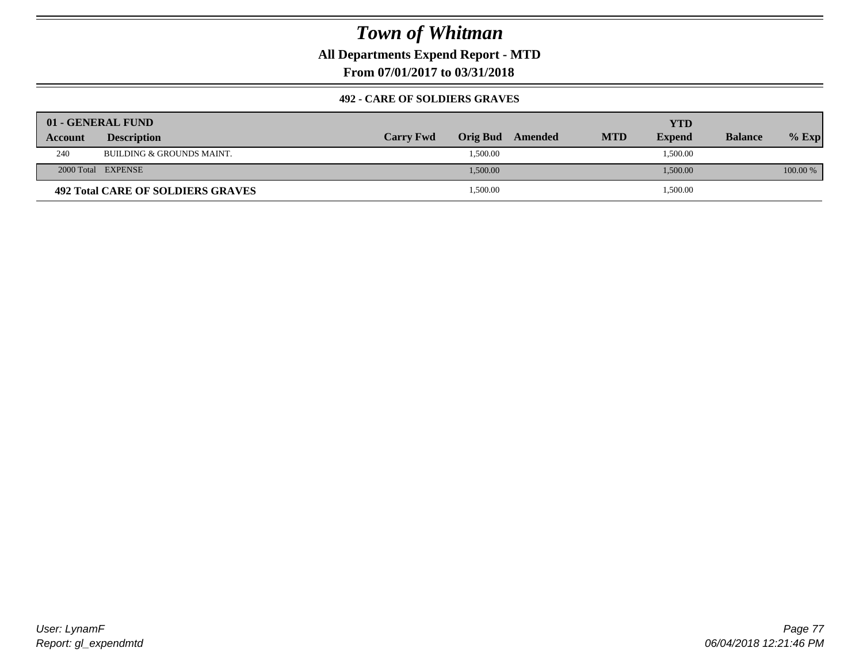**All Departments Expend Report - MTD**

**From 07/01/2017 to 03/31/2018**

### **492 - CARE OF SOLDIERS GRAVES**

|                | 01 - GENERAL FUND                    |                  |          |         | YTD        |               |                |          |
|----------------|--------------------------------------|------------------|----------|---------|------------|---------------|----------------|----------|
| <b>Account</b> | <b>Description</b>                   | <b>Carry Fwd</b> | Orig Bud | Amended | <b>MTD</b> | <b>Expend</b> | <b>Balance</b> | $%$ Exp  |
| 240            | <b>BUILDING &amp; GROUNDS MAINT.</b> |                  | 1,500.00 |         |            | 1,500.00      |                |          |
|                | 2000 Total EXPENSE                   |                  | 1,500.00 |         |            | 1,500.00      |                | 100.00 % |
|                | 492 Total CARE OF SOLDIERS GRAVES    |                  | 1,500.00 |         |            | 1,500.00      |                |          |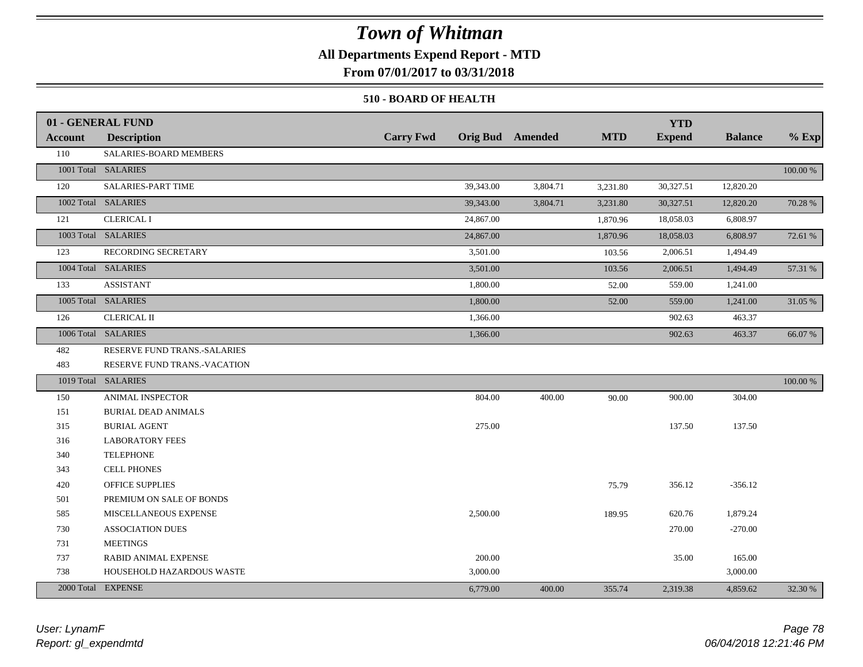## **All Departments Expend Report - MTD**

**From 07/01/2017 to 03/31/2018**

### **510 - BOARD OF HEALTH**

|         | 01 - GENERAL FUND            |                  |                         |            | <b>YTD</b>    |                |          |
|---------|------------------------------|------------------|-------------------------|------------|---------------|----------------|----------|
| Account | <b>Description</b>           | <b>Carry Fwd</b> | <b>Orig Bud</b> Amended | <b>MTD</b> | <b>Expend</b> | <b>Balance</b> | $%$ Exp  |
| 110     | SALARIES-BOARD MEMBERS       |                  |                         |            |               |                |          |
|         | 1001 Total SALARIES          |                  |                         |            |               |                | 100.00 % |
| 120     | SALARIES-PART TIME           | 39,343.00        | 3,804.71                | 3,231.80   | 30,327.51     | 12,820.20      |          |
|         | 1002 Total SALARIES          | 39,343.00        | 3,804.71                | 3,231.80   | 30,327.51     | 12,820.20      | 70.28 %  |
| 121     | <b>CLERICAL I</b>            | 24,867.00        |                         | 1,870.96   | 18,058.03     | 6,808.97       |          |
|         | 1003 Total SALARIES          | 24,867.00        |                         | 1,870.96   | 18,058.03     | 6,808.97       | 72.61 %  |
| 123     | RECORDING SECRETARY          | 3,501.00         |                         | 103.56     | 2,006.51      | 1,494.49       |          |
|         | 1004 Total SALARIES          | 3,501.00         |                         | 103.56     | 2,006.51      | 1,494.49       | 57.31 %  |
| 133     | <b>ASSISTANT</b>             | 1,800.00         |                         | 52.00      | 559.00        | 1,241.00       |          |
|         | 1005 Total SALARIES          | 1,800.00         |                         | 52.00      | 559.00        | 1,241.00       | 31.05 %  |
| 126     | <b>CLERICAL II</b>           | 1,366.00         |                         |            | 902.63        | 463.37         |          |
|         | 1006 Total SALARIES          | 1,366.00         |                         |            | 902.63        | 463.37         | 66.07 %  |
| 482     | RESERVE FUND TRANS.-SALARIES |                  |                         |            |               |                |          |
| 483     | RESERVE FUND TRANS.-VACATION |                  |                         |            |               |                |          |
|         | 1019 Total SALARIES          |                  |                         |            |               |                | 100.00 % |
| 150     | <b>ANIMAL INSPECTOR</b>      | 804.00           | 400.00                  | 90.00      | 900.00        | 304.00         |          |
| 151     | <b>BURIAL DEAD ANIMALS</b>   |                  |                         |            |               |                |          |
| 315     | <b>BURIAL AGENT</b>          | 275.00           |                         |            | 137.50        | 137.50         |          |
| 316     | <b>LABORATORY FEES</b>       |                  |                         |            |               |                |          |
| 340     | <b>TELEPHONE</b>             |                  |                         |            |               |                |          |
| 343     | <b>CELL PHONES</b>           |                  |                         |            |               |                |          |
| 420     | <b>OFFICE SUPPLIES</b>       |                  |                         | 75.79      | 356.12        | $-356.12$      |          |
| 501     | PREMIUM ON SALE OF BONDS     |                  |                         |            |               |                |          |
| 585     | MISCELLANEOUS EXPENSE        | 2,500.00         |                         | 189.95     | 620.76        | 1,879.24       |          |
| 730     | <b>ASSOCIATION DUES</b>      |                  |                         |            | 270.00        | $-270.00$      |          |
| 731     | <b>MEETINGS</b>              |                  |                         |            |               |                |          |
| 737     | <b>RABID ANIMAL EXPENSE</b>  | 200.00           |                         |            | 35.00         | 165.00         |          |
| 738     | HOUSEHOLD HAZARDOUS WASTE    | 3,000.00         |                         |            |               | 3,000.00       |          |
|         | 2000 Total EXPENSE           | 6,779.00         | 400.00                  | 355.74     | 2,319.38      | 4,859.62       | 32.30 %  |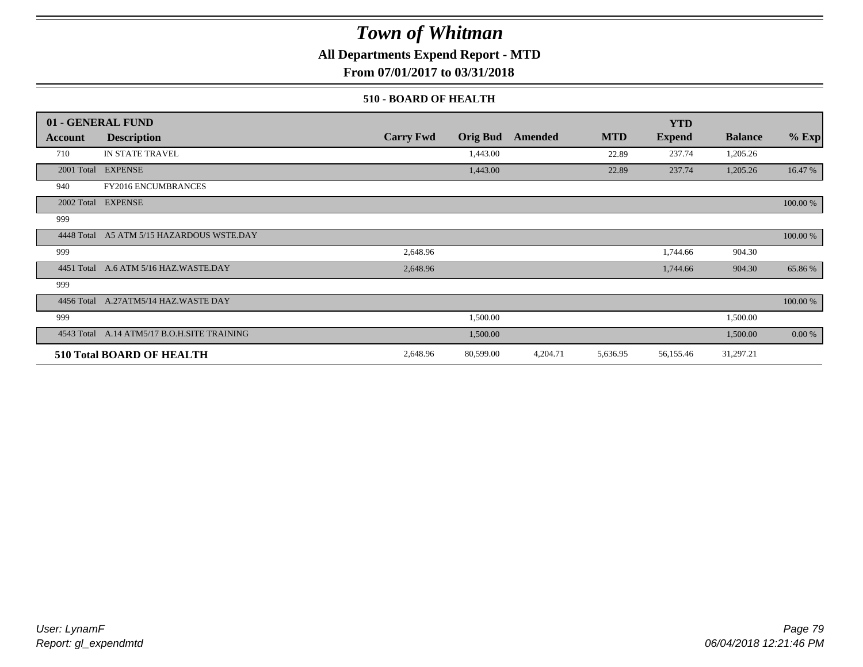**All Departments Expend Report - MTD**

**From 07/01/2017 to 03/31/2018**

### **510 - BOARD OF HEALTH**

|            | 01 - GENERAL FUND                           |                  |                 |          |            | <b>YTD</b>    |                |          |
|------------|---------------------------------------------|------------------|-----------------|----------|------------|---------------|----------------|----------|
| Account    | <b>Description</b>                          | <b>Carry Fwd</b> | <b>Orig Bud</b> | Amended  | <b>MTD</b> | <b>Expend</b> | <b>Balance</b> | $%$ Exp  |
| 710        | <b>IN STATE TRAVEL</b>                      |                  | 1,443.00        |          | 22.89      | 237.74        | 1,205.26       |          |
|            | 2001 Total EXPENSE                          |                  | 1,443.00        |          | 22.89      | 237.74        | 1,205.26       | 16.47 %  |
| 940        | <b>FY2016 ENCUMBRANCES</b>                  |                  |                 |          |            |               |                |          |
|            | 2002 Total EXPENSE                          |                  |                 |          |            |               |                | 100.00 % |
| 999        |                                             |                  |                 |          |            |               |                |          |
|            | 4448 Total A5 ATM 5/15 HAZARDOUS WSTE.DAY   |                  |                 |          |            |               |                | 100.00 % |
| 999        |                                             | 2,648.96         |                 |          |            | 1,744.66      | 904.30         |          |
| 4451 Total | A.6 ATM 5/16 HAZ.WASTE.DAY                  | 2,648.96         |                 |          |            | 1,744.66      | 904.30         | 65.86%   |
| 999        |                                             |                  |                 |          |            |               |                |          |
|            | 4456 Total A.27ATM5/14 HAZ.WASTE DAY        |                  |                 |          |            |               |                | 100.00 % |
| 999        |                                             |                  | 1,500.00        |          |            |               | 1,500.00       |          |
|            | 4543 Total A.14 ATM5/17 B.O.H.SITE TRAINING |                  | 1,500.00        |          |            |               | 1,500.00       | 0.00 %   |
|            | <b>510 Total BOARD OF HEALTH</b>            | 2,648.96         | 80,599.00       | 4,204.71 | 5,636.95   | 56,155.46     | 31,297.21      |          |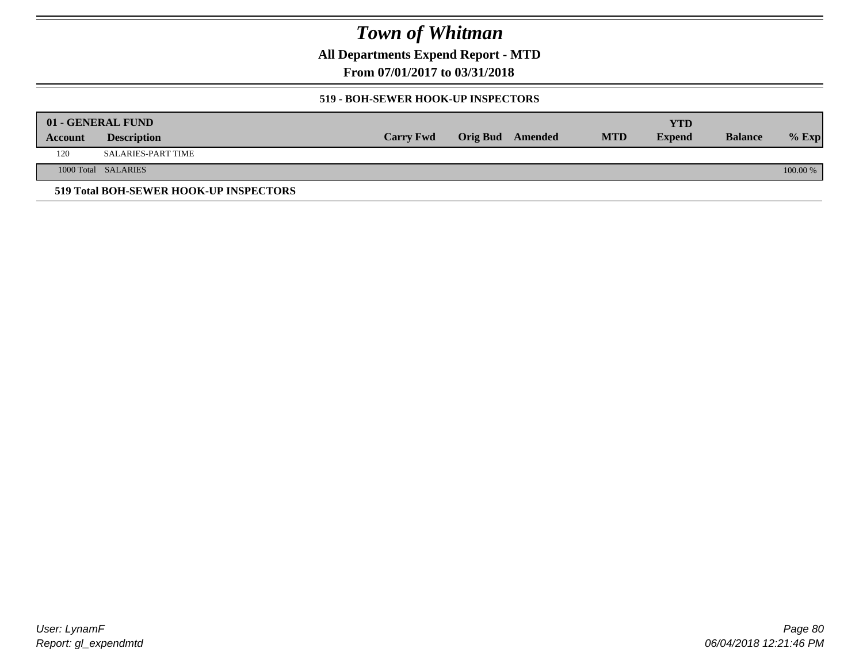**All Departments Expend Report - MTD**

**From 07/01/2017 to 03/31/2018**

### **519 - BOH-SEWER HOOK-UP INSPECTORS**

|         | 01 - GENERAL FUND                      |                  |                  |            | YTD           |                |          |
|---------|----------------------------------------|------------------|------------------|------------|---------------|----------------|----------|
| Account | <b>Description</b>                     | <b>Carry Fwd</b> | Orig Bud Amended | <b>MTD</b> | <b>Expend</b> | <b>Balance</b> | $%$ Exp  |
| 120     | SALARIES-PART TIME                     |                  |                  |            |               |                |          |
|         | 1000 Total SALARIES                    |                  |                  |            |               |                | 100.00 % |
|         | 519 Total BOH-SEWER HOOK-UP INSPECTORS |                  |                  |            |               |                |          |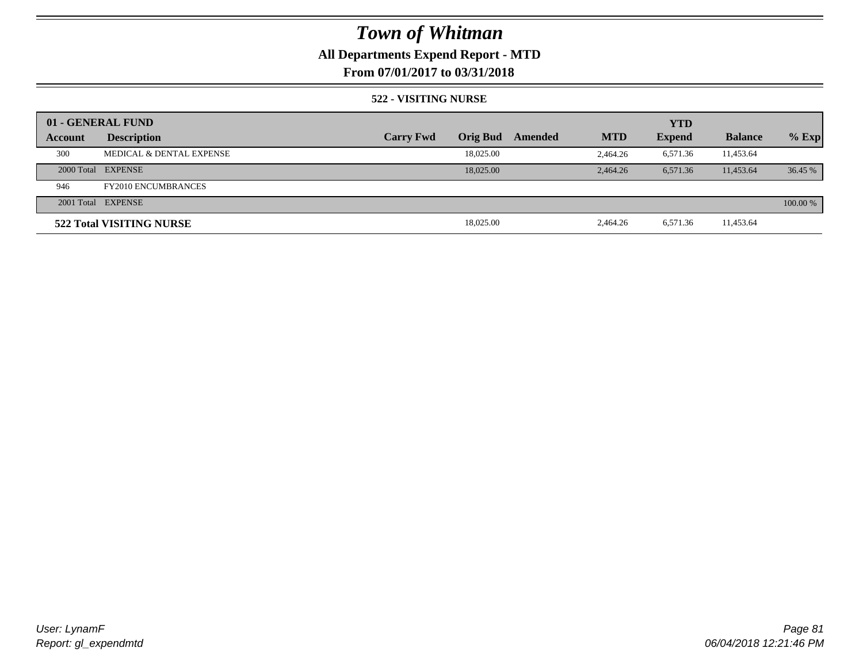## **All Departments Expend Report - MTD**

## **From 07/01/2017 to 03/31/2018**

### **522 - VISITING NURSE**

|         | 01 - GENERAL FUND          |                  |                 |         |            | <b>YTD</b>    |                |          |
|---------|----------------------------|------------------|-----------------|---------|------------|---------------|----------------|----------|
| Account | <b>Description</b>         | <b>Carry Fwd</b> | <b>Orig Bud</b> | Amended | <b>MTD</b> | <b>Expend</b> | <b>Balance</b> | $%$ Exp  |
| 300     | MEDICAL & DENTAL EXPENSE   |                  | 18,025.00       |         | 2.464.26   | 6.571.36      | 11,453.64      |          |
|         | 2000 Total EXPENSE         |                  | 18,025,00       |         | 2.464.26   | 6.571.36      | 11,453.64      | 36.45 %  |
| 946     | <b>FY2010 ENCUMBRANCES</b> |                  |                 |         |            |               |                |          |
|         | 2001 Total EXPENSE         |                  |                 |         |            |               |                | 100.00 % |
|         | 522 Total VISITING NURSE   |                  | 18,025.00       |         | 2,464.26   | 6,571.36      | 11,453.64      |          |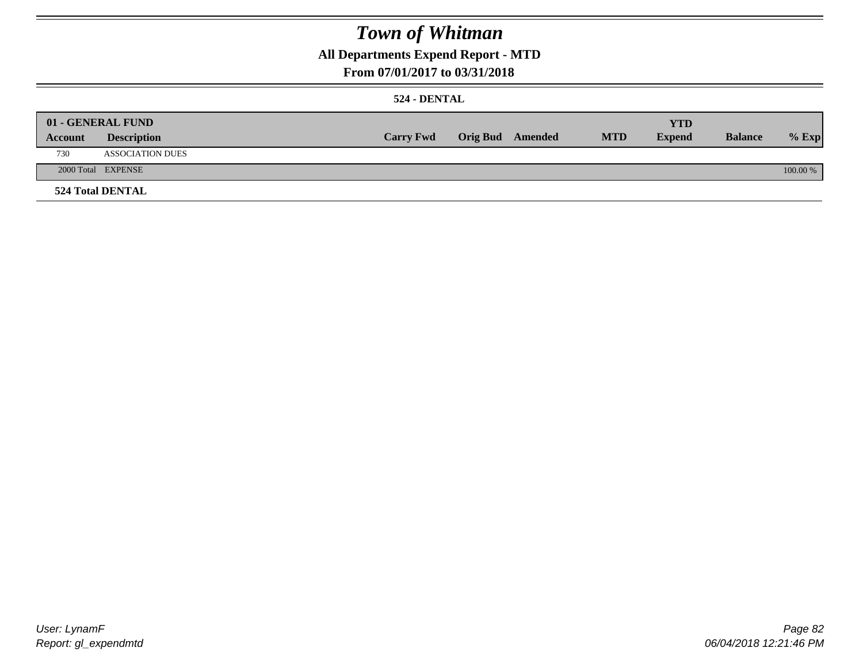## **All Departments Expend Report - MTD**

### **From 07/01/2017 to 03/31/2018**

### **524 - DENTAL**

|         | 01 - GENERAL FUND       |                  |                  |            | <b>YTD</b>    |                |          |
|---------|-------------------------|------------------|------------------|------------|---------------|----------------|----------|
| Account | <b>Description</b>      | <b>Carry Fwd</b> | Orig Bud Amended | <b>MTD</b> | <b>Expend</b> | <b>Balance</b> | $%$ Exp  |
| 730     | <b>ASSOCIATION DUES</b> |                  |                  |            |               |                |          |
|         | 2000 Total EXPENSE      |                  |                  |            |               |                | 100.00 % |
|         | <b>524 Total DENTAL</b> |                  |                  |            |               |                |          |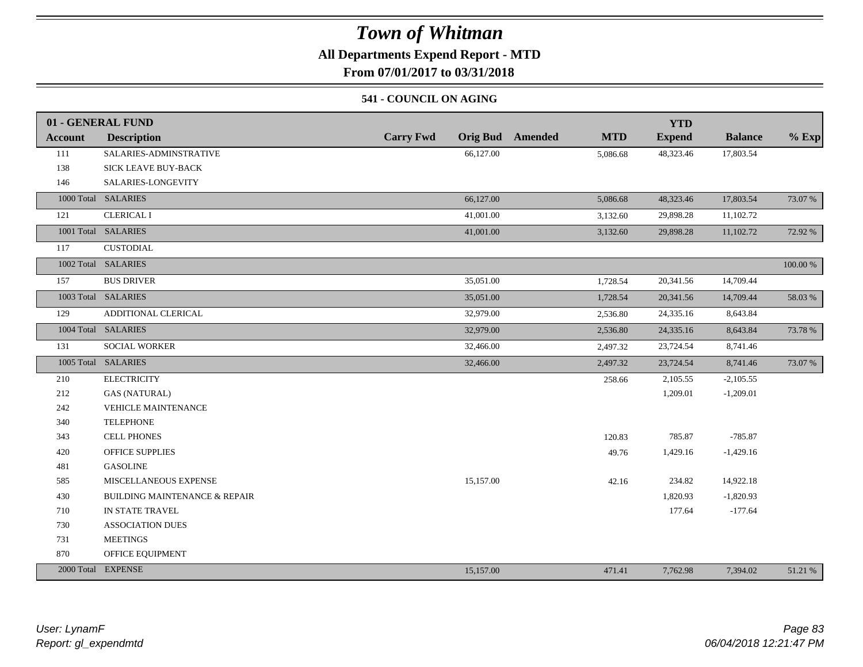## **All Departments Expend Report - MTD**

**From 07/01/2017 to 03/31/2018**

### **541 - COUNCIL ON AGING**

|                | 01 - GENERAL FUND                        |                  |                                       | <b>YTD</b>    |                |          |
|----------------|------------------------------------------|------------------|---------------------------------------|---------------|----------------|----------|
| <b>Account</b> | <b>Description</b>                       | <b>Carry Fwd</b> | <b>Orig Bud</b> Amended<br><b>MTD</b> | <b>Expend</b> | <b>Balance</b> | $%$ Exp  |
| 111            | SALARIES-ADMINSTRATIVE                   | 66,127.00        | 5,086.68                              | 48,323.46     | 17,803.54      |          |
| 138            | SICK LEAVE BUY-BACK                      |                  |                                       |               |                |          |
| 146            | SALARIES-LONGEVITY                       |                  |                                       |               |                |          |
|                | 1000 Total SALARIES                      | 66,127.00        | 5,086.68                              | 48,323.46     | 17,803.54      | 73.07 %  |
| 121            | <b>CLERICAL I</b>                        | 41,001.00        | 3,132.60                              | 29,898.28     | 11,102.72      |          |
|                | 1001 Total SALARIES                      | 41,001.00        | 3,132.60                              | 29,898.28     | 11,102.72      | 72.92 %  |
| 117            | <b>CUSTODIAL</b>                         |                  |                                       |               |                |          |
|                | 1002 Total SALARIES                      |                  |                                       |               |                | 100.00 % |
| 157            | <b>BUS DRIVER</b>                        | 35,051.00        | 1,728.54                              | 20,341.56     | 14,709.44      |          |
|                | 1003 Total SALARIES                      | 35,051.00        | 1,728.54                              | 20,341.56     | 14,709.44      | 58.03%   |
| 129            | ADDITIONAL CLERICAL                      | 32,979.00        | 2,536.80                              | 24,335.16     | 8,643.84       |          |
|                | 1004 Total SALARIES                      | 32,979.00        | 2,536.80                              | 24,335.16     | 8,643.84       | 73.78 %  |
| 131            | <b>SOCIAL WORKER</b>                     | 32,466.00        | 2,497.32                              | 23,724.54     | 8,741.46       |          |
|                | 1005 Total SALARIES                      | 32,466.00        | 2,497.32                              | 23,724.54     | 8,741.46       | 73.07 %  |
| 210            | <b>ELECTRICITY</b>                       |                  | 258.66                                | 2,105.55      | $-2,105.55$    |          |
| 212            | <b>GAS (NATURAL)</b>                     |                  |                                       | 1,209.01      | $-1,209.01$    |          |
| 242            | <b>VEHICLE MAINTENANCE</b>               |                  |                                       |               |                |          |
| 340            | <b>TELEPHONE</b>                         |                  |                                       |               |                |          |
| 343            | <b>CELL PHONES</b>                       |                  | 120.83                                | 785.87        | $-785.87$      |          |
| 420            | <b>OFFICE SUPPLIES</b>                   |                  | 49.76                                 | 1,429.16      | $-1,429.16$    |          |
| 481            | <b>GASOLINE</b>                          |                  |                                       |               |                |          |
| 585            | MISCELLANEOUS EXPENSE                    | 15,157.00        | 42.16                                 | 234.82        | 14,922.18      |          |
| 430            | <b>BUILDING MAINTENANCE &amp; REPAIR</b> |                  |                                       | 1,820.93      | $-1,820.93$    |          |
| 710            | IN STATE TRAVEL                          |                  |                                       | 177.64        | $-177.64$      |          |
| 730            | <b>ASSOCIATION DUES</b>                  |                  |                                       |               |                |          |
| 731            | <b>MEETINGS</b>                          |                  |                                       |               |                |          |
| 870            | OFFICE EQUIPMENT                         |                  |                                       |               |                |          |
|                | 2000 Total EXPENSE                       | 15,157.00        | 471.41                                | 7,762.98      | 7,394.02       | 51.21 %  |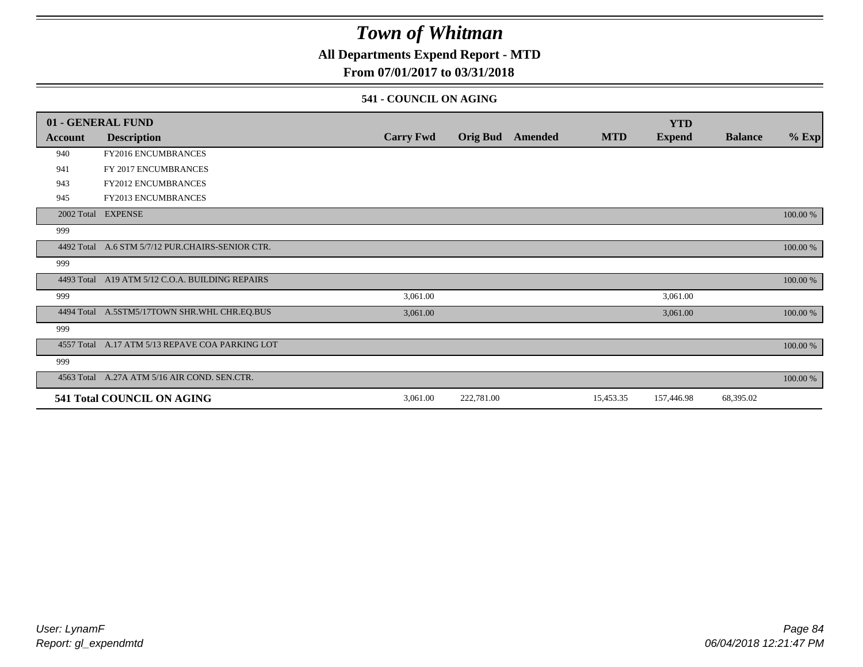## **All Departments Expend Report - MTD**

### **From 07/01/2017 to 03/31/2018**

### **541 - COUNCIL ON AGING**

|         | 01 - GENERAL FUND                                |                  |                 |         |            | <b>YTD</b>    |                |          |
|---------|--------------------------------------------------|------------------|-----------------|---------|------------|---------------|----------------|----------|
| Account | <b>Description</b>                               | <b>Carry Fwd</b> | <b>Orig Bud</b> | Amended | <b>MTD</b> | <b>Expend</b> | <b>Balance</b> | $%$ Exp  |
| 940     | <b>FY2016 ENCUMBRANCES</b>                       |                  |                 |         |            |               |                |          |
| 941     | FY 2017 ENCUMBRANCES                             |                  |                 |         |            |               |                |          |
| 943     | <b>FY2012 ENCUMBRANCES</b>                       |                  |                 |         |            |               |                |          |
| 945     | <b>FY2013 ENCUMBRANCES</b>                       |                  |                 |         |            |               |                |          |
|         | 2002 Total EXPENSE                               |                  |                 |         |            |               |                | 100.00 % |
| 999     |                                                  |                  |                 |         |            |               |                |          |
|         | 4492 Total A.6 STM 5/7/12 PUR.CHAIRS-SENIOR CTR. |                  |                 |         |            |               |                | 100.00 % |
| 999     |                                                  |                  |                 |         |            |               |                |          |
|         | 4493 Total A19 ATM 5/12 C.O.A. BUILDING REPAIRS  |                  |                 |         |            |               |                | 100.00 % |
| 999     |                                                  | 3,061.00         |                 |         |            | 3,061.00      |                |          |
|         | 4494 Total A.5STM5/17TOWN SHR.WHL CHR.EQ.BUS     | 3,061.00         |                 |         |            | 3,061.00      |                | 100.00 % |
| 999     |                                                  |                  |                 |         |            |               |                |          |
|         | 4557 Total A.17 ATM 5/13 REPAVE COA PARKING LOT  |                  |                 |         |            |               |                | 100.00 % |
| 999     |                                                  |                  |                 |         |            |               |                |          |
|         | 4563 Total A.27A ATM 5/16 AIR COND. SEN.CTR.     |                  |                 |         |            |               |                | 100.00 % |
|         | 541 Total COUNCIL ON AGING                       | 3,061.00         | 222,781.00      |         | 15,453.35  | 157,446.98    | 68,395.02      |          |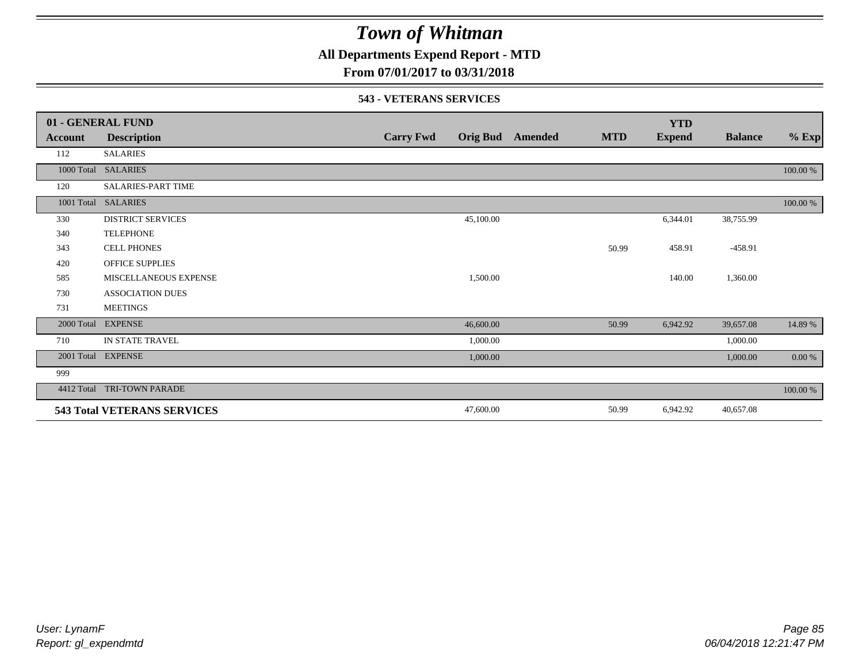**All Departments Expend Report - MTD**

## **From 07/01/2017 to 03/31/2018**

#### **543 - VETERANS SERVICES**

|            | 01 - GENERAL FUND                  |                  |                 |         |            | <b>YTD</b>    |                |          |
|------------|------------------------------------|------------------|-----------------|---------|------------|---------------|----------------|----------|
| Account    | <b>Description</b>                 | <b>Carry Fwd</b> | <b>Orig Bud</b> | Amended | <b>MTD</b> | <b>Expend</b> | <b>Balance</b> | $%$ Exp  |
| 112        | <b>SALARIES</b>                    |                  |                 |         |            |               |                |          |
|            | 1000 Total SALARIES                |                  |                 |         |            |               |                | 100.00 % |
| 120        | <b>SALARIES-PART TIME</b>          |                  |                 |         |            |               |                |          |
|            | 1001 Total SALARIES                |                  |                 |         |            |               |                | 100.00 % |
| 330        | <b>DISTRICT SERVICES</b>           |                  | 45,100.00       |         |            | 6,344.01      | 38,755.99      |          |
| 340        | <b>TELEPHONE</b>                   |                  |                 |         |            |               |                |          |
| 343        | <b>CELL PHONES</b>                 |                  |                 |         | 50.99      | 458.91        | $-458.91$      |          |
| 420        | <b>OFFICE SUPPLIES</b>             |                  |                 |         |            |               |                |          |
| 585        | MISCELLANEOUS EXPENSE              |                  | 1,500.00        |         |            | 140.00        | 1,360.00       |          |
| 730        | <b>ASSOCIATION DUES</b>            |                  |                 |         |            |               |                |          |
| 731        | <b>MEETINGS</b>                    |                  |                 |         |            |               |                |          |
| 2000 Total | <b>EXPENSE</b>                     |                  | 46,600.00       |         | 50.99      | 6,942.92      | 39,657.08      | 14.89 %  |
| 710        | IN STATE TRAVEL                    |                  | 1,000.00        |         |            |               | 1,000.00       |          |
| 2001 Total | <b>EXPENSE</b>                     |                  | 1,000.00        |         |            |               | 1,000.00       | 0.00 %   |
| 999        |                                    |                  |                 |         |            |               |                |          |
| 4412 Total | TRI-TOWN PARADE                    |                  |                 |         |            |               |                | 100.00 % |
|            | <b>543 Total VETERANS SERVICES</b> |                  | 47,600.00       |         | 50.99      | 6,942.92      | 40,657.08      |          |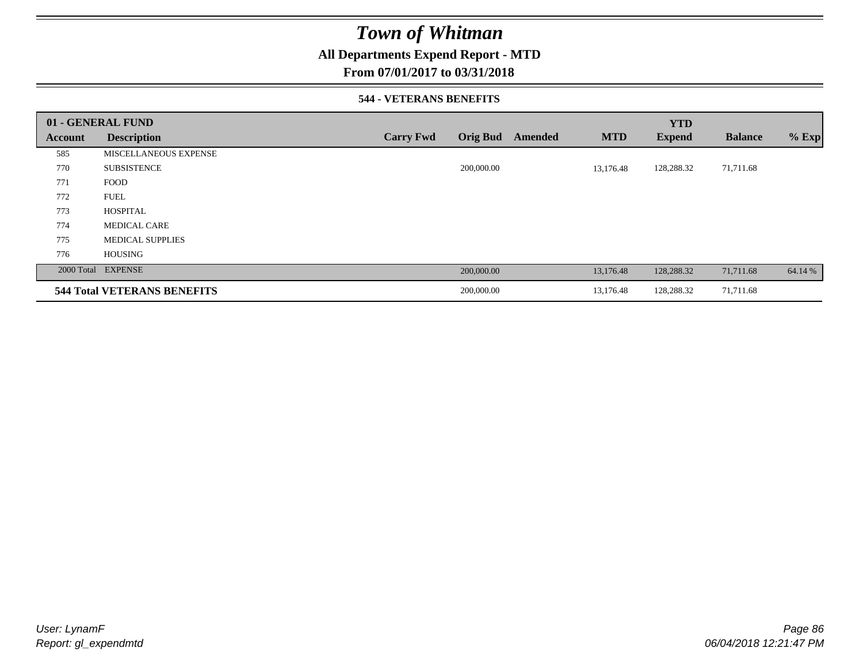## **All Departments Expend Report - MTD**

### **From 07/01/2017 to 03/31/2018**

### **544 - VETERANS BENEFITS**

|         | 01 - GENERAL FUND                  |                  |                            |            | <b>YTD</b>    |                |         |
|---------|------------------------------------|------------------|----------------------------|------------|---------------|----------------|---------|
| Account | <b>Description</b>                 | <b>Carry Fwd</b> | <b>Orig Bud</b><br>Amended | <b>MTD</b> | <b>Expend</b> | <b>Balance</b> | $%$ Exp |
| 585     | <b>MISCELLANEOUS EXPENSE</b>       |                  |                            |            |               |                |         |
| 770     | <b>SUBSISTENCE</b>                 |                  | 200,000.00                 | 13,176.48  | 128,288.32    | 71,711.68      |         |
| 771     | <b>FOOD</b>                        |                  |                            |            |               |                |         |
| 772     | <b>FUEL</b>                        |                  |                            |            |               |                |         |
| 773     | <b>HOSPITAL</b>                    |                  |                            |            |               |                |         |
| 774     | <b>MEDICAL CARE</b>                |                  |                            |            |               |                |         |
| 775     | <b>MEDICAL SUPPLIES</b>            |                  |                            |            |               |                |         |
| 776     | <b>HOUSING</b>                     |                  |                            |            |               |                |         |
|         | 2000 Total EXPENSE                 |                  | 200,000.00                 | 13,176.48  | 128,288.32    | 71,711.68      | 64.14 % |
|         | <b>544 Total VETERANS BENEFITS</b> |                  | 200,000.00                 | 13,176.48  | 128,288.32    | 71,711.68      |         |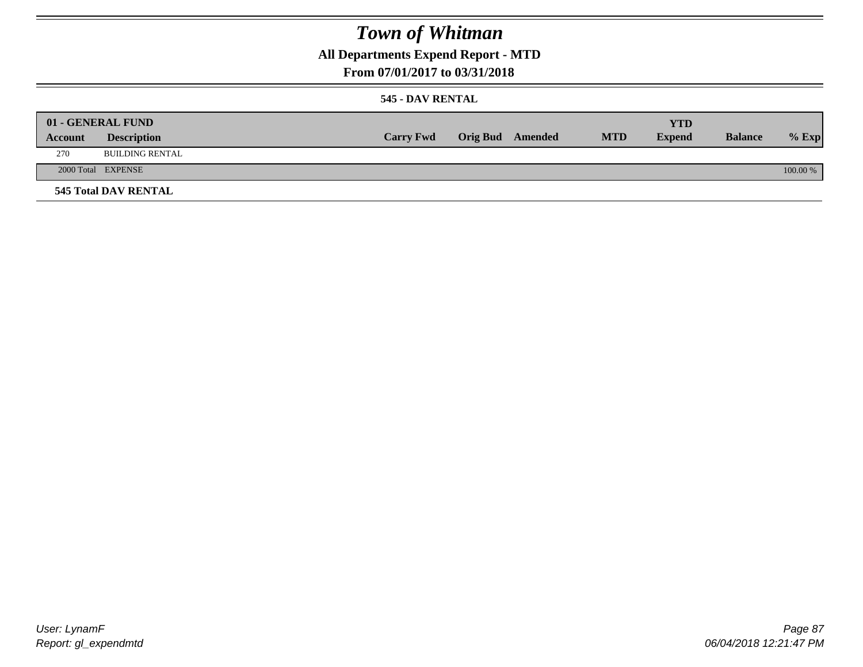## **All Departments Expend Report - MTD**

## **From 07/01/2017 to 03/31/2018**

### **545 - DAV RENTAL**

|         | 01 - GENERAL FUND           |                  |                         |            | <b>YTD</b>    |                |          |
|---------|-----------------------------|------------------|-------------------------|------------|---------------|----------------|----------|
| Account | <b>Description</b>          | <b>Carry Fwd</b> | <b>Orig Bud</b> Amended | <b>MTD</b> | <b>Expend</b> | <b>Balance</b> | $%$ Exp  |
| 270     | <b>BUILDING RENTAL</b>      |                  |                         |            |               |                |          |
|         | 2000 Total EXPENSE          |                  |                         |            |               |                | 100.00 % |
|         | <b>545 Total DAV RENTAL</b> |                  |                         |            |               |                |          |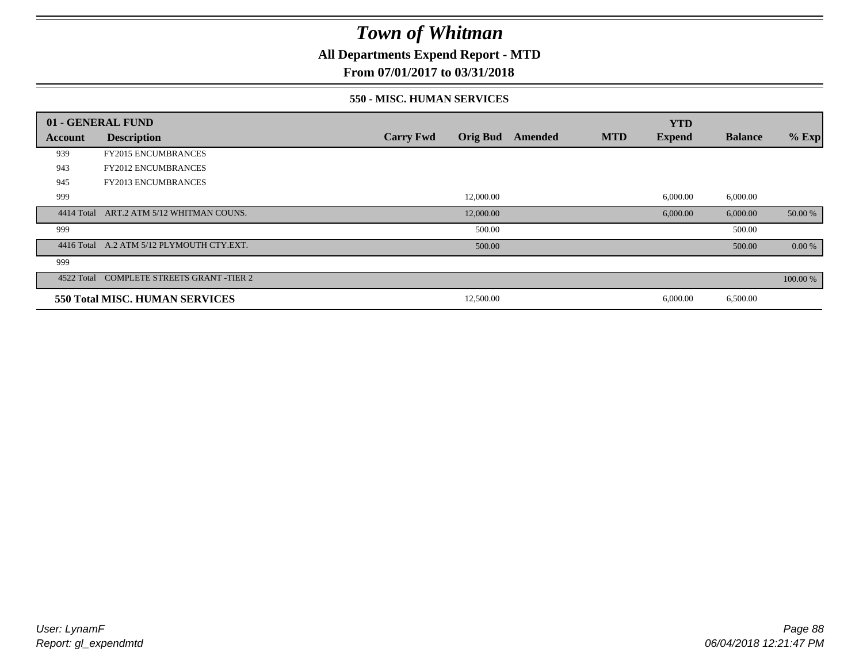## **All Departments Expend Report - MTD**

### **From 07/01/2017 to 03/31/2018**

### **550 - MISC. HUMAN SERVICES**

|            | 01 - GENERAL FUND                         |                  |                 |         |            | <b>YTD</b>    |                |          |
|------------|-------------------------------------------|------------------|-----------------|---------|------------|---------------|----------------|----------|
| Account    | <b>Description</b>                        | <b>Carry Fwd</b> | <b>Orig Bud</b> | Amended | <b>MTD</b> | <b>Expend</b> | <b>Balance</b> | $%$ Exp  |
| 939        | <b>FY2015 ENCUMBRANCES</b>                |                  |                 |         |            |               |                |          |
| 943        | <b>FY2012 ENCUMBRANCES</b>                |                  |                 |         |            |               |                |          |
| 945        | <b>FY2013 ENCUMBRANCES</b>                |                  |                 |         |            |               |                |          |
| 999        |                                           |                  | 12,000.00       |         |            | 6,000.00      | 6,000.00       |          |
| 4414 Total | ART.2 ATM 5/12 WHITMAN COUNS.             |                  | 12,000.00       |         |            | 6,000.00      | 6,000.00       | 50.00 %  |
| 999        |                                           |                  | 500.00          |         |            |               | 500.00         |          |
|            | 4416 Total A.2 ATM 5/12 PLYMOUTH CTY.EXT. |                  | 500.00          |         |            |               | 500.00         | 0.00 %   |
| 999        |                                           |                  |                 |         |            |               |                |          |
|            | 4522 Total COMPLETE STREETS GRANT -TIER 2 |                  |                 |         |            |               |                | 100.00 % |
|            | <b>550 Total MISC. HUMAN SERVICES</b>     |                  | 12,500.00       |         |            | 6,000.00      | 6,500.00       |          |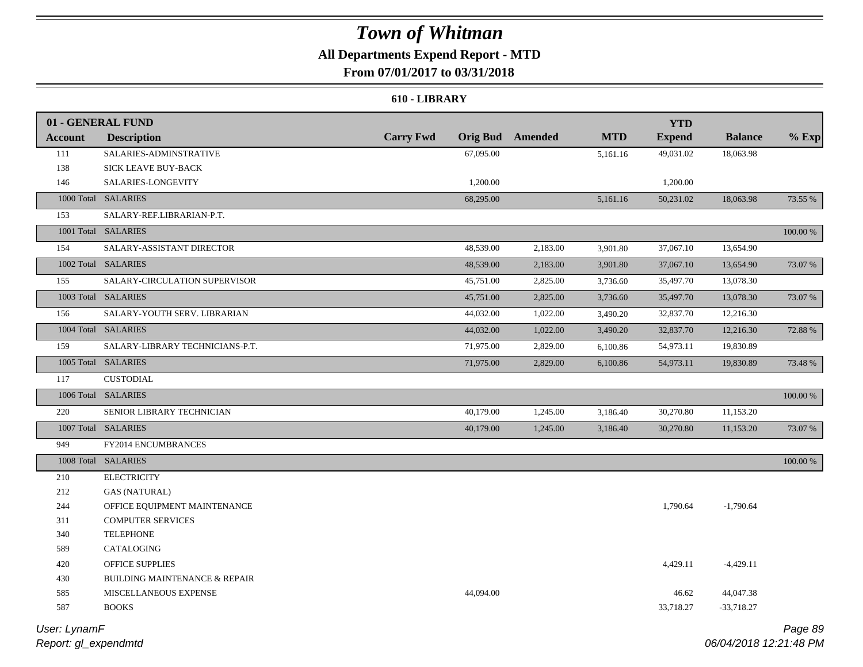# **All Departments Expend Report - MTD**

## **From 07/01/2017 to 03/31/2018**

### **610 - LIBRARY**

|                | 01 - GENERAL FUND                        |                  |                 |          |            | <b>YTD</b>    |                |             |
|----------------|------------------------------------------|------------------|-----------------|----------|------------|---------------|----------------|-------------|
| <b>Account</b> | <b>Description</b>                       | <b>Carry Fwd</b> | <b>Orig Bud</b> | Amended  | <b>MTD</b> | <b>Expend</b> | <b>Balance</b> | $%$ Exp     |
| 111            | SALARIES-ADMINSTRATIVE                   |                  | 67,095.00       |          | 5,161.16   | 49,031.02     | 18,063.98      |             |
| 138            | SICK LEAVE BUY-BACK                      |                  |                 |          |            |               |                |             |
| 146            | SALARIES-LONGEVITY                       |                  | 1,200.00        |          |            | 1,200.00      |                |             |
|                | 1000 Total SALARIES                      |                  | 68,295.00       |          | 5,161.16   | 50,231.02     | 18,063.98      | 73.55 %     |
| 153            | SALARY-REF.LIBRARIAN-P.T.                |                  |                 |          |            |               |                |             |
|                | 1001 Total SALARIES                      |                  |                 |          |            |               |                | 100.00 %    |
| 154            | SALARY-ASSISTANT DIRECTOR                |                  | 48,539.00       | 2,183.00 | 3,901.80   | 37,067.10     | 13,654.90      |             |
|                | 1002 Total SALARIES                      |                  | 48,539.00       | 2,183.00 | 3,901.80   | 37,067.10     | 13,654.90      | 73.07 %     |
| 155            | SALARY-CIRCULATION SUPERVISOR            |                  | 45,751.00       | 2,825.00 | 3,736.60   | 35,497.70     | 13,078.30      |             |
|                | 1003 Total SALARIES                      |                  | 45,751.00       | 2,825.00 | 3,736.60   | 35,497.70     | 13,078.30      | 73.07 %     |
| 156            | SALARY-YOUTH SERV. LIBRARIAN             |                  | 44,032.00       | 1,022.00 | 3,490.20   | 32,837.70     | 12,216.30      |             |
|                | 1004 Total SALARIES                      |                  | 44,032.00       | 1,022.00 | 3,490.20   | 32,837.70     | 12,216.30      | 72.88%      |
| 159            | SALARY-LIBRARY TECHNICIANS-P.T.          |                  | 71,975.00       | 2,829.00 | 6,100.86   | 54,973.11     | 19,830.89      |             |
|                | 1005 Total SALARIES                      |                  | 71,975.00       | 2,829.00 | 6,100.86   | 54,973.11     | 19,830.89      | 73.48 %     |
| 117            | <b>CUSTODIAL</b>                         |                  |                 |          |            |               |                |             |
|                | 1006 Total SALARIES                      |                  |                 |          |            |               |                | 100.00 %    |
| 220            | SENIOR LIBRARY TECHNICIAN                |                  | 40,179.00       | 1,245.00 | 3,186.40   | 30,270.80     | 11,153.20      |             |
|                | 1007 Total SALARIES                      |                  | 40,179.00       | 1,245.00 | 3,186.40   | 30,270.80     | 11,153.20      | 73.07 %     |
| 949            | FY2014 ENCUMBRANCES                      |                  |                 |          |            |               |                |             |
|                | 1008 Total SALARIES                      |                  |                 |          |            |               |                | $100.00~\%$ |
| 210            | <b>ELECTRICITY</b>                       |                  |                 |          |            |               |                |             |
| 212            | <b>GAS (NATURAL)</b>                     |                  |                 |          |            |               |                |             |
| 244            | OFFICE EQUIPMENT MAINTENANCE             |                  |                 |          |            | 1,790.64      | $-1,790.64$    |             |
| 311            | <b>COMPUTER SERVICES</b>                 |                  |                 |          |            |               |                |             |
| 340            | <b>TELEPHONE</b>                         |                  |                 |          |            |               |                |             |
| 589            | CATALOGING                               |                  |                 |          |            |               |                |             |
| 420            | <b>OFFICE SUPPLIES</b>                   |                  |                 |          |            | 4,429.11      | $-4,429.11$    |             |
| 430            | <b>BUILDING MAINTENANCE &amp; REPAIR</b> |                  |                 |          |            |               |                |             |
| 585            | MISCELLANEOUS EXPENSE                    |                  | 44,094.00       |          |            | 46.62         | 44,047.38      |             |
| 587            | <b>BOOKS</b>                             |                  |                 |          |            | 33,718.27     | $-33,718.27$   |             |
|                |                                          |                  |                 |          |            |               |                |             |

*Report: gl\_expendmtd User: LynamF*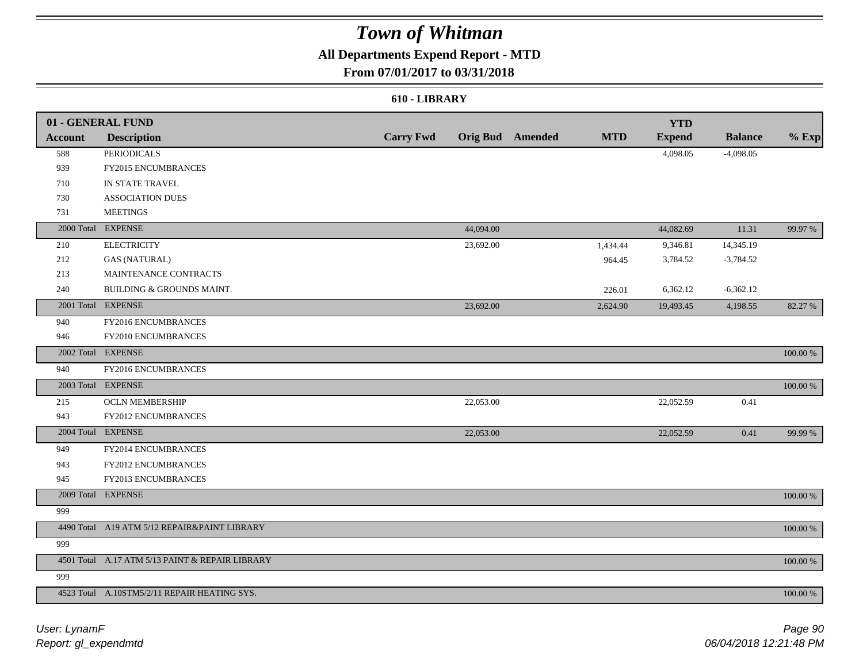## **All Departments Expend Report - MTD**

### **From 07/01/2017 to 03/31/2018**

### **610 - LIBRARY**

|                | 01 - GENERAL FUND                               |                  |           |                         |            | <b>YTD</b>    |                |          |
|----------------|-------------------------------------------------|------------------|-----------|-------------------------|------------|---------------|----------------|----------|
| <b>Account</b> | <b>Description</b>                              | <b>Carry Fwd</b> |           | <b>Orig Bud</b> Amended | <b>MTD</b> | <b>Expend</b> | <b>Balance</b> | $%$ Exp  |
| 588            | <b>PERIODICALS</b>                              |                  |           |                         |            | 4,098.05      | $-4,098.05$    |          |
| 939            | FY2015 ENCUMBRANCES                             |                  |           |                         |            |               |                |          |
| 710            | IN STATE TRAVEL                                 |                  |           |                         |            |               |                |          |
| 730            | <b>ASSOCIATION DUES</b>                         |                  |           |                         |            |               |                |          |
| 731            | <b>MEETINGS</b>                                 |                  |           |                         |            |               |                |          |
|                | 2000 Total EXPENSE                              |                  | 44,094.00 |                         |            | 44,082.69     | 11.31          | 99.97 %  |
| 210            | <b>ELECTRICITY</b>                              |                  | 23,692.00 |                         | 1,434.44   | 9,346.81      | 14,345.19      |          |
| 212            | <b>GAS (NATURAL)</b>                            |                  |           |                         | 964.45     | 3,784.52      | $-3,784.52$    |          |
| 213            | MAINTENANCE CONTRACTS                           |                  |           |                         |            |               |                |          |
| 240            | BUILDING & GROUNDS MAINT.                       |                  |           |                         | 226.01     | 6,362.12      | $-6,362.12$    |          |
|                | 2001 Total EXPENSE                              |                  | 23,692.00 |                         | 2,624.90   | 19,493.45     | 4,198.55       | 82.27 %  |
| 940            | FY2016 ENCUMBRANCES                             |                  |           |                         |            |               |                |          |
| 946            | FY2010 ENCUMBRANCES                             |                  |           |                         |            |               |                |          |
|                | 2002 Total EXPENSE                              |                  |           |                         |            |               |                | 100.00 % |
| 940            | FY2016 ENCUMBRANCES                             |                  |           |                         |            |               |                |          |
|                | 2003 Total EXPENSE                              |                  |           |                         |            |               |                | 100.00 % |
| 215            | <b>OCLN MEMBERSHIP</b>                          |                  | 22,053.00 |                         |            | 22,052.59     | 0.41           |          |
| 943            | FY2012 ENCUMBRANCES                             |                  |           |                         |            |               |                |          |
|                | 2004 Total EXPENSE                              |                  | 22,053.00 |                         |            | 22,052.59     | 0.41           | 99.99 %  |
| 949            | FY2014 ENCUMBRANCES                             |                  |           |                         |            |               |                |          |
| 943            | FY2012 ENCUMBRANCES                             |                  |           |                         |            |               |                |          |
| 945            | FY2013 ENCUMBRANCES                             |                  |           |                         |            |               |                |          |
|                | 2009 Total EXPENSE                              |                  |           |                         |            |               |                | 100.00 % |
| 999            |                                                 |                  |           |                         |            |               |                |          |
|                | 4490 Total A19 ATM 5/12 REPAIR&PAINT LIBRARY    |                  |           |                         |            |               |                | 100.00 % |
| 999            |                                                 |                  |           |                         |            |               |                |          |
|                | 4501 Total A.17 ATM 5/13 PAINT & REPAIR LIBRARY |                  |           |                         |            |               |                | 100.00 % |
| 999            |                                                 |                  |           |                         |            |               |                |          |
|                | 4523 Total A.10STM5/2/11 REPAIR HEATING SYS.    |                  |           |                         |            |               |                | 100.00 % |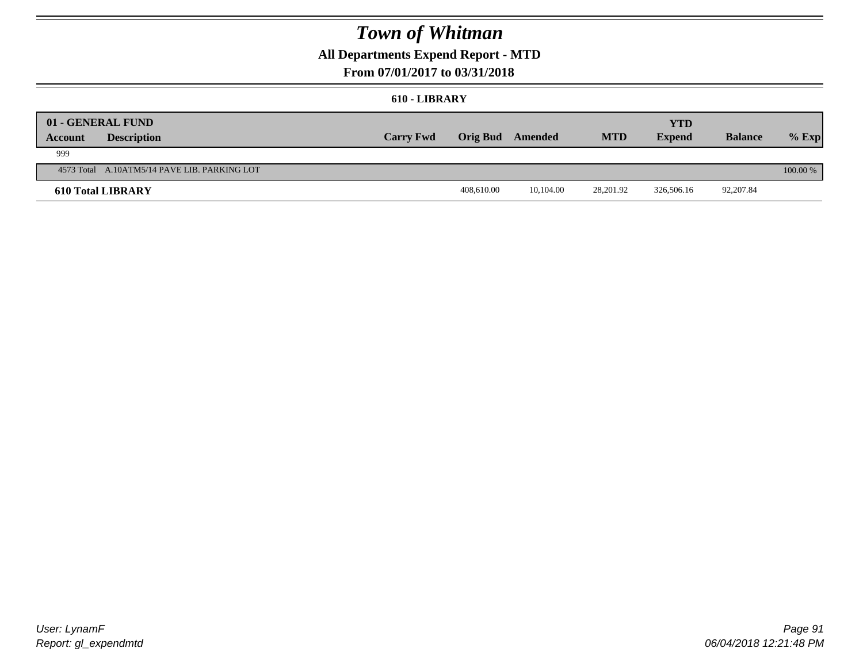## **All Departments Expend Report - MTD**

## **From 07/01/2017 to 03/31/2018**

#### **610 - LIBRARY**

| Account | 01 - GENERAL FUND<br><b>Description</b>      | <b>Carry Fwd</b> | <b>Orig Bud</b> Amended |           | <b>MTD</b> | <b>YTD</b><br><b>Expend</b> | <b>Balance</b> | $%$ Exp    |
|---------|----------------------------------------------|------------------|-------------------------|-----------|------------|-----------------------------|----------------|------------|
| 999     |                                              |                  |                         |           |            |                             |                |            |
|         | 4573 Total A.10ATM5/14 PAVE LIB. PARKING LOT |                  |                         |           |            |                             |                | $100.00\%$ |
|         | <b>610 Total LIBRARY</b>                     |                  | 408,610.00              | 10.104.00 | 28,201.92  | 326,506.16                  | 92,207.84      |            |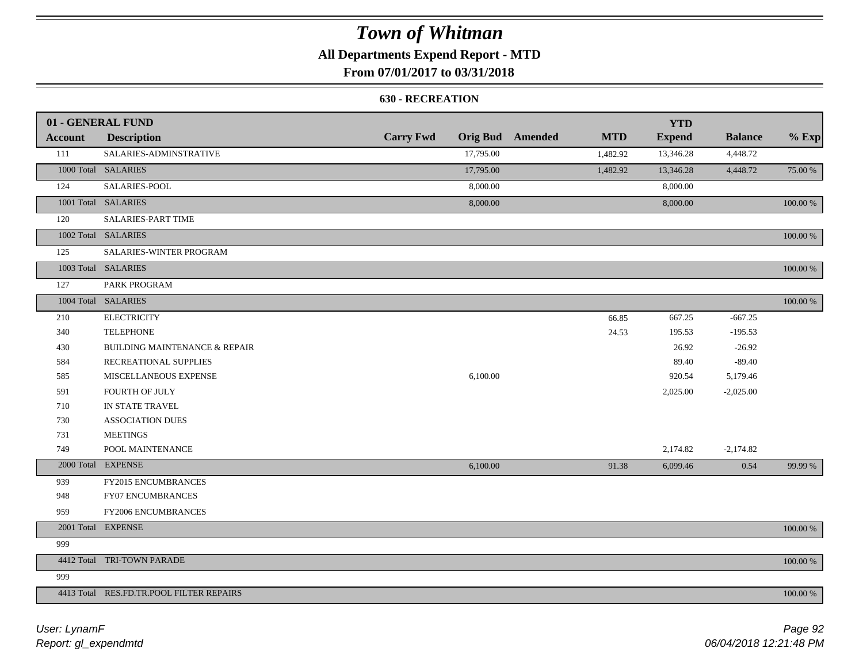## **All Departments Expend Report - MTD**

## **From 07/01/2017 to 03/31/2018**

#### **630 - RECREATION**

|         | 01 - GENERAL FUND                        |                  |           |                         |            | <b>YTD</b>    |                |          |
|---------|------------------------------------------|------------------|-----------|-------------------------|------------|---------------|----------------|----------|
| Account | <b>Description</b>                       | <b>Carry Fwd</b> |           | <b>Orig Bud</b> Amended | <b>MTD</b> | <b>Expend</b> | <b>Balance</b> | $%$ Exp  |
| 111     | SALARIES-ADMINSTRATIVE                   |                  | 17,795.00 |                         | 1,482.92   | 13,346.28     | 4,448.72       |          |
|         | 1000 Total SALARIES                      |                  | 17,795.00 |                         | 1,482.92   | 13,346.28     | 4,448.72       | 75.00 %  |
| 124     | SALARIES-POOL                            |                  | 8,000.00  |                         |            | 8,000.00      |                |          |
|         | 1001 Total SALARIES                      |                  | 8,000.00  |                         |            | 8,000.00      |                | 100.00 % |
| 120     | <b>SALARIES-PART TIME</b>                |                  |           |                         |            |               |                |          |
|         | 1002 Total SALARIES                      |                  |           |                         |            |               |                | 100.00 % |
| 125     | SALARIES-WINTER PROGRAM                  |                  |           |                         |            |               |                |          |
|         | 1003 Total SALARIES                      |                  |           |                         |            |               |                | 100.00 % |
| 127     | PARK PROGRAM                             |                  |           |                         |            |               |                |          |
|         | 1004 Total SALARIES                      |                  |           |                         |            |               |                | 100.00 % |
| 210     | <b>ELECTRICITY</b>                       |                  |           |                         | 66.85      | 667.25        | $-667.25$      |          |
| 340     | <b>TELEPHONE</b>                         |                  |           |                         | 24.53      | 195.53        | $-195.53$      |          |
| 430     | <b>BUILDING MAINTENANCE &amp; REPAIR</b> |                  |           |                         |            | 26.92         | $-26.92$       |          |
| 584     | RECREATIONAL SUPPLIES                    |                  |           |                         |            | 89.40         | $-89.40$       |          |
| 585     | MISCELLANEOUS EXPENSE                    |                  | 6,100.00  |                         |            | 920.54        | 5,179.46       |          |
| 591     | <b>FOURTH OF JULY</b>                    |                  |           |                         |            | 2,025.00      | $-2,025.00$    |          |
| 710     | IN STATE TRAVEL                          |                  |           |                         |            |               |                |          |
| 730     | <b>ASSOCIATION DUES</b>                  |                  |           |                         |            |               |                |          |
| 731     | <b>MEETINGS</b>                          |                  |           |                         |            |               |                |          |
| 749     | POOL MAINTENANCE                         |                  |           |                         |            | 2,174.82      | $-2,174.82$    |          |
|         | 2000 Total EXPENSE                       |                  | 6,100.00  |                         | 91.38      | 6,099.46      | 0.54           | 99.99 %  |
| 939     | FY2015 ENCUMBRANCES                      |                  |           |                         |            |               |                |          |
| 948     | FY07 ENCUMBRANCES                        |                  |           |                         |            |               |                |          |
| 959     | FY2006 ENCUMBRANCES                      |                  |           |                         |            |               |                |          |
|         | 2001 Total EXPENSE                       |                  |           |                         |            |               |                | 100.00 % |
| 999     |                                          |                  |           |                         |            |               |                |          |
|         | 4412 Total TRI-TOWN PARADE               |                  |           |                         |            |               |                | 100.00 % |
| 999     |                                          |                  |           |                         |            |               |                |          |
|         | 4413 Total RES.FD.TR.POOL FILTER REPAIRS |                  |           |                         |            |               |                | 100.00 % |

*Report: gl\_expendmtd User: LynamF*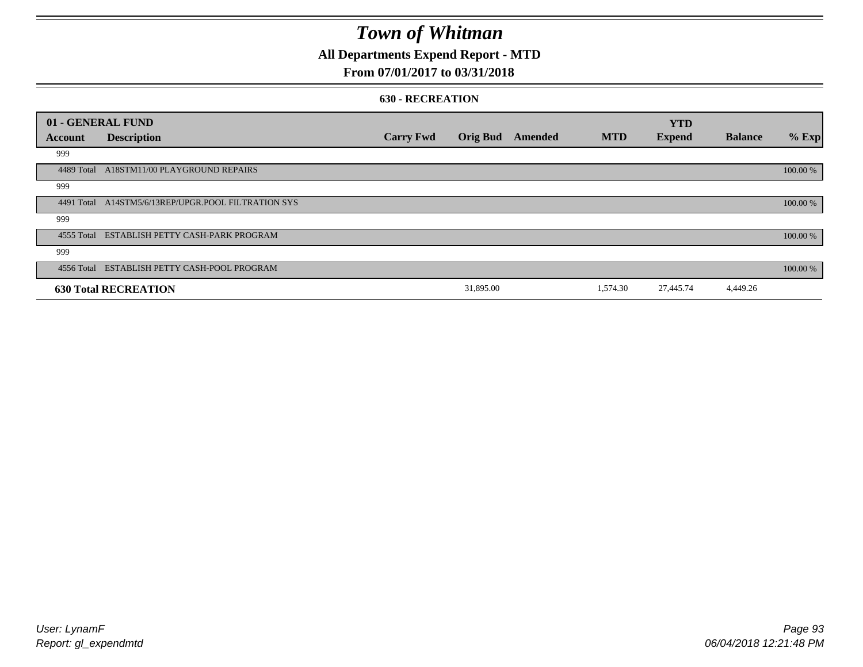## **All Departments Expend Report - MTD**

### **From 07/01/2017 to 03/31/2018**

#### **630 - RECREATION**

| 01 - GENERAL FUND |                                                     |                  |                 |         |            | <b>YTD</b>    |                |          |
|-------------------|-----------------------------------------------------|------------------|-----------------|---------|------------|---------------|----------------|----------|
| Account           | <b>Description</b>                                  | <b>Carry Fwd</b> | <b>Orig Bud</b> | Amended | <b>MTD</b> | <b>Expend</b> | <b>Balance</b> | $%$ Exp  |
| 999               |                                                     |                  |                 |         |            |               |                |          |
| 4489 Total        | A18STM11/00 PLAYGROUND REPAIRS                      |                  |                 |         |            |               |                | 100.00 % |
| 999               |                                                     |                  |                 |         |            |               |                |          |
|                   | 4491 Total A14STM5/6/13REP/UPGR.POOL FILTRATION SYS |                  |                 |         |            |               |                | 100.00 % |
| 999               |                                                     |                  |                 |         |            |               |                |          |
|                   | 4555 Total ESTABLISH PETTY CASH-PARK PROGRAM        |                  |                 |         |            |               |                | 100.00 % |
| 999               |                                                     |                  |                 |         |            |               |                |          |
|                   | 4556 Total ESTABLISH PETTY CASH-POOL PROGRAM        |                  |                 |         |            |               |                | 100.00 % |
|                   | <b>630 Total RECREATION</b>                         |                  | 31,895.00       |         | 1,574.30   | 27,445.74     | 4,449.26       |          |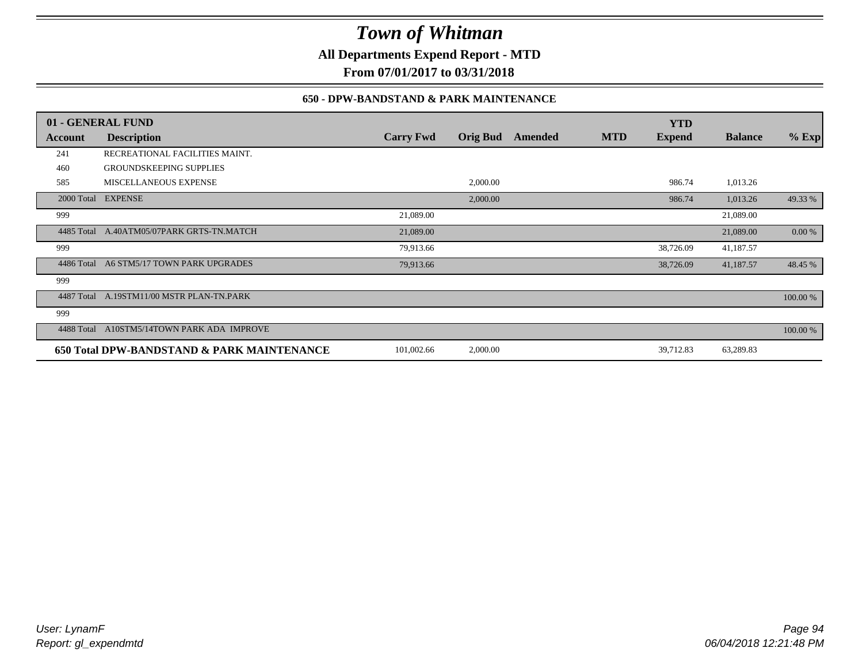**All Departments Expend Report - MTD**

**From 07/01/2017 to 03/31/2018**

### **650 - DPW-BANDSTAND & PARK MAINTENANCE**

|            | 01 - GENERAL FUND                          |                  |                 |         |            | <b>YTD</b>    |                |          |
|------------|--------------------------------------------|------------------|-----------------|---------|------------|---------------|----------------|----------|
| Account    | <b>Description</b>                         | <b>Carry Fwd</b> | <b>Orig Bud</b> | Amended | <b>MTD</b> | <b>Expend</b> | <b>Balance</b> | $%$ Exp  |
| 241        | RECREATIONAL FACILITIES MAINT.             |                  |                 |         |            |               |                |          |
| 460        | <b>GROUNDSKEEPING SUPPLIES</b>             |                  |                 |         |            |               |                |          |
| 585        | MISCELLANEOUS EXPENSE                      |                  | 2,000.00        |         |            | 986.74        | 1,013.26       |          |
| 2000 Total | <b>EXPENSE</b>                             |                  | 2,000.00        |         |            | 986.74        | 1,013.26       | 49.33 %  |
| 999        |                                            | 21,089.00        |                 |         |            |               | 21,089.00      |          |
|            | 4485 Total A.40ATM05/07PARK GRTS-TN.MATCH  | 21,089.00        |                 |         |            |               | 21,089.00      | 0.00 %   |
| 999        |                                            | 79,913.66        |                 |         |            | 38,726.09     | 41,187.57      |          |
| 4486 Total | A6 STM5/17 TOWN PARK UPGRADES              | 79,913.66        |                 |         |            | 38,726.09     | 41,187.57      | 48.45 %  |
| 999        |                                            |                  |                 |         |            |               |                |          |
| 4487 Total | A.19STM11/00 MSTR PLAN-TN.PARK             |                  |                 |         |            |               |                | 100.00 % |
| 999        |                                            |                  |                 |         |            |               |                |          |
| 4488 Total | A10STM5/14TOWN PARK ADA IMPROVE            |                  |                 |         |            |               |                | 100.00 % |
|            | 650 Total DPW-BANDSTAND & PARK MAINTENANCE | 101,002.66       | 2,000.00        |         |            | 39,712.83     | 63,289.83      |          |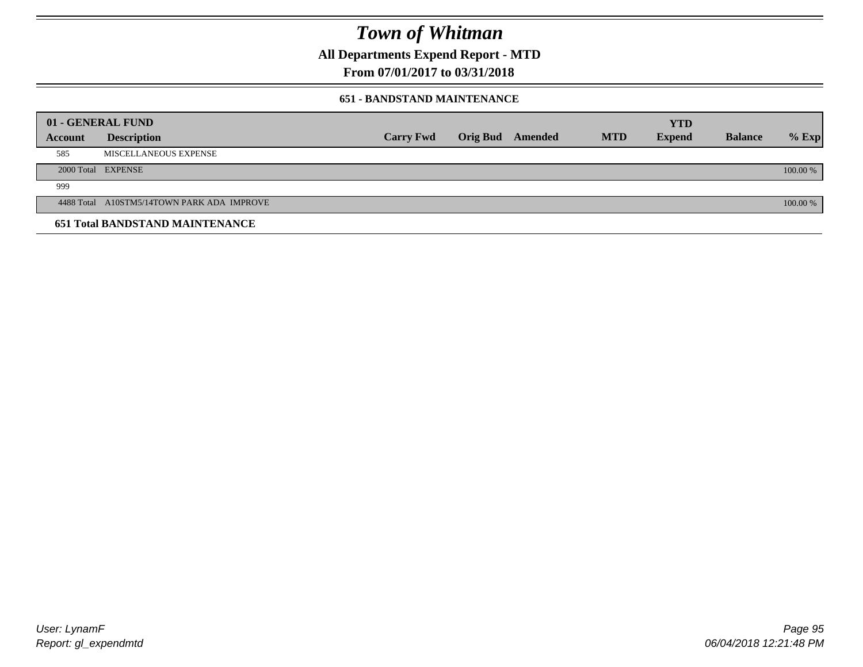**All Departments Expend Report - MTD**

## **From 07/01/2017 to 03/31/2018**

### **651 - BANDSTAND MAINTENANCE**

|         | 01 - GENERAL FUND                          |                  |                         |            | <b>YTD</b>    |                |          |
|---------|--------------------------------------------|------------------|-------------------------|------------|---------------|----------------|----------|
| Account | <b>Description</b>                         | <b>Carry Fwd</b> | <b>Orig Bud</b> Amended | <b>MTD</b> | <b>Expend</b> | <b>Balance</b> | $%$ Exp  |
| 585     | MISCELLANEOUS EXPENSE                      |                  |                         |            |               |                |          |
|         | 2000 Total EXPENSE                         |                  |                         |            |               |                | 100.00 % |
| 999     |                                            |                  |                         |            |               |                |          |
|         | 4488 Total A10STM5/14TOWN PARK ADA IMPROVE |                  |                         |            |               |                | 100.00 % |
|         | <b>651 Total BANDSTAND MAINTENANCE</b>     |                  |                         |            |               |                |          |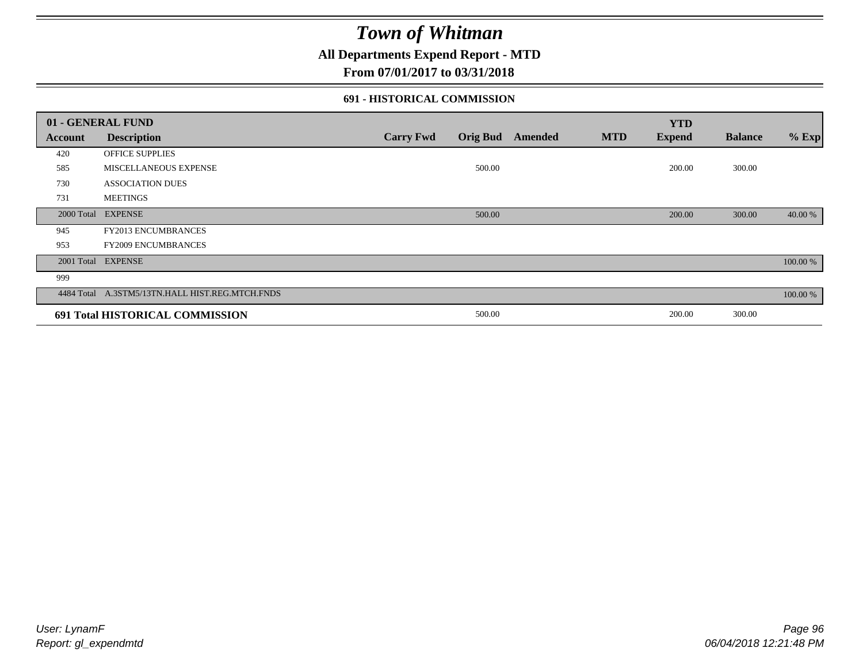## **All Departments Expend Report - MTD**

### **From 07/01/2017 to 03/31/2018**

### **691 - HISTORICAL COMMISSION**

| 01 - GENERAL FUND |                                                 |                  |                 |         |            | <b>YTD</b>    |                |          |
|-------------------|-------------------------------------------------|------------------|-----------------|---------|------------|---------------|----------------|----------|
| Account           | <b>Description</b>                              | <b>Carry Fwd</b> | <b>Orig Bud</b> | Amended | <b>MTD</b> | <b>Expend</b> | <b>Balance</b> | $%$ Exp  |
| 420               | OFFICE SUPPLIES                                 |                  |                 |         |            |               |                |          |
| 585               | MISCELLANEOUS EXPENSE                           |                  | 500.00          |         |            | 200.00        | 300.00         |          |
| 730               | <b>ASSOCIATION DUES</b>                         |                  |                 |         |            |               |                |          |
| 731               | <b>MEETINGS</b>                                 |                  |                 |         |            |               |                |          |
| 2000 Total        | <b>EXPENSE</b>                                  |                  | 500.00          |         |            | 200.00        | 300.00         | 40.00 %  |
| 945               | <b>FY2013 ENCUMBRANCES</b>                      |                  |                 |         |            |               |                |          |
| 953               | <b>FY2009 ENCUMBRANCES</b>                      |                  |                 |         |            |               |                |          |
| 2001 Total        | <b>EXPENSE</b>                                  |                  |                 |         |            |               |                | 100.00 % |
| 999               |                                                 |                  |                 |         |            |               |                |          |
|                   | 4484 Total A.3STM5/13TN.HALL HIST.REG.MTCH.FNDS |                  |                 |         |            |               |                | 100.00 % |
|                   | 691 Total HISTORICAL COMMISSION                 |                  | 500.00          |         |            | 200.00        | 300.00         |          |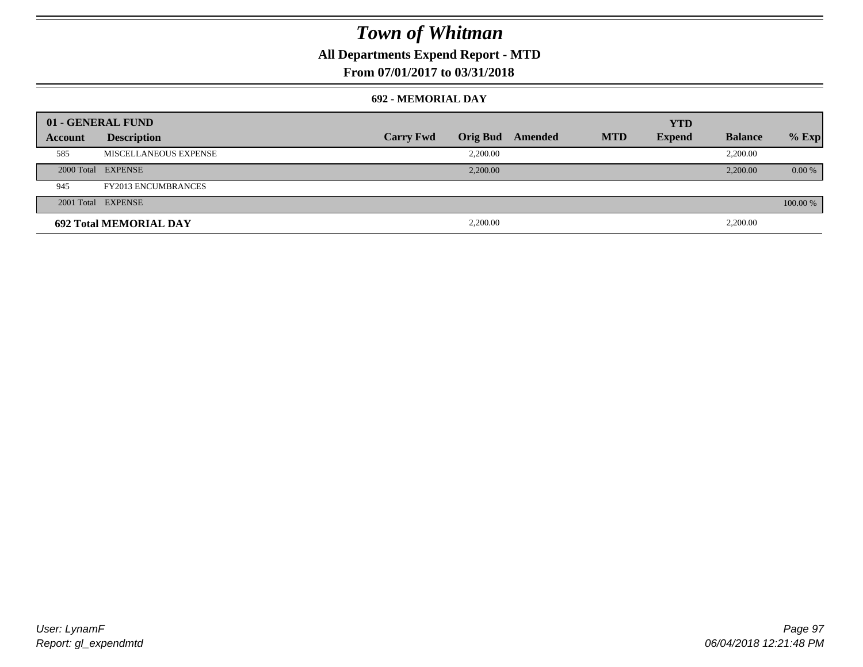## **All Departments Expend Report - MTD**

## **From 07/01/2017 to 03/31/2018**

#### **692 - MEMORIAL DAY**

|         | 01 - GENERAL FUND             |                  |          |                         |            | <b>YTD</b>    |                |          |
|---------|-------------------------------|------------------|----------|-------------------------|------------|---------------|----------------|----------|
| Account | <b>Description</b>            | <b>Carry Fwd</b> |          | <b>Orig Bud</b> Amended | <b>MTD</b> | <b>Expend</b> | <b>Balance</b> | $%$ Exp  |
| 585     | MISCELLANEOUS EXPENSE         |                  | 2.200.00 |                         |            |               | 2,200.00       |          |
|         | 2000 Total EXPENSE            |                  | 2,200.00 |                         |            |               | 2,200.00       | $0.00\%$ |
| 945     | <b>FY2013 ENCUMBRANCES</b>    |                  |          |                         |            |               |                |          |
|         | 2001 Total EXPENSE            |                  |          |                         |            |               |                | 100.00 % |
|         | <b>692 Total MEMORIAL DAY</b> |                  | 2,200.00 |                         |            |               | 2,200.00       |          |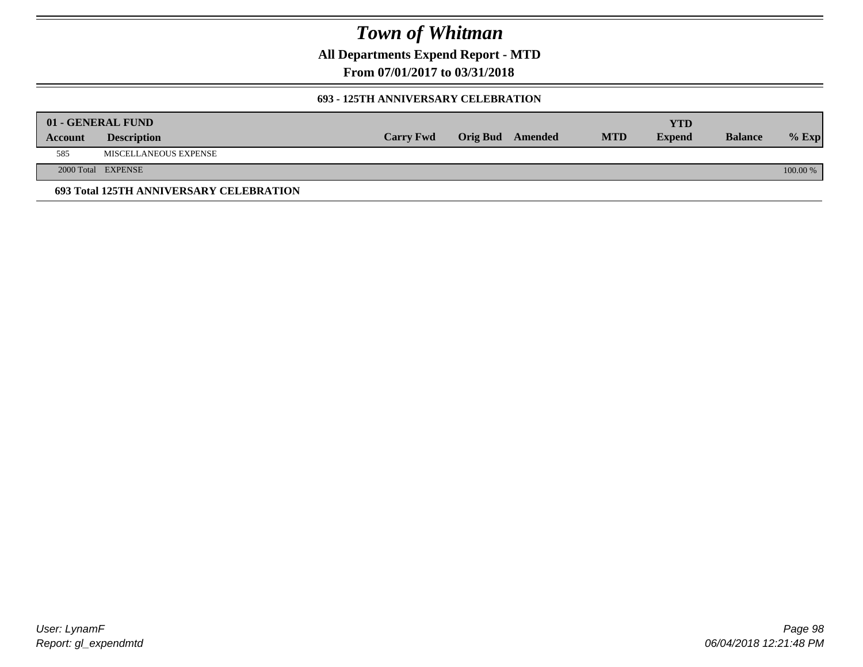**All Departments Expend Report - MTD**

**From 07/01/2017 to 03/31/2018**

### **693 - 125TH ANNIVERSARY CELEBRATION**

|         | 01 - GENERAL FUND                       |                  |                         |            | YTD           |                |          |
|---------|-----------------------------------------|------------------|-------------------------|------------|---------------|----------------|----------|
| Account | <b>Description</b>                      | <b>Carry Fwd</b> | <b>Orig Bud</b> Amended | <b>MTD</b> | <b>Expend</b> | <b>Balance</b> | $%$ Exp  |
| 585     | MISCELLANEOUS EXPENSE                   |                  |                         |            |               |                |          |
|         | 2000 Total EXPENSE                      |                  |                         |            |               |                | 100.00 % |
|         | 693 Total 125TH ANNIVERSARY CELEBRATION |                  |                         |            |               |                |          |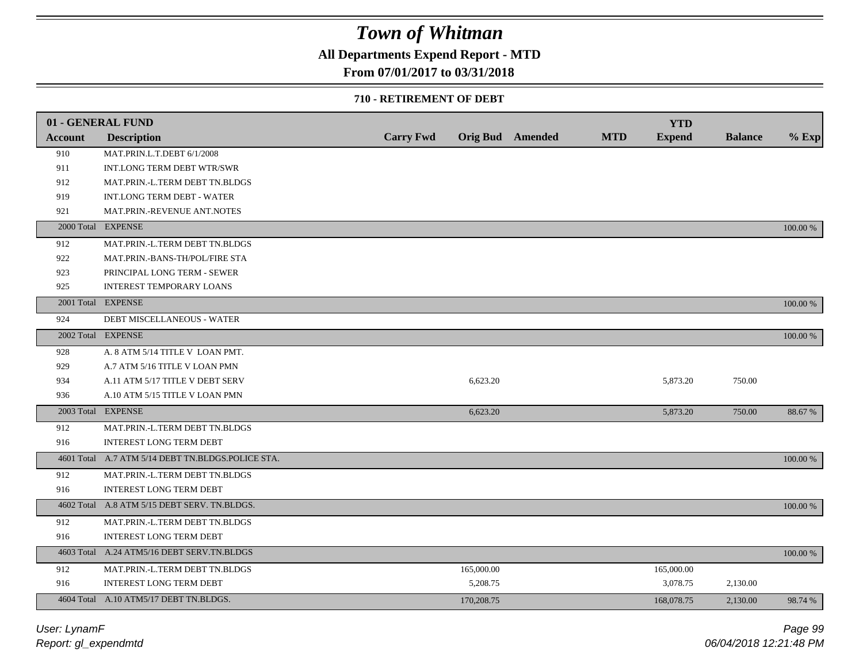## **All Departments Expend Report - MTD**

### **From 07/01/2017 to 03/31/2018**

### **710 - RETIREMENT OF DEBT**

|                | 01 - GENERAL FUND                                 |                  |            |                  |            | <b>YTD</b>    |                |          |
|----------------|---------------------------------------------------|------------------|------------|------------------|------------|---------------|----------------|----------|
| <b>Account</b> | <b>Description</b>                                | <b>Carry Fwd</b> |            | Orig Bud Amended | <b>MTD</b> | <b>Expend</b> | <b>Balance</b> | $%$ Exp  |
| 910            | MAT.PRIN.L.T.DEBT 6/1/2008                        |                  |            |                  |            |               |                |          |
| 911            | INT.LONG TERM DEBT WTR/SWR                        |                  |            |                  |            |               |                |          |
| 912            | MAT.PRIN.-L.TERM DEBT TN.BLDGS                    |                  |            |                  |            |               |                |          |
| 919            | <b>INT.LONG TERM DEBT - WATER</b>                 |                  |            |                  |            |               |                |          |
| 921            | MAT.PRIN.-REVENUE ANT.NOTES                       |                  |            |                  |            |               |                |          |
| 2000 Total     | <b>EXPENSE</b>                                    |                  |            |                  |            |               |                | 100.00 % |
| 912            | MAT.PRIN.-L.TERM DEBT TN.BLDGS                    |                  |            |                  |            |               |                |          |
| 922            | MAT.PRIN.-BANS-TH/POL/FIRE STA                    |                  |            |                  |            |               |                |          |
| 923            | PRINCIPAL LONG TERM - SEWER                       |                  |            |                  |            |               |                |          |
| 925            | <b>INTEREST TEMPORARY LOANS</b>                   |                  |            |                  |            |               |                |          |
|                | 2001 Total EXPENSE                                |                  |            |                  |            |               |                | 100.00 % |
| 924            | DEBT MISCELLANEOUS - WATER                        |                  |            |                  |            |               |                |          |
|                | 2002 Total EXPENSE                                |                  |            |                  |            |               |                | 100.00 % |
| 928            | A. 8 ATM 5/14 TITLE V LOAN PMT.                   |                  |            |                  |            |               |                |          |
| 929            | A.7 ATM 5/16 TITLE V LOAN PMN                     |                  |            |                  |            |               |                |          |
| 934            | A.11 ATM 5/17 TITLE V DEBT SERV                   |                  | 6,623.20   |                  |            | 5,873.20      | 750.00         |          |
| 936            | A.10 ATM 5/15 TITLE V LOAN PMN                    |                  |            |                  |            |               |                |          |
|                | 2003 Total EXPENSE                                |                  | 6,623.20   |                  |            | 5,873.20      | 750.00         | 88.67 %  |
| 912            | MAT.PRIN.-L.TERM DEBT TN.BLDGS                    |                  |            |                  |            |               |                |          |
| 916            | <b>INTEREST LONG TERM DEBT</b>                    |                  |            |                  |            |               |                |          |
|                | 4601 Total A.7 ATM 5/14 DEBT TN.BLDGS.POLICE STA. |                  |            |                  |            |               |                | 100.00 % |
| 912            | MAT.PRIN.-L.TERM DEBT TN.BLDGS                    |                  |            |                  |            |               |                |          |
| 916            | <b>INTEREST LONG TERM DEBT</b>                    |                  |            |                  |            |               |                |          |
|                | 4602 Total A.8 ATM 5/15 DEBT SERV. TN.BLDGS.      |                  |            |                  |            |               |                | 100.00 % |
| 912            | MAT.PRIN.-L.TERM DEBT TN.BLDGS                    |                  |            |                  |            |               |                |          |
| 916            | <b>INTEREST LONG TERM DEBT</b>                    |                  |            |                  |            |               |                |          |
|                | 4603 Total A.24 ATM5/16 DEBT SERV.TN.BLDGS        |                  |            |                  |            |               |                | 100.00 % |
| 912            | MAT.PRIN.-L.TERM DEBT TN.BLDGS                    |                  | 165,000.00 |                  |            | 165,000.00    |                |          |
| 916            | <b>INTEREST LONG TERM DEBT</b>                    |                  | 5,208.75   |                  |            | 3,078.75      | 2,130.00       |          |
|                | 4604 Total A.10 ATM5/17 DEBT TN.BLDGS.            |                  | 170,208.75 |                  |            | 168,078.75    | 2,130.00       | 98.74 %  |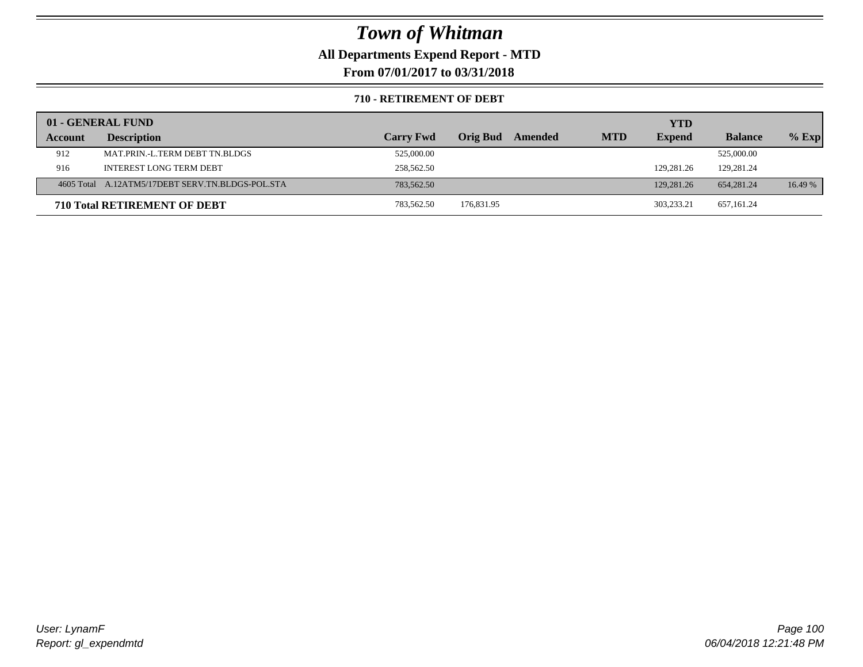**All Departments Expend Report - MTD**

**From 07/01/2017 to 03/31/2018**

### **710 - RETIREMENT OF DEBT**

|         | 01 - GENERAL FUND                                |                  |                     |            | <b>YTD</b>    |                |         |
|---------|--------------------------------------------------|------------------|---------------------|------------|---------------|----------------|---------|
| Account | <b>Description</b>                               | <b>Carry Fwd</b> | Orig Bud<br>Amended | <b>MTD</b> | <b>Expend</b> | <b>Balance</b> | $%$ Exp |
| 912     | MAT.PRIN.-L.TERM DEBT TN.BLDGS                   | 525,000.00       |                     |            |               | 525,000.00     |         |
| 916     | <b>INTEREST LONG TERM DEBT</b>                   | 258,562.50       |                     |            | 129,281.26    | 129,281.24     |         |
|         | 4605 Total A.12ATM5/17DEBT SERV.TN.BLDGS-POL.STA | 783,562.50       |                     |            | 129,281.26    | 654,281.24     | 16.49 % |
|         | <b>710 Total RETIREMENT OF DEBT</b>              | 783,562.50       | 176,831.95          |            | 303.233.21    | 657,161.24     |         |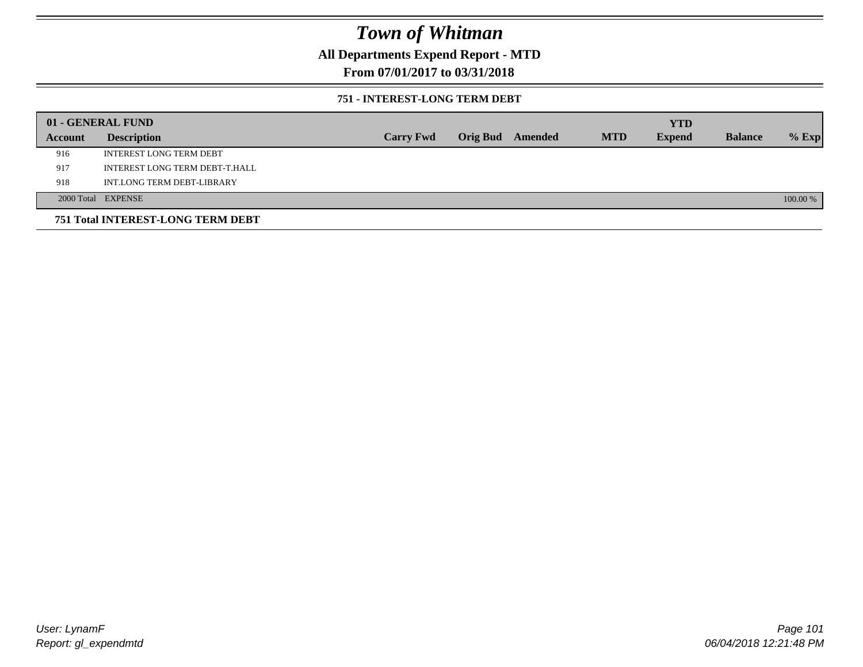## **All Departments Expend Report - MTD**

## **From 07/01/2017 to 03/31/2018**

### **751 - INTEREST-LONG TERM DEBT**

|         | 01 - GENERAL FUND                 |                  |                         |            | <b>YTD</b>    |                |          |
|---------|-----------------------------------|------------------|-------------------------|------------|---------------|----------------|----------|
| Account | <b>Description</b>                | <b>Carry Fwd</b> | <b>Orig Bud</b> Amended | <b>MTD</b> | <b>Expend</b> | <b>Balance</b> | $%$ Exp  |
| 916     | <b>INTEREST LONG TERM DEBT</b>    |                  |                         |            |               |                |          |
| 917     | INTEREST LONG TERM DEBT-T.HALL    |                  |                         |            |               |                |          |
| 918     | INT.LONG TERM DEBT-LIBRARY        |                  |                         |            |               |                |          |
|         | 2000 Total EXPENSE                |                  |                         |            |               |                | 100.00 % |
|         | 751 Total INTEREST-LONG TERM DEBT |                  |                         |            |               |                |          |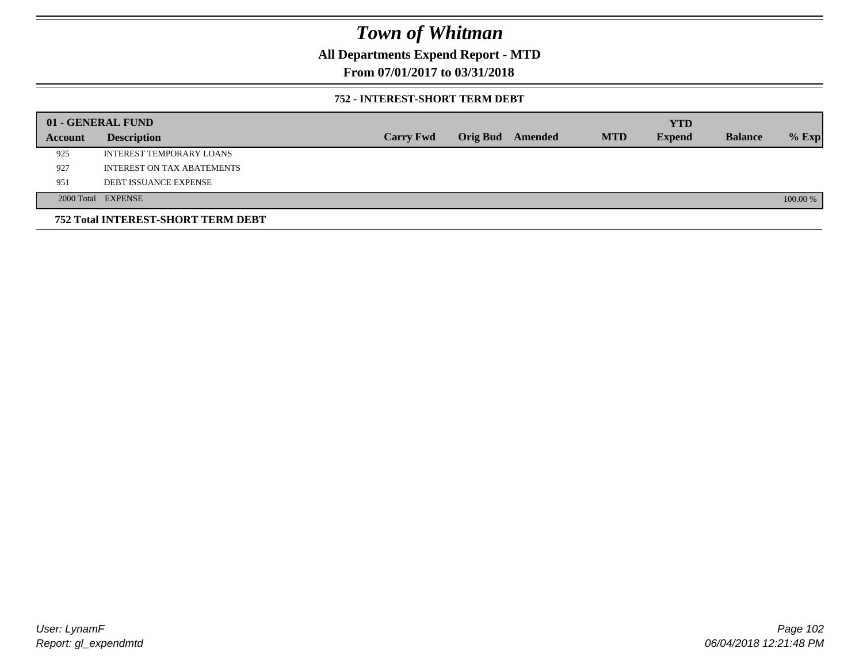## **All Departments Expend Report - MTD**

## **From 07/01/2017 to 03/31/2018**

### **752 - INTEREST-SHORT TERM DEBT**

|         | 01 - GENERAL FUND                  |                  |          |         |            | <b>YTD</b>    |                |          |
|---------|------------------------------------|------------------|----------|---------|------------|---------------|----------------|----------|
| Account | <b>Description</b>                 | <b>Carry Fwd</b> | Orig Bud | Amended | <b>MTD</b> | <b>Expend</b> | <b>Balance</b> | $%$ Exp  |
| 925     | INTEREST TEMPORARY LOANS           |                  |          |         |            |               |                |          |
| 927     | <b>INTEREST ON TAX ABATEMENTS</b>  |                  |          |         |            |               |                |          |
| 951     | <b>DEBT ISSUANCE EXPENSE</b>       |                  |          |         |            |               |                |          |
|         | 2000 Total EXPENSE                 |                  |          |         |            |               |                | 100.00 % |
|         | 752 Total INTEREST-SHORT TERM DEBT |                  |          |         |            |               |                |          |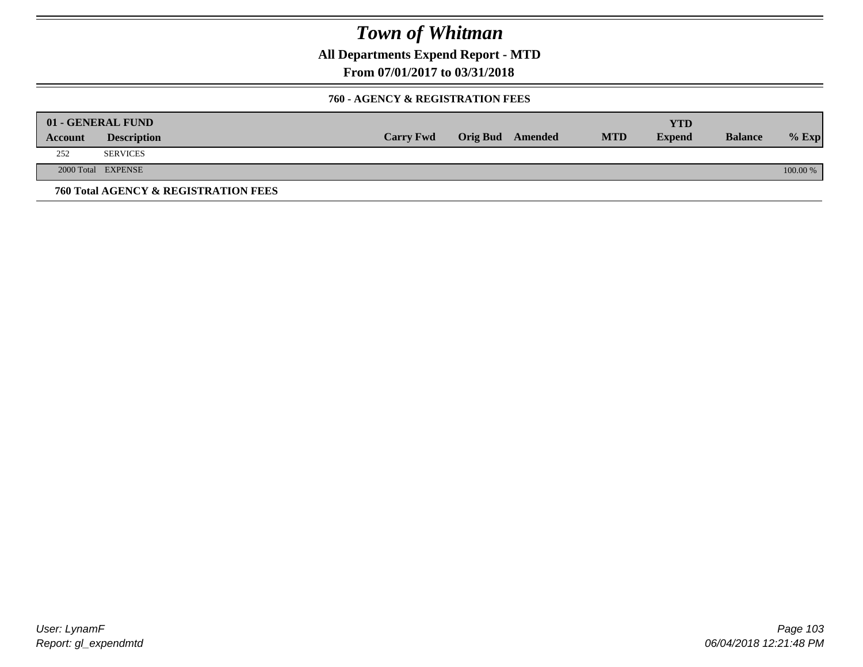**All Departments Expend Report - MTD**

**From 07/01/2017 to 03/31/2018**

### **760 - AGENCY & REGISTRATION FEES**

|         | 01 - GENERAL FUND                    |                  |                         |            | YTD           |                |          |
|---------|--------------------------------------|------------------|-------------------------|------------|---------------|----------------|----------|
| Account | <b>Description</b>                   | <b>Carry Fwd</b> | <b>Orig Bud</b> Amended | <b>MTD</b> | <b>Expend</b> | <b>Balance</b> | $%$ Exp  |
| 252     | <b>SERVICES</b>                      |                  |                         |            |               |                |          |
|         | 2000 Total EXPENSE                   |                  |                         |            |               |                | 100.00 % |
|         | 760 Total AGENCY & REGISTRATION FEES |                  |                         |            |               |                |          |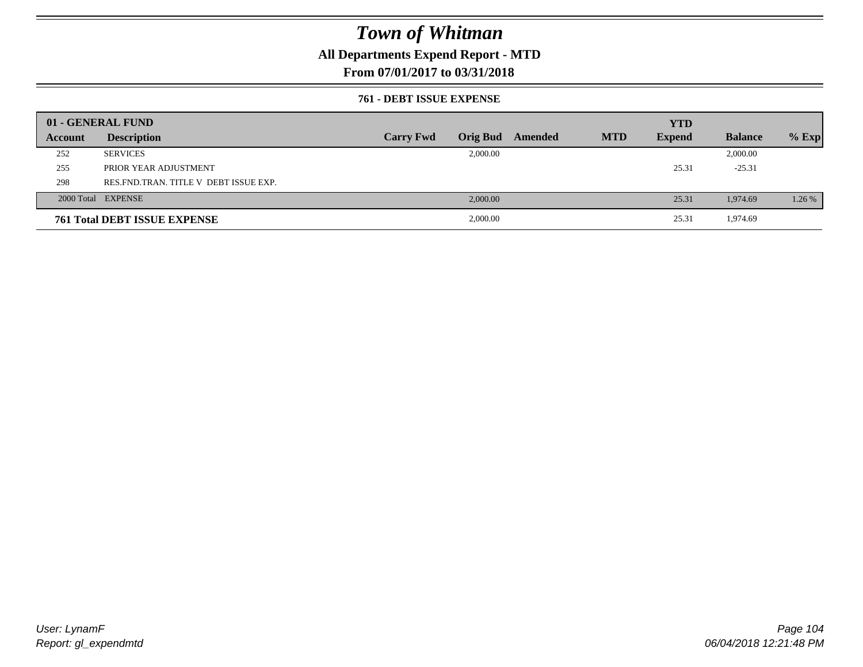## **All Departments Expend Report - MTD**

## **From 07/01/2017 to 03/31/2018**

#### **761 - DEBT ISSUE EXPENSE**

|         | 01 - GENERAL FUND                       |                  |          |                         |            | <b>YTD</b>    |                |         |
|---------|-----------------------------------------|------------------|----------|-------------------------|------------|---------------|----------------|---------|
| Account | <b>Description</b>                      | <b>Carry Fwd</b> |          | <b>Orig Bud</b> Amended | <b>MTD</b> | <b>Expend</b> | <b>Balance</b> | $%$ Exp |
| 252     | <b>SERVICES</b>                         |                  | 2,000.00 |                         |            |               | 2,000.00       |         |
| 255     | PRIOR YEAR ADJUSTMENT                   |                  |          |                         |            | 25.31         | $-25.31$       |         |
| 298     | RES. FND. TRAN. TITLE V DEBT ISSUE EXP. |                  |          |                         |            |               |                |         |
|         | 2000 Total EXPENSE                      |                  | 2,000.00 |                         |            | 25.31         | 1,974.69       | 1.26 %  |
|         | <b>761 Total DEBT ISSUE EXPENSE</b>     |                  | 2,000.00 |                         |            | 25.31         | 1,974.69       |         |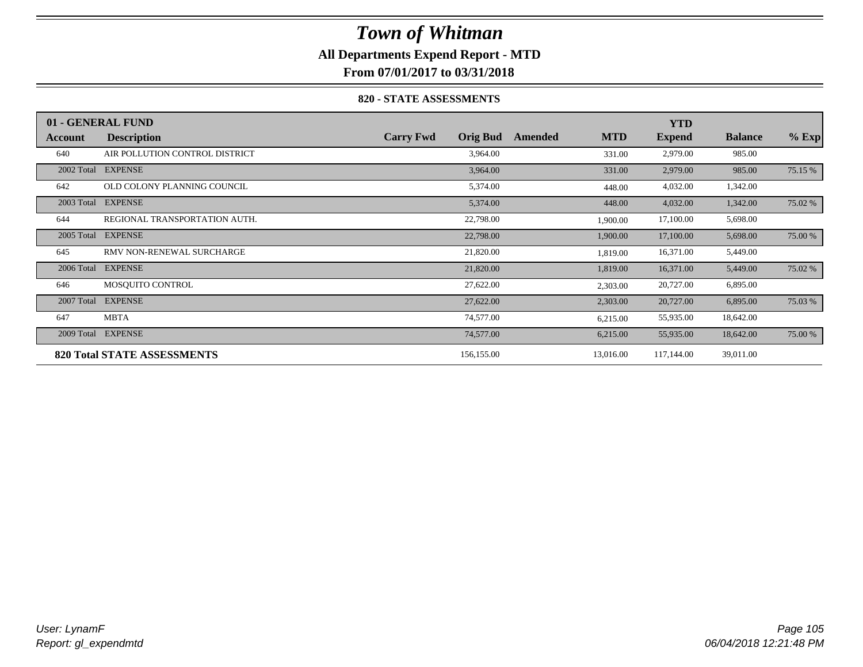## **All Departments Expend Report - MTD**

**From 07/01/2017 to 03/31/2018**

### **820 - STATE ASSESSMENTS**

|            | 01 - GENERAL FUND                  |                                     |                       | <b>YTD</b>    |                |         |
|------------|------------------------------------|-------------------------------------|-----------------------|---------------|----------------|---------|
| Account    | <b>Description</b>                 | <b>Carry Fwd</b><br><b>Orig Bud</b> | <b>MTD</b><br>Amended | <b>Expend</b> | <b>Balance</b> | $%$ Exp |
| 640        | AIR POLLUTION CONTROL DISTRICT     | 3,964.00                            | 331.00                | 2,979.00      | 985.00         |         |
| 2002 Total | <b>EXPENSE</b>                     | 3,964.00                            | 331.00                | 2,979.00      | 985.00         | 75.15 % |
| 642        | OLD COLONY PLANNING COUNCIL        | 5,374.00                            | 448.00                | 4,032.00      | 1,342.00       |         |
| 2003 Total | <b>EXPENSE</b>                     | 5,374.00                            | 448.00                | 4,032.00      | 1,342.00       | 75.02 % |
| 644        | REGIONAL TRANSPORTATION AUTH.      | 22,798.00                           | 1,900.00              | 17,100.00     | 5,698.00       |         |
| 2005 Total | <b>EXPENSE</b>                     | 22,798.00                           | 1,900.00              | 17,100.00     | 5,698.00       | 75.00 % |
| 645        | RMV NON-RENEWAL SURCHARGE          | 21,820.00                           | 1,819.00              | 16,371.00     | 5,449.00       |         |
| 2006 Total | <b>EXPENSE</b>                     | 21,820.00                           | 1,819.00              | 16,371.00     | 5,449.00       | 75.02 % |
| 646        | MOSOUITO CONTROL                   | 27,622.00                           | 2,303.00              | 20,727.00     | 6,895.00       |         |
| 2007 Total | <b>EXPENSE</b>                     | 27,622.00                           | 2,303.00              | 20,727.00     | 6,895.00       | 75.03 % |
| 647        | <b>MBTA</b>                        | 74,577.00                           | 6,215.00              | 55,935.00     | 18,642.00      |         |
| 2009 Total | <b>EXPENSE</b>                     | 74,577.00                           | 6,215.00              | 55,935.00     | 18,642.00      | 75.00 % |
|            | <b>820 Total STATE ASSESSMENTS</b> | 156,155.00                          | 13,016.00             | 117,144.00    | 39,011.00      |         |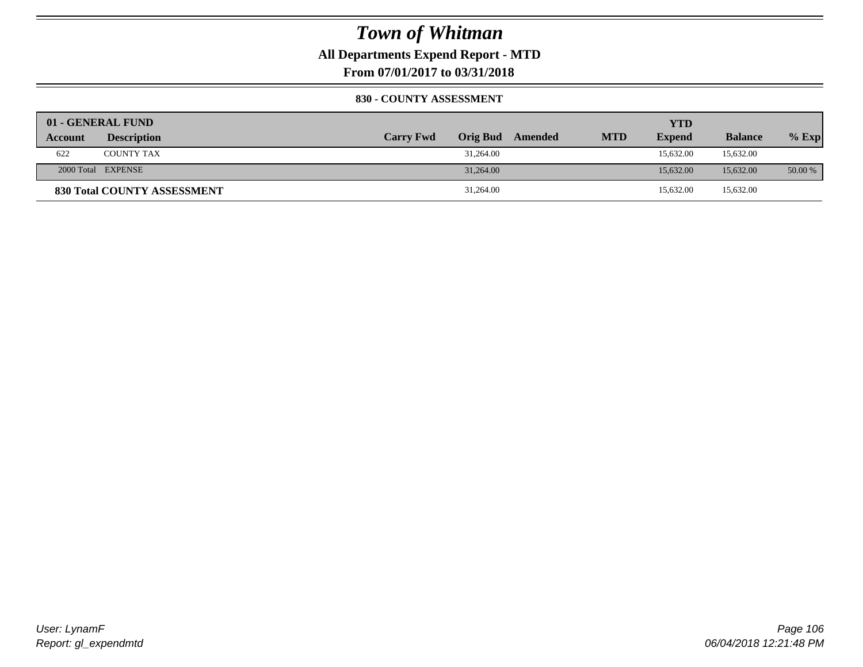**All Departments Expend Report - MTD**

**From 07/01/2017 to 03/31/2018**

### **830 - COUNTY ASSESSMENT**

|                | 01 - GENERAL FUND           |                  |                 |         |            | YTD           |                |         |
|----------------|-----------------------------|------------------|-----------------|---------|------------|---------------|----------------|---------|
| <b>Account</b> | <b>Description</b>          | <b>Carry Fwd</b> | <b>Orig Bud</b> | Amended | <b>MTD</b> | <b>Expend</b> | <b>Balance</b> | $%$ Exp |
| 622            | <b>COUNTY TAX</b>           |                  | 31,264.00       |         |            | 15.632.00     | 15,632.00      |         |
|                | 2000 Total EXPENSE          |                  | 31,264,00       |         |            | 15,632.00     | 15,632.00      | 50.00 % |
|                | 830 Total COUNTY ASSESSMENT |                  | 31,264.00       |         |            | 15,632.00     | 15,632.00      |         |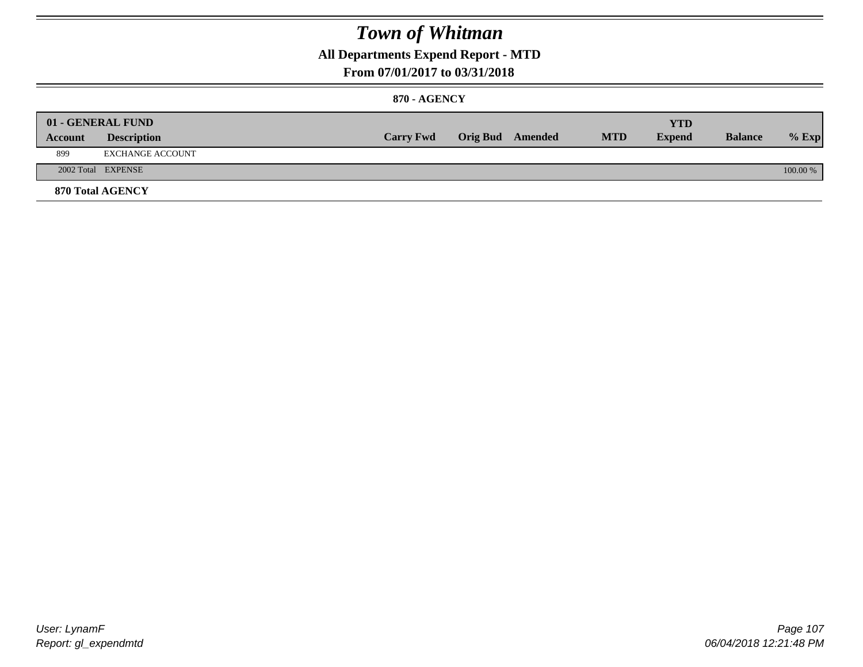## **All Departments Expend Report - MTD**

### **From 07/01/2017 to 03/31/2018**

### **870 - AGENCY**

| Account | 01 - GENERAL FUND<br><b>Description</b> | <b>Carry Fwd</b> | <b>Orig Bud</b> Amended | <b>MTD</b> | <b>YTD</b><br><b>Expend</b> | <b>Balance</b> | $%$ Exp  |
|---------|-----------------------------------------|------------------|-------------------------|------------|-----------------------------|----------------|----------|
| 899     | EXCHANGE ACCOUNT                        |                  |                         |            |                             |                |          |
|         | 2002 Total EXPENSE                      |                  |                         |            |                             |                | 100.00 % |
|         | <b>870 Total AGENCY</b>                 |                  |                         |            |                             |                |          |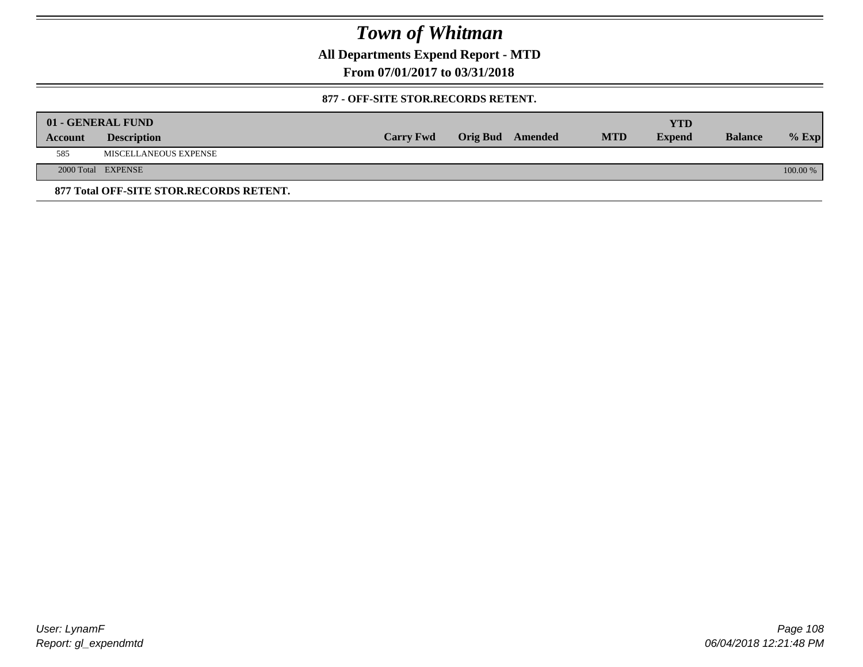**All Departments Expend Report - MTD**

**From 07/01/2017 to 03/31/2018**

### **877 - OFF-SITE STOR.RECORDS RETENT.**

|         | 01 - GENERAL FUND                       |                  |                         |            | YTD           |                |          |
|---------|-----------------------------------------|------------------|-------------------------|------------|---------------|----------------|----------|
| Account | <b>Description</b>                      | <b>Carry Fwd</b> | <b>Orig Bud</b> Amended | <b>MTD</b> | <b>Expend</b> | <b>Balance</b> | $%$ Exp  |
| 585     | MISCELLANEOUS EXPENSE                   |                  |                         |            |               |                |          |
|         | 2000 Total EXPENSE                      |                  |                         |            |               |                | 100.00 % |
|         | 877 Total OFF-SITE STOR.RECORDS RETENT. |                  |                         |            |               |                |          |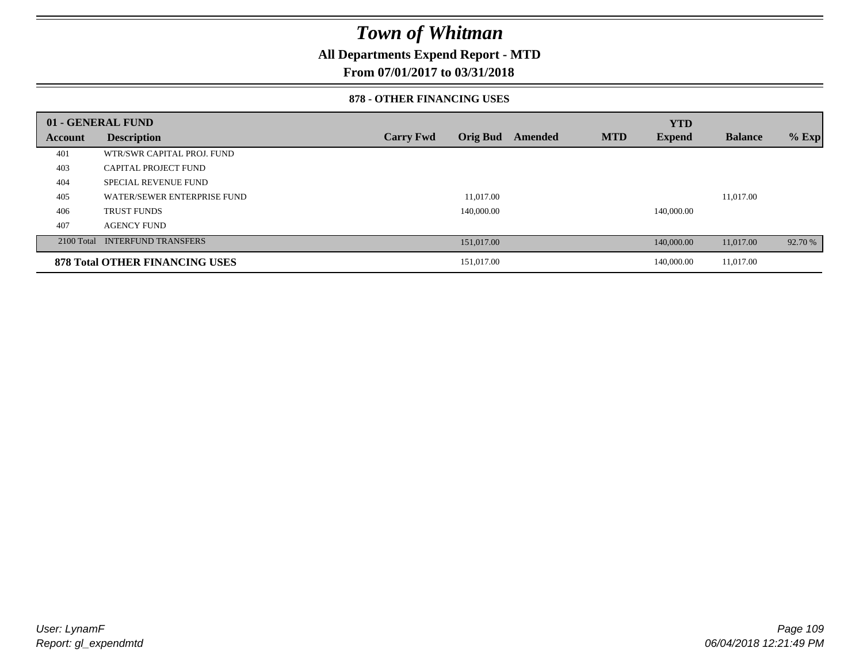### **All Departments Expend Report - MTD**

### **From 07/01/2017 to 03/31/2018**

#### **878 - OTHER FINANCING USES**

|         | 01 - GENERAL FUND                     |                  |                 |         |            | <b>YTD</b>    |                |         |
|---------|---------------------------------------|------------------|-----------------|---------|------------|---------------|----------------|---------|
| Account | <b>Description</b>                    | <b>Carry Fwd</b> | <b>Orig Bud</b> | Amended | <b>MTD</b> | <b>Expend</b> | <b>Balance</b> | $%$ Exp |
| 401     | WTR/SWR CAPITAL PROJ. FUND            |                  |                 |         |            |               |                |         |
| 403     | <b>CAPITAL PROJECT FUND</b>           |                  |                 |         |            |               |                |         |
| 404     | <b>SPECIAL REVENUE FUND</b>           |                  |                 |         |            |               |                |         |
| 405     | WATER/SEWER ENTERPRISE FUND           |                  | 11.017.00       |         |            |               | 11.017.00      |         |
| 406     | <b>TRUST FUNDS</b>                    |                  | 140,000.00      |         |            | 140,000.00    |                |         |
| 407     | <b>AGENCY FUND</b>                    |                  |                 |         |            |               |                |         |
|         | 2100 Total INTERFUND TRANSFERS        |                  | 151,017.00      |         |            | 140,000.00    | 11,017.00      | 92.70 % |
|         | <b>878 Total OTHER FINANCING USES</b> |                  | 151,017.00      |         |            | 140,000.00    | 11,017.00      |         |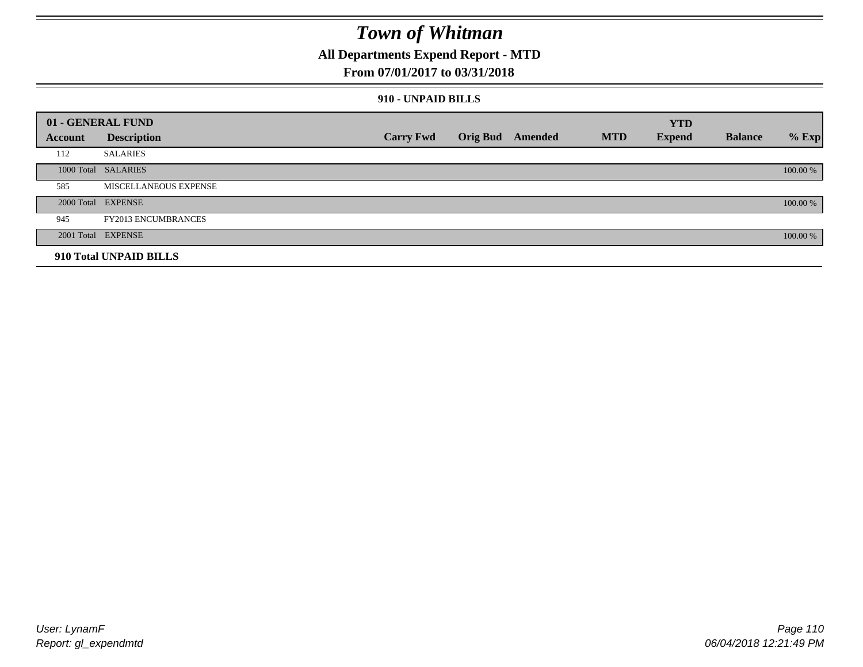### **All Departments Expend Report - MTD**

### **From 07/01/2017 to 03/31/2018**

#### **910 - UNPAID BILLS**

|         | 01 - GENERAL FUND          |                  |                  |            | <b>YTD</b>    |                |          |
|---------|----------------------------|------------------|------------------|------------|---------------|----------------|----------|
| Account | <b>Description</b>         | <b>Carry Fwd</b> | Orig Bud Amended | <b>MTD</b> | <b>Expend</b> | <b>Balance</b> | $%$ Exp  |
| 112     | <b>SALARIES</b>            |                  |                  |            |               |                |          |
|         | 1000 Total SALARIES        |                  |                  |            |               |                | 100.00 % |
| 585     | MISCELLANEOUS EXPENSE      |                  |                  |            |               |                |          |
|         | 2000 Total EXPENSE         |                  |                  |            |               |                | 100.00 % |
| 945     | <b>FY2013 ENCUMBRANCES</b> |                  |                  |            |               |                |          |
|         | 2001 Total EXPENSE         |                  |                  |            |               |                | 100.00 % |
|         | 910 Total UNPAID BILLS     |                  |                  |            |               |                |          |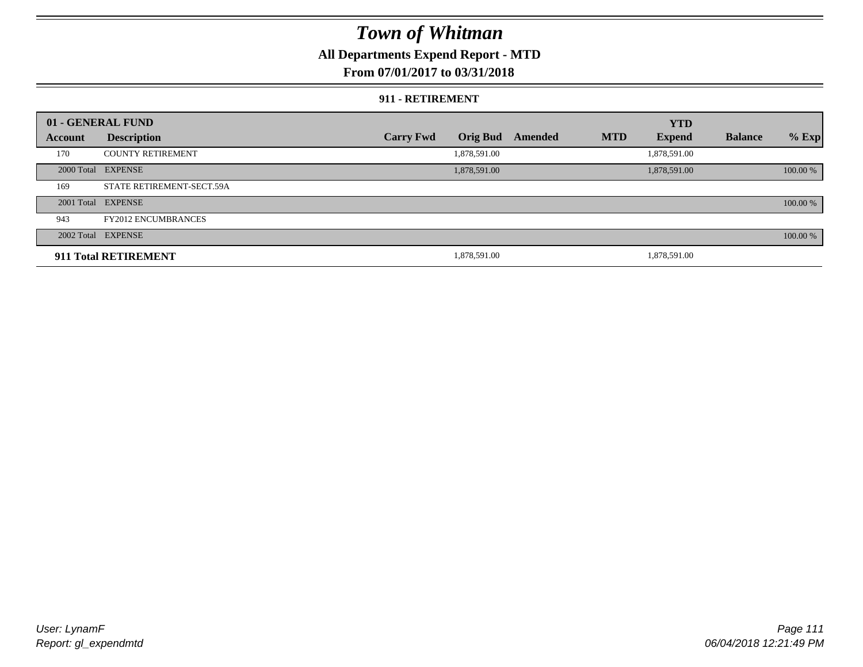### **All Departments Expend Report - MTD**

### **From 07/01/2017 to 03/31/2018**

#### **911 - RETIREMENT**

|         | 01 - GENERAL FUND          |                  |                 |         |            | <b>YTD</b>    |                |          |
|---------|----------------------------|------------------|-----------------|---------|------------|---------------|----------------|----------|
| Account | <b>Description</b>         | <b>Carry Fwd</b> | <b>Orig Bud</b> | Amended | <b>MTD</b> | <b>Expend</b> | <b>Balance</b> | $%$ Exp  |
| 170     | <b>COUNTY RETIREMENT</b>   |                  | 1,878,591.00    |         |            | 1,878,591.00  |                |          |
|         | 2000 Total EXPENSE         |                  | 1,878,591.00    |         |            | 1,878,591.00  |                | 100.00 % |
| 169     | STATE RETIREMENT-SECT.59A  |                  |                 |         |            |               |                |          |
|         | 2001 Total EXPENSE         |                  |                 |         |            |               |                | 100.00 % |
| 943     | <b>FY2012 ENCUMBRANCES</b> |                  |                 |         |            |               |                |          |
|         | 2002 Total EXPENSE         |                  |                 |         |            |               |                | 100.00 % |
|         | 911 Total RETIREMENT       |                  | 1,878,591.00    |         |            | 1,878,591.00  |                |          |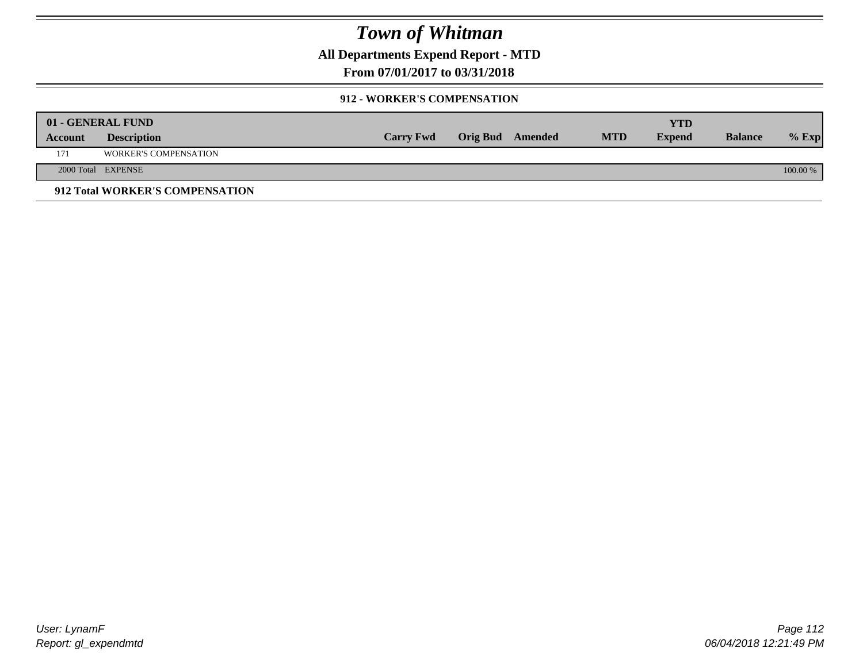**All Departments Expend Report - MTD**

**From 07/01/2017 to 03/31/2018**

### **912 - WORKER'S COMPENSATION**

|         | 01 - GENERAL FUND               |                  |                  |            | <b>YTD</b>    |                |          |
|---------|---------------------------------|------------------|------------------|------------|---------------|----------------|----------|
| Account | <b>Description</b>              | <b>Carry Fwd</b> | Orig Bud Amended | <b>MTD</b> | <b>Expend</b> | <b>Balance</b> | $%$ Exp  |
| 171     | <b>WORKER'S COMPENSATION</b>    |                  |                  |            |               |                |          |
|         | 2000 Total EXPENSE              |                  |                  |            |               |                | 100.00 % |
|         | 912 Total WORKER'S COMPENSATION |                  |                  |            |               |                |          |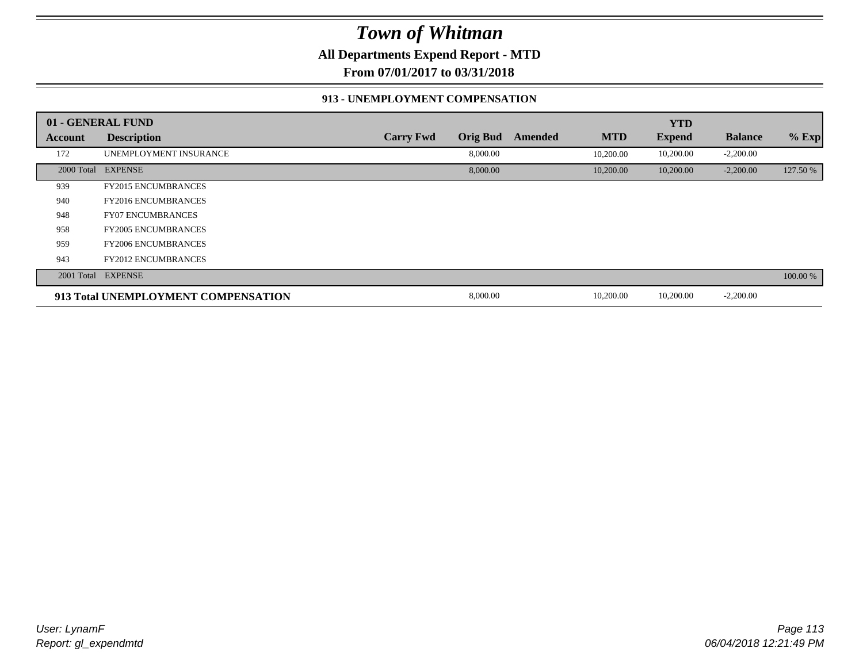**All Departments Expend Report - MTD**

**From 07/01/2017 to 03/31/2018**

#### **913 - UNEMPLOYMENT COMPENSATION**

|            | 01 - GENERAL FUND                   |                  |                 |                |            | <b>YTD</b>    |                |          |
|------------|-------------------------------------|------------------|-----------------|----------------|------------|---------------|----------------|----------|
| Account    | <b>Description</b>                  | <b>Carry Fwd</b> | <b>Orig Bud</b> | <b>Amended</b> | <b>MTD</b> | <b>Expend</b> | <b>Balance</b> | $%$ Exp  |
| 172        | UNEMPLOYMENT INSURANCE              |                  | 8,000.00        |                | 10,200.00  | 10,200.00     | $-2,200.00$    |          |
| 2000 Total | <b>EXPENSE</b>                      |                  | 8,000.00        |                | 10,200.00  | 10,200.00     | $-2,200.00$    | 127.50 % |
| 939        | <b>FY2015 ENCUMBRANCES</b>          |                  |                 |                |            |               |                |          |
| 940        | <b>FY2016 ENCUMBRANCES</b>          |                  |                 |                |            |               |                |          |
| 948        | <b>FY07 ENCUMBRANCES</b>            |                  |                 |                |            |               |                |          |
| 958        | <b>FY2005 ENCUMBRANCES</b>          |                  |                 |                |            |               |                |          |
| 959        | <b>FY2006 ENCUMBRANCES</b>          |                  |                 |                |            |               |                |          |
| 943        | <b>FY2012 ENCUMBRANCES</b>          |                  |                 |                |            |               |                |          |
|            | 2001 Total EXPENSE                  |                  |                 |                |            |               |                | 100.00 % |
|            | 913 Total UNEMPLOYMENT COMPENSATION |                  | 8,000.00        |                | 10,200.00  | 10,200.00     | $-2,200.00$    |          |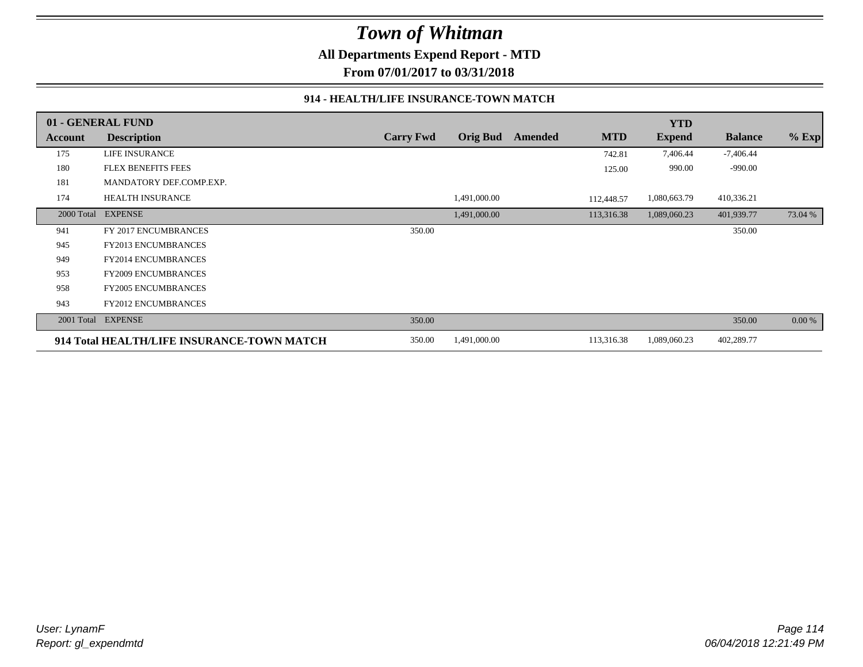**All Departments Expend Report - MTD**

**From 07/01/2017 to 03/31/2018**

#### **914 - HEALTH/LIFE INSURANCE-TOWN MATCH**

|            | 01 - GENERAL FUND                          |                  |                 |         |            | <b>YTD</b>    |                |         |
|------------|--------------------------------------------|------------------|-----------------|---------|------------|---------------|----------------|---------|
| Account    | <b>Description</b>                         | <b>Carry Fwd</b> | <b>Orig Bud</b> | Amended | <b>MTD</b> | <b>Expend</b> | <b>Balance</b> | $%$ Exp |
| 175        | LIFE INSURANCE                             |                  |                 |         | 742.81     | 7,406.44      | $-7,406.44$    |         |
| 180        | <b>FLEX BENEFITS FEES</b>                  |                  |                 |         | 125.00     | 990.00        | $-990.00$      |         |
| 181        | MANDATORY DEF.COMP.EXP.                    |                  |                 |         |            |               |                |         |
| 174        | <b>HEALTH INSURANCE</b>                    |                  | 1,491,000.00    |         | 112,448.57 | 1,080,663.79  | 410,336.21     |         |
| 2000 Total | <b>EXPENSE</b>                             |                  | 1,491,000.00    |         | 113,316.38 | 1,089,060.23  | 401,939.77     | 73.04 % |
| 941        | FY 2017 ENCUMBRANCES                       | 350.00           |                 |         |            |               | 350.00         |         |
| 945        | FY2013 ENCUMBRANCES                        |                  |                 |         |            |               |                |         |
| 949        | <b>FY2014 ENCUMBRANCES</b>                 |                  |                 |         |            |               |                |         |
| 953        | FY2009 ENCUMBRANCES                        |                  |                 |         |            |               |                |         |
| 958        | <b>FY2005 ENCUMBRANCES</b>                 |                  |                 |         |            |               |                |         |
| 943        | <b>FY2012 ENCUMBRANCES</b>                 |                  |                 |         |            |               |                |         |
| 2001 Total | <b>EXPENSE</b>                             | 350.00           |                 |         |            |               | 350.00         | 0.00 %  |
|            | 914 Total HEALTH/LIFE INSURANCE-TOWN MATCH | 350.00           | 1,491,000.00    |         | 113,316.38 | 1,089,060.23  | 402,289.77     |         |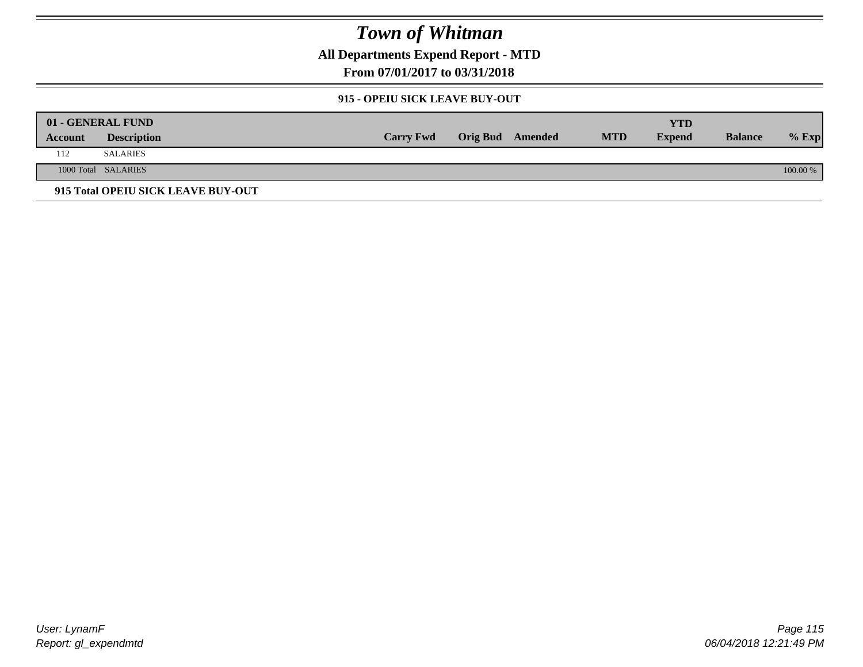**All Departments Expend Report - MTD**

**From 07/01/2017 to 03/31/2018**

#### **915 - OPEIU SICK LEAVE BUY-OUT**

|         | 01 - GENERAL FUND                  |                  |                         |            | YTD           |                |          |
|---------|------------------------------------|------------------|-------------------------|------------|---------------|----------------|----------|
| Account | <b>Description</b>                 | <b>Carry Fwd</b> | <b>Orig Bud</b> Amended | <b>MTD</b> | <b>Expend</b> | <b>Balance</b> | $%$ Exp  |
| 112     | <b>SALARIES</b>                    |                  |                         |            |               |                |          |
|         | 1000 Total SALARIES                |                  |                         |            |               |                | 100.00 % |
|         | 915 Total OPEIU SICK LEAVE BUY-OUT |                  |                         |            |               |                |          |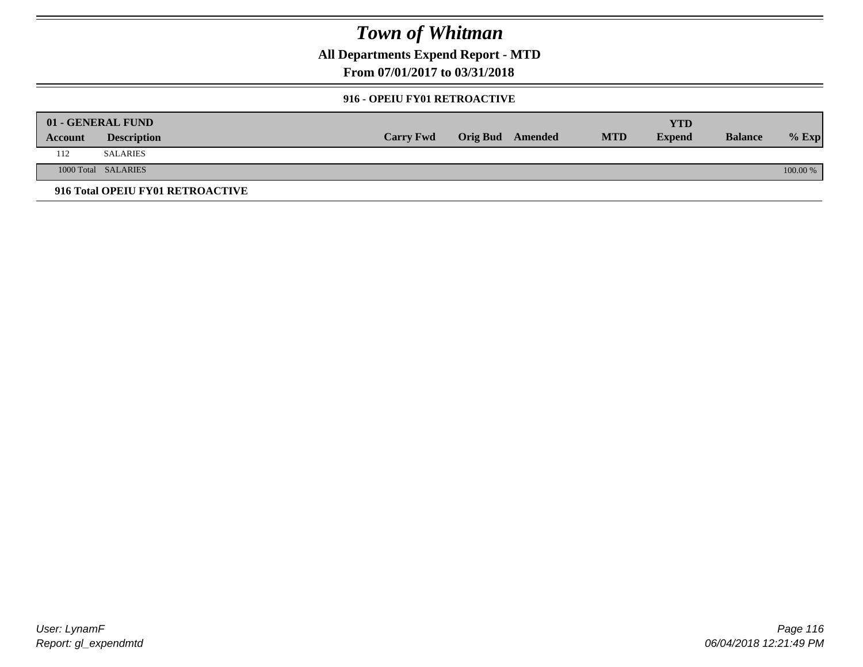**All Departments Expend Report - MTD**

**From 07/01/2017 to 03/31/2018**

#### **916 - OPEIU FY01 RETROACTIVE**

|         | 01 - GENERAL FUND                |                  |                         |            | YTD           |                |          |
|---------|----------------------------------|------------------|-------------------------|------------|---------------|----------------|----------|
| Account | <b>Description</b>               | <b>Carry Fwd</b> | <b>Orig Bud</b> Amended | <b>MTD</b> | <b>Expend</b> | <b>Balance</b> | $%$ Exp  |
| 112     | <b>SALARIES</b>                  |                  |                         |            |               |                |          |
|         | 1000 Total SALARIES              |                  |                         |            |               |                | 100.00 % |
|         | 916 Total OPEIU FY01 RETROACTIVE |                  |                         |            |               |                |          |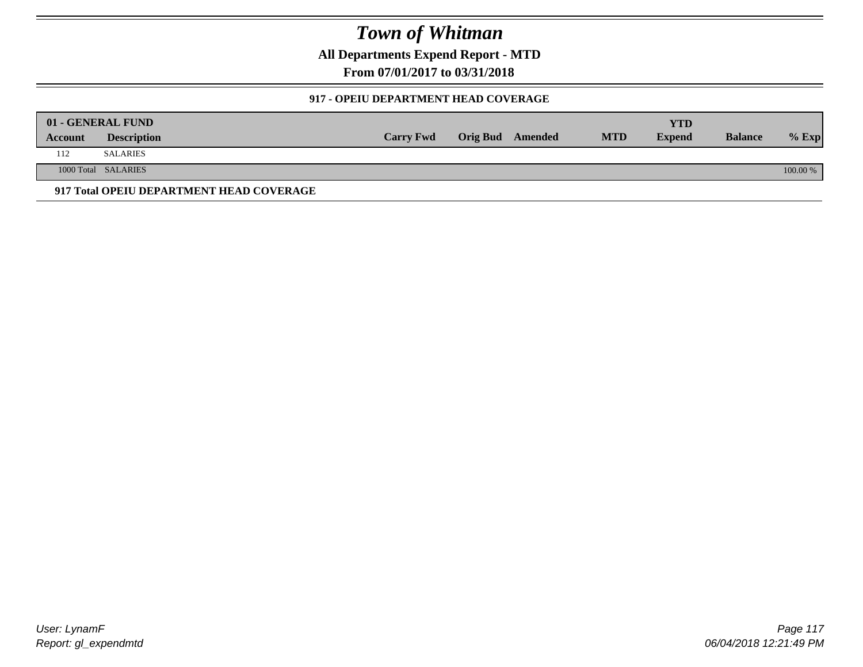**All Departments Expend Report - MTD**

**From 07/01/2017 to 03/31/2018**

#### **917 - OPEIU DEPARTMENT HEAD COVERAGE**

|         | 01 - GENERAL FUND                        |                  |                  |            | <b>YTD</b>    |                |          |
|---------|------------------------------------------|------------------|------------------|------------|---------------|----------------|----------|
| Account | <b>Description</b>                       | <b>Carry Fwd</b> | Orig Bud Amended | <b>MTD</b> | <b>Expend</b> | <b>Balance</b> | $%$ Exp  |
| 112     | SALARIES                                 |                  |                  |            |               |                |          |
|         | 1000 Total SALARIES                      |                  |                  |            |               |                | 100.00 % |
|         | 917 Total OPEIU DEPARTMENT HEAD COVERAGE |                  |                  |            |               |                |          |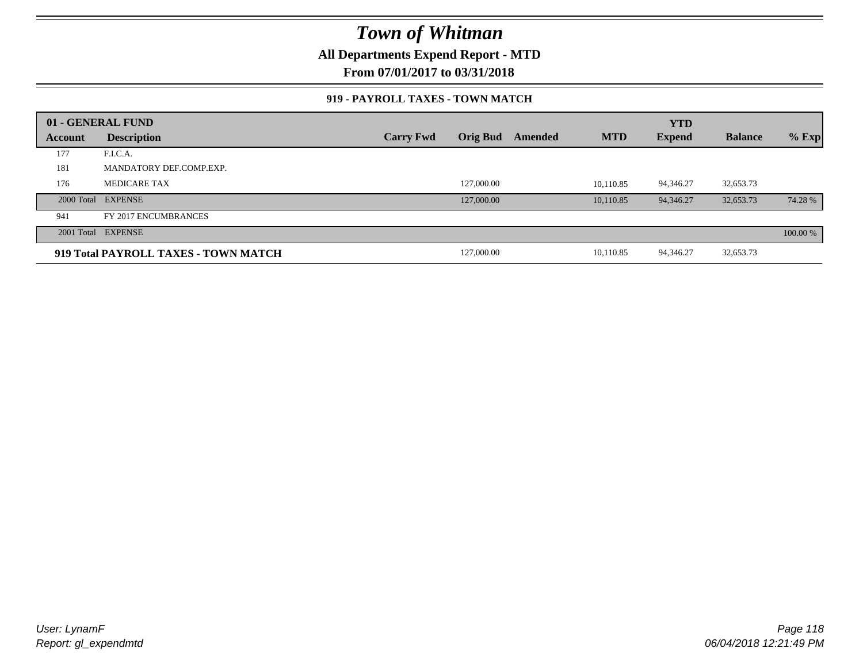**All Departments Expend Report - MTD**

**From 07/01/2017 to 03/31/2018**

#### **919 - PAYROLL TAXES - TOWN MATCH**

|         | 01 - GENERAL FUND                    |                  |            |         |            | <b>YTD</b>    |                |          |
|---------|--------------------------------------|------------------|------------|---------|------------|---------------|----------------|----------|
| Account | <b>Description</b>                   | <b>Carry Fwd</b> | Orig Bud   | Amended | <b>MTD</b> | <b>Expend</b> | <b>Balance</b> | $%$ Exp  |
| 177     | F.I.C.A.                             |                  |            |         |            |               |                |          |
| 181     | MANDATORY DEF.COMP.EXP.              |                  |            |         |            |               |                |          |
| 176     | <b>MEDICARE TAX</b>                  |                  | 127,000.00 |         | 10.110.85  | 94,346.27     | 32,653.73      |          |
|         | 2000 Total EXPENSE                   |                  | 127,000.00 |         | 10.110.85  | 94,346.27     | 32,653.73      | 74.28 %  |
| 941     | FY 2017 ENCUMBRANCES                 |                  |            |         |            |               |                |          |
|         | 2001 Total EXPENSE                   |                  |            |         |            |               |                | 100.00 % |
|         | 919 Total PAYROLL TAXES - TOWN MATCH |                  | 127,000.00 |         | 10,110.85  | 94,346.27     | 32,653.73      |          |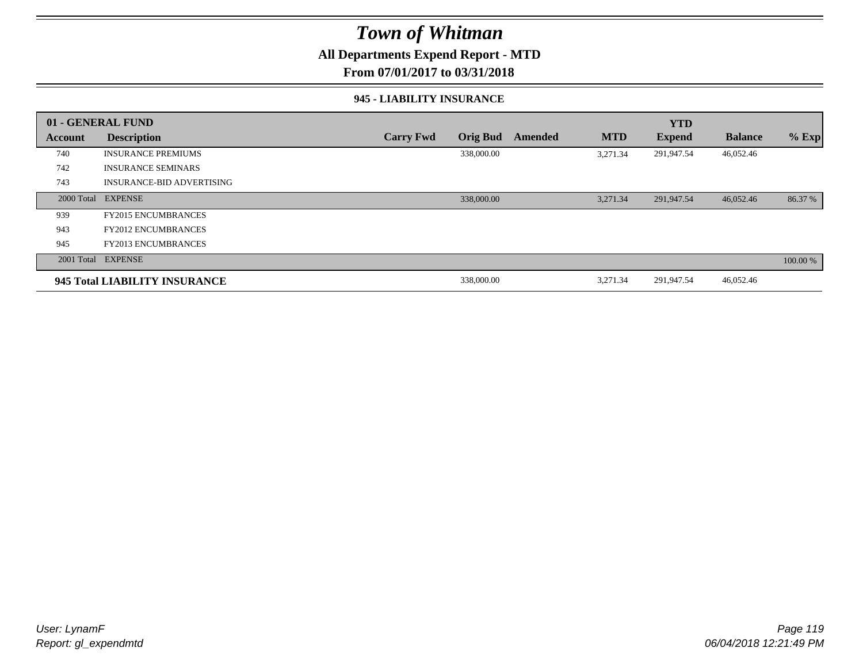### **All Departments Expend Report - MTD**

**From 07/01/2017 to 03/31/2018**

#### **945 - LIABILITY INSURANCE**

|         | 01 - GENERAL FUND                |                  |                 |         |            | <b>YTD</b>    |                |          |
|---------|----------------------------------|------------------|-----------------|---------|------------|---------------|----------------|----------|
| Account | <b>Description</b>               | <b>Carry Fwd</b> | <b>Orig Bud</b> | Amended | <b>MTD</b> | <b>Expend</b> | <b>Balance</b> | $%$ Exp  |
| 740     | <b>INSURANCE PREMIUMS</b>        |                  | 338,000.00      |         | 3,271.34   | 291,947.54    | 46,052.46      |          |
| 742     | <b>INSURANCE SEMINARS</b>        |                  |                 |         |            |               |                |          |
| 743     | <b>INSURANCE-BID ADVERTISING</b> |                  |                 |         |            |               |                |          |
|         | 2000 Total EXPENSE               |                  | 338,000.00      |         | 3,271.34   | 291,947.54    | 46,052.46      | 86.37 %  |
| 939     | <b>FY2015 ENCUMBRANCES</b>       |                  |                 |         |            |               |                |          |
| 943     | <b>FY2012 ENCUMBRANCES</b>       |                  |                 |         |            |               |                |          |
| 945     | <b>FY2013 ENCUMBRANCES</b>       |                  |                 |         |            |               |                |          |
|         | 2001 Total EXPENSE               |                  |                 |         |            |               |                | 100.00 % |
|         | 945 Total LIABILITY INSURANCE    |                  | 338,000.00      |         | 3,271.34   | 291,947.54    | 46,052.46      |          |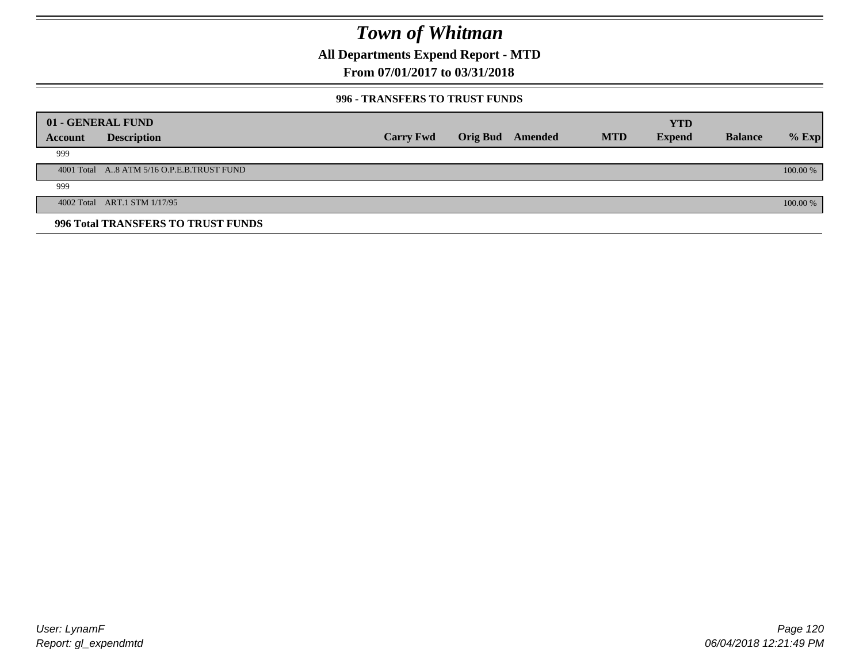**All Departments Expend Report - MTD**

### **From 07/01/2017 to 03/31/2018**

#### **996 - TRANSFERS TO TRUST FUNDS**

|         | 01 - GENERAL FUND                         |                  |                 |         |            | <b>YTD</b>    |                |            |
|---------|-------------------------------------------|------------------|-----------------|---------|------------|---------------|----------------|------------|
| Account | <b>Description</b>                        | <b>Carry Fwd</b> | <b>Orig Bud</b> | Amended | <b>MTD</b> | <b>Expend</b> | <b>Balance</b> | $%$ Exp    |
| 999     |                                           |                  |                 |         |            |               |                |            |
|         | 4001 Total A8 ATM 5/16 O.P.E.B.TRUST FUND |                  |                 |         |            |               |                | $100.00\%$ |
| 999     |                                           |                  |                 |         |            |               |                |            |
|         | 4002 Total ART.1 STM 1/17/95              |                  |                 |         |            |               |                | 100.00 %   |
|         | 996 Total TRANSFERS TO TRUST FUNDS        |                  |                 |         |            |               |                |            |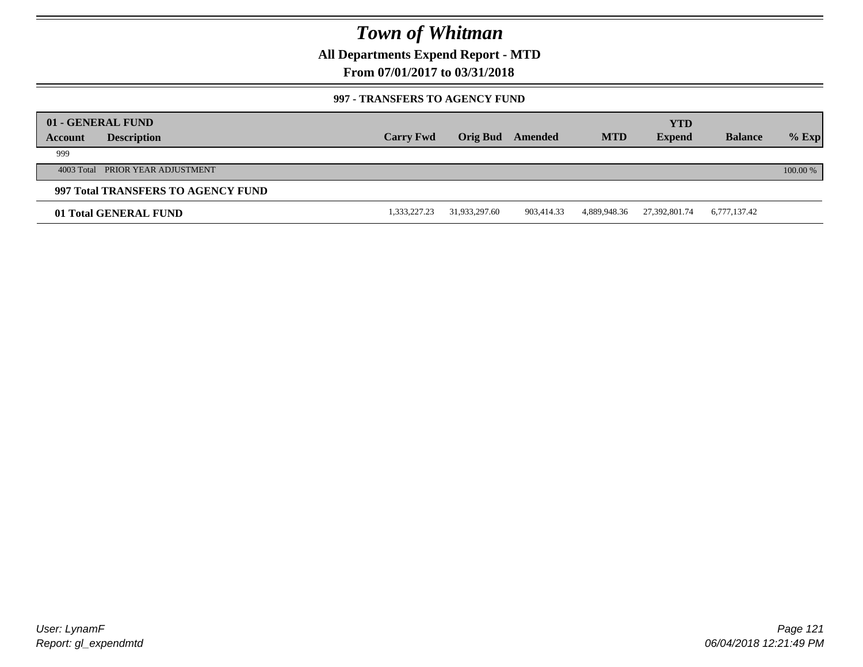**All Departments Expend Report - MTD**

### **From 07/01/2017 to 03/31/2018**

#### **997 - TRANSFERS TO AGENCY FUND**

| Account | 01 - GENERAL FUND<br><b>Description</b> | <b>Carry Fwd</b> | Orig Bud      | Amended    | <b>MTD</b>   | <b>YTD</b><br><b>Expend</b> | <b>Balance</b> | $%$ Exp  |
|---------|-----------------------------------------|------------------|---------------|------------|--------------|-----------------------------|----------------|----------|
| 999     |                                         |                  |               |            |              |                             |                |          |
|         |                                         |                  |               |            |              |                             |                |          |
|         | 4003 Total PRIOR YEAR ADJUSTMENT        |                  |               |            |              |                             |                | 100.00 % |
|         | 997 Total TRANSFERS TO AGENCY FUND      |                  |               |            |              |                             |                |          |
|         | 01 Total GENERAL FUND                   | 1,333,227.23     | 31,933,297.60 | 903,414.33 | 4,889,948.36 | 27,392,801.74               | 6,777,137.42   |          |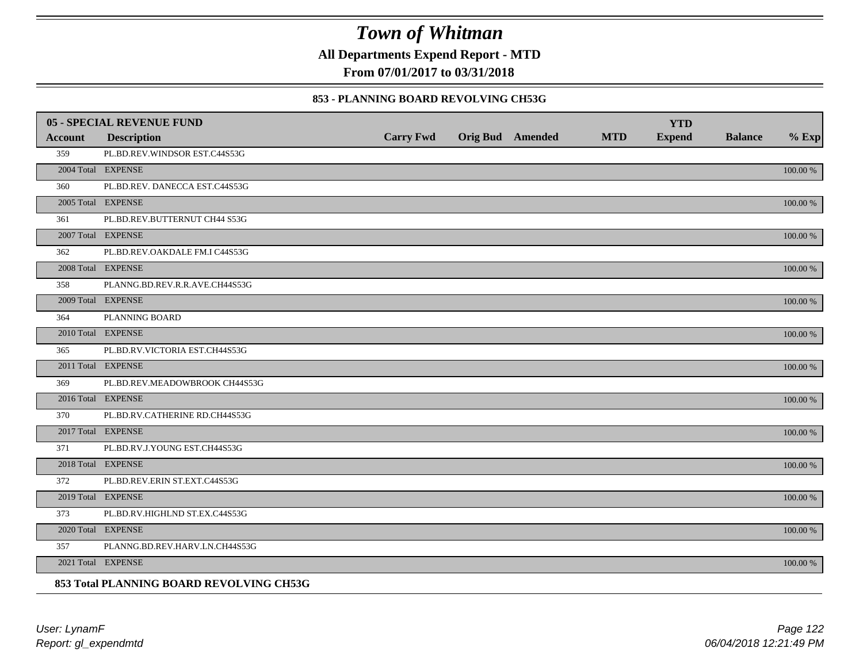**All Departments Expend Report - MTD**

**From 07/01/2017 to 03/31/2018**

#### **853 - PLANNING BOARD REVOLVING CH53G**

|         | <b>05 - SPECIAL REVENUE FUND</b>         |                  |                  |            | <b>YTD</b>    |                |             |
|---------|------------------------------------------|------------------|------------------|------------|---------------|----------------|-------------|
| Account | <b>Description</b>                       | <b>Carry Fwd</b> | Orig Bud Amended | <b>MTD</b> | <b>Expend</b> | <b>Balance</b> | $%$ Exp     |
| 359     | PL.BD.REV.WINDSOR EST.C44S53G            |                  |                  |            |               |                |             |
|         | 2004 Total EXPENSE                       |                  |                  |            |               |                | 100.00 %    |
| 360     | PL.BD.REV. DANECCA EST.C44S53G           |                  |                  |            |               |                |             |
|         | 2005 Total EXPENSE                       |                  |                  |            |               |                | 100.00 %    |
| 361     | PL.BD.REV.BUTTERNUT CH44 S53G            |                  |                  |            |               |                |             |
|         | 2007 Total EXPENSE                       |                  |                  |            |               |                | 100.00 %    |
| 362     | PL.BD.REV.OAKDALE FM.I C44S53G           |                  |                  |            |               |                |             |
|         | 2008 Total EXPENSE                       |                  |                  |            |               |                | $100.00~\%$ |
| 358     | PLANNG.BD.REV.R.R.AVE.CH44S53G           |                  |                  |            |               |                |             |
|         | 2009 Total EXPENSE                       |                  |                  |            |               |                | 100.00 %    |
| 364     | PLANNING BOARD                           |                  |                  |            |               |                |             |
|         | 2010 Total EXPENSE                       |                  |                  |            |               |                | $100.00~\%$ |
| 365     | PL.BD.RV.VICTORIA EST.CH44S53G           |                  |                  |            |               |                |             |
|         | 2011 Total EXPENSE                       |                  |                  |            |               |                | 100.00 %    |
| 369     | PL.BD.REV.MEADOWBROOK CH44S53G           |                  |                  |            |               |                |             |
|         | 2016 Total EXPENSE                       |                  |                  |            |               |                | 100.00 %    |
| 370     | PL.BD.RV.CATHERINE RD.CH44S53G           |                  |                  |            |               |                |             |
|         | 2017 Total EXPENSE                       |                  |                  |            |               |                | 100.00 %    |
| 371     | PL.BD.RV.J.YOUNG EST.CH44S53G            |                  |                  |            |               |                |             |
|         | 2018 Total EXPENSE                       |                  |                  |            |               |                | $100.00~\%$ |
| 372     | PL.BD.REV.ERIN ST.EXT.C44S53G            |                  |                  |            |               |                |             |
|         | 2019 Total EXPENSE                       |                  |                  |            |               |                | 100.00 %    |
| 373     | PL.BD.RV.HIGHLND ST.EX.C44S53G           |                  |                  |            |               |                |             |
|         | 2020 Total EXPENSE                       |                  |                  |            |               |                | 100.00 %    |
| 357     | PLANNG.BD.REV.HARV.LN.CH44S53G           |                  |                  |            |               |                |             |
|         | 2021 Total EXPENSE                       |                  |                  |            |               |                | 100.00 %    |
|         | 853 Total PLANNING BOARD REVOLVING CH53G |                  |                  |            |               |                |             |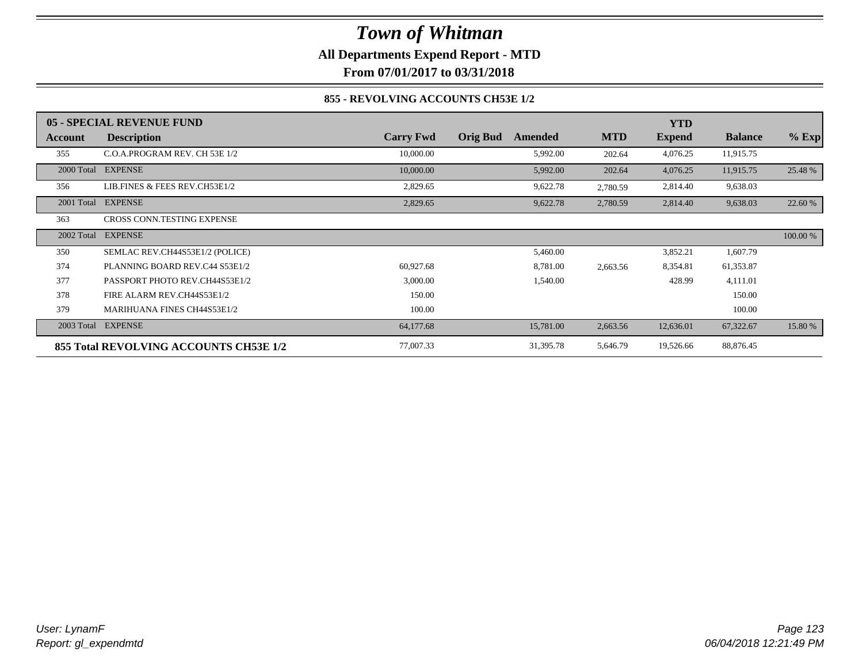### *Town of Whitman* **All Departments Expend Report - MTD**

**From 07/01/2017 to 03/31/2018**

### **855 - REVOLVING ACCOUNTS CH53E 1/2**

|            | 05 - SPECIAL REVENUE FUND              |                  |                            |            | <b>YTD</b>    |                |          |
|------------|----------------------------------------|------------------|----------------------------|------------|---------------|----------------|----------|
| Account    | <b>Description</b>                     | <b>Carry Fwd</b> | <b>Orig Bud</b><br>Amended | <b>MTD</b> | <b>Expend</b> | <b>Balance</b> | $%$ Exp  |
| 355        | C.O.A.PROGRAM REV. CH 53E 1/2          | 10,000.00        | 5,992.00                   | 202.64     | 4,076.25      | 11,915.75      |          |
| 2000 Total | <b>EXPENSE</b>                         | 10,000.00        | 5,992.00                   | 202.64     | 4,076.25      | 11,915.75      | 25.48 %  |
| 356        | LIB.FINES & FEES REV.CH53E1/2          | 2,829.65         | 9,622.78                   | 2,780.59   | 2,814.40      | 9,638.03       |          |
| 2001 Total | <b>EXPENSE</b>                         | 2,829.65         | 9,622.78                   | 2,780.59   | 2,814.40      | 9,638.03       | 22.60 %  |
| 363        | <b>CROSS CONN.TESTING EXPENSE</b>      |                  |                            |            |               |                |          |
| 2002 Total | <b>EXPENSE</b>                         |                  |                            |            |               |                | 100.00 % |
| 350        | SEMLAC REV.CH44S53E1/2 (POLICE)        |                  | 5,460.00                   |            | 3,852.21      | 1,607.79       |          |
| 374        | PLANNING BOARD REV.C44 S53E1/2         | 60,927.68        | 8,781.00                   | 2,663.56   | 8,354.81      | 61,353.87      |          |
| 377        | PASSPORT PHOTO REV.CH44S53E1/2         | 3,000.00         | 1,540.00                   |            | 428.99        | 4,111.01       |          |
| 378        | FIRE ALARM REV.CH44S53E1/2             | 150.00           |                            |            |               | 150.00         |          |
| 379        | <b>MARIHUANA FINES CH44S53E1/2</b>     | 100.00           |                            |            |               | 100.00         |          |
| 2003 Total | <b>EXPENSE</b>                         | 64,177.68        | 15,781.00                  | 2,663.56   | 12,636.01     | 67,322.67      | 15.80 %  |
|            | 855 Total REVOLVING ACCOUNTS CH53E 1/2 | 77,007.33        | 31,395.78                  | 5,646.79   | 19,526.66     | 88,876.45      |          |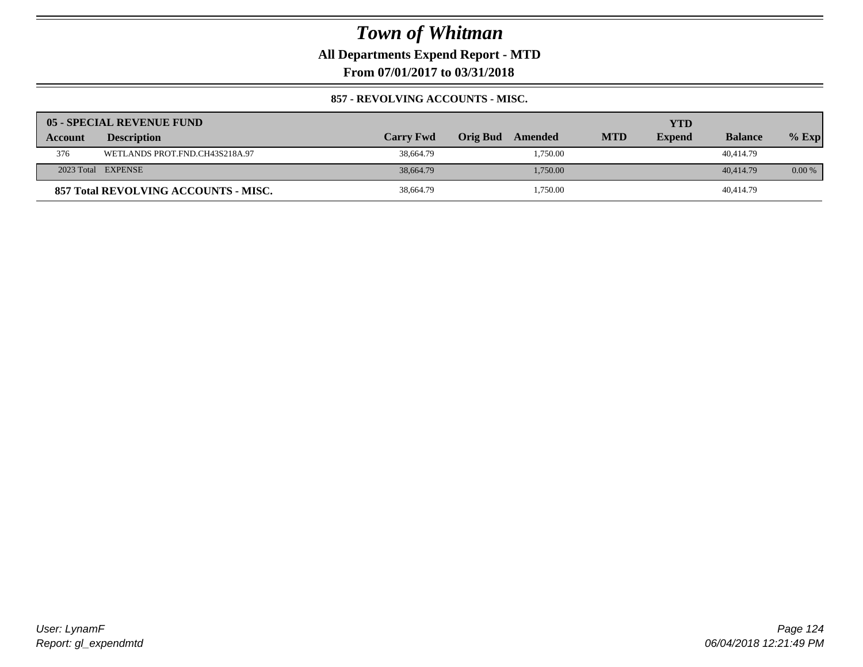**All Departments Expend Report - MTD**

**From 07/01/2017 to 03/31/2018**

### **857 - REVOLVING ACCOUNTS - MISC.**

|         | 05 - SPECIAL REVENUE FUND            |                  |                            |            | YTD           |                |          |
|---------|--------------------------------------|------------------|----------------------------|------------|---------------|----------------|----------|
| Account | <b>Description</b>                   | <b>Carry Fwd</b> | <b>Orig Bud</b><br>Amended | <b>MTD</b> | <b>Expend</b> | <b>Balance</b> | $%$ Exp  |
| 376     | WETLANDS PROT.FND.CH43S218A.97       | 38,664.79        | 1,750.00                   |            |               | 40.414.79      |          |
|         | 2023 Total EXPENSE                   | 38,664.79        | 1.750.00                   |            |               | 40,414.79      | $0.00\%$ |
|         | 857 Total REVOLVING ACCOUNTS - MISC. | 38,664.79        | 1,750.00                   |            |               | 40,414.79      |          |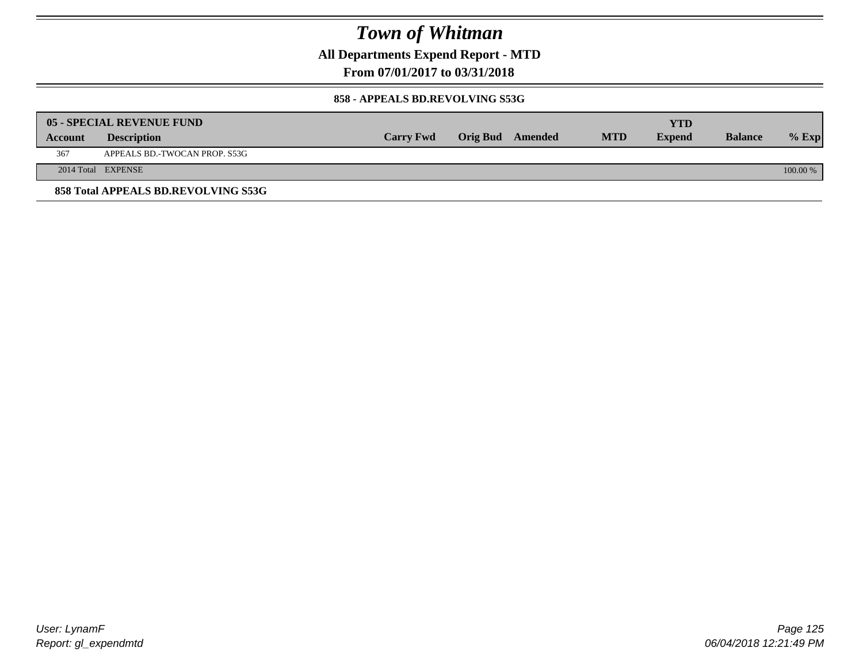**All Departments Expend Report - MTD**

**From 07/01/2017 to 03/31/2018**

#### **858 - APPEALS BD.REVOLVING S53G**

|         | 05 - SPECIAL REVENUE FUND           |                  |                  |            | YTD           |                |            |
|---------|-------------------------------------|------------------|------------------|------------|---------------|----------------|------------|
| Account | <b>Description</b>                  | <b>Carry Fwd</b> | Orig Bud Amended | <b>MTD</b> | <b>Expend</b> | <b>Balance</b> | $\%$ Exp   |
| 367     | APPEALS BD.-TWOCAN PROP. S53G       |                  |                  |            |               |                |            |
|         | 2014 Total EXPENSE                  |                  |                  |            |               |                | $100.00\%$ |
|         | 858 Total APPEALS BD.REVOLVING S53G |                  |                  |            |               |                |            |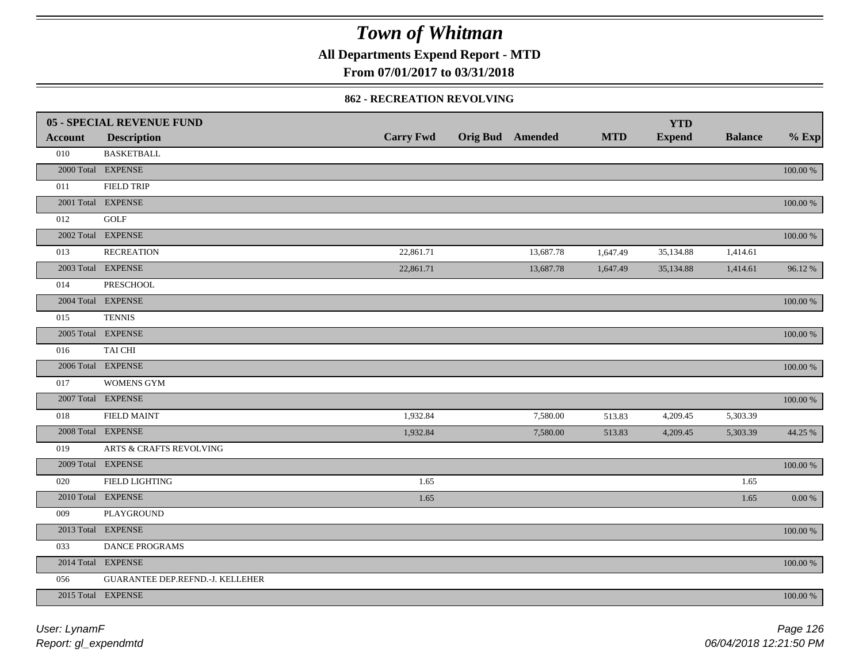**All Departments Expend Report - MTD**

### **From 07/01/2017 to 03/31/2018**

#### **862 - RECREATION REVOLVING**

|                | <b>05 - SPECIAL REVENUE FUND</b>   |                  |                  |            | <b>YTD</b>    |                |             |
|----------------|------------------------------------|------------------|------------------|------------|---------------|----------------|-------------|
| <b>Account</b> | <b>Description</b>                 | <b>Carry Fwd</b> | Orig Bud Amended | <b>MTD</b> | <b>Expend</b> | <b>Balance</b> | $%$ Exp     |
| 010            | <b>BASKETBALL</b>                  |                  |                  |            |               |                |             |
|                | 2000 Total EXPENSE                 |                  |                  |            |               |                | $100.00~\%$ |
| 011            | <b>FIELD TRIP</b>                  |                  |                  |            |               |                |             |
|                | 2001 Total EXPENSE                 |                  |                  |            |               |                | 100.00 %    |
| 012            | GOLF                               |                  |                  |            |               |                |             |
|                | 2002 Total EXPENSE                 |                  |                  |            |               |                | 100.00 %    |
| 013            | <b>RECREATION</b>                  | 22,861.71        | 13,687.78        | 1,647.49   | 35,134.88     | 1,414.61       |             |
|                | 2003 Total EXPENSE                 | 22,861.71        | 13,687.78        | 1,647.49   | 35,134.88     | 1,414.61       | 96.12%      |
| 014            | PRESCHOOL                          |                  |                  |            |               |                |             |
|                | 2004 Total EXPENSE                 |                  |                  |            |               |                | 100.00 %    |
| 015            | <b>TENNIS</b>                      |                  |                  |            |               |                |             |
|                | 2005 Total EXPENSE                 |                  |                  |            |               |                | 100.00 %    |
| 016            | TAI CHI                            |                  |                  |            |               |                |             |
|                | 2006 Total EXPENSE                 |                  |                  |            |               |                | 100.00 %    |
| 017            | <b>WOMENS GYM</b>                  |                  |                  |            |               |                |             |
|                | 2007 Total EXPENSE                 |                  |                  |            |               |                | $100.00~\%$ |
| 018            | <b>FIELD MAINT</b>                 | 1,932.84         | 7,580.00         | 513.83     | 4,209.45      | 5,303.39       |             |
|                | 2008 Total EXPENSE                 | 1,932.84         | 7,580.00         | 513.83     | 4,209.45      | 5,303.39       | 44.25 %     |
| 019            | <b>ARTS &amp; CRAFTS REVOLVING</b> |                  |                  |            |               |                |             |
|                | 2009 Total EXPENSE                 |                  |                  |            |               |                | $100.00~\%$ |
| 020            | FIELD LIGHTING                     | 1.65             |                  |            |               | 1.65           |             |
|                | 2010 Total EXPENSE                 | 1.65             |                  |            |               | 1.65           | $0.00\,\%$  |
| 009            | PLAYGROUND                         |                  |                  |            |               |                |             |
|                | 2013 Total EXPENSE                 |                  |                  |            |               |                | $100.00~\%$ |
| 033            | DANCE PROGRAMS                     |                  |                  |            |               |                |             |
|                | 2014 Total EXPENSE                 |                  |                  |            |               |                | 100.00 %    |
| 056            | GUARANTEE DEP.REFND.-J. KELLEHER   |                  |                  |            |               |                |             |
|                | 2015 Total EXPENSE                 |                  |                  |            |               |                | 100.00 %    |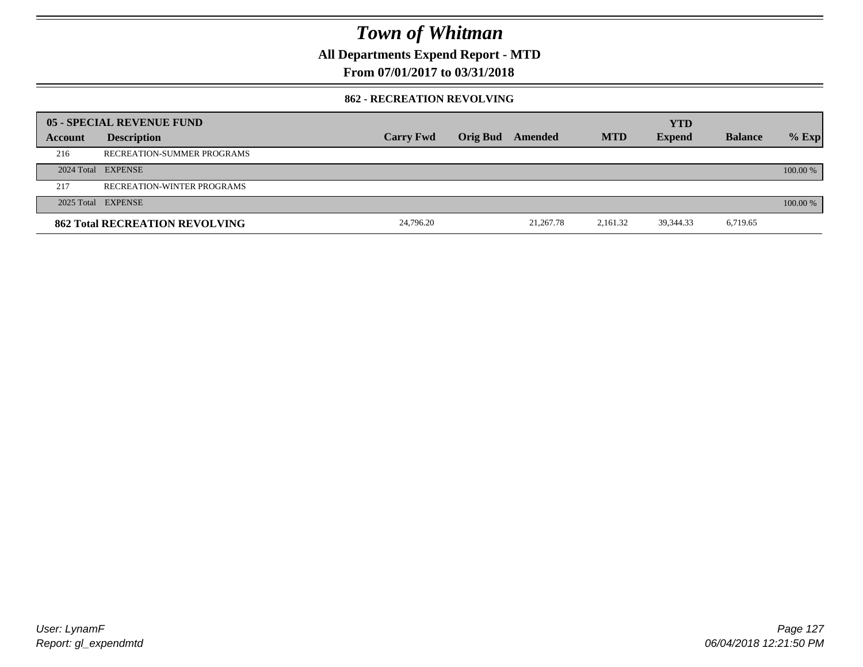**All Departments Expend Report - MTD**

### **From 07/01/2017 to 03/31/2018**

#### **862 - RECREATION REVOLVING**

|         | 05 - SPECIAL REVENUE FUND             |                  |                         |             |            | <b>YTD</b>    |                |          |
|---------|---------------------------------------|------------------|-------------------------|-------------|------------|---------------|----------------|----------|
| Account | <b>Description</b>                    | <b>Carry Fwd</b> | <b>Orig Bud</b> Amended |             | <b>MTD</b> | <b>Expend</b> | <b>Balance</b> | $%$ Exp  |
| 216     | RECREATION-SUMMER PROGRAMS            |                  |                         |             |            |               |                |          |
|         | 2024 Total EXPENSE                    |                  |                         |             |            |               |                | 100.00 % |
| 217     | <b>RECREATION-WINTER PROGRAMS</b>     |                  |                         |             |            |               |                |          |
|         | 2025 Total EXPENSE                    |                  |                         |             |            |               |                | 100.00 % |
|         | <b>862 Total RECREATION REVOLVING</b> | 24,796.20        |                         | 21, 267, 78 | 2,161.32   | 39,344.33     | 6,719.65       |          |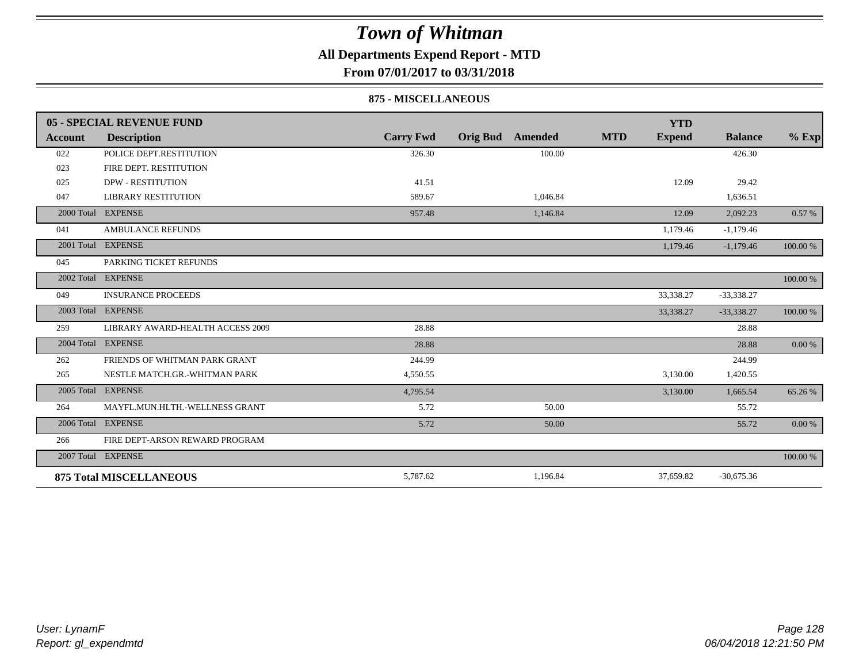### **All Departments Expend Report - MTD**

**From 07/01/2017 to 03/31/2018**

#### **875 - MISCELLANEOUS**

|                | 05 - SPECIAL REVENUE FUND        |                  |                            | <b>YTD</b>                  |                |          |
|----------------|----------------------------------|------------------|----------------------------|-----------------------------|----------------|----------|
| <b>Account</b> | <b>Description</b>               | <b>Carry Fwd</b> | <b>Orig Bud</b><br>Amended | <b>MTD</b><br><b>Expend</b> | <b>Balance</b> | $%$ Exp  |
| 022            | POLICE DEPT.RESTITUTION          | 326.30           | 100.00                     |                             | 426.30         |          |
| 023            | FIRE DEPT. RESTITUTION           |                  |                            |                             |                |          |
| 025            | <b>DPW - RESTITUTION</b>         | 41.51            |                            | 12.09                       | 29.42          |          |
| 047            | <b>LIBRARY RESTITUTION</b>       | 589.67           | 1,046.84                   |                             | 1,636.51       |          |
|                | 2000 Total EXPENSE               | 957.48           | 1,146.84                   | 12.09                       | 2,092.23       | 0.57%    |
| 041            | <b>AMBULANCE REFUNDS</b>         |                  |                            | 1,179.46                    | $-1,179.46$    |          |
| 2001 Total     | <b>EXPENSE</b>                   |                  |                            | 1,179.46                    | $-1,179.46$    | 100.00 % |
| 045            | PARKING TICKET REFUNDS           |                  |                            |                             |                |          |
|                | 2002 Total EXPENSE               |                  |                            |                             |                | 100.00 % |
| 049            | <b>INSURANCE PROCEEDS</b>        |                  |                            | 33,338.27                   | $-33,338.27$   |          |
| 2003 Total     | <b>EXPENSE</b>                   |                  |                            | 33,338.27                   | $-33,338.27$   | 100.00 % |
| 259            | LIBRARY AWARD-HEALTH ACCESS 2009 | 28.88            |                            |                             | 28.88          |          |
|                | 2004 Total EXPENSE               | 28.88            |                            |                             | 28.88          | 0.00 %   |
| 262            | FRIENDS OF WHITMAN PARK GRANT    | 244.99           |                            |                             | 244.99         |          |
| 265            | NESTLE MATCH.GR.-WHITMAN PARK    | 4,550.55         |                            | 3,130.00                    | 1,420.55       |          |
| 2005 Total     | <b>EXPENSE</b>                   | 4,795.54         |                            | 3,130.00                    | 1,665.54       | 65.26 %  |
| 264            | MAYFL.MUN.HLTH.-WELLNESS GRANT   | 5.72             | 50.00                      |                             | 55.72          |          |
|                | 2006 Total EXPENSE               | 5.72             | 50.00                      |                             | 55.72          | 0.00 %   |
| 266            | FIRE DEPT-ARSON REWARD PROGRAM   |                  |                            |                             |                |          |
|                | 2007 Total EXPENSE               |                  |                            |                             |                | 100.00 % |
|                | <b>875 Total MISCELLANEOUS</b>   | 5,787.62         | 1,196.84                   | 37,659.82                   | $-30,675.36$   |          |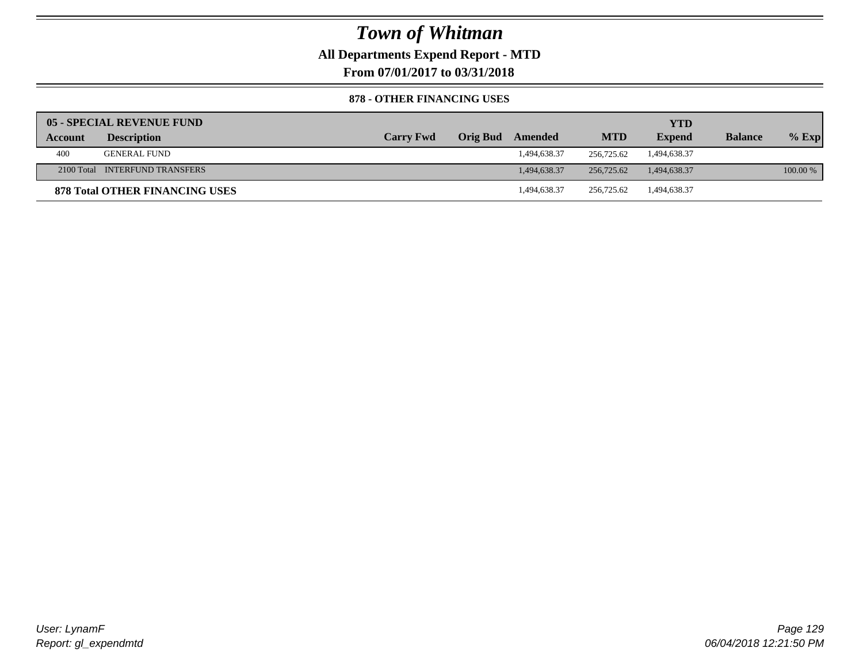**All Departments Expend Report - MTD**

**From 07/01/2017 to 03/31/2018**

#### **878 - OTHER FINANCING USES**

|         | 05 - SPECIAL REVENUE FUND      |                  |                         |            | YTD           |                |          |
|---------|--------------------------------|------------------|-------------------------|------------|---------------|----------------|----------|
| Account | <b>Description</b>             | <b>Carry Fwd</b> | <b>Orig Bud</b> Amended | <b>MTD</b> | <b>Expend</b> | <b>Balance</b> | $%$ Exp  |
| 400     | <b>GENERAL FUND</b>            |                  | 1,494,638.37            | 256,725.62 | 1,494,638.37  |                |          |
|         | 2100 Total INTERFUND TRANSFERS |                  | 1.494.638.37            | 256,725.62 | 1.494.638.37  |                | 100.00 % |
|         | 878 Total OTHER FINANCING USES |                  | 1,494,638.37            | 256,725.62 | 1,494,638.37  |                |          |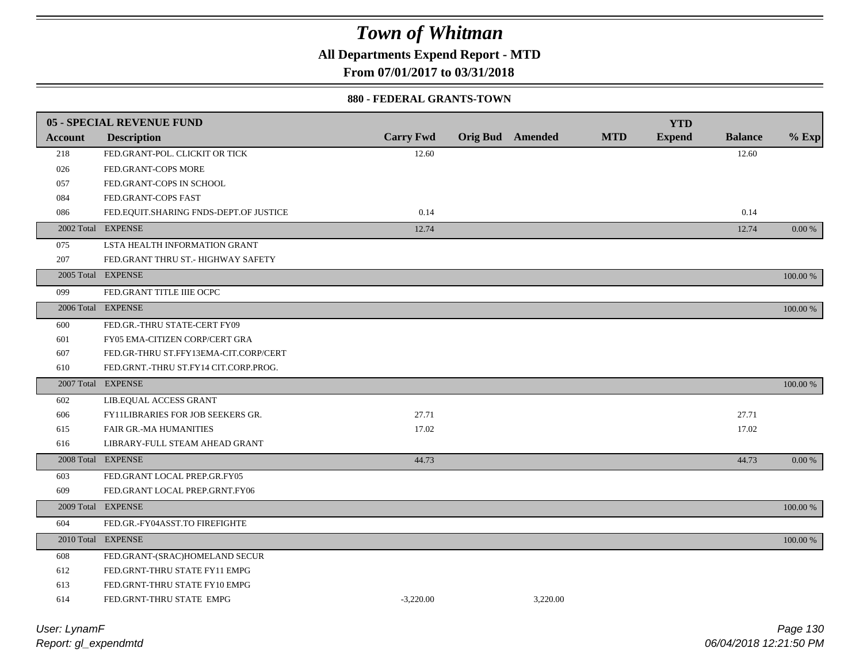**All Departments Expend Report - MTD**

**From 07/01/2017 to 03/31/2018**

#### **880 - FEDERAL GRANTS-TOWN**

|                | 05 - SPECIAL REVENUE FUND              |                  |                         |          |            | <b>YTD</b>    |                |             |
|----------------|----------------------------------------|------------------|-------------------------|----------|------------|---------------|----------------|-------------|
| <b>Account</b> | <b>Description</b>                     | <b>Carry Fwd</b> | <b>Orig Bud</b> Amended |          | <b>MTD</b> | <b>Expend</b> | <b>Balance</b> | $%$ Exp     |
| 218            | FED.GRANT-POL. CLICKIT OR TICK         | 12.60            |                         |          |            |               | 12.60          |             |
| 026            | FED.GRANT-COPS MORE                    |                  |                         |          |            |               |                |             |
| 057            | FED.GRANT-COPS IN SCHOOL               |                  |                         |          |            |               |                |             |
| 084            | FED.GRANT-COPS FAST                    |                  |                         |          |            |               |                |             |
| 086            | FED.EQUIT.SHARING FNDS-DEPT.OF JUSTICE | 0.14             |                         |          |            |               | 0.14           |             |
|                | 2002 Total EXPENSE                     | 12.74            |                         |          |            |               | 12.74          | 0.00 %      |
| 075            | LSTA HEALTH INFORMATION GRANT          |                  |                         |          |            |               |                |             |
| 207            | FED.GRANT THRU ST.- HIGHWAY SAFETY     |                  |                         |          |            |               |                |             |
|                | 2005 Total EXPENSE                     |                  |                         |          |            |               |                | 100.00 %    |
| 099            | FED.GRANT TITLE IIIE OCPC              |                  |                         |          |            |               |                |             |
|                | 2006 Total EXPENSE                     |                  |                         |          |            |               |                | 100.00 %    |
| 600            | FED.GR.-THRU STATE-CERT FY09           |                  |                         |          |            |               |                |             |
| 601            | FY05 EMA-CITIZEN CORP/CERT GRA         |                  |                         |          |            |               |                |             |
| 607            | FED.GR-THRU ST.FFY13EMA-CIT.CORP/CERT  |                  |                         |          |            |               |                |             |
| 610            | FED.GRNT.-THRU ST.FY14 CIT.CORP.PROG.  |                  |                         |          |            |               |                |             |
|                | 2007 Total EXPENSE                     |                  |                         |          |            |               |                | $100.00~\%$ |
| 602            | LIB.EQUAL ACCESS GRANT                 |                  |                         |          |            |               |                |             |
| 606            | FY11LIBRARIES FOR JOB SEEKERS GR.      | 27.71            |                         |          |            |               | 27.71          |             |
| 615            | <b>FAIR GR.-MA HUMANITIES</b>          | 17.02            |                         |          |            |               | 17.02          |             |
| 616            | LIBRARY-FULL STEAM AHEAD GRANT         |                  |                         |          |            |               |                |             |
|                | 2008 Total EXPENSE                     | 44.73            |                         |          |            |               | 44.73          | $0.00\ \%$  |
| 603            | FED.GRANT LOCAL PREP.GR.FY05           |                  |                         |          |            |               |                |             |
| 609            | FED.GRANT LOCAL PREP.GRNT.FY06         |                  |                         |          |            |               |                |             |
|                | 2009 Total EXPENSE                     |                  |                         |          |            |               |                | 100.00 %    |
| 604            | FED.GR.-FY04ASST.TO FIREFIGHTE         |                  |                         |          |            |               |                |             |
|                | 2010 Total EXPENSE                     |                  |                         |          |            |               |                | 100.00 %    |
| 608            | FED.GRANT-(SRAC)HOMELAND SECUR         |                  |                         |          |            |               |                |             |
| 612            | FED.GRNT-THRU STATE FY11 EMPG          |                  |                         |          |            |               |                |             |
| 613            | FED.GRNT-THRU STATE FY10 EMPG          |                  |                         |          |            |               |                |             |
| 614            | FED.GRNT-THRU STATE EMPG               | $-3,220.00$      |                         | 3,220.00 |            |               |                |             |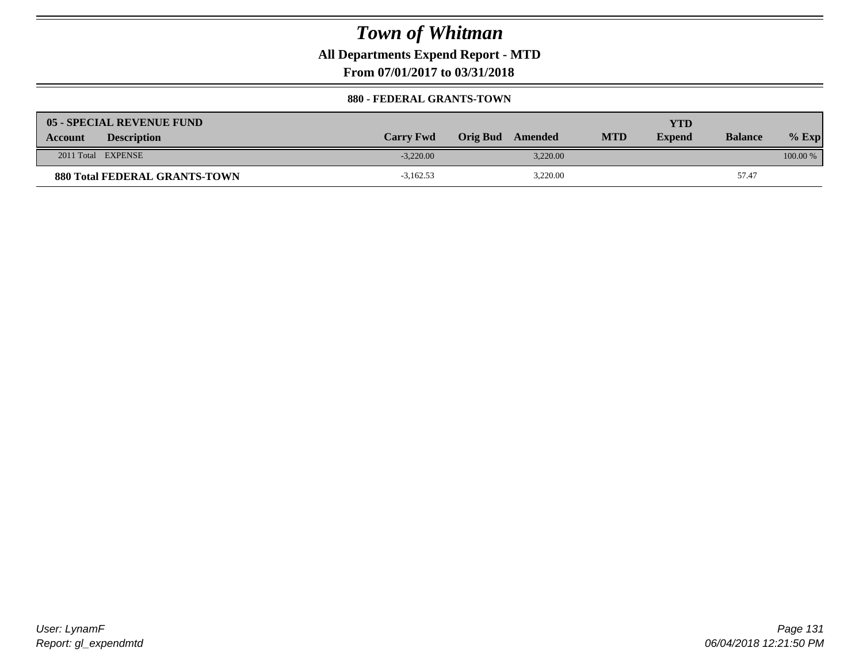**All Departments Expend Report - MTD**

**From 07/01/2017 to 03/31/2018**

#### **880 - FEDERAL GRANTS-TOWN**

| 05 - SPECIAL REVENUE FUND            |                  |                     |            | YTD           |                |            |
|--------------------------------------|------------------|---------------------|------------|---------------|----------------|------------|
| <b>Description</b><br><b>Account</b> | <b>Carry Fwd</b> | Orig Bud<br>Amended | <b>MTD</b> | <b>Expend</b> | <b>Balance</b> | $%$ Exp    |
| 2011 Total EXPENSE                   | $-3.220.00$      | 3.220.00            |            |               |                | $100.00\%$ |
| <b>880 Total FEDERAL GRANTS-TOWN</b> | $-3,162.53$      | 3,220.00            |            |               | 57.47          |            |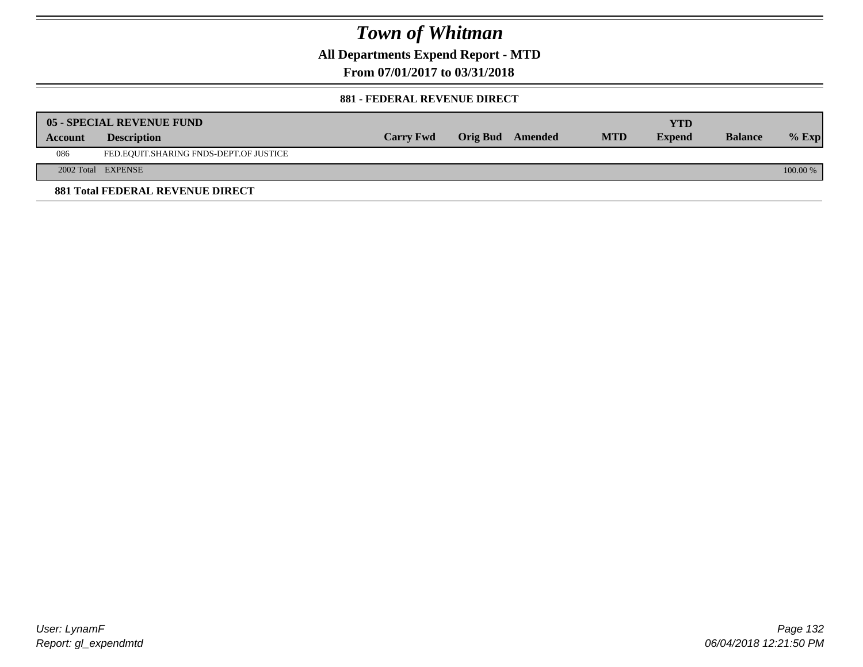**All Departments Expend Report - MTD**

**From 07/01/2017 to 03/31/2018**

#### **881 - FEDERAL REVENUE DIRECT**

|         | <b>05 - SPECIAL REVENUE FUND</b>       |                  |                  |            | <b>YTD</b>    |                |          |
|---------|----------------------------------------|------------------|------------------|------------|---------------|----------------|----------|
| Account | <b>Description</b>                     | <b>Carry Fwd</b> | Orig Bud Amended | <b>MTD</b> | <b>Expend</b> | <b>Balance</b> | $%$ Exp  |
| 086     | FED.EQUIT.SHARING FNDS-DEPT.OF JUSTICE |                  |                  |            |               |                |          |
|         | 2002 Total EXPENSE                     |                  |                  |            |               |                | 100.00 % |
|         | 881 Total FEDERAL REVENUE DIRECT       |                  |                  |            |               |                |          |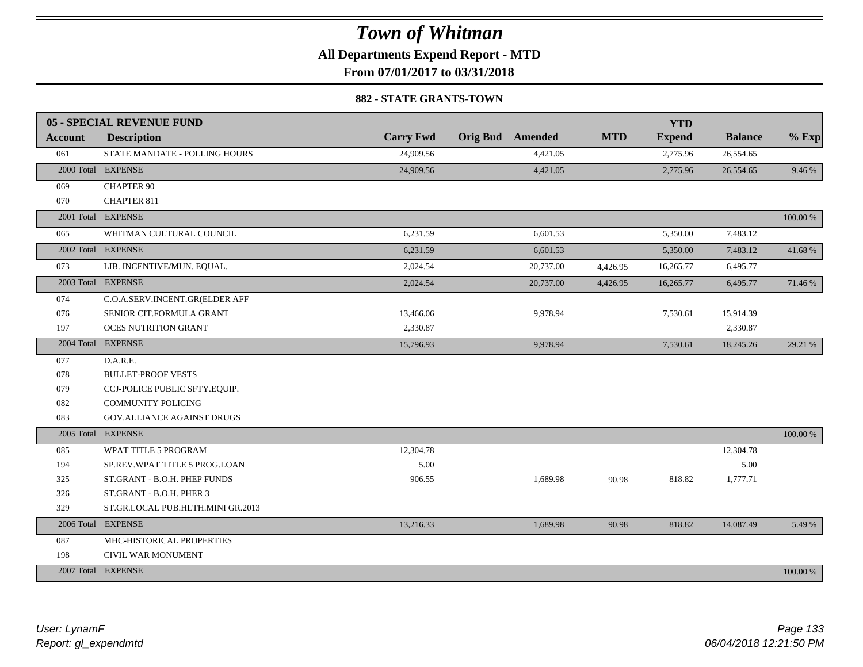**All Departments Expend Report - MTD**

**From 07/01/2017 to 03/31/2018**

#### **882 - STATE GRANTS-TOWN**

|                | 05 - SPECIAL REVENUE FUND         |                  |                         |            | <b>YTD</b>    |                |          |
|----------------|-----------------------------------|------------------|-------------------------|------------|---------------|----------------|----------|
| <b>Account</b> | <b>Description</b>                | <b>Carry Fwd</b> | <b>Orig Bud</b> Amended | <b>MTD</b> | <b>Expend</b> | <b>Balance</b> | $%$ Exp  |
| 061            | STATE MANDATE - POLLING HOURS     | 24,909.56        | 4,421.05                |            | 2,775.96      | 26,554.65      |          |
|                | 2000 Total EXPENSE                | 24,909.56        | 4,421.05                |            | 2,775.96      | 26,554.65      | 9.46 %   |
| 069            | <b>CHAPTER 90</b>                 |                  |                         |            |               |                |          |
| 070            | CHAPTER 811                       |                  |                         |            |               |                |          |
|                | 2001 Total EXPENSE                |                  |                         |            |               |                | 100.00 % |
| 065            | WHITMAN CULTURAL COUNCIL          | 6,231.59         | 6,601.53                |            | 5,350.00      | 7,483.12       |          |
|                | 2002 Total EXPENSE                | 6,231.59         | 6,601.53                |            | 5,350.00      | 7,483.12       | 41.68%   |
| 073            | LIB. INCENTIVE/MUN. EQUAL.        | 2,024.54         | 20,737.00               | 4,426.95   | 16,265.77     | 6,495.77       |          |
|                | 2003 Total EXPENSE                | 2,024.54         | 20,737.00               | 4,426.95   | 16,265.77     | 6,495.77       | 71.46 %  |
| 074            | C.O.A.SERV.INCENT.GR(ELDER AFF    |                  |                         |            |               |                |          |
| 076            | SENIOR CIT.FORMULA GRANT          | 13,466.06        | 9,978.94                |            | 7,530.61      | 15,914.39      |          |
| 197            | <b>OCES NUTRITION GRANT</b>       | 2,330.87         |                         |            |               | 2,330.87       |          |
|                | 2004 Total EXPENSE                | 15,796.93        | 9,978.94                |            | 7,530.61      | 18,245.26      | 29.21 %  |
| 077            | D.A.R.E.                          |                  |                         |            |               |                |          |
| 078            | <b>BULLET-PROOF VESTS</b>         |                  |                         |            |               |                |          |
| 079            | CCJ-POLICE PUBLIC SFTY.EQUIP.     |                  |                         |            |               |                |          |
| 082            | <b>COMMUNITY POLICING</b>         |                  |                         |            |               |                |          |
| 083            | <b>GOV.ALLIANCE AGAINST DRUGS</b> |                  |                         |            |               |                |          |
| 2005 Total     | <b>EXPENSE</b>                    |                  |                         |            |               |                | 100.00 % |
| 085            | WPAT TITLE 5 PROGRAM              | 12,304.78        |                         |            |               | 12,304.78      |          |
| 194            | SP.REV.WPAT TITLE 5 PROG.LOAN     | 5.00             |                         |            |               | 5.00           |          |
| 325            | ST.GRANT - B.O.H. PHEP FUNDS      | 906.55           | 1,689.98                | 90.98      | 818.82        | 1,777.71       |          |
| 326            | ST.GRANT - B.O.H. PHER 3          |                  |                         |            |               |                |          |
| 329            | ST.GR.LOCAL PUB.HLTH.MINI GR.2013 |                  |                         |            |               |                |          |
|                | 2006 Total EXPENSE                | 13,216.33        | 1,689.98                | 90.98      | 818.82        | 14,087.49      | 5.49 %   |
| 087            | MHC-HISTORICAL PROPERTIES         |                  |                         |            |               |                |          |
| 198            | CIVIL WAR MONUMENT                |                  |                         |            |               |                |          |
|                | 2007 Total EXPENSE                |                  |                         |            |               |                | 100.00 % |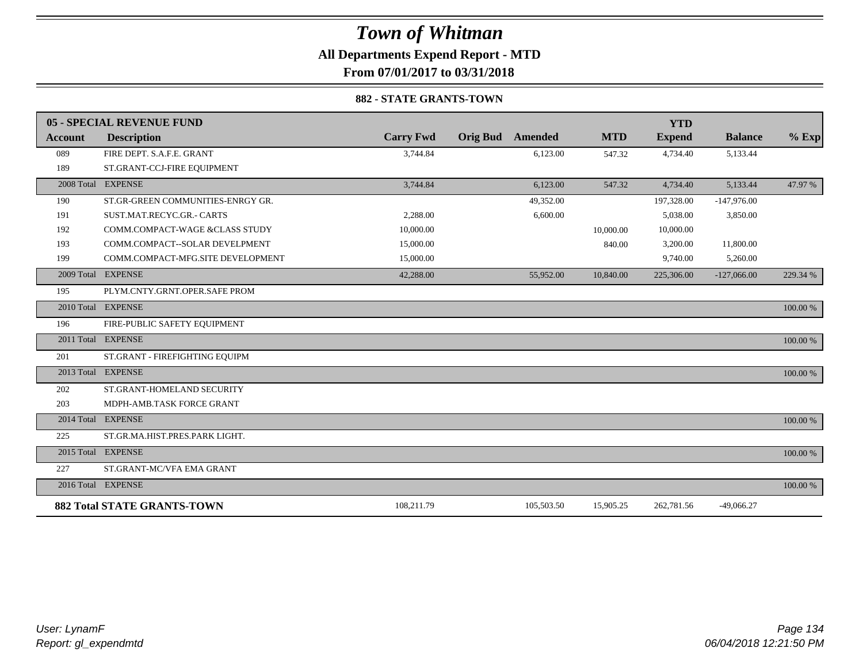### *Town of Whitman* **All Departments Expend Report - MTD**

**From 07/01/2017 to 03/31/2018**

#### **882 - STATE GRANTS-TOWN**

|                | 05 - SPECIAL REVENUE FUND          |                  |                 |            |            | <b>YTD</b>    |                |          |
|----------------|------------------------------------|------------------|-----------------|------------|------------|---------------|----------------|----------|
| <b>Account</b> | <b>Description</b>                 | <b>Carry Fwd</b> | <b>Orig Bud</b> | Amended    | <b>MTD</b> | <b>Expend</b> | <b>Balance</b> | $%$ Exp  |
| 089            | FIRE DEPT. S.A.F.E. GRANT          | 3,744.84         |                 | 6,123.00   | 547.32     | 4,734.40      | 5,133.44       |          |
| 189            | ST.GRANT-CCJ-FIRE EQUIPMENT        |                  |                 |            |            |               |                |          |
|                | 2008 Total EXPENSE                 | 3,744.84         |                 | 6,123.00   | 547.32     | 4,734.40      | 5,133.44       | 47.97 %  |
| 190            | ST.GR-GREEN COMMUNITIES-ENRGY GR.  |                  |                 | 49,352.00  |            | 197,328.00    | $-147,976.00$  |          |
| 191            | SUST.MAT.RECYC.GR.- CARTS          | 2,288.00         |                 | 6,600.00   |            | 5,038.00      | 3,850.00       |          |
| 192            | COMM.COMPACT-WAGE &CLASS STUDY     | 10,000.00        |                 |            | 10,000.00  | 10,000.00     |                |          |
| 193            | COMM.COMPACT--SOLAR DEVELPMENT     | 15,000.00        |                 |            | 840.00     | 3,200.00      | 11,800.00      |          |
| 199            | COMM.COMPACT-MFG.SITE DEVELOPMENT  | 15,000.00        |                 |            |            | 9,740.00      | 5,260.00       |          |
| 2009 Total     | <b>EXPENSE</b>                     | 42,288.00        |                 | 55,952.00  | 10,840.00  | 225,306.00    | $-127,066.00$  | 229.34 % |
| 195            | PLYM.CNTY.GRNT.OPER.SAFE PROM      |                  |                 |            |            |               |                |          |
|                | 2010 Total EXPENSE                 |                  |                 |            |            |               |                | 100.00 % |
| 196            | FIRE-PUBLIC SAFETY EQUIPMENT       |                  |                 |            |            |               |                |          |
|                | 2011 Total EXPENSE                 |                  |                 |            |            |               |                | 100.00 % |
| 201            | ST.GRANT - FIREFIGHTING EQUIPM     |                  |                 |            |            |               |                |          |
|                | 2013 Total EXPENSE                 |                  |                 |            |            |               |                | 100.00 % |
| 202            | ST.GRANT-HOMELAND SECURITY         |                  |                 |            |            |               |                |          |
| 203            | MDPH-AMB.TASK FORCE GRANT          |                  |                 |            |            |               |                |          |
|                | 2014 Total EXPENSE                 |                  |                 |            |            |               |                | 100.00 % |
| 225            | ST.GR.MA.HIST.PRES.PARK LIGHT.     |                  |                 |            |            |               |                |          |
|                | 2015 Total EXPENSE                 |                  |                 |            |            |               |                | 100.00 % |
| 227            | ST.GRANT-MC/VFA EMA GRANT          |                  |                 |            |            |               |                |          |
|                | 2016 Total EXPENSE                 |                  |                 |            |            |               |                | 100.00 % |
|                | <b>882 Total STATE GRANTS-TOWN</b> | 108,211.79       |                 | 105,503.50 | 15,905.25  | 262,781.56    | $-49,066.27$   |          |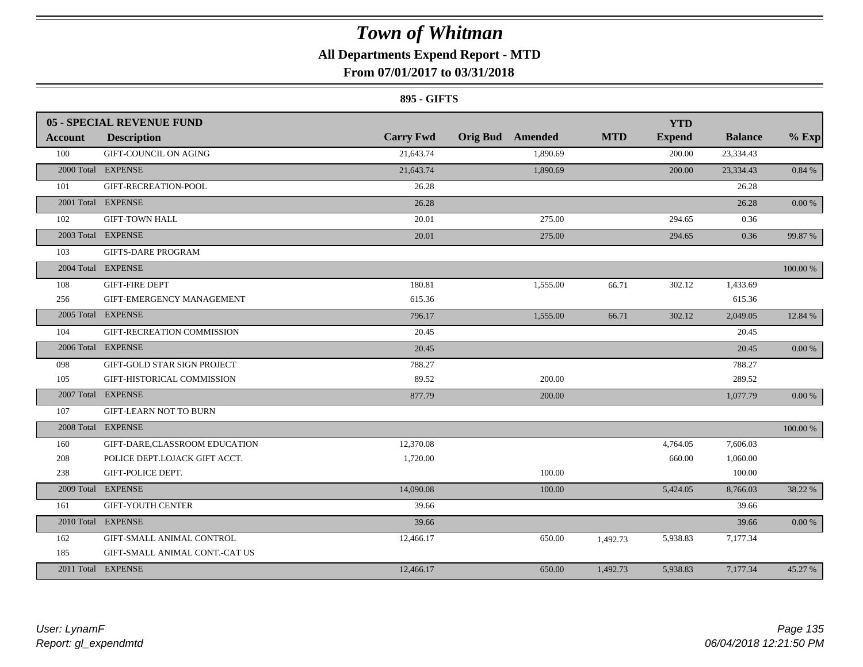### **All Departments Expend Report - MTD**

### **From 07/01/2017 to 03/31/2018**

#### **895 - GIFTS**

|         | <b>05 - SPECIAL REVENUE FUND</b>   |                  |                         |            | <b>YTD</b>    |                |             |
|---------|------------------------------------|------------------|-------------------------|------------|---------------|----------------|-------------|
| Account | <b>Description</b>                 | <b>Carry Fwd</b> | <b>Orig Bud</b> Amended | <b>MTD</b> | <b>Expend</b> | <b>Balance</b> | $%$ Exp     |
| 100     | <b>GIFT-COUNCIL ON AGING</b>       | 21,643.74        | 1.890.69                |            | 200.00        | 23,334.43      |             |
|         | 2000 Total EXPENSE                 | 21,643.74        | 1,890.69                |            | 200.00        | 23,334.43      | 0.84 %      |
| 101     | GIFT-RECREATION-POOL               | 26.28            |                         |            |               | 26.28          |             |
|         | 2001 Total EXPENSE                 | 26.28            |                         |            |               | 26.28          | 0.00%       |
| 102     | <b>GIFT-TOWN HALL</b>              | 20.01            | 275.00                  |            | 294.65        | 0.36           |             |
|         | 2003 Total EXPENSE                 | 20.01            | 275.00                  |            | 294.65        | 0.36           | 99.87 %     |
| 103     | <b>GIFTS-DARE PROGRAM</b>          |                  |                         |            |               |                |             |
|         | 2004 Total EXPENSE                 |                  |                         |            |               |                | $100.00~\%$ |
| 108     | <b>GIFT-FIRE DEPT</b>              | 180.81           | 1,555.00                | 66.71      | 302.12        | 1,433.69       |             |
| 256     | GIFT-EMERGENCY MANAGEMENT          | 615.36           |                         |            |               | 615.36         |             |
|         | 2005 Total EXPENSE                 | 796.17           | 1,555.00                | 66.71      | 302.12        | 2,049.05       | 12.84 %     |
| 104     | GIFT-RECREATION COMMISSION         | 20.45            |                         |            |               | 20.45          |             |
|         | 2006 Total EXPENSE                 | 20.45            |                         |            |               | 20.45          | 0.00 %      |
| 098     | <b>GIFT-GOLD STAR SIGN PROJECT</b> | 788.27           |                         |            |               | 788.27         |             |
| 105     | GIFT-HISTORICAL COMMISSION         | 89.52            | 200.00                  |            |               | 289.52         |             |
|         | 2007 Total EXPENSE                 | 877.79           | 200.00                  |            |               | 1,077.79       | $0.00\,\%$  |
| 107     | <b>GIFT-LEARN NOT TO BURN</b>      |                  |                         |            |               |                |             |
|         | 2008 Total EXPENSE                 |                  |                         |            |               |                | 100.00 %    |
| 160     | GIFT-DARE,CLASSROOM EDUCATION      | 12,370.08        |                         |            | 4,764.05      | 7,606.03       |             |
| 208     | POLICE DEPT.LOJACK GIFT ACCT.      | 1,720.00         |                         |            | 660.00        | 1,060.00       |             |
| 238     | GIFT-POLICE DEPT.                  |                  | 100.00                  |            |               | 100.00         |             |
|         | 2009 Total EXPENSE                 | 14,090.08        | 100.00                  |            | 5,424.05      | 8,766.03       | 38.22 %     |
| 161     | <b>GIFT-YOUTH CENTER</b>           | 39.66            |                         |            |               | 39.66          |             |
|         | 2010 Total EXPENSE                 | 39.66            |                         |            |               | 39.66          | 0.00 %      |
| 162     | GIFT-SMALL ANIMAL CONTROL          | 12,466.17        | 650.00                  | 1,492.73   | 5,938.83      | 7,177.34       |             |
| 185     | GIFT-SMALL ANIMAL CONT.-CAT US     |                  |                         |            |               |                |             |
|         | 2011 Total EXPENSE                 | 12,466.17        | 650.00                  | 1,492.73   | 5,938.83      | 7,177.34       | 45.27 %     |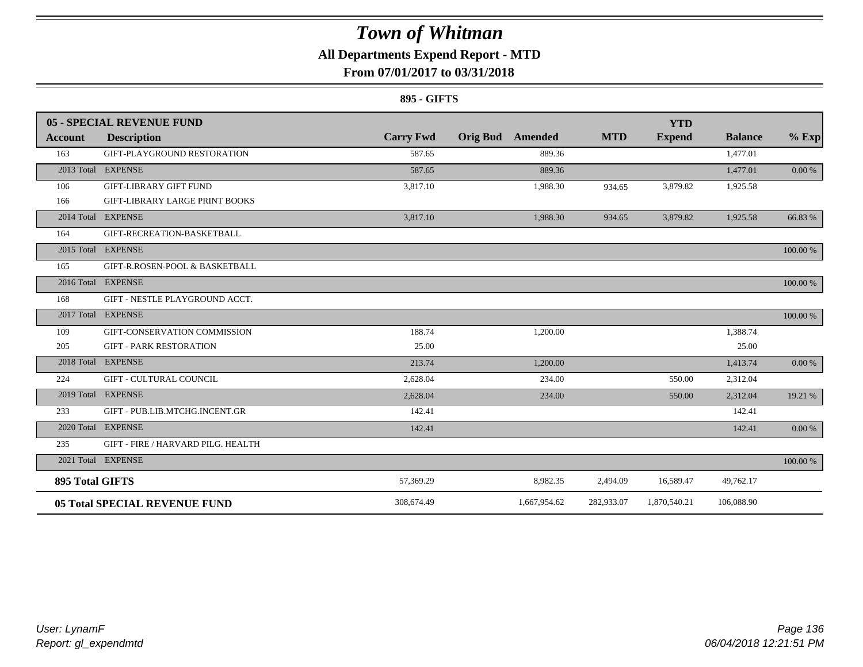### **All Departments Expend Report - MTD**

### **From 07/01/2017 to 03/31/2018**

#### **895 - GIFTS**

|                        | 05 - SPECIAL REVENUE FUND            |                  |                            |            | <b>YTD</b>    |                |           |
|------------------------|--------------------------------------|------------------|----------------------------|------------|---------------|----------------|-----------|
| <b>Account</b>         | <b>Description</b>                   | <b>Carry Fwd</b> | <b>Orig Bud</b><br>Amended | <b>MTD</b> | <b>Expend</b> | <b>Balance</b> | $%$ Exp   |
| 163                    | GIFT-PLAYGROUND RESTORATION          | 587.65           | 889.36                     |            |               | 1,477.01       |           |
|                        | 2013 Total EXPENSE                   | 587.65           | 889.36                     |            |               | 1,477.01       | $0.00 \%$ |
| 106                    | <b>GIFT-LIBRARY GIFT FUND</b>        | 3,817.10         | 1,988.30                   | 934.65     | 3,879.82      | 1,925.58       |           |
| 166                    | GIFT-LIBRARY LARGE PRINT BOOKS       |                  |                            |            |               |                |           |
|                        | 2014 Total EXPENSE                   | 3,817.10         | 1,988.30                   | 934.65     | 3,879.82      | 1,925.58       | 66.83 %   |
| 164                    | GIFT-RECREATION-BASKETBALL           |                  |                            |            |               |                |           |
|                        | 2015 Total EXPENSE                   |                  |                            |            |               |                | 100.00 %  |
| 165                    | GIFT-R.ROSEN-POOL & BASKETBALL       |                  |                            |            |               |                |           |
|                        | 2016 Total EXPENSE                   |                  |                            |            |               |                | 100.00 %  |
| 168                    | GIFT - NESTLE PLAYGROUND ACCT.       |                  |                            |            |               |                |           |
|                        | 2017 Total EXPENSE                   |                  |                            |            |               |                | 100.00 %  |
| 109                    | GIFT-CONSERVATION COMMISSION         | 188.74           | 1,200.00                   |            |               | 1,388.74       |           |
| 205                    | <b>GIFT - PARK RESTORATION</b>       | 25.00            |                            |            |               | 25.00          |           |
|                        | 2018 Total EXPENSE                   | 213.74           | 1,200.00                   |            |               | 1,413.74       | $0.00\%$  |
| 224                    | <b>GIFT - CULTURAL COUNCIL</b>       | 2,628.04         | 234.00                     |            | 550.00        | 2,312.04       |           |
|                        | 2019 Total EXPENSE                   | 2,628.04         | 234.00                     |            | 550.00        | 2,312.04       | 19.21 %   |
| 233                    | GIFT - PUB.LIB.MTCHG.INCENT.GR       | 142.41           |                            |            |               | 142.41         |           |
|                        | 2020 Total EXPENSE                   | 142.41           |                            |            |               | 142.41         | $0.00 \%$ |
| 235                    | GIFT - FIRE / HARVARD PILG. HEALTH   |                  |                            |            |               |                |           |
|                        | 2021 Total EXPENSE                   |                  |                            |            |               |                | 100.00 %  |
| <b>895 Total GIFTS</b> |                                      | 57,369.29        | 8,982.35                   | 2,494.09   | 16,589.47     | 49,762.17      |           |
|                        | <b>05 Total SPECIAL REVENUE FUND</b> | 308,674.49       | 1,667,954.62               | 282,933.07 | 1,870,540.21  | 106,088.90     |           |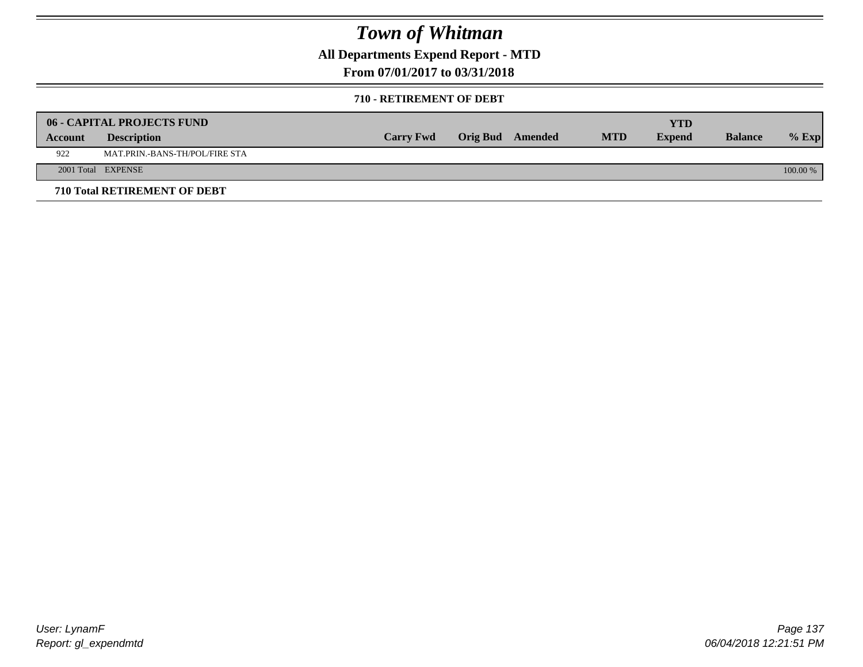**All Departments Expend Report - MTD**

### **From 07/01/2017 to 03/31/2018**

#### **710 - RETIREMENT OF DEBT**

|         | <b>06 - CAPITAL PROJECTS FUND</b>     |                  |                  |            | YTD           |                |            |
|---------|---------------------------------------|------------------|------------------|------------|---------------|----------------|------------|
| Account | <b>Description</b>                    | <b>Carry Fwd</b> | Orig Bud Amended | <b>MTD</b> | <b>Expend</b> | <b>Balance</b> | $%$ Exp    |
| 922     | <b>MAT.PRIN.-BANS-TH/POL/FIRE STA</b> |                  |                  |            |               |                |            |
|         | 2001 Total EXPENSE                    |                  |                  |            |               |                | $100.00\%$ |
|         | 710 Total RETIREMENT OF DEBT          |                  |                  |            |               |                |            |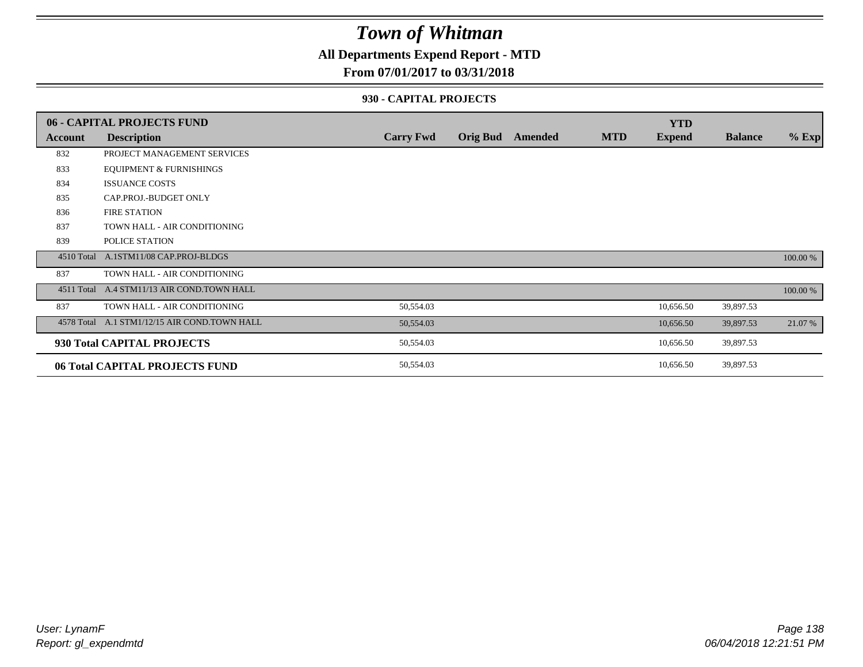### **All Departments Expend Report - MTD**

### **From 07/01/2017 to 03/31/2018**

#### **930 - CAPITAL PROJECTS**

|            | 06 - CAPITAL PROJECTS FUND                   |                  |                 |         |            | <b>YTD</b>    |                |          |
|------------|----------------------------------------------|------------------|-----------------|---------|------------|---------------|----------------|----------|
| Account    | <b>Description</b>                           | <b>Carry Fwd</b> | <b>Orig Bud</b> | Amended | <b>MTD</b> | <b>Expend</b> | <b>Balance</b> | $%$ Exp  |
| 832        | PROJECT MANAGEMENT SERVICES                  |                  |                 |         |            |               |                |          |
| 833        | <b>EQUIPMENT &amp; FURNISHINGS</b>           |                  |                 |         |            |               |                |          |
| 834        | <b>ISSUANCE COSTS</b>                        |                  |                 |         |            |               |                |          |
| 835        | CAP.PROJ.-BUDGET ONLY                        |                  |                 |         |            |               |                |          |
| 836        | <b>FIRE STATION</b>                          |                  |                 |         |            |               |                |          |
| 837        | TOWN HALL - AIR CONDITIONING                 |                  |                 |         |            |               |                |          |
| 839        | POLICE STATION                               |                  |                 |         |            |               |                |          |
|            | 4510 Total A.1STM11/08 CAP.PROJ-BLDGS        |                  |                 |         |            |               |                | 100.00 % |
| 837        | TOWN HALL - AIR CONDITIONING                 |                  |                 |         |            |               |                |          |
| 4511 Total | A.4 STM11/13 AIR COND.TOWN HALL              |                  |                 |         |            |               |                | 100.00 % |
| 837        | TOWN HALL - AIR CONDITIONING                 | 50,554.03        |                 |         |            | 10,656.50     | 39,897.53      |          |
|            | 4578 Total A.1 STM1/12/15 AIR COND.TOWN HALL | 50,554.03        |                 |         |            | 10,656.50     | 39,897.53      | 21.07 %  |
|            | 930 Total CAPITAL PROJECTS                   | 50,554.03        |                 |         |            | 10,656.50     | 39,897.53      |          |
|            | 06 Total CAPITAL PROJECTS FUND               | 50,554.03        |                 |         |            | 10,656.50     | 39,897.53      |          |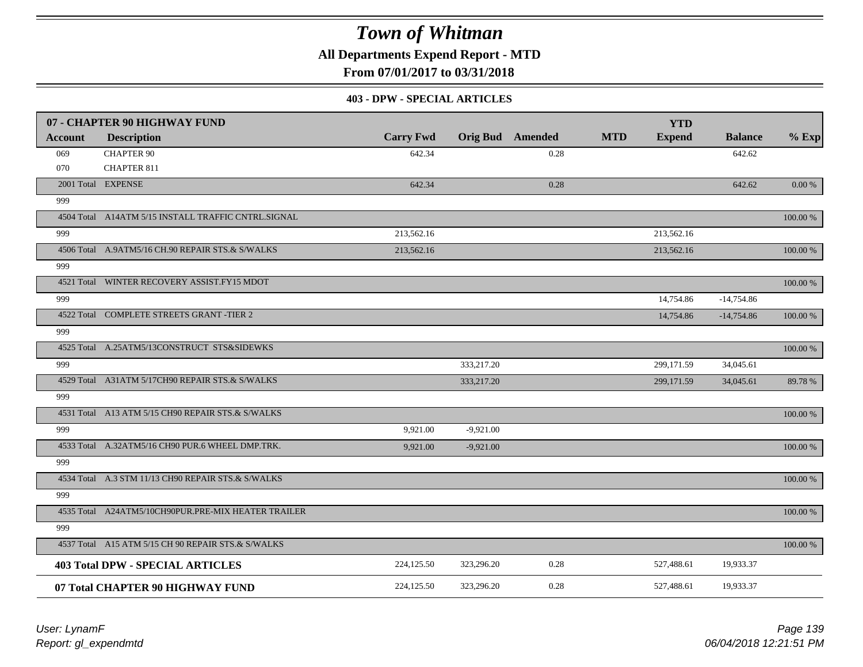**All Departments Expend Report - MTD**

**From 07/01/2017 to 03/31/2018**

#### **403 - DPW - SPECIAL ARTICLES**

|                | 07 - CHAPTER 90 HIGHWAY FUND                        |                  |             |                  |            | <b>YTD</b>    |                |             |
|----------------|-----------------------------------------------------|------------------|-------------|------------------|------------|---------------|----------------|-------------|
| <b>Account</b> | <b>Description</b>                                  | <b>Carry Fwd</b> |             | Orig Bud Amended | <b>MTD</b> | <b>Expend</b> | <b>Balance</b> | $%$ Exp     |
| 069            | <b>CHAPTER 90</b>                                   | 642.34           |             | 0.28             |            |               | 642.62         |             |
| 070            | CHAPTER 811                                         |                  |             |                  |            |               |                |             |
|                | 2001 Total EXPENSE                                  | 642.34           |             | 0.28             |            |               | 642.62         | $0.00\ \%$  |
| 999            |                                                     |                  |             |                  |            |               |                |             |
|                | 4504 Total A14ATM 5/15 INSTALL TRAFFIC CNTRL.SIGNAL |                  |             |                  |            |               |                | 100.00 %    |
| 999            |                                                     | 213,562.16       |             |                  |            | 213,562.16    |                |             |
|                | 4506 Total A.9ATM5/16 CH.90 REPAIR STS.& S/WALKS    | 213,562.16       |             |                  |            | 213,562.16    |                | $100.00~\%$ |
| 999            |                                                     |                  |             |                  |            |               |                |             |
|                | 4521 Total WINTER RECOVERY ASSIST.FY15 MDOT         |                  |             |                  |            |               |                | 100.00 %    |
| 999            |                                                     |                  |             |                  |            | 14,754.86     | $-14,754.86$   |             |
|                | 4522 Total COMPLETE STREETS GRANT -TIER 2           |                  |             |                  |            | 14,754.86     | $-14,754.86$   | 100.00 %    |
| 999            |                                                     |                  |             |                  |            |               |                |             |
|                | 4525 Total A.25ATM5/13CONSTRUCT STS&SIDEWKS         |                  |             |                  |            |               |                | 100.00 %    |
| 999            |                                                     |                  | 333,217.20  |                  |            | 299,171.59    | 34,045.61      |             |
|                | 4529 Total A31ATM 5/17CH90 REPAIR STS.& S/WALKS     |                  | 333,217.20  |                  |            | 299,171.59    | 34,045.61      | 89.78%      |
| 999            |                                                     |                  |             |                  |            |               |                |             |
|                | 4531 Total A13 ATM 5/15 CH90 REPAIR STS.& S/WALKS   |                  |             |                  |            |               |                | 100.00 %    |
| 999            |                                                     | 9,921.00         | $-9,921.00$ |                  |            |               |                |             |
|                | 4533 Total A.32ATM5/16 CH90 PUR.6 WHEEL DMP.TRK.    | 9.921.00         | $-9,921.00$ |                  |            |               |                | 100.00 %    |
| 999            |                                                     |                  |             |                  |            |               |                |             |
|                | 4534 Total A.3 STM 11/13 CH90 REPAIR STS.& S/WALKS  |                  |             |                  |            |               |                | 100.00 %    |
| 999            |                                                     |                  |             |                  |            |               |                |             |
|                | 4535 Total A24ATM5/10CH90PUR.PRE-MIX HEATER TRAILER |                  |             |                  |            |               |                | 100.00 %    |
| 999            |                                                     |                  |             |                  |            |               |                |             |
|                | 4537 Total A15 ATM 5/15 CH 90 REPAIR STS.& S/WALKS  |                  |             |                  |            |               |                | 100.00 %    |
|                | <b>403 Total DPW - SPECIAL ARTICLES</b>             | 224,125.50       | 323,296.20  | 0.28             |            | 527,488.61    | 19,933.37      |             |
|                | 07 Total CHAPTER 90 HIGHWAY FUND                    | 224,125.50       | 323,296.20  | 0.28             |            | 527,488.61    | 19,933.37      |             |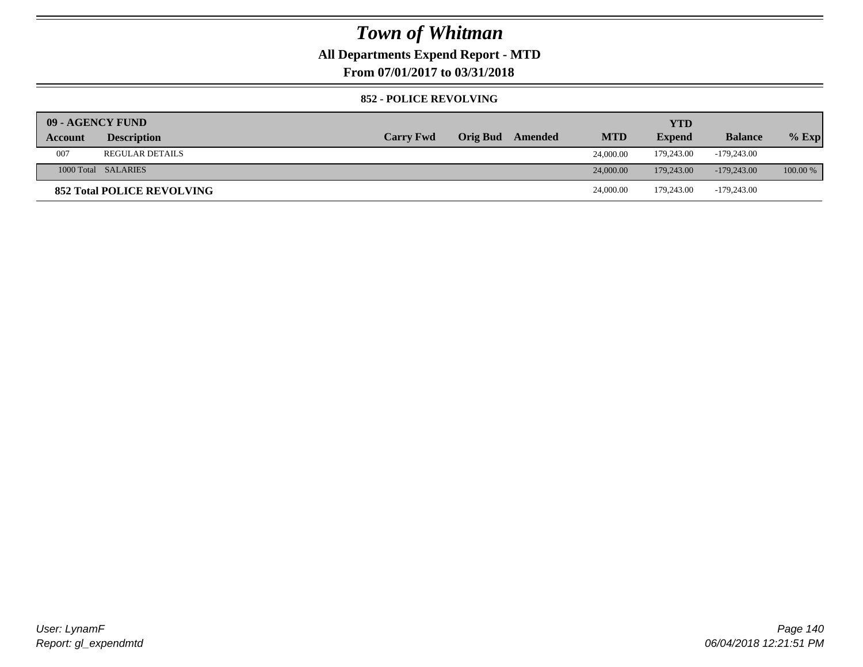### **All Departments Expend Report - MTD**

**From 07/01/2017 to 03/31/2018**

#### **852 - POLICE REVOLVING**

| 09 - AGENCY FUND |                                   |                  |                 |         |            | <b>YTD</b>    |                |          |
|------------------|-----------------------------------|------------------|-----------------|---------|------------|---------------|----------------|----------|
| Account          | <b>Description</b>                | <b>Carry Fwd</b> | <b>Orig Bud</b> | Amended | <b>MTD</b> | <b>Expend</b> | <b>Balance</b> | $%$ Exp  |
| 007              | <b>REGULAR DETAILS</b>            |                  |                 |         | 24,000.00  | 179,243.00    | $-179,243.00$  |          |
|                  | 1000 Total SALARIES               |                  |                 |         | 24,000.00  | 179,243,00    | $-179.243.00$  | 100.00 % |
|                  | <b>852 Total POLICE REVOLVING</b> |                  |                 |         | 24,000.00  | 179,243.00    | -179,243.00    |          |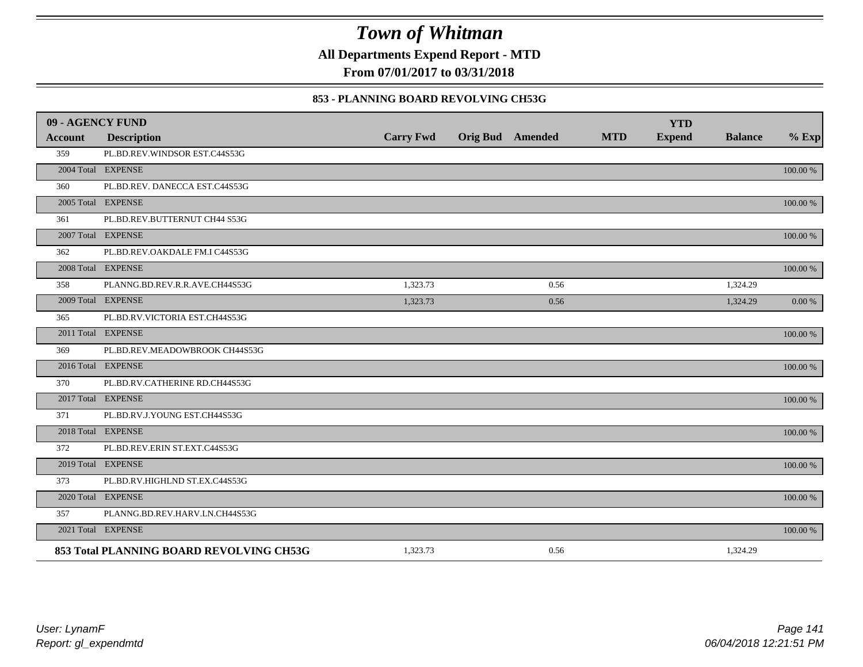**All Departments Expend Report - MTD**

**From 07/01/2017 to 03/31/2018**

#### **853 - PLANNING BOARD REVOLVING CH53G**

| 09 - AGENCY FUND |                                          |                  |                         |            | <b>YTD</b>    |                |          |
|------------------|------------------------------------------|------------------|-------------------------|------------|---------------|----------------|----------|
| <b>Account</b>   | <b>Description</b>                       | <b>Carry Fwd</b> | <b>Orig Bud</b> Amended | <b>MTD</b> | <b>Expend</b> | <b>Balance</b> | $%$ Exp  |
| 359              | PL.BD.REV.WINDSOR EST.C44S53G            |                  |                         |            |               |                |          |
|                  | 2004 Total EXPENSE                       |                  |                         |            |               |                | 100.00 % |
| 360              | PL.BD.REV. DANECCA EST.C44S53G           |                  |                         |            |               |                |          |
|                  | 2005 Total EXPENSE                       |                  |                         |            |               |                | 100.00 % |
| 361              | PL.BD.REV.BUTTERNUT CH44 S53G            |                  |                         |            |               |                |          |
|                  | 2007 Total EXPENSE                       |                  |                         |            |               |                | 100.00 % |
| 362              | PL.BD.REV.OAKDALE FM.I C44S53G           |                  |                         |            |               |                |          |
|                  | 2008 Total EXPENSE                       |                  |                         |            |               |                | 100.00 % |
| 358              | PLANNG.BD.REV.R.R.AVE.CH44S53G           | 1,323.73         | 0.56                    |            |               | 1,324.29       |          |
|                  | 2009 Total EXPENSE                       | 1,323.73         | 0.56                    |            |               | 1,324.29       | 0.00 %   |
| 365              | PL.BD.RV.VICTORIA EST.CH44S53G           |                  |                         |            |               |                |          |
|                  | 2011 Total EXPENSE                       |                  |                         |            |               |                | 100.00 % |
| 369              | PL.BD.REV.MEADOWBROOK CH44S53G           |                  |                         |            |               |                |          |
|                  | 2016 Total EXPENSE                       |                  |                         |            |               |                | 100.00 % |
| 370              | PL.BD.RV.CATHERINE RD.CH44S53G           |                  |                         |            |               |                |          |
|                  | 2017 Total EXPENSE                       |                  |                         |            |               |                | 100.00 % |
| 371              | PL.BD.RV.J.YOUNG EST.CH44S53G            |                  |                         |            |               |                |          |
|                  | 2018 Total EXPENSE                       |                  |                         |            |               |                | 100.00 % |
| 372              | PL.BD.REV.ERIN ST.EXT.C44S53G            |                  |                         |            |               |                |          |
|                  | 2019 Total EXPENSE                       |                  |                         |            |               |                | 100.00 % |
| 373              | PL.BD.RV.HIGHLND ST.EX.C44S53G           |                  |                         |            |               |                |          |
|                  | 2020 Total EXPENSE                       |                  |                         |            |               |                | 100.00 % |
| 357              | PLANNG.BD.REV.HARV.LN.CH44S53G           |                  |                         |            |               |                |          |
|                  | 2021 Total EXPENSE                       |                  |                         |            |               |                | 100.00 % |
|                  | 853 Total PLANNING BOARD REVOLVING CH53G | 1,323.73         | 0.56                    |            |               | 1,324.29       |          |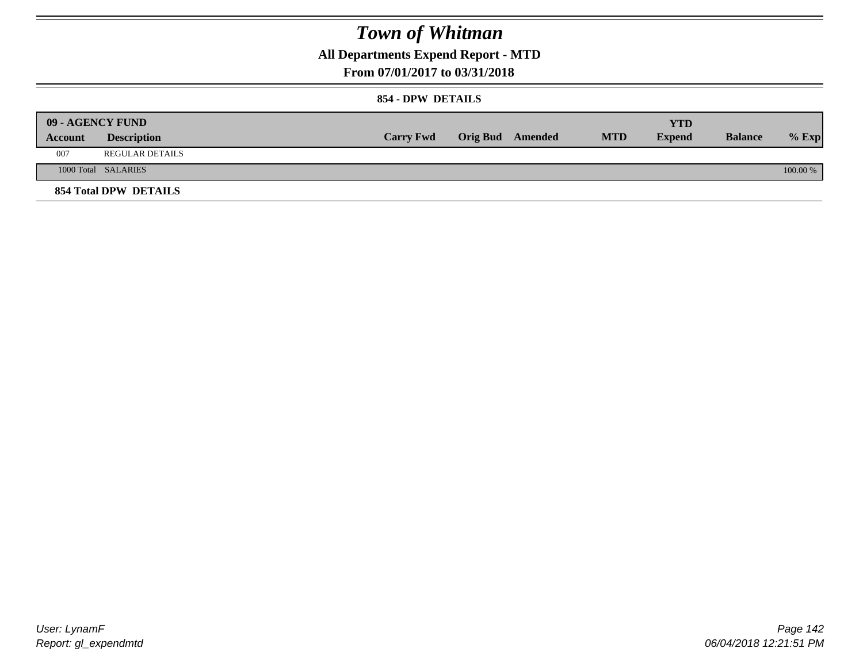**All Departments Expend Report - MTD**

### **From 07/01/2017 to 03/31/2018**

#### **854 - DPW DETAILS**

|         | <b>09 - AGENCY FUND</b> |                  |                         |            | <b>YTD</b> |                |            |
|---------|-------------------------|------------------|-------------------------|------------|------------|----------------|------------|
| Account | <b>Description</b>      | <b>Carry Fwd</b> | <b>Orig Bud</b> Amended | <b>MTD</b> | Expend     | <b>Balance</b> | $%$ Exp    |
| 007     | <b>REGULAR DETAILS</b>  |                  |                         |            |            |                |            |
|         | 1000 Total SALARIES     |                  |                         |            |            |                | $100.00\%$ |
|         | 854 Total DPW DETAILS   |                  |                         |            |            |                |            |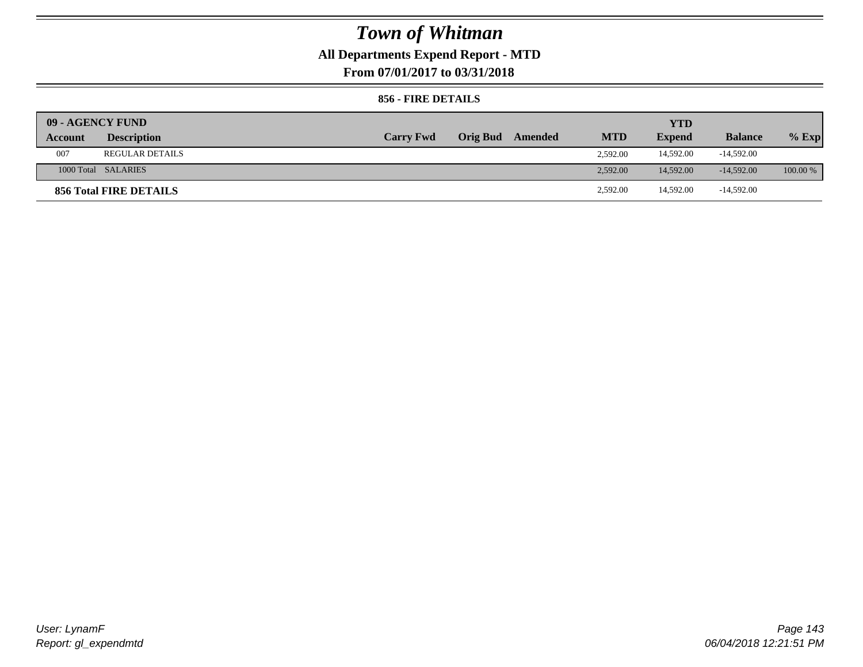### **All Departments Expend Report - MTD**

**From 07/01/2017 to 03/31/2018**

#### **856 - FIRE DETAILS**

| 09 - AGENCY FUND |                        |                  |                 |         |            | <b>YTD</b>    |                |            |
|------------------|------------------------|------------------|-----------------|---------|------------|---------------|----------------|------------|
| Account          | <b>Description</b>     | <b>Carry Fwd</b> | <b>Orig Bud</b> | Amended | <b>MTD</b> | <b>Expend</b> | <b>Balance</b> | $%$ Exp    |
| 007              | <b>REGULAR DETAILS</b> |                  |                 |         | 2.592.00   | 14,592.00     | $-14,592.00$   |            |
|                  | 1000 Total SALARIES    |                  |                 |         | 2.592.00   | 14,592.00     | $-14.592.00$   | $100.00\%$ |
|                  | 856 Total FIRE DETAILS |                  |                 |         | 2,592.00   | 14.592.00     | $-14,592.00$   |            |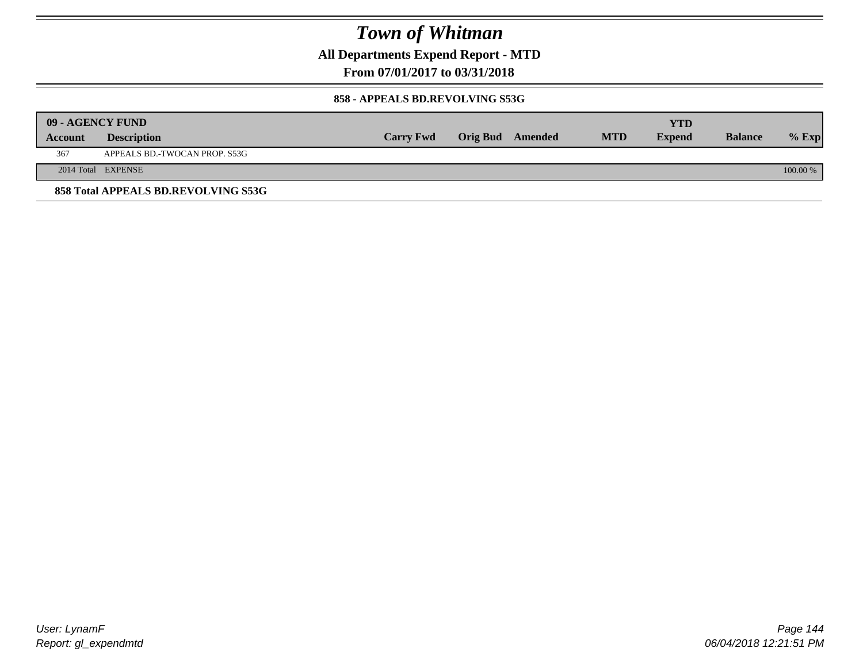**All Departments Expend Report - MTD**

### **From 07/01/2017 to 03/31/2018**

#### **858 - APPEALS BD.REVOLVING S53G**

| 09 - AGENCY FUND |                                     |                  |                  |            | <b>YTD</b>    |                |            |
|------------------|-------------------------------------|------------------|------------------|------------|---------------|----------------|------------|
| <b>Account</b>   | <b>Description</b>                  | <b>Carry Fwd</b> | Orig Bud Amended | <b>MTD</b> | <b>Expend</b> | <b>Balance</b> | $\%$ Exp   |
| 367              | APPEALS BD.-TWOCAN PROP. S53G       |                  |                  |            |               |                |            |
|                  | 2014 Total EXPENSE                  |                  |                  |            |               |                | $100.00\%$ |
|                  | 858 Total APPEALS BD.REVOLVING S53G |                  |                  |            |               |                |            |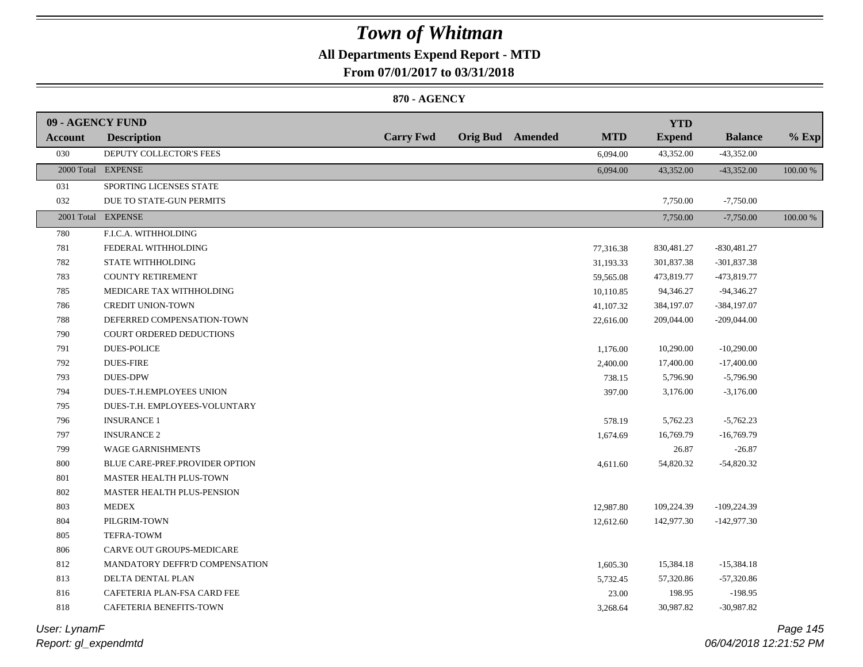## **All Departments Expend Report - MTD**

**From 07/01/2017 to 03/31/2018**

#### **870 - AGENCY**

| 09 - AGENCY FUND |                                |                  |                         |            | <b>YTD</b>    |                |          |
|------------------|--------------------------------|------------------|-------------------------|------------|---------------|----------------|----------|
| <b>Account</b>   | <b>Description</b>             | <b>Carry Fwd</b> | <b>Orig Bud</b> Amended | <b>MTD</b> | <b>Expend</b> | <b>Balance</b> | $%$ Exp  |
| 030              | DEPUTY COLLECTOR'S FEES        |                  |                         | 6,094.00   | 43,352.00     | $-43,352.00$   |          |
|                  | 2000 Total EXPENSE             |                  |                         | 6,094.00   | 43,352.00     | $-43,352.00$   | 100.00 % |
| 031              | SPORTING LICENSES STATE        |                  |                         |            |               |                |          |
| 032              | DUE TO STATE-GUN PERMITS       |                  |                         |            | 7,750.00      | $-7,750.00$    |          |
|                  | 2001 Total EXPENSE             |                  |                         |            | 7,750.00      | $-7,750.00$    | 100.00 % |
| 780              | F.I.C.A. WITHHOLDING           |                  |                         |            |               |                |          |
| 781              | FEDERAL WITHHOLDING            |                  |                         | 77,316.38  | 830,481.27    | $-830,481.27$  |          |
| 782              | STATE WITHHOLDING              |                  |                         | 31,193.33  | 301,837.38    | $-301,837.38$  |          |
| 783              | <b>COUNTY RETIREMENT</b>       |                  |                         | 59,565.08  | 473,819.77    | -473,819.77    |          |
| 785              | MEDICARE TAX WITHHOLDING       |                  |                         | 10,110.85  | 94,346.27     | $-94,346.27$   |          |
| 786              | <b>CREDIT UNION-TOWN</b>       |                  |                         | 41,107.32  | 384,197.07    | $-384,197.07$  |          |
| 788              | DEFERRED COMPENSATION-TOWN     |                  |                         | 22,616.00  | 209,044.00    | $-209,044.00$  |          |
| 790              | COURT ORDERED DEDUCTIONS       |                  |                         |            |               |                |          |
| 791              | <b>DUES-POLICE</b>             |                  |                         | 1,176.00   | 10,290.00     | $-10,290.00$   |          |
| 792              | <b>DUES-FIRE</b>               |                  |                         | 2,400.00   | 17,400.00     | $-17,400.00$   |          |
| 793              | <b>DUES-DPW</b>                |                  |                         | 738.15     | 5,796.90      | $-5,796.90$    |          |
| 794              | DUES-T.H.EMPLOYEES UNION       |                  |                         | 397.00     | 3,176.00      | $-3,176.00$    |          |
| 795              | DUES-T.H. EMPLOYEES-VOLUNTARY  |                  |                         |            |               |                |          |
| 796              | <b>INSURANCE 1</b>             |                  |                         | 578.19     | 5,762.23      | $-5,762.23$    |          |
| 797              | <b>INSURANCE 2</b>             |                  |                         | 1,674.69   | 16,769.79     | $-16,769.79$   |          |
| 799              | <b>WAGE GARNISHMENTS</b>       |                  |                         |            | 26.87         | $-26.87$       |          |
| 800              | BLUE CARE-PREF.PROVIDER OPTION |                  |                         | 4,611.60   | 54,820.32     | $-54,820.32$   |          |
| 801              | MASTER HEALTH PLUS-TOWN        |                  |                         |            |               |                |          |
| 802              | MASTER HEALTH PLUS-PENSION     |                  |                         |            |               |                |          |
| 803              | <b>MEDEX</b>                   |                  |                         | 12,987.80  | 109,224.39    | $-109,224.39$  |          |
| 804              | PILGRIM-TOWN                   |                  |                         | 12,612.60  | 142,977.30    | $-142,977.30$  |          |
| 805              | TEFRA-TOWM                     |                  |                         |            |               |                |          |
| 806              | CARVE OUT GROUPS-MEDICARE      |                  |                         |            |               |                |          |
| 812              | MANDATORY DEFFR'D COMPENSATION |                  |                         | 1,605.30   | 15,384.18     | $-15,384.18$   |          |
| 813              | DELTA DENTAL PLAN              |                  |                         | 5,732.45   | 57,320.86     | $-57,320.86$   |          |
| 816              | CAFETERIA PLAN-FSA CARD FEE    |                  |                         | 23.00      | 198.95        | $-198.95$      |          |
| 818              | CAFETERIA BENEFITS-TOWN        |                  |                         | 3,268.64   | 30,987.82     | $-30,987.82$   |          |
|                  |                                |                  |                         |            |               |                |          |

*Report: gl\_expendmtd User: LynamF*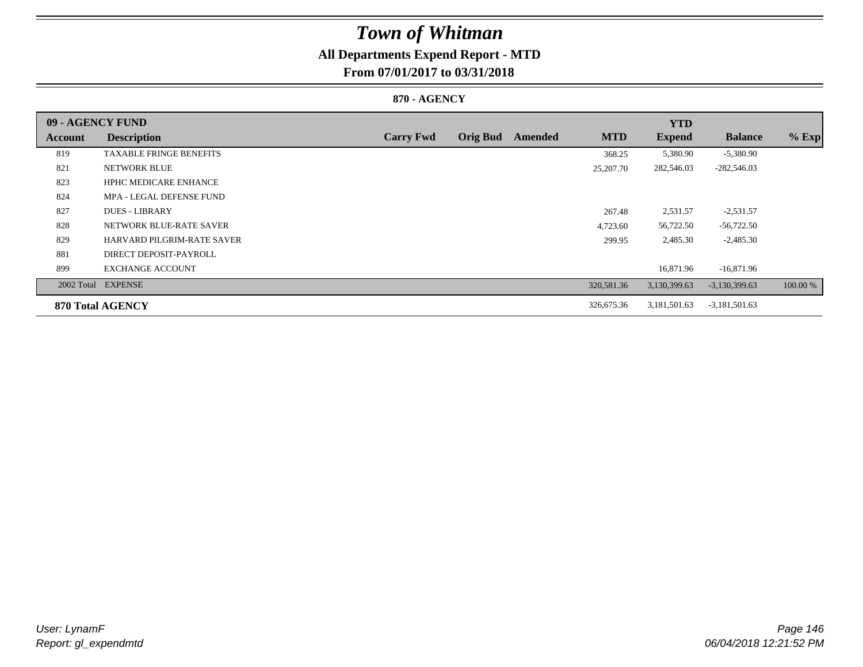## **All Departments Expend Report - MTD**

### **From 07/01/2017 to 03/31/2018**

#### **870 - AGENCY**

| 09 - AGENCY FUND |                                   |                  |                 |         |            | <b>YTD</b>    |                 |          |
|------------------|-----------------------------------|------------------|-----------------|---------|------------|---------------|-----------------|----------|
| Account          | <b>Description</b>                | <b>Carry Fwd</b> | <b>Orig Bud</b> | Amended | <b>MTD</b> | <b>Expend</b> | <b>Balance</b>  | $%$ Exp  |
| 819              | <b>TAXABLE FRINGE BENEFITS</b>    |                  |                 |         | 368.25     | 5,380.90      | $-5,380.90$     |          |
| 821              | <b>NETWORK BLUE</b>               |                  |                 |         | 25,207.70  | 282,546.03    | $-282,546.03$   |          |
| 823              | <b>HPHC MEDICARE ENHANCE</b>      |                  |                 |         |            |               |                 |          |
| 824              | MPA - LEGAL DEFENSE FUND          |                  |                 |         |            |               |                 |          |
| 827              | <b>DUES - LIBRARY</b>             |                  |                 |         | 267.48     | 2,531.57      | $-2,531.57$     |          |
| 828              | NETWORK BLUE-RATE SAVER           |                  |                 |         | 4,723.60   | 56,722.50     | $-56,722.50$    |          |
| 829              | <b>HARVARD PILGRIM-RATE SAVER</b> |                  |                 |         | 299.95     | 2,485.30      | $-2,485.30$     |          |
| 881              | DIRECT DEPOSIT-PAYROLL            |                  |                 |         |            |               |                 |          |
| 899              | <b>EXCHANGE ACCOUNT</b>           |                  |                 |         |            | 16,871.96     | $-16,871.96$    |          |
|                  | 2002 Total EXPENSE                |                  |                 |         | 320,581.36 | 3,130,399.63  | $-3,130,399.63$ | 100.00 % |
|                  | 870 Total AGENCY                  |                  |                 |         | 326,675.36 | 3,181,501.63  | $-3,181,501.63$ |          |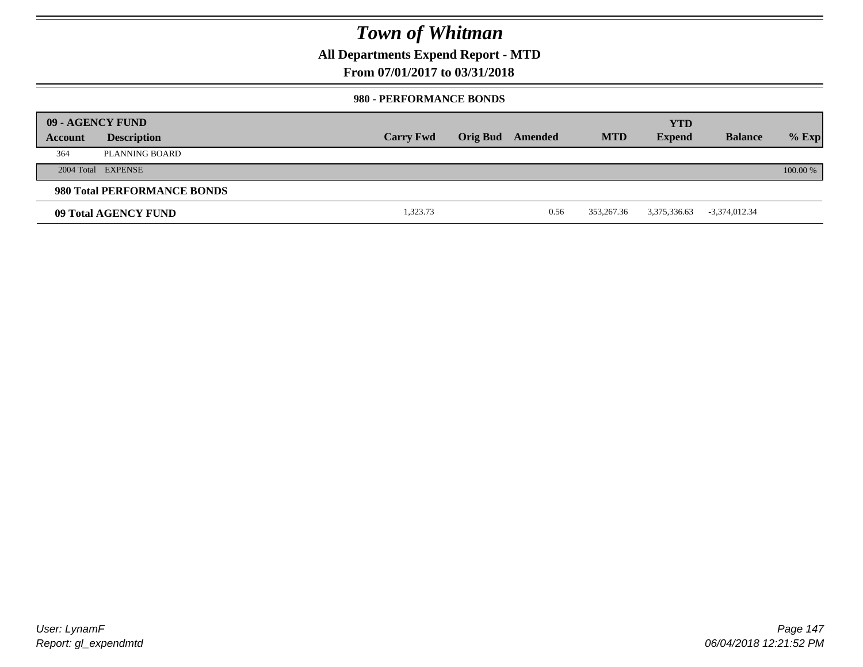**All Departments Expend Report - MTD**

### **From 07/01/2017 to 03/31/2018**

#### **980 - PERFORMANCE BONDS**

|                             | 09 - AGENCY FUND     |                  |                 |         |            | <b>YTD</b>    |                 |          |
|-----------------------------|----------------------|------------------|-----------------|---------|------------|---------------|-----------------|----------|
| Account                     | <b>Description</b>   | <b>Carry Fwd</b> | <b>Orig Bud</b> | Amended | <b>MTD</b> | <b>Expend</b> | <b>Balance</b>  | $%$ Exp  |
| 364                         | PLANNING BOARD       |                  |                 |         |            |               |                 |          |
|                             | 2004 Total EXPENSE   |                  |                 |         |            |               |                 | 100.00 % |
| 980 Total PERFORMANCE BONDS |                      |                  |                 |         |            |               |                 |          |
|                             | 09 Total AGENCY FUND | 1,323.73         |                 | 0.56    | 353,267.36 | 3,375,336.63  | $-3,374,012.34$ |          |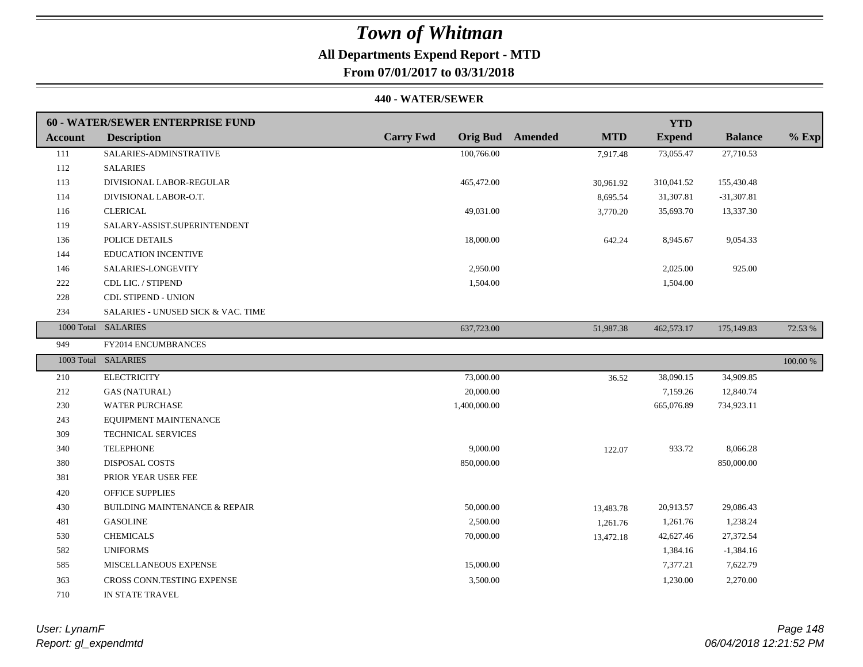# **All Departments Expend Report - MTD**

## **From 07/01/2017 to 03/31/2018**

|         | 60 - WATER/SEWER ENTERPRISE FUND         |                  |                                       | <b>YTD</b>    |                |             |
|---------|------------------------------------------|------------------|---------------------------------------|---------------|----------------|-------------|
| Account | <b>Description</b>                       | <b>Carry Fwd</b> | <b>Orig Bud</b> Amended<br><b>MTD</b> | <b>Expend</b> | <b>Balance</b> | $%$ Exp     |
| 111     | SALARIES-ADMINSTRATIVE                   | 100,766.00       | 7,917.48                              | 73,055.47     | 27,710.53      |             |
| 112     | <b>SALARIES</b>                          |                  |                                       |               |                |             |
| 113     | DIVISIONAL LABOR-REGULAR                 | 465,472.00       | 30,961.92                             | 310,041.52    | 155,430.48     |             |
| 114     | DIVISIONAL LABOR-O.T.                    |                  | 8,695.54                              | 31,307.81     | $-31,307.81$   |             |
| 116     | <b>CLERICAL</b>                          | 49,031.00        | 3,770.20                              | 35,693.70     | 13,337.30      |             |
| 119     | SALARY-ASSIST.SUPERINTENDENT             |                  |                                       |               |                |             |
| 136     | POLICE DETAILS                           | 18,000.00        | 642.24                                | 8,945.67      | 9,054.33       |             |
| 144     | <b>EDUCATION INCENTIVE</b>               |                  |                                       |               |                |             |
| 146     | SALARIES-LONGEVITY                       | 2,950.00         |                                       | 2,025.00      | 925.00         |             |
| 222     | CDL LIC. / STIPEND                       | 1,504.00         |                                       | 1,504.00      |                |             |
| 228     | <b>CDL STIPEND - UNION</b>               |                  |                                       |               |                |             |
| 234     | SALARIES - UNUSED SICK & VAC. TIME       |                  |                                       |               |                |             |
|         | 1000 Total SALARIES                      | 637,723.00       | 51,987.38                             | 462,573.17    | 175,149.83     | 72.53 %     |
| 949     | FY2014 ENCUMBRANCES                      |                  |                                       |               |                |             |
|         | 1003 Total SALARIES                      |                  |                                       |               |                | $100.00~\%$ |
| 210     | <b>ELECTRICITY</b>                       | 73,000.00        | 36.52                                 | 38,090.15     | 34,909.85      |             |
| 212     | <b>GAS (NATURAL)</b>                     | 20,000.00        |                                       | 7,159.26      | 12,840.74      |             |
| 230     |                                          |                  |                                       |               |                |             |
|         | <b>WATER PURCHASE</b>                    | 1,400,000.00     |                                       | 665,076.89    | 734,923.11     |             |
| 243     | EQUIPMENT MAINTENANCE                    |                  |                                       |               |                |             |
| 309     | TECHNICAL SERVICES                       |                  |                                       |               |                |             |
| 340     | <b>TELEPHONE</b>                         | 9,000.00         | 122.07                                | 933.72        | 8,066.28       |             |
| 380     | <b>DISPOSAL COSTS</b>                    | 850,000.00       |                                       |               | 850,000.00     |             |
| 381     | PRIOR YEAR USER FEE                      |                  |                                       |               |                |             |
| 420     | <b>OFFICE SUPPLIES</b>                   |                  |                                       |               |                |             |
| 430     | <b>BUILDING MAINTENANCE &amp; REPAIR</b> | 50,000.00        | 13,483.78                             | 20,913.57     | 29,086.43      |             |
| 481     | <b>GASOLINE</b>                          | 2,500.00         | 1,261.76                              | 1,261.76      | 1,238.24       |             |
| 530     | <b>CHEMICALS</b>                         | 70,000.00        | 13,472.18                             | 42,627.46     | 27,372.54      |             |
| 582     | <b>UNIFORMS</b>                          |                  |                                       | 1,384.16      | $-1,384.16$    |             |
| 585     | MISCELLANEOUS EXPENSE                    | 15,000.00        |                                       | 7,377.21      | 7,622.79       |             |
| 363     | CROSS CONN.TESTING EXPENSE               | 3,500.00         |                                       | 1,230.00      | 2,270.00       |             |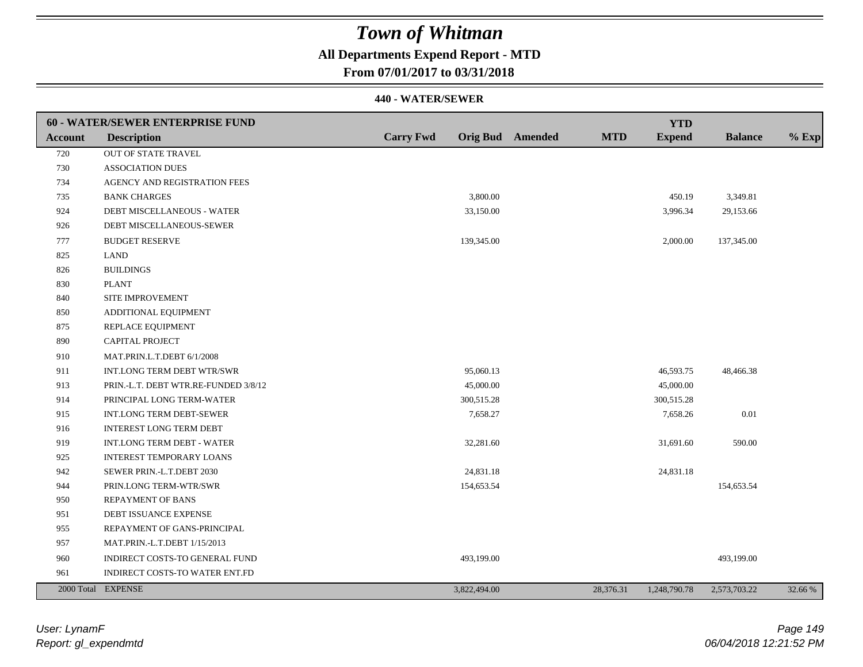## **All Departments Expend Report - MTD**

**From 07/01/2017 to 03/31/2018**

|                | 60 - WATER/SEWER ENTERPRISE FUND     |                  |              |                  |            | <b>YTD</b>    |                |         |
|----------------|--------------------------------------|------------------|--------------|------------------|------------|---------------|----------------|---------|
| <b>Account</b> | <b>Description</b>                   | <b>Carry Fwd</b> |              | Orig Bud Amended | <b>MTD</b> | <b>Expend</b> | <b>Balance</b> | $%$ Exp |
| 720            | OUT OF STATE TRAVEL                  |                  |              |                  |            |               |                |         |
| 730            | <b>ASSOCIATION DUES</b>              |                  |              |                  |            |               |                |         |
| 734            | AGENCY AND REGISTRATION FEES         |                  |              |                  |            |               |                |         |
| 735            | <b>BANK CHARGES</b>                  |                  | 3,800.00     |                  |            | 450.19        | 3,349.81       |         |
| 924            | DEBT MISCELLANEOUS - WATER           |                  | 33,150.00    |                  |            | 3,996.34      | 29,153.66      |         |
| 926            | DEBT MISCELLANEOUS-SEWER             |                  |              |                  |            |               |                |         |
| 777            | <b>BUDGET RESERVE</b>                |                  | 139,345.00   |                  |            | 2,000.00      | 137,345.00     |         |
| 825            | <b>LAND</b>                          |                  |              |                  |            |               |                |         |
| 826            | <b>BUILDINGS</b>                     |                  |              |                  |            |               |                |         |
| 830            | <b>PLANT</b>                         |                  |              |                  |            |               |                |         |
| 840            | SITE IMPROVEMENT                     |                  |              |                  |            |               |                |         |
| 850            | ADDITIONAL EQUIPMENT                 |                  |              |                  |            |               |                |         |
| 875            | REPLACE EQUIPMENT                    |                  |              |                  |            |               |                |         |
| 890            | CAPITAL PROJECT                      |                  |              |                  |            |               |                |         |
| 910            | MAT.PRIN.L.T.DEBT 6/1/2008           |                  |              |                  |            |               |                |         |
| 911            | <b>INT.LONG TERM DEBT WTR/SWR</b>    |                  | 95,060.13    |                  |            | 46,593.75     | 48,466.38      |         |
| 913            | PRIN.-L.T. DEBT WTR.RE-FUNDED 3/8/12 |                  | 45,000.00    |                  |            | 45,000.00     |                |         |
| 914            | PRINCIPAL LONG TERM-WATER            |                  | 300,515.28   |                  |            | 300,515.28    |                |         |
| 915            | <b>INT.LONG TERM DEBT-SEWER</b>      |                  | 7,658.27     |                  |            | 7,658.26      | 0.01           |         |
| 916            | <b>INTEREST LONG TERM DEBT</b>       |                  |              |                  |            |               |                |         |
| 919            | INT.LONG TERM DEBT - WATER           |                  | 32,281.60    |                  |            | 31,691.60     | 590.00         |         |
| 925            | <b>INTEREST TEMPORARY LOANS</b>      |                  |              |                  |            |               |                |         |
| 942            | SEWER PRIN.-L.T.DEBT 2030            |                  | 24,831.18    |                  |            | 24,831.18     |                |         |
| 944            | PRIN.LONG TERM-WTR/SWR               |                  | 154,653.54   |                  |            |               | 154,653.54     |         |
| 950            | <b>REPAYMENT OF BANS</b>             |                  |              |                  |            |               |                |         |
| 951            | DEBT ISSUANCE EXPENSE                |                  |              |                  |            |               |                |         |
| 955            | REPAYMENT OF GANS-PRINCIPAL          |                  |              |                  |            |               |                |         |
| 957            | MAT.PRIN.-L.T.DEBT 1/15/2013         |                  |              |                  |            |               |                |         |
| 960            | INDIRECT COSTS-TO GENERAL FUND       |                  | 493,199.00   |                  |            |               | 493,199.00     |         |
| 961            | INDIRECT COSTS-TO WATER ENT.FD       |                  |              |                  |            |               |                |         |
|                | 2000 Total EXPENSE                   |                  | 3,822,494.00 |                  | 28,376.31  | 1,248,790.78  | 2,573,703.22   | 32.66 % |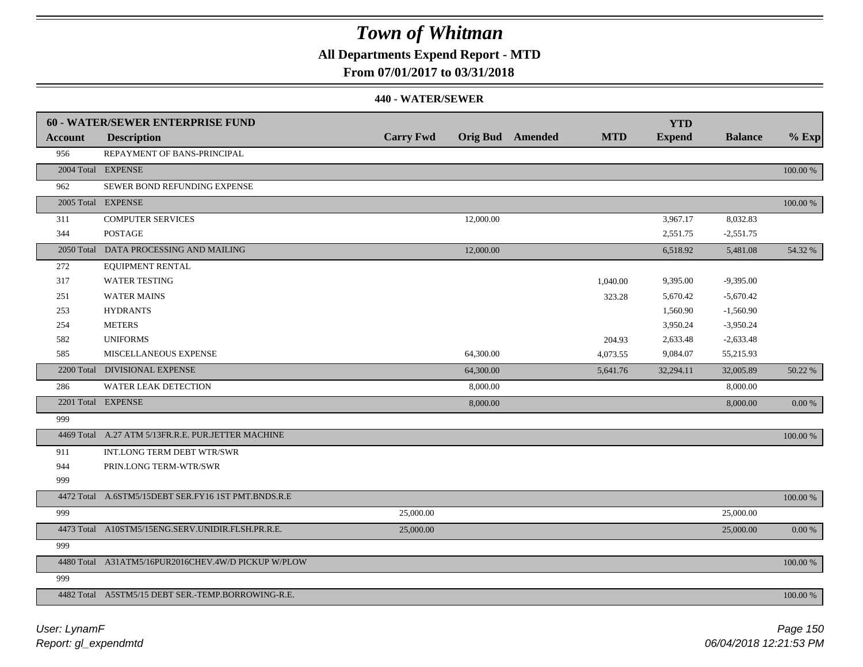### **All Departments Expend Report - MTD**

### **From 07/01/2017 to 03/31/2018**

|                | 60 - WATER/SEWER ENTERPRISE FUND                    |                  |                         |            | <b>YTD</b>    |                |            |
|----------------|-----------------------------------------------------|------------------|-------------------------|------------|---------------|----------------|------------|
| <b>Account</b> | <b>Description</b>                                  | <b>Carry Fwd</b> | <b>Orig Bud</b> Amended | <b>MTD</b> | <b>Expend</b> | <b>Balance</b> | $%$ Exp    |
| 956            | REPAYMENT OF BANS-PRINCIPAL                         |                  |                         |            |               |                |            |
|                | 2004 Total EXPENSE                                  |                  |                         |            |               |                | 100.00 %   |
| 962            | SEWER BOND REFUNDING EXPENSE                        |                  |                         |            |               |                |            |
|                | 2005 Total EXPENSE                                  |                  |                         |            |               |                | 100.00 %   |
| 311            | <b>COMPUTER SERVICES</b>                            |                  | 12,000.00               |            | 3,967.17      | 8,032.83       |            |
| 344            | <b>POSTAGE</b>                                      |                  |                         |            | 2,551.75      | $-2,551.75$    |            |
|                | 2050 Total DATA PROCESSING AND MAILING              |                  | 12,000.00               |            | 6,518.92      | 5,481.08       | 54.32 %    |
| 272            | EQUIPMENT RENTAL                                    |                  |                         |            |               |                |            |
| 317            | <b>WATER TESTING</b>                                |                  |                         | 1,040.00   | 9,395.00      | $-9,395.00$    |            |
| 251            | <b>WATER MAINS</b>                                  |                  |                         | 323.28     | 5,670.42      | $-5,670.42$    |            |
| 253            | <b>HYDRANTS</b>                                     |                  |                         |            | 1,560.90      | $-1,560.90$    |            |
| 254            | <b>METERS</b>                                       |                  |                         |            | 3,950.24      | $-3,950.24$    |            |
| 582            | <b>UNIFORMS</b>                                     |                  |                         | 204.93     | 2,633.48      | $-2,633.48$    |            |
| 585            | MISCELLANEOUS EXPENSE                               |                  | 64,300.00               | 4,073.55   | 9,084.07      | 55,215.93      |            |
|                | 2200 Total DIVISIONAL EXPENSE                       |                  | 64,300.00               | 5,641.76   | 32,294.11     | 32,005.89      | 50.22 %    |
| 286            | WATER LEAK DETECTION                                |                  | 8,000.00                |            |               | 8,000.00       |            |
|                | 2201 Total EXPENSE                                  |                  | 8,000.00                |            |               | 8,000.00       | $0.00\,\%$ |
| 999            |                                                     |                  |                         |            |               |                |            |
|                | 4469 Total A.27 ATM 5/13FR.R.E. PUR.JETTER MACHINE  |                  |                         |            |               |                | 100.00 %   |
| 911            | INT.LONG TERM DEBT WTR/SWR                          |                  |                         |            |               |                |            |
| 944            | PRIN.LONG TERM-WTR/SWR                              |                  |                         |            |               |                |            |
| 999            |                                                     |                  |                         |            |               |                |            |
|                | 4472 Total A.6STM5/15DEBT SER.FY16 1ST PMT.BNDS.R.E |                  |                         |            |               |                | 100.00 %   |
| 999            |                                                     | 25,000.00        |                         |            |               | 25,000.00      |            |
|                | 4473 Total A10STM5/15ENG.SERV.UNIDIR.FLSH.PR.R.E.   | 25,000.00        |                         |            |               | 25,000.00      | 0.00 %     |
| 999            |                                                     |                  |                         |            |               |                |            |
|                | 4480 Total A31ATM5/16PUR2016CHEV.4W/D PICKUP W/PLOW |                  |                         |            |               |                | 100.00 %   |
| 999            |                                                     |                  |                         |            |               |                |            |
|                | 4482 Total A5STM5/15 DEBT SER.-TEMP.BORROWING-R.E.  |                  |                         |            |               |                | 100.00 %   |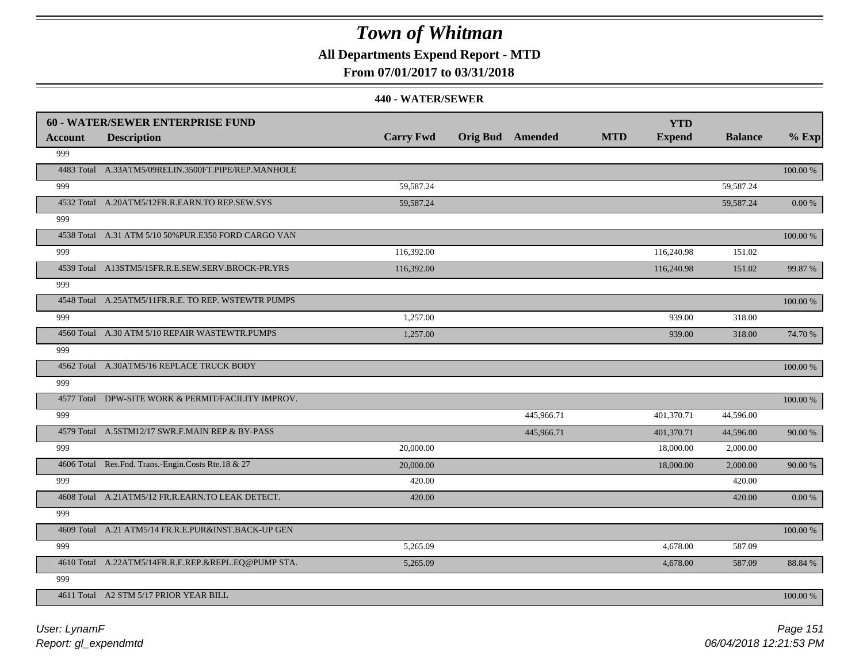**All Departments Expend Report - MTD**

### **From 07/01/2017 to 03/31/2018**

|                | <b>60 - WATER/SEWER ENTERPRISE FUND</b>              |                  |                         |            | <b>YTD</b>    |                |             |
|----------------|------------------------------------------------------|------------------|-------------------------|------------|---------------|----------------|-------------|
| <b>Account</b> | <b>Description</b>                                   | <b>Carry Fwd</b> | <b>Orig Bud</b> Amended | <b>MTD</b> | <b>Expend</b> | <b>Balance</b> | $%$ Exp     |
| 999            |                                                      |                  |                         |            |               |                |             |
|                | 4483 Total A.33ATM5/09RELIN.3500FT.PIPE/REP.MANHOLE  |                  |                         |            |               |                | $100.00~\%$ |
| 999            |                                                      | 59,587.24        |                         |            |               | 59,587.24      |             |
|                | 4532 Total A.20ATM5/12FR.R.EARN.TO REP.SEW.SYS       | 59,587.24        |                         |            |               | 59,587.24      | 0.00 %      |
| 999            |                                                      |                  |                         |            |               |                |             |
|                | 4538 Total A.31 ATM 5/10 50% PUR.E350 FORD CARGO VAN |                  |                         |            |               |                | 100.00 %    |
| 999            |                                                      | 116,392.00       |                         |            | 116,240.98    | 151.02         |             |
|                | 4539 Total A13STM5/15FR.R.E.SEW.SERV.BROCK-PR.YRS    | 116,392.00       |                         |            | 116,240.98    | 151.02         | 99.87 %     |
| 999            |                                                      |                  |                         |            |               |                |             |
|                | 4548 Total A.25ATM5/11FR.R.E. TO REP. WSTEWTR PUMPS  |                  |                         |            |               |                | 100.00 %    |
| 999            |                                                      | 1,257.00         |                         |            | 939.00        | 318.00         |             |
|                | 4560 Total A.30 ATM 5/10 REPAIR WASTEWTR.PUMPS       | 1,257.00         |                         |            | 939.00        | 318.00         | 74.70 %     |
| 999            |                                                      |                  |                         |            |               |                |             |
|                | 4562 Total A.30ATM5/16 REPLACE TRUCK BODY            |                  |                         |            |               |                | $100.00~\%$ |
| 999            |                                                      |                  |                         |            |               |                |             |
|                | 4577 Total DPW-SITE WORK & PERMIT/FACILITY IMPROV.   |                  |                         |            |               |                | 100.00 %    |
| 999            |                                                      |                  | 445,966.71              |            | 401,370.71    | 44,596.00      |             |
|                | 4579 Total A.5STM12/17 SWR.F.MAIN REP.& BY-PASS      |                  | 445,966.71              |            | 401,370.71    | 44,596.00      | 90.00 %     |
| 999            |                                                      | 20,000.00        |                         |            | 18,000.00     | 2,000.00       |             |
|                | 4606 Total Res.Fnd. Trans.-Engin.Costs Rte.18 & 27   | 20,000.00        |                         |            | 18,000.00     | 2,000.00       | 90.00 %     |
| 999            |                                                      | 420.00           |                         |            |               | 420.00         |             |
|                | 4608 Total A.21ATM5/12 FR.R.EARN.TO LEAK DETECT.     | 420.00           |                         |            |               | 420.00         | 0.00 %      |
| 999            |                                                      |                  |                         |            |               |                |             |
|                | 4609 Total A.21 ATM5/14 FR.R.E.PUR&INST.BACK-UP GEN  |                  |                         |            |               |                | $100.00~\%$ |
| 999            |                                                      | 5,265.09         |                         |            | 4,678.00      | 587.09         |             |
|                | 4610 Total A.22ATM5/14FR.R.E.REP.&REPL.EQ@PUMP STA.  | 5,265.09         |                         |            | 4,678.00      | 587.09         | 88.84 %     |
| 999            |                                                      |                  |                         |            |               |                |             |
|                | 4611 Total A2 STM 5/17 PRIOR YEAR BILL               |                  |                         |            |               |                | 100.00 %    |
|                |                                                      |                  |                         |            |               |                |             |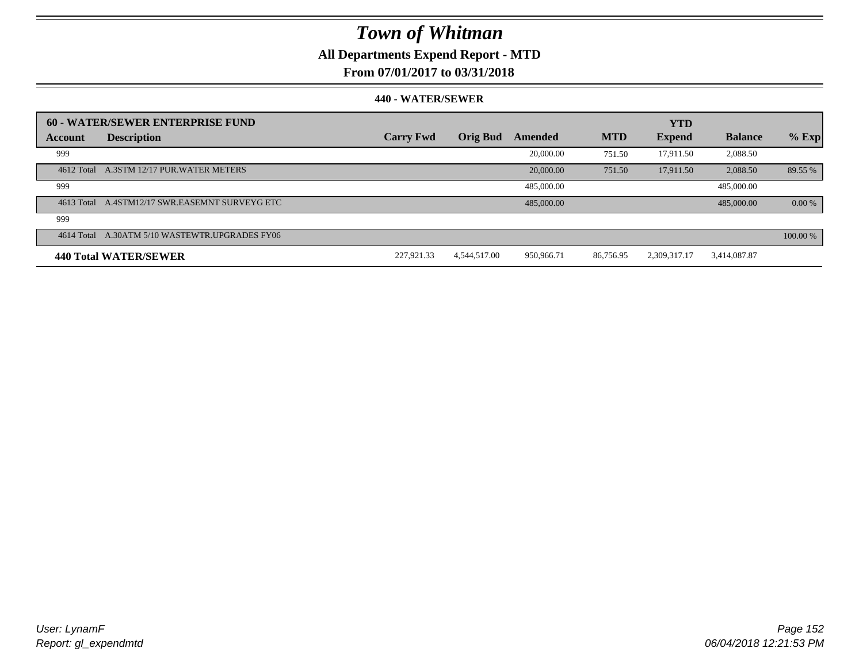### **All Departments Expend Report - MTD**

**From 07/01/2017 to 03/31/2018**

|         | 60 - WATER/SEWER ENTERPRISE FUND               |                  |                 |            |            | <b>YTD</b>    |                |          |
|---------|------------------------------------------------|------------------|-----------------|------------|------------|---------------|----------------|----------|
| Account | <b>Description</b>                             | <b>Carry Fwd</b> | <b>Orig Bud</b> | Amended    | <b>MTD</b> | <b>Expend</b> | <b>Balance</b> | $%$ Exp  |
| 999     |                                                |                  |                 | 20,000.00  | 751.50     | 17.911.50     | 2,088.50       |          |
|         | 4612 Total A.3STM 12/17 PUR. WATER METERS      |                  |                 | 20,000.00  | 751.50     | 17.911.50     | 2,088.50       | 89.55 %  |
| 999     |                                                |                  |                 | 485,000.00 |            |               | 485,000.00     |          |
|         | 4613 Total A.4STM12/17 SWR.EASEMNT SURVEYG ETC |                  |                 | 485,000.00 |            |               | 485,000,00     | 0.00 %   |
| 999     |                                                |                  |                 |            |            |               |                |          |
|         | 4614 Total A.30ATM 5/10 WASTEWTR.UPGRADES FY06 |                  |                 |            |            |               |                | 100.00 % |
|         | 440 Total WATER/SEWER                          | 227.921.33       | 4,544,517.00    | 950,966.71 | 86,756.95  | 2.309.317.17  | 3.414.087.87   |          |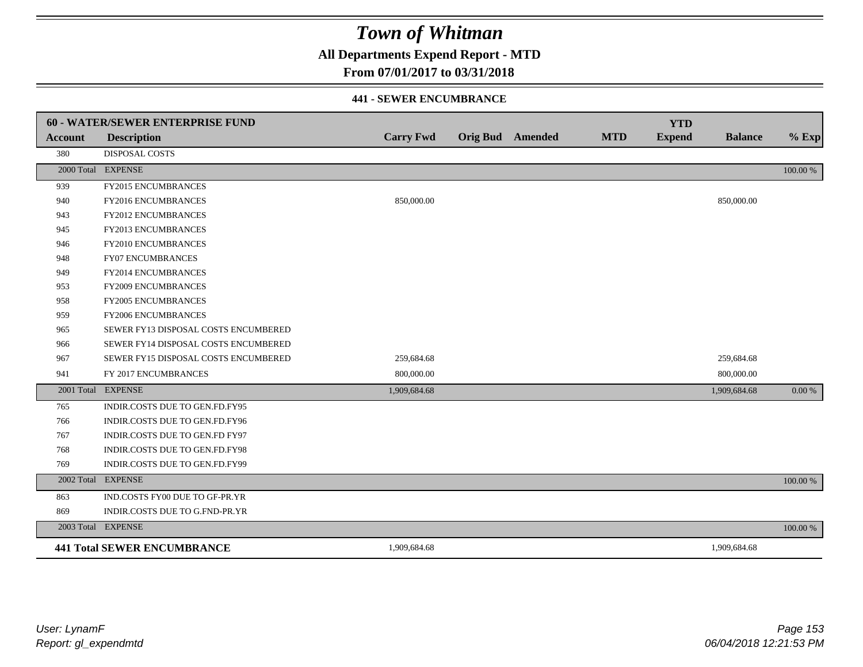**All Departments Expend Report - MTD**

### **From 07/01/2017 to 03/31/2018**

#### **441 - SEWER ENCUMBRANCE**

|                | <b>60 - WATER/SEWER ENTERPRISE FUND</b> |                  |                         |            | <b>YTD</b>    |                |          |
|----------------|-----------------------------------------|------------------|-------------------------|------------|---------------|----------------|----------|
| <b>Account</b> | <b>Description</b>                      | <b>Carry Fwd</b> | <b>Orig Bud</b> Amended | <b>MTD</b> | <b>Expend</b> | <b>Balance</b> | $%$ Exp  |
| 380            | <b>DISPOSAL COSTS</b>                   |                  |                         |            |               |                |          |
|                | 2000 Total EXPENSE                      |                  |                         |            |               |                | 100.00 % |
| 939            | <b>FY2015 ENCUMBRANCES</b>              |                  |                         |            |               |                |          |
| 940            | FY2016 ENCUMBRANCES                     | 850,000.00       |                         |            |               | 850,000.00     |          |
| 943            | <b>FY2012 ENCUMBRANCES</b>              |                  |                         |            |               |                |          |
| 945            | FY2013 ENCUMBRANCES                     |                  |                         |            |               |                |          |
| 946            | <b>FY2010 ENCUMBRANCES</b>              |                  |                         |            |               |                |          |
| 948            | <b>FY07 ENCUMBRANCES</b>                |                  |                         |            |               |                |          |
| 949            | FY2014 ENCUMBRANCES                     |                  |                         |            |               |                |          |
| 953            | <b>FY2009 ENCUMBRANCES</b>              |                  |                         |            |               |                |          |
| 958            | <b>FY2005 ENCUMBRANCES</b>              |                  |                         |            |               |                |          |
| 959            | FY2006 ENCUMBRANCES                     |                  |                         |            |               |                |          |
| 965            | SEWER FY13 DISPOSAL COSTS ENCUMBERED    |                  |                         |            |               |                |          |
| 966            | SEWER FY14 DISPOSAL COSTS ENCUMBERED    |                  |                         |            |               |                |          |
| 967            | SEWER FY15 DISPOSAL COSTS ENCUMBERED    | 259,684.68       |                         |            |               | 259,684.68     |          |
| 941            | FY 2017 ENCUMBRANCES                    | 800,000.00       |                         |            |               | 800,000.00     |          |
|                | 2001 Total EXPENSE                      | 1,909,684.68     |                         |            |               | 1,909,684.68   | $0.00\%$ |
| 765            | INDIR.COSTS DUE TO GEN.FD.FY95          |                  |                         |            |               |                |          |
| 766            | INDIR.COSTS DUE TO GEN.FD.FY96          |                  |                         |            |               |                |          |
| 767            | INDIR.COSTS DUE TO GEN.FD FY97          |                  |                         |            |               |                |          |
| 768            | INDIR.COSTS DUE TO GEN.FD.FY98          |                  |                         |            |               |                |          |
| 769            | INDIR.COSTS DUE TO GEN.FD.FY99          |                  |                         |            |               |                |          |
|                | 2002 Total EXPENSE                      |                  |                         |            |               |                | 100.00 % |
| 863            | IND.COSTS FY00 DUE TO GF-PR.YR          |                  |                         |            |               |                |          |
| 869            | INDIR.COSTS DUE TO G.FND-PR.YR          |                  |                         |            |               |                |          |
|                | 2003 Total EXPENSE                      |                  |                         |            |               |                | 100.00 % |
|                | <b>441 Total SEWER ENCUMBRANCE</b>      | 1,909,684.68     |                         |            |               | 1,909,684.68   |          |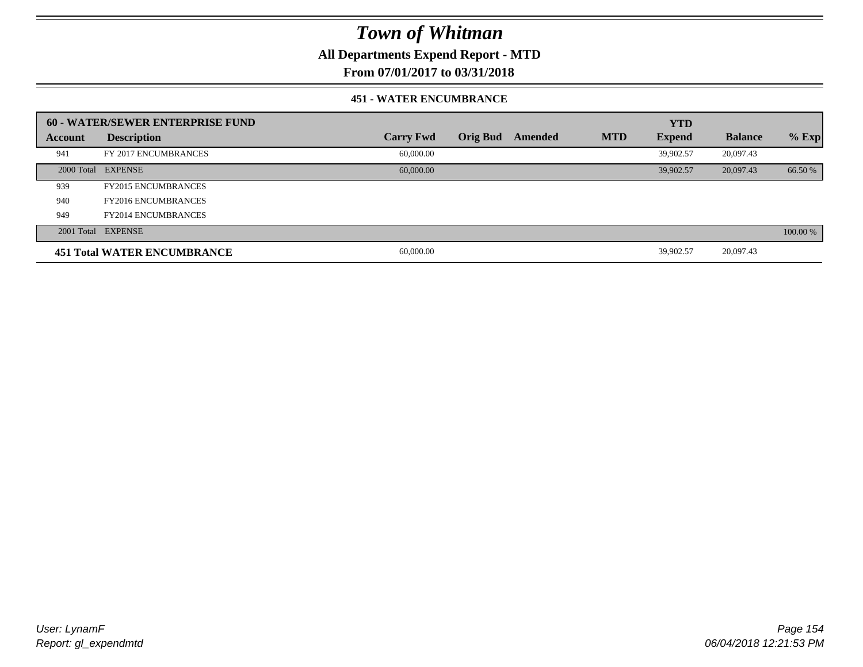**All Departments Expend Report - MTD**

### **From 07/01/2017 to 03/31/2018**

#### **451 - WATER ENCUMBRANCE**

|         | <b>60 - WATER/SEWER ENTERPRISE FUND</b> |                  |          |         |            | <b>YTD</b>    |                |          |
|---------|-----------------------------------------|------------------|----------|---------|------------|---------------|----------------|----------|
| Account | <b>Description</b>                      | <b>Carry Fwd</b> | Orig Bud | Amended | <b>MTD</b> | <b>Expend</b> | <b>Balance</b> | $%$ Exp  |
| 941     | FY 2017 ENCUMBRANCES                    | 60,000.00        |          |         |            | 39.902.57     | 20,097.43      |          |
|         | 2000 Total EXPENSE                      | 60,000,00        |          |         |            | 39.902.57     | 20,097.43      | 66.50 %  |
| 939     | <b>FY2015 ENCUMBRANCES</b>              |                  |          |         |            |               |                |          |
| 940     | <b>FY2016 ENCUMBRANCES</b>              |                  |          |         |            |               |                |          |
| 949     | <b>FY2014 ENCUMBRANCES</b>              |                  |          |         |            |               |                |          |
|         | 2001 Total EXPENSE                      |                  |          |         |            |               |                | 100.00 % |
|         | <b>451 Total WATER ENCUMBRANCE</b>      | 60,000.00        |          |         |            | 39,902.57     | 20,097.43      |          |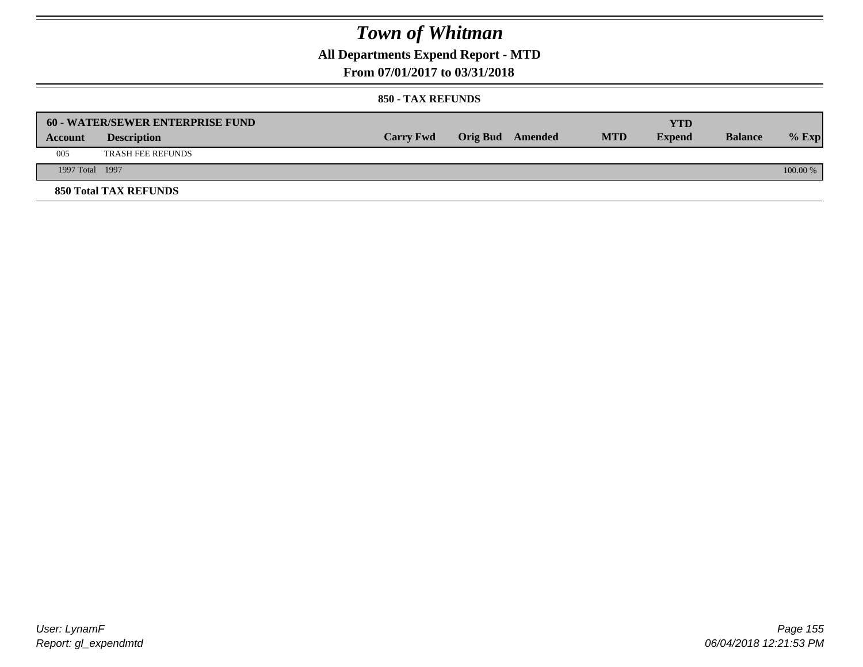**All Departments Expend Report - MTD**

### **From 07/01/2017 to 03/31/2018**

|                 | <b>60 - WATER/SEWER ENTERPRISE FUND</b> |                  |                         |            | YTD           |                |            |
|-----------------|-----------------------------------------|------------------|-------------------------|------------|---------------|----------------|------------|
| Account         | <b>Description</b>                      | <b>Carry Fwd</b> | <b>Orig Bud</b> Amended | <b>MTD</b> | <b>Expend</b> | <b>Balance</b> | $%$ Exp    |
| 005             | <b>TRASH FEE REFUNDS</b>                |                  |                         |            |               |                |            |
| 1997 Total 1997 |                                         |                  |                         |            |               |                | $100.00\%$ |
|                 | <b>850 Total TAX REFUNDS</b>            |                  |                         |            |               |                |            |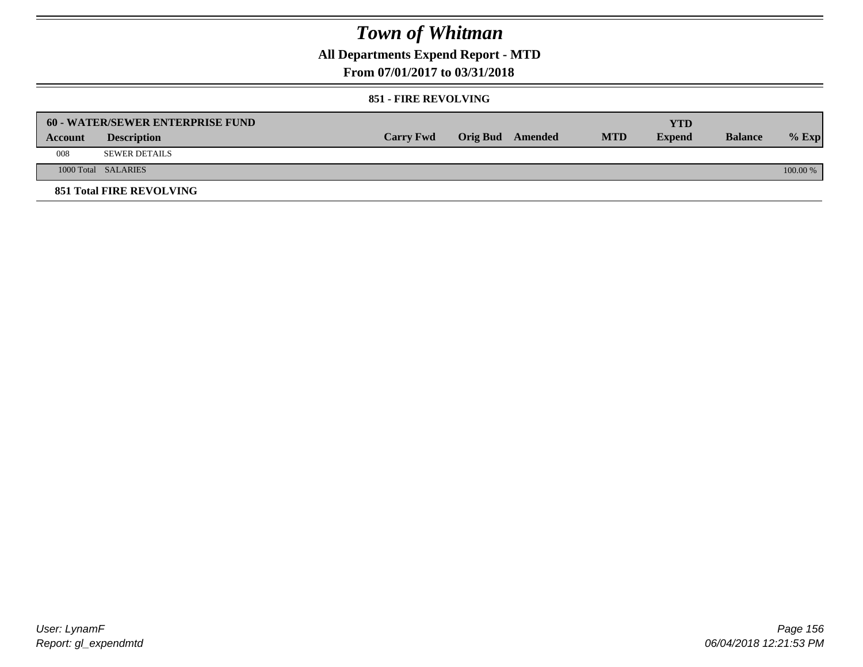**All Departments Expend Report - MTD**

### **From 07/01/2017 to 03/31/2018**

#### **851 - FIRE REVOLVING**

|         | 60 - WATER/SEWER ENTERPRISE FUND |                  |                  |            | YTD           |                |            |
|---------|----------------------------------|------------------|------------------|------------|---------------|----------------|------------|
| Account | <b>Description</b>               | <b>Carry Fwd</b> | Orig Bud Amended | <b>MTD</b> | <b>Expend</b> | <b>Balance</b> | $%$ Exp    |
| 008     | <b>SEWER DETAILS</b>             |                  |                  |            |               |                |            |
|         | 1000 Total SALARIES              |                  |                  |            |               |                | $100.00\%$ |
|         | <b>851 Total FIRE REVOLVING</b>  |                  |                  |            |               |                |            |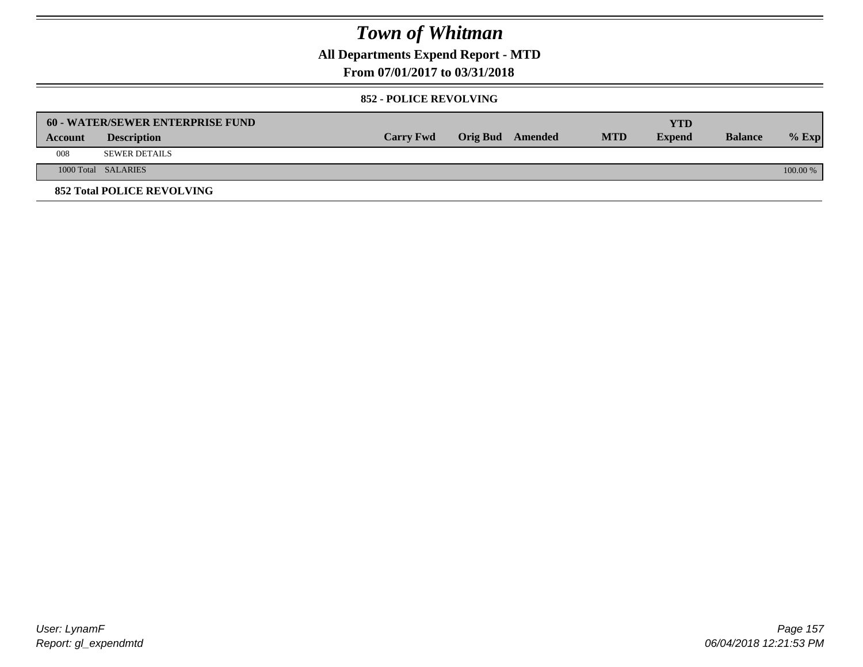**All Departments Expend Report - MTD**

### **From 07/01/2017 to 03/31/2018**

#### **852 - POLICE REVOLVING**

|         | 60 - WATER/SEWER ENTERPRISE FUND  |                  |                  |            | <b>YTD</b>    |                |            |
|---------|-----------------------------------|------------------|------------------|------------|---------------|----------------|------------|
| Account | <b>Description</b>                | <b>Carry Fwd</b> | Orig Bud Amended | <b>MTD</b> | <b>Expend</b> | <b>Balance</b> | $%$ Exp    |
| 008     | <b>SEWER DETAILS</b>              |                  |                  |            |               |                |            |
|         | 1000 Total SALARIES               |                  |                  |            |               |                | $100.00\%$ |
|         | <b>852 Total POLICE REVOLVING</b> |                  |                  |            |               |                |            |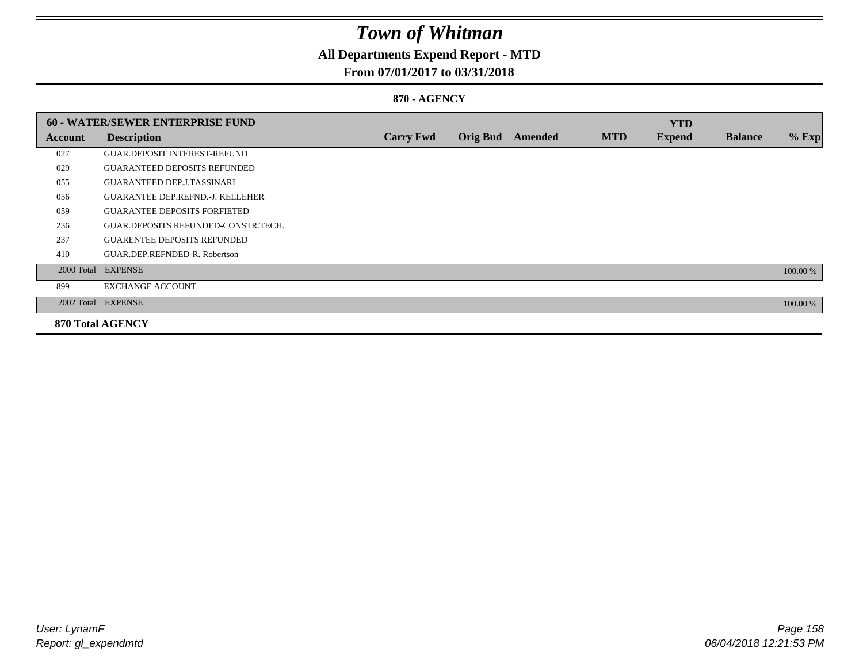## **All Departments Expend Report - MTD**

### **From 07/01/2017 to 03/31/2018**

#### **870 - AGENCY**

|         | <b>60 - WATER/SEWER ENTERPRISE FUND</b> |                  |                 |                |            | <b>YTD</b>    |                |          |
|---------|-----------------------------------------|------------------|-----------------|----------------|------------|---------------|----------------|----------|
| Account | <b>Description</b>                      | <b>Carry Fwd</b> | <b>Orig Bud</b> | <b>Amended</b> | <b>MTD</b> | <b>Expend</b> | <b>Balance</b> | $%$ Exp  |
| 027     | <b>GUAR DEPOSIT INTEREST-REFUND</b>     |                  |                 |                |            |               |                |          |
| 029     | <b>GUARANTEED DEPOSITS REFUNDED</b>     |                  |                 |                |            |               |                |          |
| 055     | <b>GUARANTEED DEP.J.TASSINARI</b>       |                  |                 |                |            |               |                |          |
| 056     | <b>GUARANTEE DEP.REFND.-J. KELLEHER</b> |                  |                 |                |            |               |                |          |
| 059     | <b>GUARANTEE DEPOSITS FORFIETED</b>     |                  |                 |                |            |               |                |          |
| 236     | GUAR.DEPOSITS REFUNDED-CONSTR.TECH.     |                  |                 |                |            |               |                |          |
| 237     | <b>GUARENTEE DEPOSITS REFUNDED</b>      |                  |                 |                |            |               |                |          |
| 410     | GUAR.DEP.REFNDED-R. Robertson           |                  |                 |                |            |               |                |          |
|         | 2000 Total EXPENSE                      |                  |                 |                |            |               |                | 100.00 % |
| 899     | <b>EXCHANGE ACCOUNT</b>                 |                  |                 |                |            |               |                |          |
|         | 2002 Total EXPENSE                      |                  |                 |                |            |               |                | 100.00 % |
|         | <b>870 Total AGENCY</b>                 |                  |                 |                |            |               |                |          |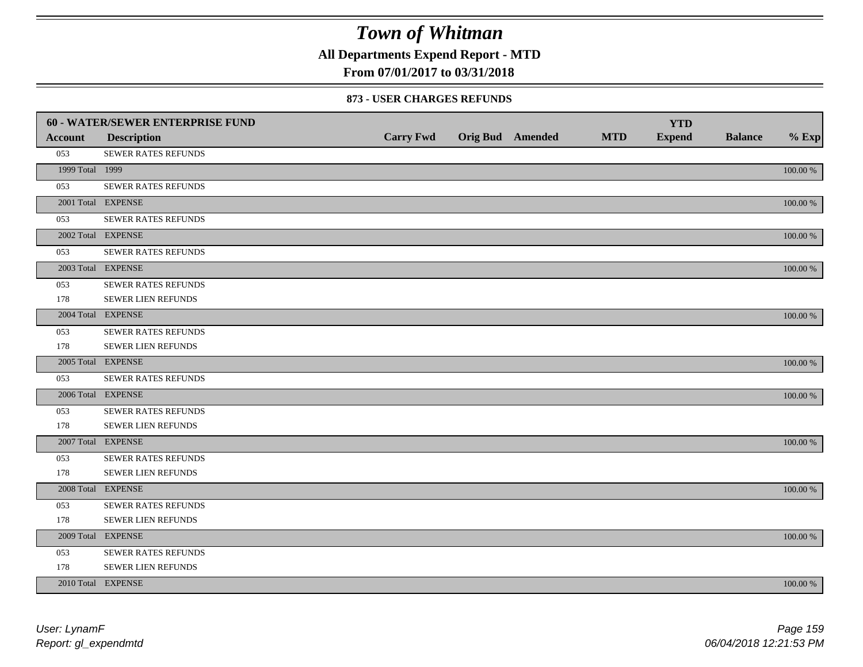**All Departments Expend Report - MTD**

### **From 07/01/2017 to 03/31/2018**

|                 | 60 - WATER/SEWER ENTERPRISE FUND |                  |                         |            | <b>YTD</b>    |                |             |
|-----------------|----------------------------------|------------------|-------------------------|------------|---------------|----------------|-------------|
| <b>Account</b>  | <b>Description</b>               | <b>Carry Fwd</b> | <b>Orig Bud</b> Amended | <b>MTD</b> | <b>Expend</b> | <b>Balance</b> | $%$ Exp     |
| 053             | SEWER RATES REFUNDS              |                  |                         |            |               |                |             |
| 1999 Total 1999 |                                  |                  |                         |            |               |                | 100.00 %    |
| 053             | SEWER RATES REFUNDS              |                  |                         |            |               |                |             |
|                 | 2001 Total EXPENSE               |                  |                         |            |               |                | 100.00 %    |
| 053             | SEWER RATES REFUNDS              |                  |                         |            |               |                |             |
|                 | 2002 Total EXPENSE               |                  |                         |            |               |                | $100.00~\%$ |
| 053             | SEWER RATES REFUNDS              |                  |                         |            |               |                |             |
|                 | 2003 Total EXPENSE               |                  |                         |            |               |                | 100.00 %    |
| 053             | SEWER RATES REFUNDS              |                  |                         |            |               |                |             |
| 178             | <b>SEWER LIEN REFUNDS</b>        |                  |                         |            |               |                |             |
|                 | 2004 Total EXPENSE               |                  |                         |            |               |                | 100.00 %    |
| 053             | SEWER RATES REFUNDS              |                  |                         |            |               |                |             |
| 178             | SEWER LIEN REFUNDS               |                  |                         |            |               |                |             |
|                 | 2005 Total EXPENSE               |                  |                         |            |               |                | 100.00 %    |
| 053             | <b>SEWER RATES REFUNDS</b>       |                  |                         |            |               |                |             |
|                 | 2006 Total EXPENSE               |                  |                         |            |               |                | 100.00 %    |
| 053             | <b>SEWER RATES REFUNDS</b>       |                  |                         |            |               |                |             |
| 178             | SEWER LIEN REFUNDS               |                  |                         |            |               |                |             |
|                 | 2007 Total EXPENSE               |                  |                         |            |               |                | 100.00 %    |
| 053             | SEWER RATES REFUNDS              |                  |                         |            |               |                |             |
| 178             | <b>SEWER LIEN REFUNDS</b>        |                  |                         |            |               |                |             |
|                 | 2008 Total EXPENSE               |                  |                         |            |               |                | 100.00 %    |
| 053             | <b>SEWER RATES REFUNDS</b>       |                  |                         |            |               |                |             |
| 178             | SEWER LIEN REFUNDS               |                  |                         |            |               |                |             |
|                 | 2009 Total EXPENSE               |                  |                         |            |               |                | 100.00 %    |
| 053             | SEWER RATES REFUNDS              |                  |                         |            |               |                |             |
| 178             | <b>SEWER LIEN REFUNDS</b>        |                  |                         |            |               |                |             |
|                 | 2010 Total EXPENSE               |                  |                         |            |               |                | 100.00 %    |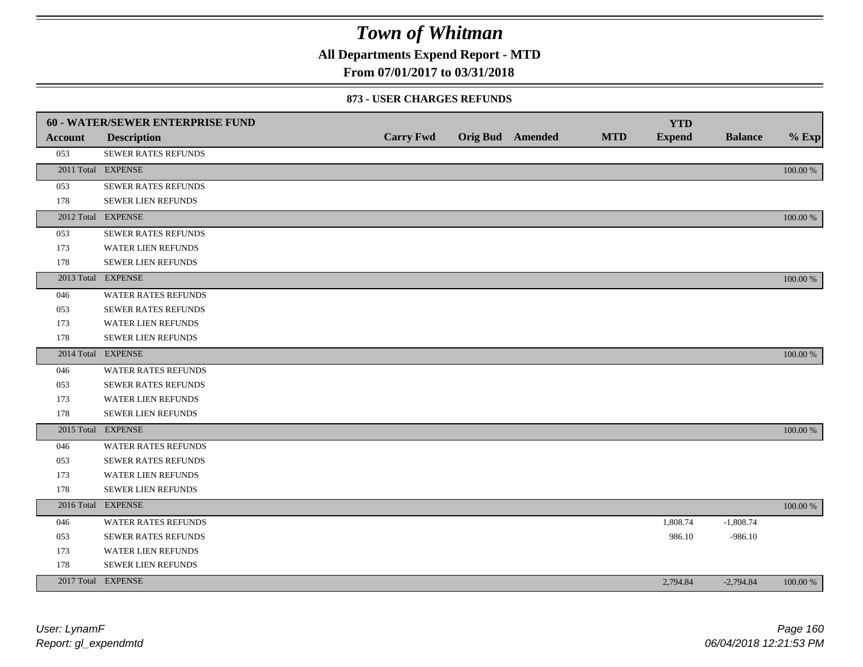**All Departments Expend Report - MTD**

### **From 07/01/2017 to 03/31/2018**

|                | <b>60 - WATER/SEWER ENTERPRISE FUND</b> |                  |                  |            | <b>YTD</b>    |                |          |
|----------------|-----------------------------------------|------------------|------------------|------------|---------------|----------------|----------|
| <b>Account</b> | <b>Description</b>                      | <b>Carry Fwd</b> | Orig Bud Amended | <b>MTD</b> | <b>Expend</b> | <b>Balance</b> | $%$ Exp  |
| 053            | SEWER RATES REFUNDS                     |                  |                  |            |               |                |          |
|                | 2011 Total EXPENSE                      |                  |                  |            |               |                | 100.00 % |
| 053            | SEWER RATES REFUNDS                     |                  |                  |            |               |                |          |
| 178            | <b>SEWER LIEN REFUNDS</b>               |                  |                  |            |               |                |          |
|                | 2012 Total EXPENSE                      |                  |                  |            |               |                | 100.00 % |
| 053            | <b>SEWER RATES REFUNDS</b>              |                  |                  |            |               |                |          |
| 173            | WATER LIEN REFUNDS                      |                  |                  |            |               |                |          |
| 178            | <b>SEWER LIEN REFUNDS</b>               |                  |                  |            |               |                |          |
|                | 2013 Total EXPENSE                      |                  |                  |            |               |                | 100.00 % |
| 046            | WATER RATES REFUNDS                     |                  |                  |            |               |                |          |
| 053            | <b>SEWER RATES REFUNDS</b>              |                  |                  |            |               |                |          |
| 173            | <b>WATER LIEN REFUNDS</b>               |                  |                  |            |               |                |          |
| 178            | SEWER LIEN REFUNDS                      |                  |                  |            |               |                |          |
|                | 2014 Total EXPENSE                      |                  |                  |            |               |                | 100.00 % |
| 046            | WATER RATES REFUNDS                     |                  |                  |            |               |                |          |
| 053            | <b>SEWER RATES REFUNDS</b>              |                  |                  |            |               |                |          |
| 173            | WATER LIEN REFUNDS                      |                  |                  |            |               |                |          |
| 178            | <b>SEWER LIEN REFUNDS</b>               |                  |                  |            |               |                |          |
|                | 2015 Total EXPENSE                      |                  |                  |            |               |                | 100.00 % |
| 046            | <b>WATER RATES REFUNDS</b>              |                  |                  |            |               |                |          |
| 053            | <b>SEWER RATES REFUNDS</b>              |                  |                  |            |               |                |          |
| 173            | <b>WATER LIEN REFUNDS</b>               |                  |                  |            |               |                |          |
| 178            | SEWER LIEN REFUNDS                      |                  |                  |            |               |                |          |
|                | 2016 Total EXPENSE                      |                  |                  |            |               |                | 100.00 % |
| 046            | WATER RATES REFUNDS                     |                  |                  |            | 1,808.74      | $-1,808.74$    |          |
| 053            | SEWER RATES REFUNDS                     |                  |                  |            | 986.10        | $-986.10$      |          |
| 173            | WATER LIEN REFUNDS                      |                  |                  |            |               |                |          |
| 178            | <b>SEWER LIEN REFUNDS</b>               |                  |                  |            |               |                |          |
|                | 2017 Total EXPENSE                      |                  |                  |            | 2,794.84      | $-2,794.84$    | 100.00 % |
|                |                                         |                  |                  |            |               |                |          |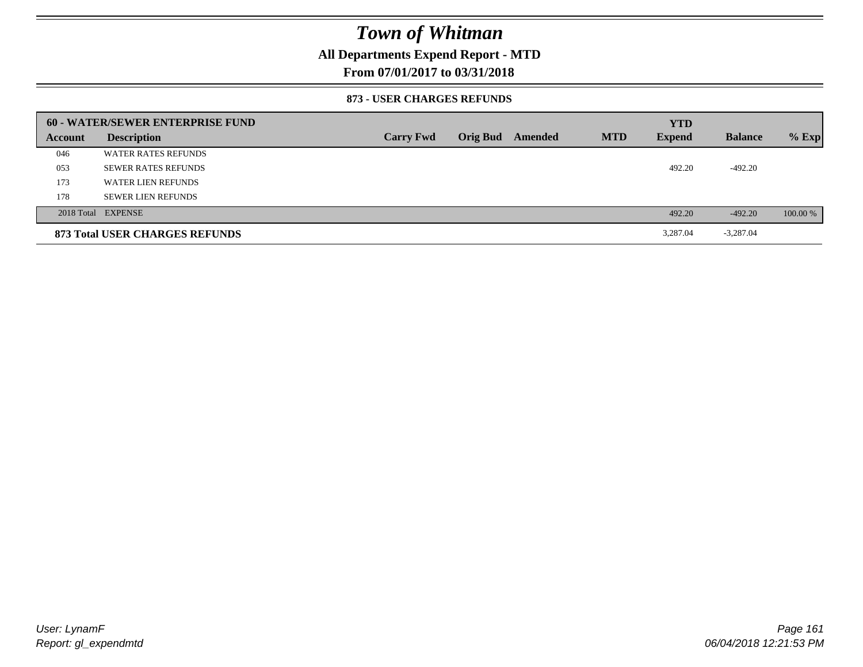### **All Departments Expend Report - MTD**

### **From 07/01/2017 to 03/31/2018**

|         | <b>60 - WATER/SEWER ENTERPRISE FUND</b> |                  |                 |         |            | <b>YTD</b>    |                |          |
|---------|-----------------------------------------|------------------|-----------------|---------|------------|---------------|----------------|----------|
| Account | <b>Description</b>                      | <b>Carry Fwd</b> | <b>Orig Bud</b> | Amended | <b>MTD</b> | <b>Expend</b> | <b>Balance</b> | $%$ Exp  |
| 046     | <b>WATER RATES REFUNDS</b>              |                  |                 |         |            |               |                |          |
| 053     | <b>SEWER RATES REFUNDS</b>              |                  |                 |         |            | 492.20        | $-492.20$      |          |
| 173     | WATER LIEN REFUNDS                      |                  |                 |         |            |               |                |          |
| 178     | <b>SEWER LIEN REFUNDS</b>               |                  |                 |         |            |               |                |          |
|         | 2018 Total EXPENSE                      |                  |                 |         |            | 492.20        | $-492.20$      | 100.00 % |
|         | 873 Total USER CHARGES REFUNDS          |                  |                 |         |            | 3,287.04      | $-3,287.04$    |          |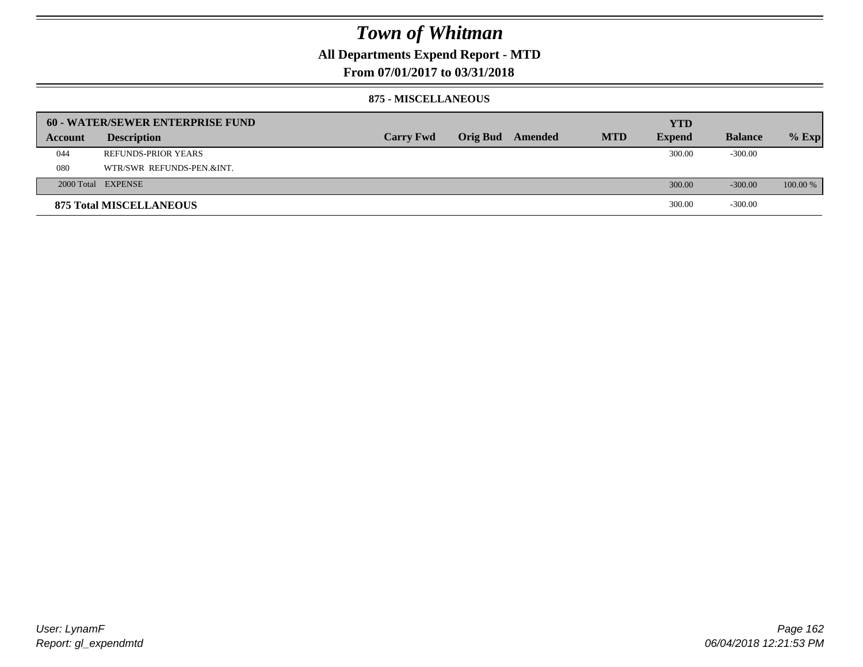### **All Departments Expend Report - MTD**

**From 07/01/2017 to 03/31/2018**

#### **875 - MISCELLANEOUS**

|         | 60 - WATER/SEWER ENTERPRISE FUND |                  |                         |            | <b>YTD</b>    |                |            |
|---------|----------------------------------|------------------|-------------------------|------------|---------------|----------------|------------|
| Account | <b>Description</b>               | <b>Carry Fwd</b> | <b>Orig Bud</b> Amended | <b>MTD</b> | <b>Expend</b> | <b>Balance</b> | $%$ Exp    |
| 044     | <b>REFUNDS-PRIOR YEARS</b>       |                  |                         |            | 300.00        | $-300.00$      |            |
| 080     | WTR/SWR REFUNDS-PEN.&INT.        |                  |                         |            |               |                |            |
|         | 2000 Total EXPENSE               |                  |                         |            | 300.00        | $-300.00$      | $100.00\%$ |
|         | <b>875 Total MISCELLANEOUS</b>   |                  |                         |            | 300.00        | $-300.00$      |            |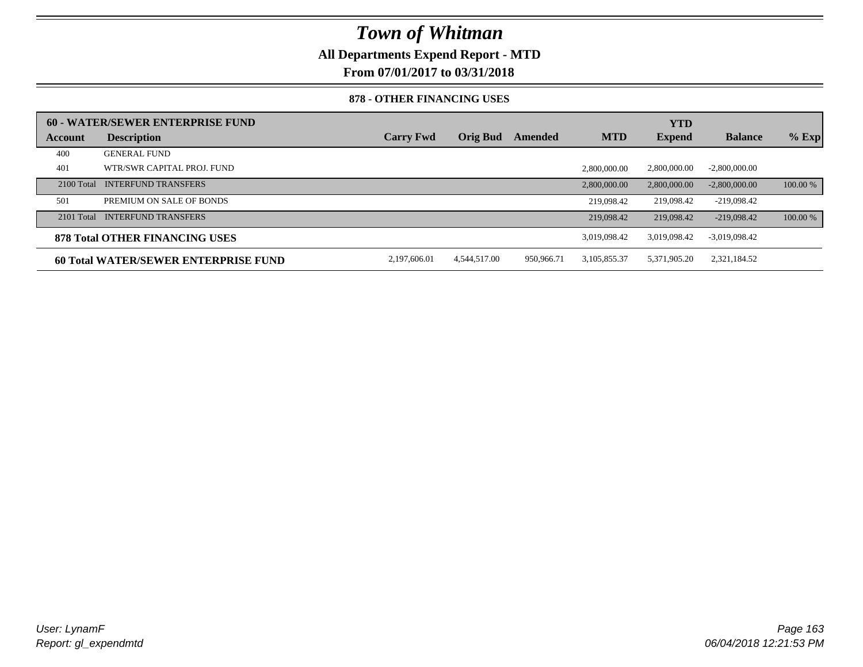### **All Departments Expend Report - MTD**

**From 07/01/2017 to 03/31/2018**

#### **878 - OTHER FINANCING USES**

|              | 60 - WATER/SEWER ENTERPRISE FUND     |                  |                 |            |              | <b>YTD</b>    |                 |          |
|--------------|--------------------------------------|------------------|-----------------|------------|--------------|---------------|-----------------|----------|
| Account      | <b>Description</b>                   | <b>Carry Fwd</b> | <b>Orig Bud</b> | Amended    | <b>MTD</b>   | <b>Expend</b> | <b>Balance</b>  | $%$ Exp  |
| 400          | <b>GENERAL FUND</b>                  |                  |                 |            |              |               |                 |          |
| 401          | WTR/SWR CAPITAL PROJ. FUND           |                  |                 |            | 2,800,000.00 | 2,800,000.00  | $-2,800,000.00$ |          |
| $2100$ Total | <b>INTERFUND TRANSFERS</b>           |                  |                 |            | 2,800,000,00 | 2,800,000,00  | $-2.800,000,00$ | 100.00 % |
| 501          | PREMIUM ON SALE OF BONDS             |                  |                 |            | 219,098.42   | 219,098.42    | $-219,098.42$   |          |
| $2101$ Total | <b>INTERFUND TRANSFERS</b>           |                  |                 |            | 219,098.42   | 219,098.42    | $-219,098,42$   | 100.00 % |
|              | 878 Total OTHER FINANCING USES       |                  |                 |            | 3.019.098.42 | 3.019.098.42  | $-3.019.098.42$ |          |
|              | 60 Total WATER/SEWER ENTERPRISE FUND | 2.197.606.01     | 4.544.517.00    | 950,966.71 | 3.105.855.37 | 5.371.905.20  | 2,321,184.52    |          |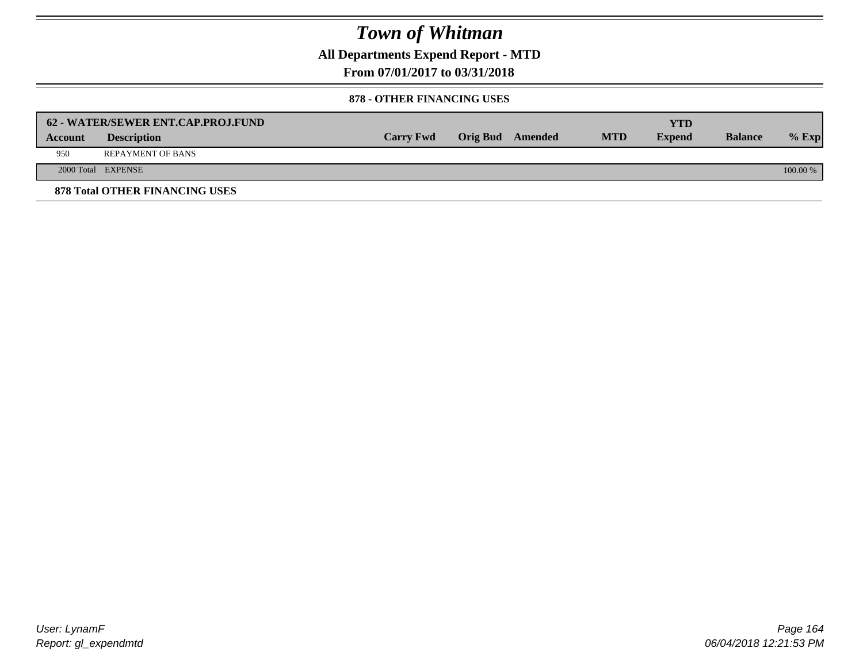**All Departments Expend Report - MTD**

**From 07/01/2017 to 03/31/2018**

#### **878 - OTHER FINANCING USES**

|                | 62 - WATER/SEWER ENT.CAP.PROJ.FUND    |                  |                  |            | YTD           |                |            |
|----------------|---------------------------------------|------------------|------------------|------------|---------------|----------------|------------|
| <b>Account</b> | <b>Description</b>                    | <b>Carry Fwd</b> | Orig Bud Amended | <b>MTD</b> | <b>Expend</b> | <b>Balance</b> | $%$ Exp    |
| 950            | <b>REPAYMENT OF BANS</b>              |                  |                  |            |               |                |            |
|                | 2000 Total EXPENSE                    |                  |                  |            |               |                | $100.00\%$ |
|                | <b>878 Total OTHER FINANCING USES</b> |                  |                  |            |               |                |            |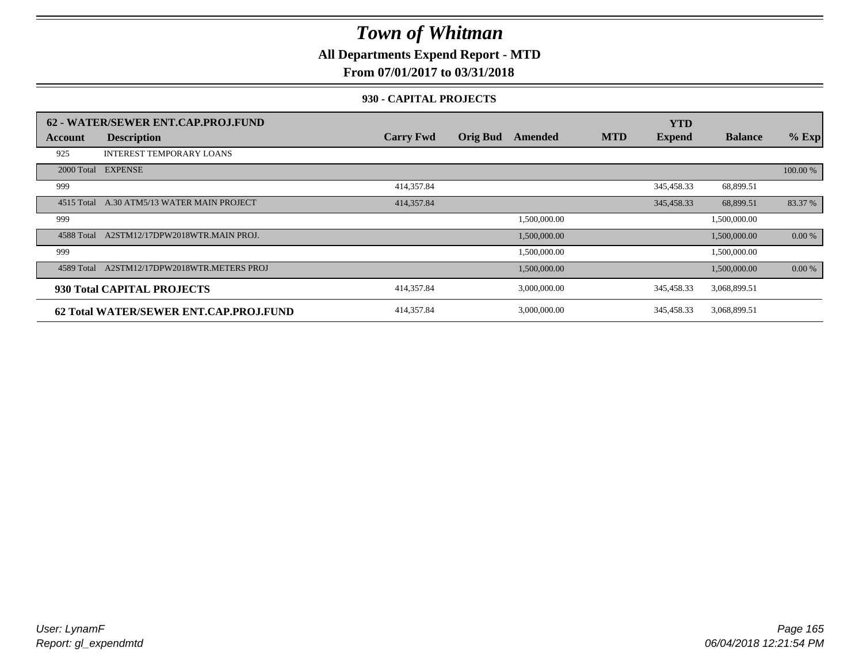**All Departments Expend Report - MTD**

### **From 07/01/2017 to 03/31/2018**

#### **930 - CAPITAL PROJECTS**

|            | 62 - WATER/SEWER ENT.CAP.PROJ.FUND     |                  |                 |              |            | <b>YTD</b>    |                |          |
|------------|----------------------------------------|------------------|-----------------|--------------|------------|---------------|----------------|----------|
| Account    | <b>Description</b>                     | <b>Carry Fwd</b> | <b>Orig Bud</b> | Amended      | <b>MTD</b> | <b>Expend</b> | <b>Balance</b> | $%$ Exp  |
| 925        | <b>INTEREST TEMPORARY LOANS</b>        |                  |                 |              |            |               |                |          |
| 2000 Total | <b>EXPENSE</b>                         |                  |                 |              |            |               |                | 100.00 % |
| 999        |                                        | 414,357.84       |                 |              |            | 345,458.33    | 68,899.51      |          |
| 4515 Total | A.30 ATM5/13 WATER MAIN PROJECT        | 414,357.84       |                 |              |            | 345,458.33    | 68,899.51      | 83.37 %  |
| 999        |                                        |                  |                 | 1,500,000.00 |            |               | 1,500,000.00   |          |
| 4588 Total | A2STM12/17DPW2018WTR.MAIN PROJ.        |                  |                 | 1,500,000.00 |            |               | 1,500,000.00   | 0.00 %   |
| 999        |                                        |                  |                 | 1,500,000.00 |            |               | 1,500,000.00   |          |
| 4589 Total | A2STM12/17DPW2018WTR.METERS PROJ       |                  |                 | 1,500,000.00 |            |               | 1,500,000.00   | 0.00 %   |
|            | 930 Total CAPITAL PROJECTS             | 414,357.84       |                 | 3,000,000.00 |            | 345,458.33    | 3,068,899.51   |          |
|            | 62 Total WATER/SEWER ENT.CAP.PROJ.FUND | 414,357.84       |                 | 3,000,000.00 |            | 345,458.33    | 3,068,899.51   |          |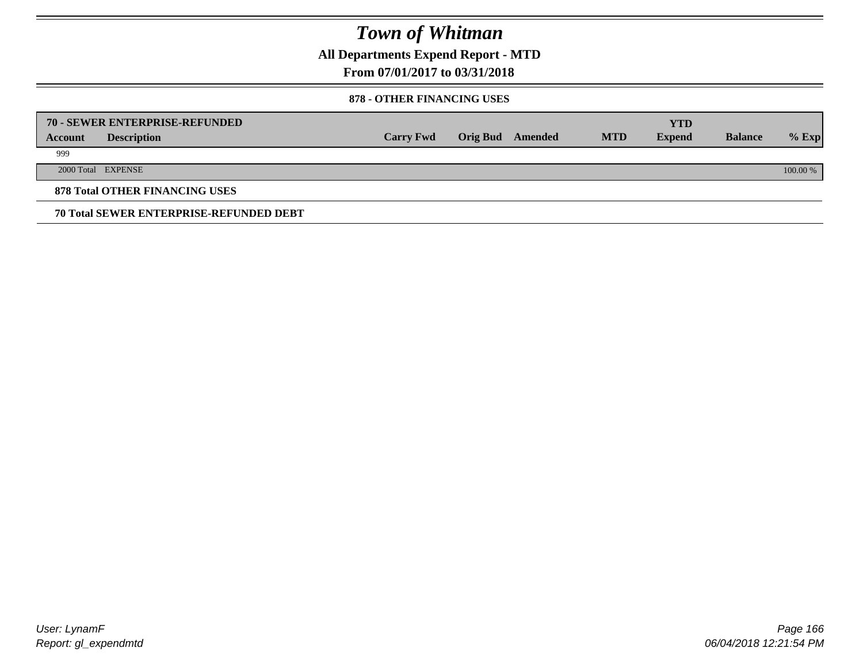**All Departments Expend Report - MTD**

### **From 07/01/2017 to 03/31/2018**

#### **878 - OTHER FINANCING USES**

|         | 70 - SEWER ENTERPRISE-REFUNDED                 |                  |                 |         |            | <b>YTD</b>    |                |          |
|---------|------------------------------------------------|------------------|-----------------|---------|------------|---------------|----------------|----------|
| Account | <b>Description</b>                             | <b>Carry Fwd</b> | <b>Orig Bud</b> | Amended | <b>MTD</b> | <b>Expend</b> | <b>Balance</b> | $%$ Exp  |
| 999     |                                                |                  |                 |         |            |               |                |          |
|         | 2000 Total EXPENSE                             |                  |                 |         |            |               |                | 100.00 % |
|         | <b>878 Total OTHER FINANCING USES</b>          |                  |                 |         |            |               |                |          |
|         | <b>70 Total SEWER ENTERPRISE-REFUNDED DEBT</b> |                  |                 |         |            |               |                |          |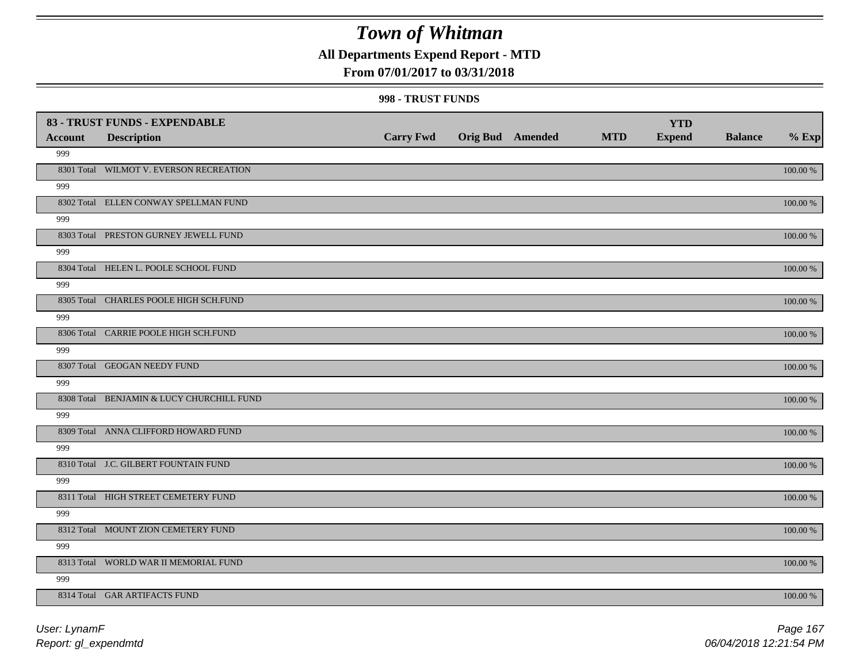### **All Departments Expend Report - MTD**

### **From 07/01/2017 to 03/31/2018**

#### **998 - TRUST FUNDS**

|                | 83 - TRUST FUNDS - EXPENDABLE             |                  |                         |            | <b>YTD</b>    |                |             |
|----------------|-------------------------------------------|------------------|-------------------------|------------|---------------|----------------|-------------|
| <b>Account</b> | <b>Description</b>                        | <b>Carry Fwd</b> | <b>Orig Bud Amended</b> | <b>MTD</b> | <b>Expend</b> | <b>Balance</b> | $%$ Exp     |
| 999            |                                           |                  |                         |            |               |                |             |
|                | 8301 Total WILMOT V. EVERSON RECREATION   |                  |                         |            |               |                | $100.00~\%$ |
| 999            |                                           |                  |                         |            |               |                |             |
|                | 8302 Total ELLEN CONWAY SPELLMAN FUND     |                  |                         |            |               |                | 100.00 %    |
| 999            |                                           |                  |                         |            |               |                |             |
|                | 8303 Total PRESTON GURNEY JEWELL FUND     |                  |                         |            |               |                | 100.00 %    |
| 999            |                                           |                  |                         |            |               |                |             |
|                | 8304 Total HELEN L. POOLE SCHOOL FUND     |                  |                         |            |               |                | 100.00 %    |
| 999            |                                           |                  |                         |            |               |                |             |
|                | 8305 Total CHARLES POOLE HIGH SCH.FUND    |                  |                         |            |               |                | 100.00 %    |
| 999            |                                           |                  |                         |            |               |                |             |
|                | 8306 Total CARRIE POOLE HIGH SCH.FUND     |                  |                         |            |               |                | 100.00 %    |
| 999            |                                           |                  |                         |            |               |                |             |
|                | 8307 Total GEOGAN NEEDY FUND              |                  |                         |            |               |                | 100.00 %    |
| 999            |                                           |                  |                         |            |               |                |             |
|                | 8308 Total BENJAMIN & LUCY CHURCHILL FUND |                  |                         |            |               |                | $100.00~\%$ |
| 999            |                                           |                  |                         |            |               |                |             |
|                | 8309 Total ANNA CLIFFORD HOWARD FUND      |                  |                         |            |               |                | $100.00~\%$ |
| 999            |                                           |                  |                         |            |               |                |             |
|                | 8310 Total J.C. GILBERT FOUNTAIN FUND     |                  |                         |            |               |                | 100.00 %    |
| 999            |                                           |                  |                         |            |               |                |             |
|                | 8311 Total HIGH STREET CEMETERY FUND      |                  |                         |            |               |                | 100.00 %    |
| 999            |                                           |                  |                         |            |               |                |             |
|                | 8312 Total MOUNT ZION CEMETERY FUND       |                  |                         |            |               |                | 100.00 %    |
| 999            |                                           |                  |                         |            |               |                |             |
|                | 8313 Total WORLD WAR II MEMORIAL FUND     |                  |                         |            |               |                | 100.00 %    |
| 999            |                                           |                  |                         |            |               |                |             |
|                | 8314 Total GAR ARTIFACTS FUND             |                  |                         |            |               |                | 100.00 %    |

*Report: gl\_expendmtd User: LynamF*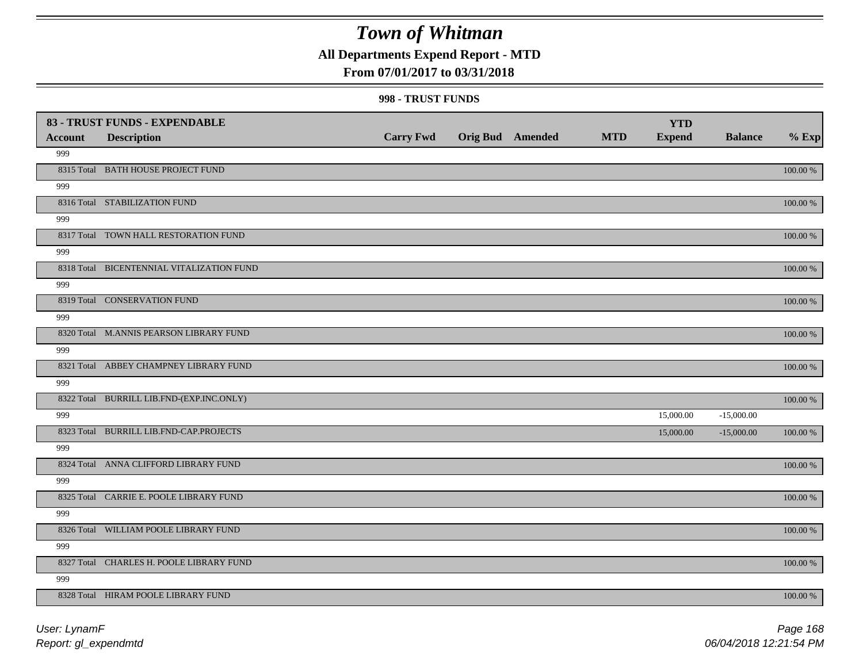### **All Departments Expend Report - MTD**

### **From 07/01/2017 to 03/31/2018**

#### **998 - TRUST FUNDS**

|                | 83 - TRUST FUNDS - EXPENDABLE             |                  |                  |            | <b>YTD</b>    |                |             |
|----------------|-------------------------------------------|------------------|------------------|------------|---------------|----------------|-------------|
| <b>Account</b> | <b>Description</b>                        | <b>Carry Fwd</b> | Orig Bud Amended | <b>MTD</b> | <b>Expend</b> | <b>Balance</b> | $%$ Exp     |
| 999            |                                           |                  |                  |            |               |                |             |
|                | 8315 Total BATH HOUSE PROJECT FUND        |                  |                  |            |               |                | 100.00 %    |
| 999            |                                           |                  |                  |            |               |                |             |
|                | 8316 Total STABILIZATION FUND             |                  |                  |            |               |                | 100.00 %    |
| 999            |                                           |                  |                  |            |               |                |             |
|                | 8317 Total TOWN HALL RESTORATION FUND     |                  |                  |            |               |                | $100.00~\%$ |
| 999            |                                           |                  |                  |            |               |                |             |
|                | 8318 Total BICENTENNIAL VITALIZATION FUND |                  |                  |            |               |                | 100.00 %    |
| 999            |                                           |                  |                  |            |               |                |             |
|                | 8319 Total CONSERVATION FUND              |                  |                  |            |               |                | 100.00 %    |
| 999            |                                           |                  |                  |            |               |                |             |
|                | 8320 Total M.ANNIS PEARSON LIBRARY FUND   |                  |                  |            |               |                | 100.00 %    |
| 999            |                                           |                  |                  |            |               |                |             |
|                | 8321 Total ABBEY CHAMPNEY LIBRARY FUND    |                  |                  |            |               |                | 100.00 %    |
| 999            |                                           |                  |                  |            |               |                |             |
|                | 8322 Total BURRILL LIB.FND-(EXP.INC.ONLY) |                  |                  |            |               |                | 100.00 %    |
| 999            |                                           |                  |                  |            | 15,000.00     | $-15,000.00$   |             |
|                | 8323 Total BURRILL LIB.FND-CAP.PROJECTS   |                  |                  |            | 15,000.00     | $-15,000.00$   | 100.00 %    |
| 999            |                                           |                  |                  |            |               |                |             |
|                | 8324 Total ANNA CLIFFORD LIBRARY FUND     |                  |                  |            |               |                | $100.00~\%$ |
| 999            |                                           |                  |                  |            |               |                |             |
|                | 8325 Total CARRIE E. POOLE LIBRARY FUND   |                  |                  |            |               |                | 100.00 %    |
| 999            |                                           |                  |                  |            |               |                |             |
|                | 8326 Total WILLIAM POOLE LIBRARY FUND     |                  |                  |            |               |                | 100.00 %    |
| 999            |                                           |                  |                  |            |               |                |             |
|                | 8327 Total CHARLES H. POOLE LIBRARY FUND  |                  |                  |            |               |                | 100.00 %    |
| 999            |                                           |                  |                  |            |               |                |             |
|                | 8328 Total HIRAM POOLE LIBRARY FUND       |                  |                  |            |               |                | 100.00 %    |

*Report: gl\_expendmtd User: LynamF*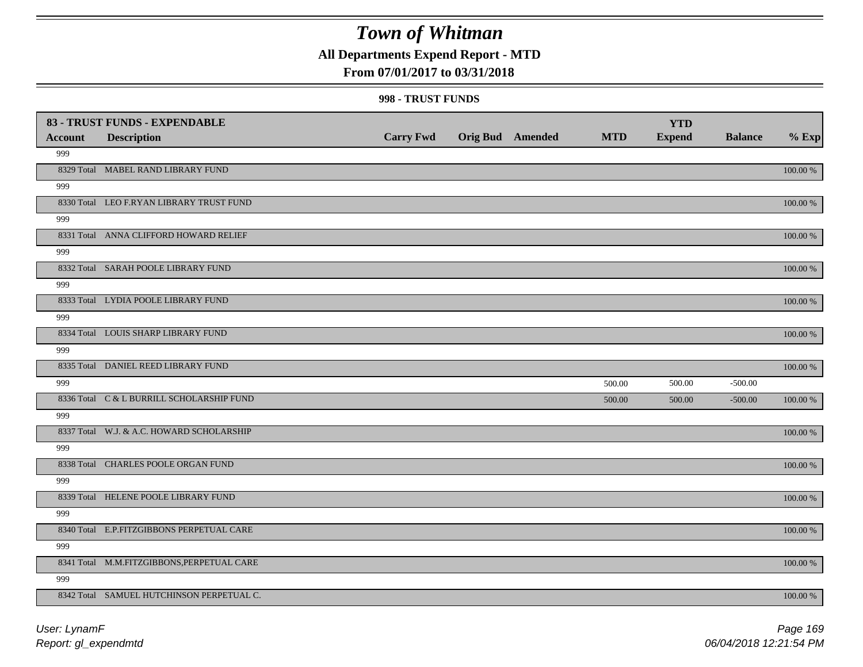**All Departments Expend Report - MTD**

### **From 07/01/2017 to 03/31/2018**

#### **998 - TRUST FUNDS**

| <b>Account</b> | 83 - TRUST FUNDS - EXPENDABLE<br><b>Description</b> | <b>Carry Fwd</b> | Orig Bud Amended | <b>MTD</b> | <b>YTD</b><br><b>Expend</b> | <b>Balance</b> | $%$ Exp  |
|----------------|-----------------------------------------------------|------------------|------------------|------------|-----------------------------|----------------|----------|
| 999            |                                                     |                  |                  |            |                             |                |          |
|                | 8329 Total MABEL RAND LIBRARY FUND                  |                  |                  |            |                             |                | 100.00 % |
| 999            |                                                     |                  |                  |            |                             |                |          |
|                | 8330 Total LEO F.RYAN LIBRARY TRUST FUND            |                  |                  |            |                             |                | 100.00 % |
| 999            |                                                     |                  |                  |            |                             |                |          |
|                | 8331 Total ANNA CLIFFORD HOWARD RELIEF              |                  |                  |            |                             |                | 100.00 % |
| 999            |                                                     |                  |                  |            |                             |                |          |
|                | 8332 Total SARAH POOLE LIBRARY FUND                 |                  |                  |            |                             |                | 100.00 % |
| 999            |                                                     |                  |                  |            |                             |                |          |
|                | 8333 Total LYDIA POOLE LIBRARY FUND                 |                  |                  |            |                             |                | 100.00 % |
| 999            |                                                     |                  |                  |            |                             |                |          |
|                | 8334 Total LOUIS SHARP LIBRARY FUND                 |                  |                  |            |                             |                | 100.00 % |
| 999            |                                                     |                  |                  |            |                             |                |          |
|                | 8335 Total DANIEL REED LIBRARY FUND                 |                  |                  |            |                             |                | 100.00 % |
| 999            |                                                     |                  |                  | 500.00     | 500.00                      | $-500.00$      |          |
|                | 8336 Total C & L BURRILL SCHOLARSHIP FUND           |                  |                  | 500.00     | 500.00                      | $-500.00$      | 100.00 % |
| 999            |                                                     |                  |                  |            |                             |                |          |
|                | 8337 Total W.J. & A.C. HOWARD SCHOLARSHIP           |                  |                  |            |                             |                | 100.00 % |
| 999            |                                                     |                  |                  |            |                             |                |          |
|                | 8338 Total CHARLES POOLE ORGAN FUND                 |                  |                  |            |                             |                | 100.00 % |
| 999            |                                                     |                  |                  |            |                             |                |          |
|                | 8339 Total HELENE POOLE LIBRARY FUND                |                  |                  |            |                             |                | 100.00 % |
| 999            |                                                     |                  |                  |            |                             |                |          |
|                | 8340 Total E.P.FITZGIBBONS PERPETUAL CARE           |                  |                  |            |                             |                | 100.00 % |
| 999            |                                                     |                  |                  |            |                             |                |          |
|                | 8341 Total M.M.FITZGIBBONS, PERPETUAL CARE          |                  |                  |            |                             |                | 100.00 % |
| 999            |                                                     |                  |                  |            |                             |                |          |
|                | 8342 Total SAMUEL HUTCHINSON PERPETUAL C.           |                  |                  |            |                             |                | 100.00 % |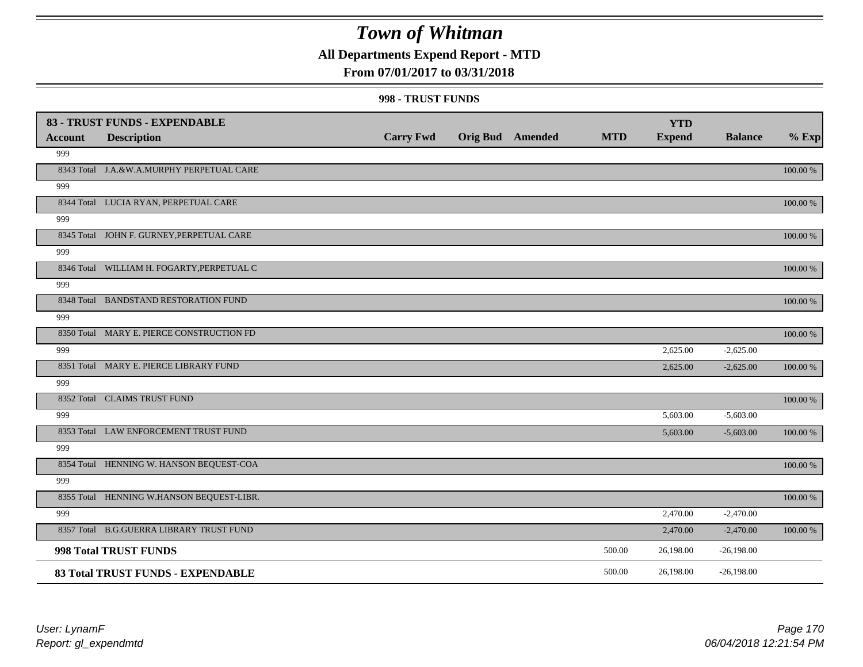## **All Departments Expend Report - MTD**

### **From 07/01/2017 to 03/31/2018**

#### **998 - TRUST FUNDS**

| <b>Account</b> | 83 - TRUST FUNDS - EXPENDABLE<br><b>Description</b> | <b>Carry Fwd</b> | <b>Orig Bud</b> Amended | <b>MTD</b> | <b>YTD</b><br><b>Expend</b> | <b>Balance</b> | $%$ Exp     |
|----------------|-----------------------------------------------------|------------------|-------------------------|------------|-----------------------------|----------------|-------------|
| 999            |                                                     |                  |                         |            |                             |                |             |
|                | 8343 Total J.A.&W.A.MURPHY PERPETUAL CARE           |                  |                         |            |                             |                | 100.00 %    |
| 999            |                                                     |                  |                         |            |                             |                |             |
|                | 8344 Total LUCIA RYAN, PERPETUAL CARE               |                  |                         |            |                             |                | 100.00 %    |
| 999            |                                                     |                  |                         |            |                             |                |             |
|                | 8345 Total JOHN F. GURNEY, PERPETUAL CARE           |                  |                         |            |                             |                | 100.00 %    |
| 999            |                                                     |                  |                         |            |                             |                |             |
|                | 8346 Total WILLIAM H. FOGARTY, PERPETUAL C          |                  |                         |            |                             |                | 100.00 %    |
| 999            |                                                     |                  |                         |            |                             |                |             |
|                | 8348 Total BANDSTAND RESTORATION FUND               |                  |                         |            |                             |                | 100.00 %    |
| 999            |                                                     |                  |                         |            |                             |                |             |
|                | 8350 Total MARY E. PIERCE CONSTRUCTION FD           |                  |                         |            |                             |                |             |
|                |                                                     |                  |                         |            |                             |                | 100.00 %    |
| 999            | 8351 Total MARY E. PIERCE LIBRARY FUND              |                  |                         |            | 2,625.00                    | $-2,625.00$    |             |
|                |                                                     |                  |                         |            | 2,625.00                    | $-2,625.00$    | 100.00 %    |
| 999            |                                                     |                  |                         |            |                             |                |             |
|                | 8352 Total CLAIMS TRUST FUND                        |                  |                         |            |                             |                | 100.00 %    |
| 999            |                                                     |                  |                         |            | 5,603.00                    | $-5,603.00$    |             |
|                | 8353 Total LAW ENFORCEMENT TRUST FUND               |                  |                         |            | 5,603.00                    | $-5,603.00$    | $100.00~\%$ |
| 999            |                                                     |                  |                         |            |                             |                |             |
|                | 8354 Total HENNING W. HANSON BEQUEST-COA            |                  |                         |            |                             |                | 100.00 %    |
| 999            |                                                     |                  |                         |            |                             |                |             |
|                | 8355 Total HENNING W.HANSON BEQUEST-LIBR.           |                  |                         |            |                             |                | 100.00 %    |
| 999            |                                                     |                  |                         |            | 2,470.00                    | $-2,470.00$    |             |
|                | 8357 Total B.G.GUERRA LIBRARY TRUST FUND            |                  |                         |            | 2,470.00                    | $-2,470.00$    | 100.00 %    |
|                | 998 Total TRUST FUNDS                               |                  |                         | 500.00     | 26,198.00                   | $-26,198.00$   |             |
|                | 83 Total TRUST FUNDS - EXPENDABLE                   |                  |                         | 500.00     | 26,198.00                   | $-26,198.00$   |             |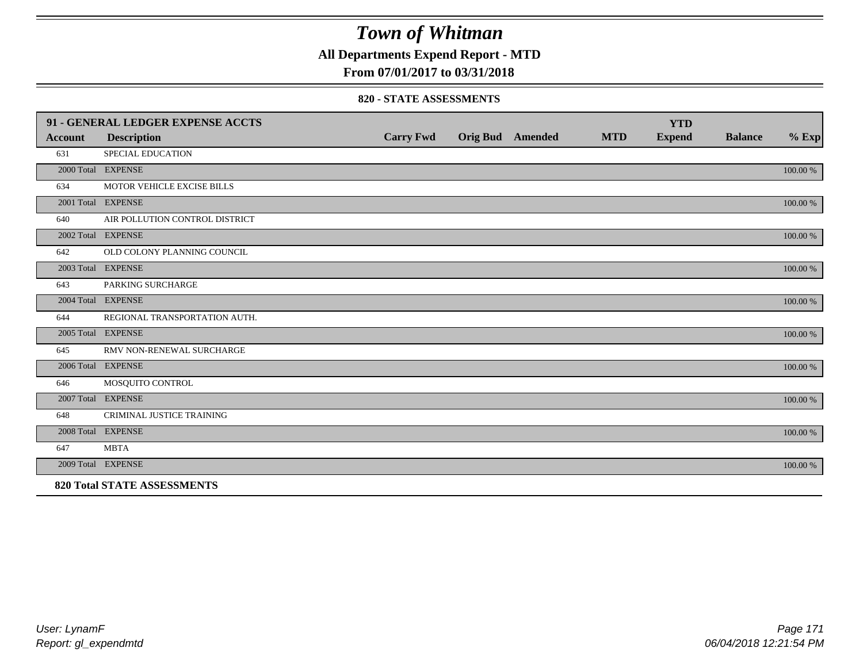**All Departments Expend Report - MTD**

### **From 07/01/2017 to 03/31/2018**

#### **820 - STATE ASSESSMENTS**

|                | 91 - GENERAL LEDGER EXPENSE ACCTS  |                  |                         |            | <b>YTD</b>    |                |          |
|----------------|------------------------------------|------------------|-------------------------|------------|---------------|----------------|----------|
| <b>Account</b> | <b>Description</b>                 | <b>Carry Fwd</b> | <b>Orig Bud</b> Amended | <b>MTD</b> | <b>Expend</b> | <b>Balance</b> | $%$ Exp  |
| 631            | SPECIAL EDUCATION                  |                  |                         |            |               |                |          |
|                | 2000 Total EXPENSE                 |                  |                         |            |               |                | 100.00 % |
| 634            | MOTOR VEHICLE EXCISE BILLS         |                  |                         |            |               |                |          |
|                | 2001 Total EXPENSE                 |                  |                         |            |               |                | 100.00 % |
| 640            | AIR POLLUTION CONTROL DISTRICT     |                  |                         |            |               |                |          |
|                | 2002 Total EXPENSE                 |                  |                         |            |               |                | 100.00 % |
| 642            | OLD COLONY PLANNING COUNCIL        |                  |                         |            |               |                |          |
|                | 2003 Total EXPENSE                 |                  |                         |            |               |                | 100.00 % |
| 643            | PARKING SURCHARGE                  |                  |                         |            |               |                |          |
|                | 2004 Total EXPENSE                 |                  |                         |            |               |                | 100.00 % |
| 644            | REGIONAL TRANSPORTATION AUTH.      |                  |                         |            |               |                |          |
|                | 2005 Total EXPENSE                 |                  |                         |            |               |                | 100.00 % |
| 645            | RMV NON-RENEWAL SURCHARGE          |                  |                         |            |               |                |          |
|                | 2006 Total EXPENSE                 |                  |                         |            |               |                | 100.00 % |
| 646            | MOSQUITO CONTROL                   |                  |                         |            |               |                |          |
|                | 2007 Total EXPENSE                 |                  |                         |            |               |                | 100.00 % |
| 648            | CRIMINAL JUSTICE TRAINING          |                  |                         |            |               |                |          |
|                | 2008 Total EXPENSE                 |                  |                         |            |               |                | 100.00 % |
| 647            | <b>MBTA</b>                        |                  |                         |            |               |                |          |
|                | 2009 Total EXPENSE                 |                  |                         |            |               |                | 100.00 % |
|                | <b>820 Total STATE ASSESSMENTS</b> |                  |                         |            |               |                |          |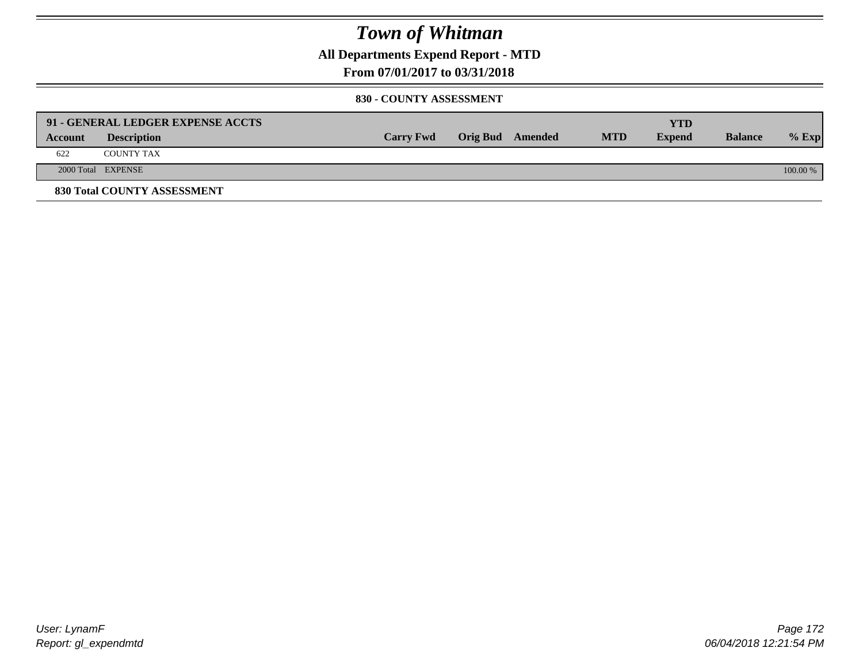**All Departments Expend Report - MTD**

### **From 07/01/2017 to 03/31/2018**

#### **830 - COUNTY ASSESSMENT**

|         | 91 - GENERAL LEDGER EXPENSE ACCTS |                  |                         |            | YTD           |                |            |
|---------|-----------------------------------|------------------|-------------------------|------------|---------------|----------------|------------|
| Account | <b>Description</b>                | <b>Carry Fwd</b> | <b>Orig Bud</b> Amended | <b>MTD</b> | <b>Expend</b> | <b>Balance</b> | $%$ Exp    |
| 622     | <b>COUNTY TAX</b>                 |                  |                         |            |               |                |            |
|         | 2000 Total EXPENSE                |                  |                         |            |               |                | $100.00\%$ |
|         | 830 Total COUNTY ASSESSMENT       |                  |                         |            |               |                |            |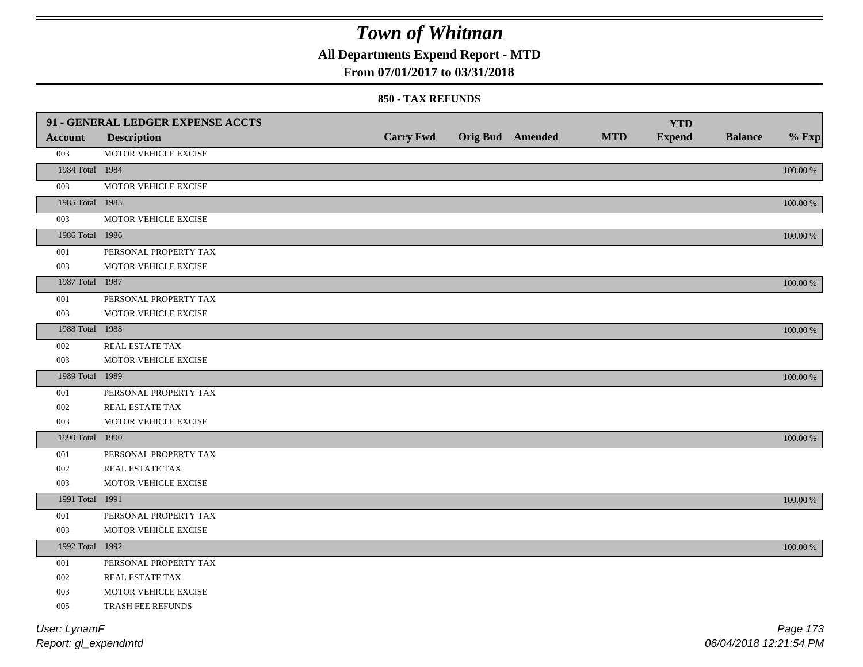**All Departments Expend Report - MTD**

### **From 07/01/2017 to 03/31/2018**

#### **850 - TAX REFUNDS**

|                 | 91 - GENERAL LEDGER EXPENSE ACCTS |                  |                         |            | <b>YTD</b>    |                |             |
|-----------------|-----------------------------------|------------------|-------------------------|------------|---------------|----------------|-------------|
| <b>Account</b>  | <b>Description</b>                | <b>Carry Fwd</b> | <b>Orig Bud Amended</b> | <b>MTD</b> | <b>Expend</b> | <b>Balance</b> | $%$ Exp     |
| 003             | MOTOR VEHICLE EXCISE              |                  |                         |            |               |                |             |
| 1984 Total 1984 |                                   |                  |                         |            |               |                | $100.00~\%$ |
| 003             | MOTOR VEHICLE EXCISE              |                  |                         |            |               |                |             |
| 1985 Total 1985 |                                   |                  |                         |            |               |                | $100.00~\%$ |
| 003             | MOTOR VEHICLE EXCISE              |                  |                         |            |               |                |             |
| 1986 Total 1986 |                                   |                  |                         |            |               |                | $100.00~\%$ |
| 001             | PERSONAL PROPERTY TAX             |                  |                         |            |               |                |             |
| 003             | MOTOR VEHICLE EXCISE              |                  |                         |            |               |                |             |
| 1987 Total 1987 |                                   |                  |                         |            |               |                | 100.00 %    |
| 001             | PERSONAL PROPERTY TAX             |                  |                         |            |               |                |             |
| 003             | MOTOR VEHICLE EXCISE              |                  |                         |            |               |                |             |
| 1988 Total 1988 |                                   |                  |                         |            |               |                | $100.00\%$  |
| 002             | REAL ESTATE TAX                   |                  |                         |            |               |                |             |
| 003             | MOTOR VEHICLE EXCISE              |                  |                         |            |               |                |             |
| 1989 Total 1989 |                                   |                  |                         |            |               |                | 100.00 %    |
| 001             | PERSONAL PROPERTY TAX             |                  |                         |            |               |                |             |
| 002             | REAL ESTATE TAX                   |                  |                         |            |               |                |             |
| 003             | MOTOR VEHICLE EXCISE              |                  |                         |            |               |                |             |
| 1990 Total 1990 |                                   |                  |                         |            |               |                | $100.00~\%$ |
| 001             | PERSONAL PROPERTY TAX             |                  |                         |            |               |                |             |
| 002             | REAL ESTATE TAX                   |                  |                         |            |               |                |             |
| 003             | MOTOR VEHICLE EXCISE              |                  |                         |            |               |                |             |
| 1991 Total 1991 |                                   |                  |                         |            |               |                | 100.00 %    |
| 001             | PERSONAL PROPERTY TAX             |                  |                         |            |               |                |             |
| 003             | MOTOR VEHICLE EXCISE              |                  |                         |            |               |                |             |
| 1992 Total 1992 |                                   |                  |                         |            |               |                | $100.00~\%$ |
| 001             | PERSONAL PROPERTY TAX             |                  |                         |            |               |                |             |
| 002             | REAL ESTATE TAX                   |                  |                         |            |               |                |             |
| 003             | MOTOR VEHICLE EXCISE              |                  |                         |            |               |                |             |
| 005             | TRASH FEE REFUNDS                 |                  |                         |            |               |                |             |
| User: LynamF    |                                   |                  |                         |            |               |                | Page 173    |

*Report: gl\_expendmtd*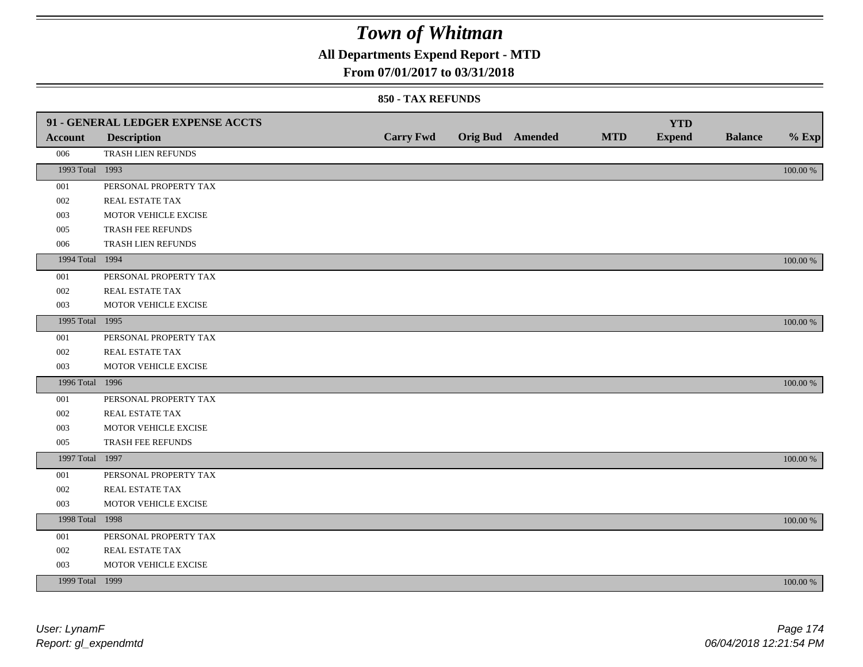**All Departments Expend Report - MTD**

### **From 07/01/2017 to 03/31/2018**

|                 | 91 - GENERAL LEDGER EXPENSE ACCTS |                  |                  |            | <b>YTD</b>    |                |             |
|-----------------|-----------------------------------|------------------|------------------|------------|---------------|----------------|-------------|
| <b>Account</b>  | <b>Description</b>                | <b>Carry Fwd</b> | Orig Bud Amended | <b>MTD</b> | <b>Expend</b> | <b>Balance</b> | $%$ Exp     |
| 006             | TRASH LIEN REFUNDS                |                  |                  |            |               |                |             |
| 1993 Total      | 1993                              |                  |                  |            |               |                | 100.00 %    |
| 001             | PERSONAL PROPERTY TAX             |                  |                  |            |               |                |             |
| 002             | REAL ESTATE TAX                   |                  |                  |            |               |                |             |
| 003             | MOTOR VEHICLE EXCISE              |                  |                  |            |               |                |             |
| 005             | TRASH FEE REFUNDS                 |                  |                  |            |               |                |             |
| 006             | TRASH LIEN REFUNDS                |                  |                  |            |               |                |             |
| 1994 Total 1994 |                                   |                  |                  |            |               |                | $100.00~\%$ |
| 001             | PERSONAL PROPERTY TAX             |                  |                  |            |               |                |             |
| 002             | REAL ESTATE TAX                   |                  |                  |            |               |                |             |
| 003             | MOTOR VEHICLE EXCISE              |                  |                  |            |               |                |             |
| 1995 Total 1995 |                                   |                  |                  |            |               |                | 100.00 %    |
| 001             | PERSONAL PROPERTY TAX             |                  |                  |            |               |                |             |
| 002             | REAL ESTATE TAX                   |                  |                  |            |               |                |             |
| 003             | MOTOR VEHICLE EXCISE              |                  |                  |            |               |                |             |
| 1996 Total 1996 |                                   |                  |                  |            |               |                | 100.00 %    |
| 001             | PERSONAL PROPERTY TAX             |                  |                  |            |               |                |             |
| 002             | REAL ESTATE TAX                   |                  |                  |            |               |                |             |
| 003             | MOTOR VEHICLE EXCISE              |                  |                  |            |               |                |             |
| 005             | TRASH FEE REFUNDS                 |                  |                  |            |               |                |             |
| 1997 Total 1997 |                                   |                  |                  |            |               |                | 100.00 %    |
| 001             | PERSONAL PROPERTY TAX             |                  |                  |            |               |                |             |
| 002             | REAL ESTATE TAX                   |                  |                  |            |               |                |             |
| 003             | MOTOR VEHICLE EXCISE              |                  |                  |            |               |                |             |
| 1998 Total 1998 |                                   |                  |                  |            |               |                | 100.00 %    |
| 001             | PERSONAL PROPERTY TAX             |                  |                  |            |               |                |             |
| 002             | REAL ESTATE TAX                   |                  |                  |            |               |                |             |
| 003             | MOTOR VEHICLE EXCISE              |                  |                  |            |               |                |             |
| 1999 Total 1999 |                                   |                  |                  |            |               |                | 100.00 %    |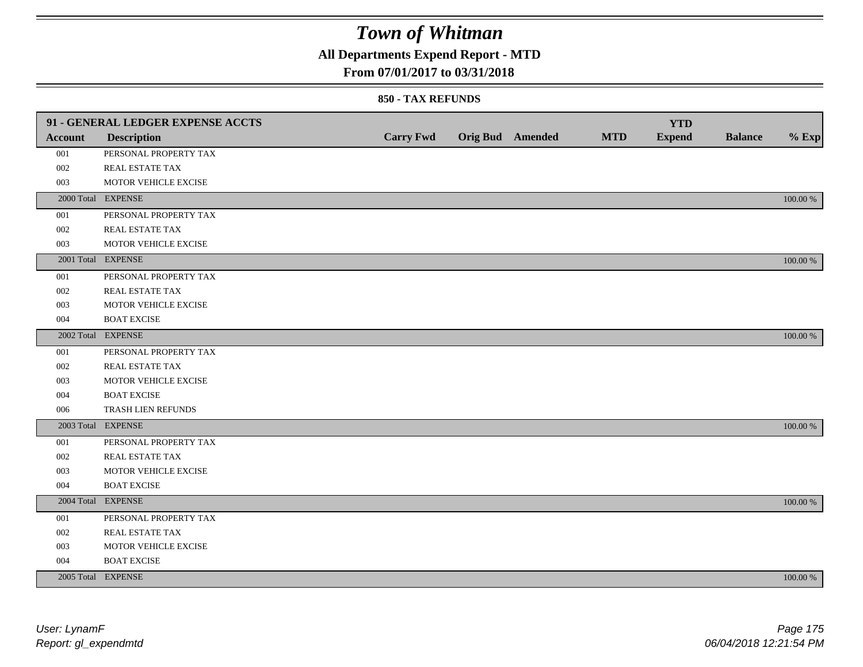## **All Departments Expend Report - MTD**

### **From 07/01/2017 to 03/31/2018**

|                | 91 - GENERAL LEDGER EXPENSE ACCTS |                  |                  |            | <b>YTD</b>    |                |             |
|----------------|-----------------------------------|------------------|------------------|------------|---------------|----------------|-------------|
| <b>Account</b> | <b>Description</b>                | <b>Carry Fwd</b> | Orig Bud Amended | <b>MTD</b> | <b>Expend</b> | <b>Balance</b> | $%$ Exp     |
| 001            | PERSONAL PROPERTY TAX             |                  |                  |            |               |                |             |
| 002            | REAL ESTATE TAX                   |                  |                  |            |               |                |             |
| 003            | MOTOR VEHICLE EXCISE              |                  |                  |            |               |                |             |
|                | 2000 Total EXPENSE                |                  |                  |            |               |                | 100.00 %    |
| 001            | PERSONAL PROPERTY TAX             |                  |                  |            |               |                |             |
| $002\,$        | REAL ESTATE TAX                   |                  |                  |            |               |                |             |
| 003            | MOTOR VEHICLE EXCISE              |                  |                  |            |               |                |             |
|                | 2001 Total EXPENSE                |                  |                  |            |               |                | 100.00 %    |
| 001            | PERSONAL PROPERTY TAX             |                  |                  |            |               |                |             |
| 002            | REAL ESTATE TAX                   |                  |                  |            |               |                |             |
| 003            | MOTOR VEHICLE EXCISE              |                  |                  |            |               |                |             |
| 004            | <b>BOAT EXCISE</b>                |                  |                  |            |               |                |             |
|                | 2002 Total EXPENSE                |                  |                  |            |               |                | 100.00 %    |
| 001            | PERSONAL PROPERTY TAX             |                  |                  |            |               |                |             |
| 002            | REAL ESTATE TAX                   |                  |                  |            |               |                |             |
| 003            | MOTOR VEHICLE EXCISE              |                  |                  |            |               |                |             |
| 004            | <b>BOAT EXCISE</b>                |                  |                  |            |               |                |             |
| 006            | TRASH LIEN REFUNDS                |                  |                  |            |               |                |             |
|                | 2003 Total EXPENSE                |                  |                  |            |               |                | 100.00 %    |
| 001            | PERSONAL PROPERTY TAX             |                  |                  |            |               |                |             |
| 002            | REAL ESTATE TAX                   |                  |                  |            |               |                |             |
| 003            | MOTOR VEHICLE EXCISE              |                  |                  |            |               |                |             |
| 004            | <b>BOAT EXCISE</b>                |                  |                  |            |               |                |             |
|                | 2004 Total EXPENSE                |                  |                  |            |               |                | 100.00 %    |
| 001            | PERSONAL PROPERTY TAX             |                  |                  |            |               |                |             |
| 002            | REAL ESTATE TAX                   |                  |                  |            |               |                |             |
| 003            | MOTOR VEHICLE EXCISE              |                  |                  |            |               |                |             |
| 004            | <b>BOAT EXCISE</b>                |                  |                  |            |               |                |             |
|                | 2005 Total EXPENSE                |                  |                  |            |               |                | $100.00~\%$ |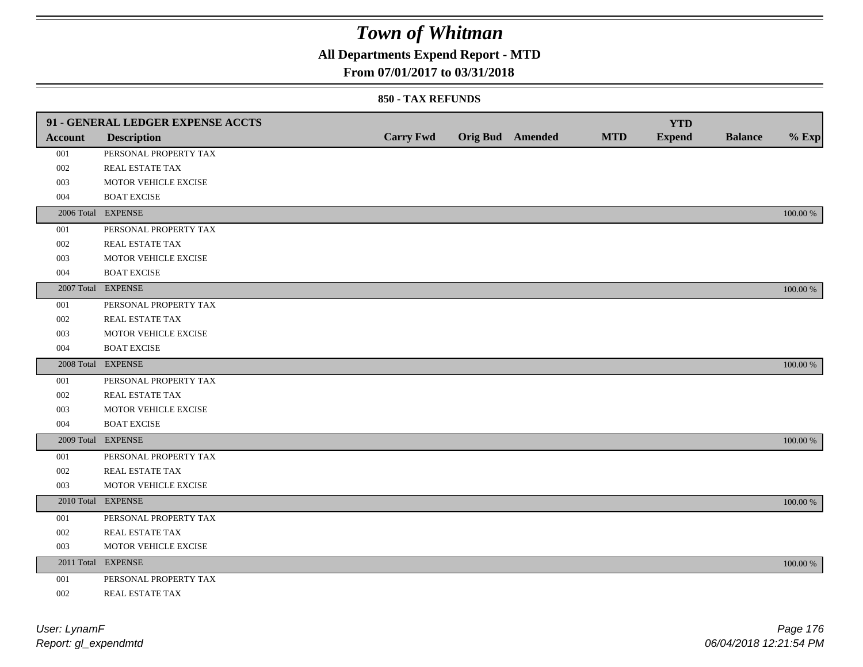### **All Departments Expend Report - MTD**

### **From 07/01/2017 to 03/31/2018**

|                | 91 - GENERAL LEDGER EXPENSE ACCTS |                  |                         |            | <b>YTD</b>    |                |             |
|----------------|-----------------------------------|------------------|-------------------------|------------|---------------|----------------|-------------|
| <b>Account</b> | <b>Description</b>                | <b>Carry Fwd</b> | <b>Orig Bud Amended</b> | <b>MTD</b> | <b>Expend</b> | <b>Balance</b> | $%$ Exp     |
| 001            | PERSONAL PROPERTY TAX             |                  |                         |            |               |                |             |
| 002            | REAL ESTATE TAX                   |                  |                         |            |               |                |             |
| 003            | MOTOR VEHICLE EXCISE              |                  |                         |            |               |                |             |
| 004            | <b>BOAT EXCISE</b>                |                  |                         |            |               |                |             |
|                | 2006 Total EXPENSE                |                  |                         |            |               |                | 100.00 %    |
| 001            | PERSONAL PROPERTY TAX             |                  |                         |            |               |                |             |
| 002            | REAL ESTATE TAX                   |                  |                         |            |               |                |             |
| 003            | MOTOR VEHICLE EXCISE              |                  |                         |            |               |                |             |
| 004            | <b>BOAT EXCISE</b>                |                  |                         |            |               |                |             |
|                | 2007 Total EXPENSE                |                  |                         |            |               |                | $100.00\%$  |
| 001            | PERSONAL PROPERTY TAX             |                  |                         |            |               |                |             |
| 002            | REAL ESTATE TAX                   |                  |                         |            |               |                |             |
| 003            | MOTOR VEHICLE EXCISE              |                  |                         |            |               |                |             |
| 004            | <b>BOAT EXCISE</b>                |                  |                         |            |               |                |             |
|                | 2008 Total EXPENSE                |                  |                         |            |               |                | $100.00~\%$ |
| 001            | PERSONAL PROPERTY TAX             |                  |                         |            |               |                |             |
| 002            | REAL ESTATE TAX                   |                  |                         |            |               |                |             |
| 003            | MOTOR VEHICLE EXCISE              |                  |                         |            |               |                |             |
| 004            | <b>BOAT EXCISE</b>                |                  |                         |            |               |                |             |
|                | 2009 Total EXPENSE                |                  |                         |            |               |                | 100.00 %    |
| 001            | PERSONAL PROPERTY TAX             |                  |                         |            |               |                |             |
| 002            | REAL ESTATE TAX                   |                  |                         |            |               |                |             |
| 003            | MOTOR VEHICLE EXCISE              |                  |                         |            |               |                |             |
|                | 2010 Total EXPENSE                |                  |                         |            |               |                | $100.00~\%$ |
| 001            | PERSONAL PROPERTY TAX             |                  |                         |            |               |                |             |
| 002            | REAL ESTATE TAX                   |                  |                         |            |               |                |             |
| 003            | MOTOR VEHICLE EXCISE              |                  |                         |            |               |                |             |
|                | 2011 Total EXPENSE                |                  |                         |            |               |                | $100.00~\%$ |
| 001            | PERSONAL PROPERTY TAX             |                  |                         |            |               |                |             |
| 002            | REAL ESTATE TAX                   |                  |                         |            |               |                |             |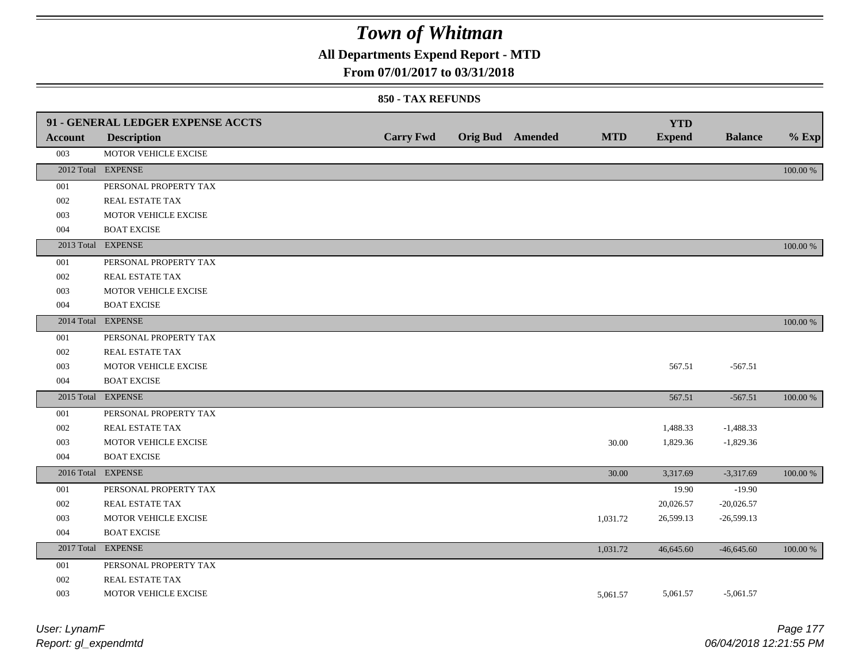## **All Departments Expend Report - MTD**

### **From 07/01/2017 to 03/31/2018**

| Account | 91 - GENERAL LEDGER EXPENSE ACCTS<br><b>Description</b> | <b>Carry Fwd</b> | <b>Orig Bud</b> Amended | <b>MTD</b> | <b>YTD</b><br><b>Expend</b> | <b>Balance</b> | $%$ Exp     |
|---------|---------------------------------------------------------|------------------|-------------------------|------------|-----------------------------|----------------|-------------|
| 003     | MOTOR VEHICLE EXCISE                                    |                  |                         |            |                             |                |             |
|         | 2012 Total EXPENSE                                      |                  |                         |            |                             |                | 100.00 %    |
| 001     | PERSONAL PROPERTY TAX                                   |                  |                         |            |                             |                |             |
| 002     | REAL ESTATE TAX                                         |                  |                         |            |                             |                |             |
| 003     | MOTOR VEHICLE EXCISE                                    |                  |                         |            |                             |                |             |
| 004     | <b>BOAT EXCISE</b>                                      |                  |                         |            |                             |                |             |
|         | 2013 Total EXPENSE                                      |                  |                         |            |                             |                | 100.00 %    |
| 001     | PERSONAL PROPERTY TAX                                   |                  |                         |            |                             |                |             |
| 002     | REAL ESTATE TAX                                         |                  |                         |            |                             |                |             |
| 003     | MOTOR VEHICLE EXCISE                                    |                  |                         |            |                             |                |             |
| 004     | <b>BOAT EXCISE</b>                                      |                  |                         |            |                             |                |             |
|         | 2014 Total EXPENSE                                      |                  |                         |            |                             |                | $100.00~\%$ |
| 001     | PERSONAL PROPERTY TAX                                   |                  |                         |            |                             |                |             |
| 002     | REAL ESTATE TAX                                         |                  |                         |            |                             |                |             |
| 003     | MOTOR VEHICLE EXCISE                                    |                  |                         |            | 567.51                      | $-567.51$      |             |
| 004     | <b>BOAT EXCISE</b>                                      |                  |                         |            |                             |                |             |
|         | 2015 Total EXPENSE                                      |                  |                         |            | 567.51                      | $-567.51$      | 100.00 %    |
| 001     | PERSONAL PROPERTY TAX                                   |                  |                         |            |                             |                |             |
| 002     | REAL ESTATE TAX                                         |                  |                         |            | 1,488.33                    | $-1,488.33$    |             |
| 003     | MOTOR VEHICLE EXCISE                                    |                  |                         | 30.00      | 1,829.36                    | $-1,829.36$    |             |
| 004     | <b>BOAT EXCISE</b>                                      |                  |                         |            |                             |                |             |
|         | 2016 Total EXPENSE                                      |                  |                         | 30.00      | 3,317.69                    | $-3,317.69$    | 100.00 %    |
| 001     | PERSONAL PROPERTY TAX                                   |                  |                         |            | 19.90                       | $-19.90$       |             |
| 002     | REAL ESTATE TAX                                         |                  |                         |            | 20,026.57                   | $-20,026.57$   |             |
| 003     | MOTOR VEHICLE EXCISE                                    |                  |                         | 1,031.72   | 26,599.13                   | $-26,599.13$   |             |
| 004     | <b>BOAT EXCISE</b>                                      |                  |                         |            |                             |                |             |
|         | 2017 Total EXPENSE                                      |                  |                         | 1,031.72   | 46,645.60                   | $-46,645.60$   | 100.00 %    |
| 001     | PERSONAL PROPERTY TAX                                   |                  |                         |            |                             |                |             |
| 002     | REAL ESTATE TAX                                         |                  |                         |            |                             |                |             |
| 003     | MOTOR VEHICLE EXCISE                                    |                  |                         | 5,061.57   | 5,061.57                    | $-5,061.57$    |             |
|         |                                                         |                  |                         |            |                             |                |             |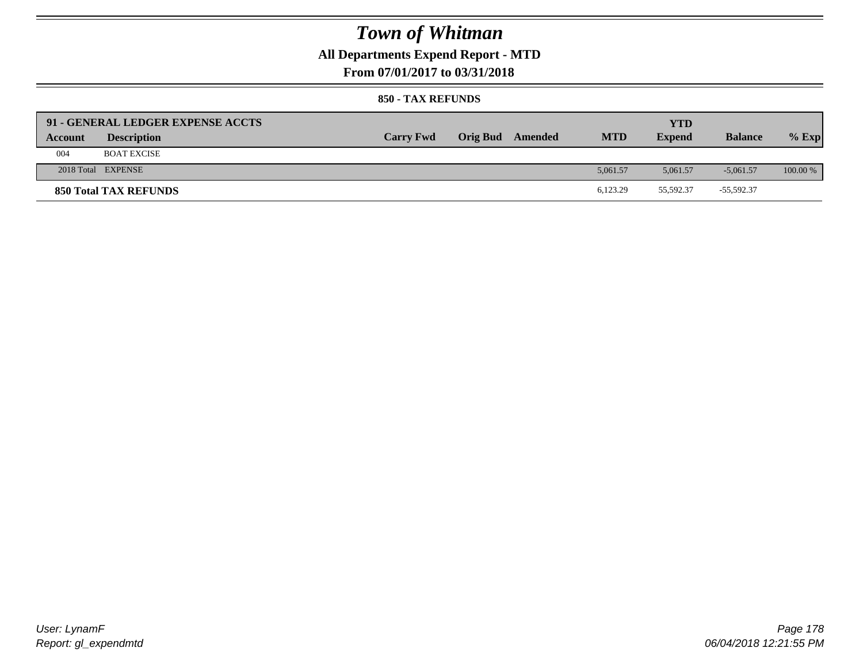## **All Departments Expend Report - MTD**

### **From 07/01/2017 to 03/31/2018**

|         | 91 - GENERAL LEDGER EXPENSE ACCTS |                  |                 |         |            | <b>YTD</b>    |                |            |
|---------|-----------------------------------|------------------|-----------------|---------|------------|---------------|----------------|------------|
| Account | <b>Description</b>                | <b>Carry Fwd</b> | <b>Orig Bud</b> | Amended | <b>MTD</b> | <b>Expend</b> | <b>Balance</b> | $%$ Exp    |
| 004     | <b>BOAT EXCISE</b>                |                  |                 |         |            |               |                |            |
|         | 2018 Total EXPENSE                |                  |                 |         | 5,061.57   | 5,061.57      | $-5,061.57$    | $100.00\%$ |
|         | 850 Total TAX REFUNDS             |                  |                 |         | 6,123.29   | 55,592.37     | -55,592.37     |            |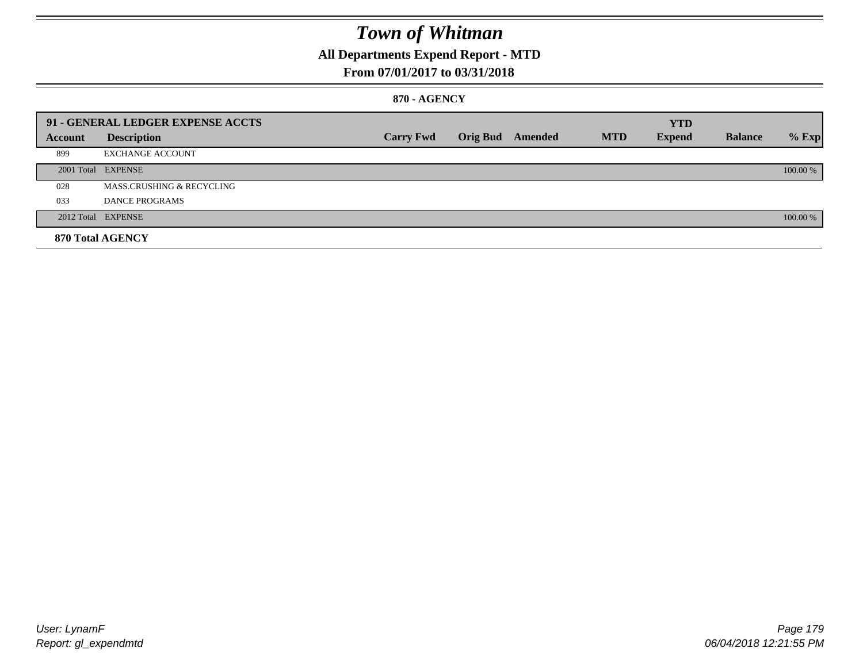## **All Departments Expend Report - MTD**

### **From 07/01/2017 to 03/31/2018**

#### **870 - AGENCY**

|         | 91 - GENERAL LEDGER EXPENSE ACCTS |                  |                         |            | <b>YTD</b>    |                |          |
|---------|-----------------------------------|------------------|-------------------------|------------|---------------|----------------|----------|
| Account | <b>Description</b>                | <b>Carry Fwd</b> | <b>Orig Bud</b> Amended | <b>MTD</b> | <b>Expend</b> | <b>Balance</b> | $%$ Exp  |
| 899     | <b>EXCHANGE ACCOUNT</b>           |                  |                         |            |               |                |          |
|         | 2001 Total EXPENSE                |                  |                         |            |               |                | 100.00 % |
| 028     | MASS.CRUSHING & RECYCLING         |                  |                         |            |               |                |          |
| 033     | <b>DANCE PROGRAMS</b>             |                  |                         |            |               |                |          |
|         | 2012 Total EXPENSE                |                  |                         |            |               |                | 100.00 % |
|         | 870 Total AGENCY                  |                  |                         |            |               |                |          |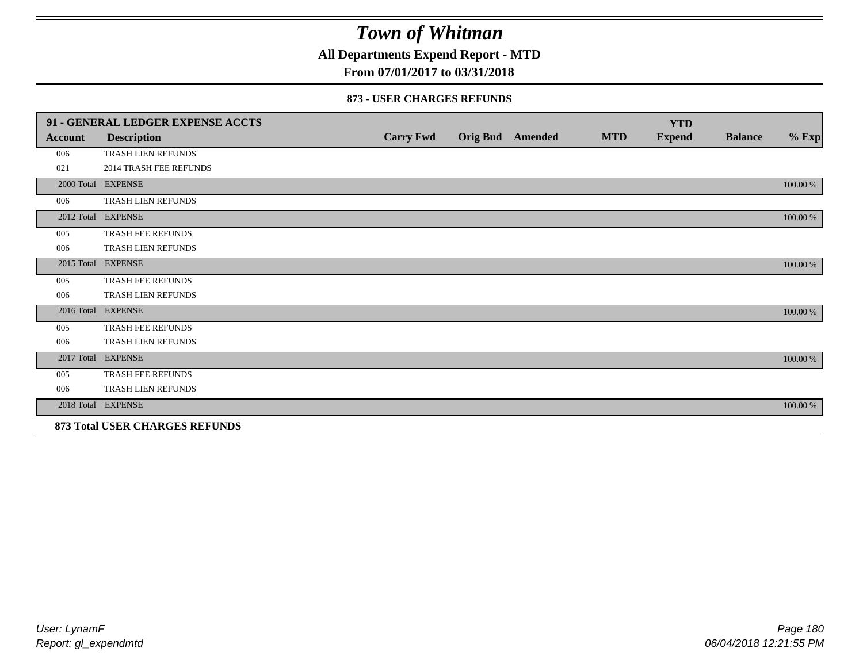**All Departments Expend Report - MTD**

### **From 07/01/2017 to 03/31/2018**

|            | 91 - GENERAL LEDGER EXPENSE ACCTS |                  |                         |            | <b>YTD</b>    |                |          |
|------------|-----------------------------------|------------------|-------------------------|------------|---------------|----------------|----------|
| Account    | <b>Description</b>                | <b>Carry Fwd</b> | <b>Orig Bud</b> Amended | <b>MTD</b> | <b>Expend</b> | <b>Balance</b> | $%$ Exp  |
| 006        | TRASH LIEN REFUNDS                |                  |                         |            |               |                |          |
| 021        | <b>2014 TRASH FEE REFUNDS</b>     |                  |                         |            |               |                |          |
|            | 2000 Total EXPENSE                |                  |                         |            |               |                | 100.00 % |
| 006        | TRASH LIEN REFUNDS                |                  |                         |            |               |                |          |
|            | 2012 Total EXPENSE                |                  |                         |            |               |                | 100.00 % |
| 005        | <b>TRASH FEE REFUNDS</b>          |                  |                         |            |               |                |          |
| 006        | TRASH LIEN REFUNDS                |                  |                         |            |               |                |          |
| 2015 Total | <b>EXPENSE</b>                    |                  |                         |            |               |                | 100.00 % |
| 005        | <b>TRASH FEE REFUNDS</b>          |                  |                         |            |               |                |          |
| 006        | TRASH LIEN REFUNDS                |                  |                         |            |               |                |          |
|            | 2016 Total EXPENSE                |                  |                         |            |               |                | 100.00 % |
| 005        | TRASH FEE REFUNDS                 |                  |                         |            |               |                |          |
| 006        | <b>TRASH LIEN REFUNDS</b>         |                  |                         |            |               |                |          |
|            | 2017 Total EXPENSE                |                  |                         |            |               |                | 100.00 % |
| 005        | <b>TRASH FEE REFUNDS</b>          |                  |                         |            |               |                |          |
| 006        | TRASH LIEN REFUNDS                |                  |                         |            |               |                |          |
|            | 2018 Total EXPENSE                |                  |                         |            |               |                | 100.00 % |
|            | 873 Total USER CHARGES REFUNDS    |                  |                         |            |               |                |          |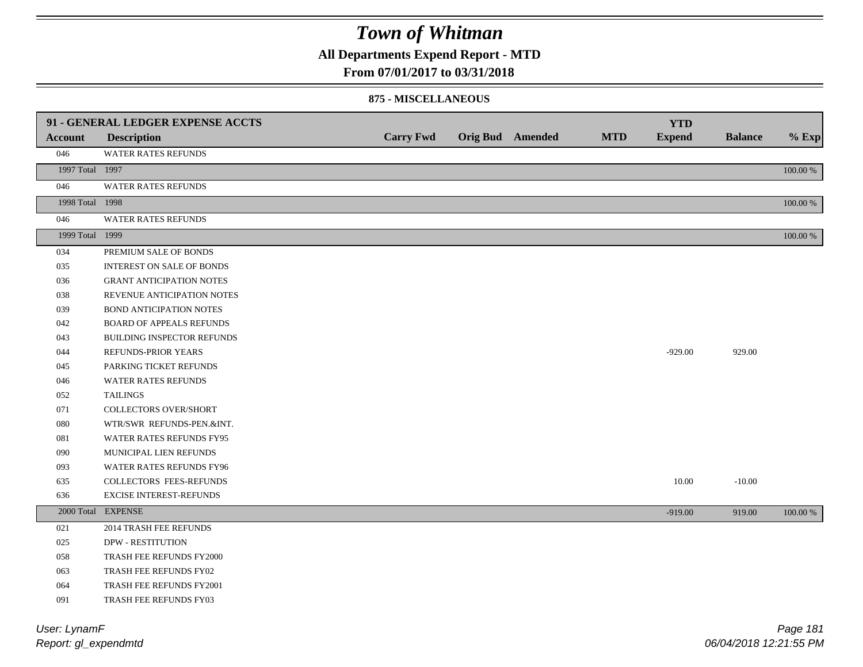**All Departments Expend Report - MTD**

### **From 07/01/2017 to 03/31/2018**

#### **875 - MISCELLANEOUS**

|                 | 91 - GENERAL LEDGER EXPENSE ACCTS |                  |                         |            | <b>YTD</b>    |                |          |
|-----------------|-----------------------------------|------------------|-------------------------|------------|---------------|----------------|----------|
| <b>Account</b>  | <b>Description</b>                | <b>Carry Fwd</b> | <b>Orig Bud</b> Amended | <b>MTD</b> | <b>Expend</b> | <b>Balance</b> | $%$ Exp  |
| 046             | WATER RATES REFUNDS               |                  |                         |            |               |                |          |
| 1997 Total 1997 |                                   |                  |                         |            |               |                | 100.00 % |
| 046             | WATER RATES REFUNDS               |                  |                         |            |               |                |          |
| 1998 Total 1998 |                                   |                  |                         |            |               |                | 100.00 % |
| 046             | WATER RATES REFUNDS               |                  |                         |            |               |                |          |
| 1999 Total 1999 |                                   |                  |                         |            |               |                | 100.00 % |
| 034             | PREMIUM SALE OF BONDS             |                  |                         |            |               |                |          |
| 035             | INTEREST ON SALE OF BONDS         |                  |                         |            |               |                |          |
| 036             | <b>GRANT ANTICIPATION NOTES</b>   |                  |                         |            |               |                |          |
| 038             | REVENUE ANTICIPATION NOTES        |                  |                         |            |               |                |          |
| 039             | <b>BOND ANTICIPATION NOTES</b>    |                  |                         |            |               |                |          |
| 042             | BOARD OF APPEALS REFUNDS          |                  |                         |            |               |                |          |
| 043             | BUILDING INSPECTOR REFUNDS        |                  |                         |            |               |                |          |
| 044             | REFUNDS-PRIOR YEARS               |                  |                         |            | $-929.00$     | 929.00         |          |
| 045             | PARKING TICKET REFUNDS            |                  |                         |            |               |                |          |
| 046             | WATER RATES REFUNDS               |                  |                         |            |               |                |          |
| 052             | <b>TAILINGS</b>                   |                  |                         |            |               |                |          |
| 071             | <b>COLLECTORS OVER/SHORT</b>      |                  |                         |            |               |                |          |
| 080             | WTR/SWR REFUNDS-PEN.&INT.         |                  |                         |            |               |                |          |
| 081             | <b>WATER RATES REFUNDS FY95</b>   |                  |                         |            |               |                |          |
| 090             | MUNICIPAL LIEN REFUNDS            |                  |                         |            |               |                |          |
| 093             | <b>WATER RATES REFUNDS FY96</b>   |                  |                         |            |               |                |          |
| 635             | COLLECTORS FEES-REFUNDS           |                  |                         |            | 10.00         | $-10.00$       |          |
| 636             | EXCISE INTEREST-REFUNDS           |                  |                         |            |               |                |          |
|                 | 2000 Total EXPENSE                |                  |                         |            | $-919.00$     | 919.00         | 100.00 % |
| 021             | 2014 TRASH FEE REFUNDS            |                  |                         |            |               |                |          |
| 025             | <b>DPW - RESTITUTION</b>          |                  |                         |            |               |                |          |
| 058             | TRASH FEE REFUNDS FY2000          |                  |                         |            |               |                |          |
| 063             | TRASH FEE REFUNDS FY02            |                  |                         |            |               |                |          |
| 064             | TRASH FEE REFUNDS FY2001          |                  |                         |            |               |                |          |
| 091             | TRASH FEE REFUNDS FY03            |                  |                         |            |               |                |          |

*Report: gl\_expendmtd User: LynamF*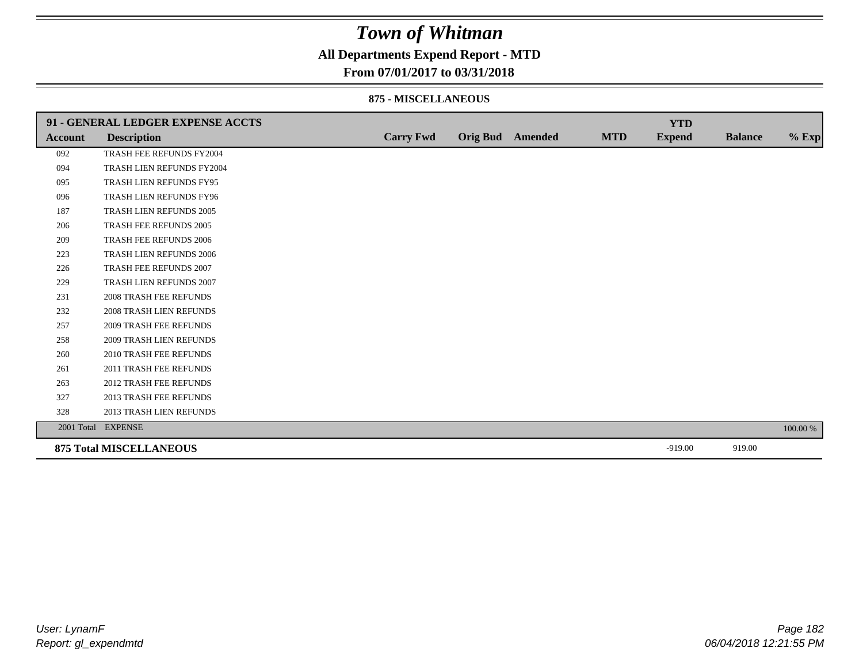## **All Departments Expend Report - MTD**

### **From 07/01/2017 to 03/31/2018**

#### **875 - MISCELLANEOUS**

|         | 91 - GENERAL LEDGER EXPENSE ACCTS |                  |                         |            | <b>YTD</b>    |                |          |
|---------|-----------------------------------|------------------|-------------------------|------------|---------------|----------------|----------|
| Account | <b>Description</b>                | <b>Carry Fwd</b> | <b>Orig Bud</b> Amended | <b>MTD</b> | <b>Expend</b> | <b>Balance</b> | $%$ Exp  |
| 092     | TRASH FEE REFUNDS FY2004          |                  |                         |            |               |                |          |
| 094     | TRASH LIEN REFUNDS FY2004         |                  |                         |            |               |                |          |
| 095     | TRASH LIEN REFUNDS FY95           |                  |                         |            |               |                |          |
| 096     | TRASH LIEN REFUNDS FY96           |                  |                         |            |               |                |          |
| 187     | TRASH LIEN REFUNDS 2005           |                  |                         |            |               |                |          |
| 206     | TRASH FEE REFUNDS 2005            |                  |                         |            |               |                |          |
| 209     | <b>TRASH FEE REFUNDS 2006</b>     |                  |                         |            |               |                |          |
| 223     | TRASH LIEN REFUNDS 2006           |                  |                         |            |               |                |          |
| 226     | TRASH FEE REFUNDS 2007            |                  |                         |            |               |                |          |
| 229     | TRASH LIEN REFUNDS 2007           |                  |                         |            |               |                |          |
| 231     | <b>2008 TRASH FEE REFUNDS</b>     |                  |                         |            |               |                |          |
| 232     | 2008 TRASH LIEN REFUNDS           |                  |                         |            |               |                |          |
| 257     | <b>2009 TRASH FEE REFUNDS</b>     |                  |                         |            |               |                |          |
| 258     | <b>2009 TRASH LIEN REFUNDS</b>    |                  |                         |            |               |                |          |
| 260     | 2010 TRASH FEE REFUNDS            |                  |                         |            |               |                |          |
| 261     | 2011 TRASH FEE REFUNDS            |                  |                         |            |               |                |          |
| 263     | <b>2012 TRASH FEE REFUNDS</b>     |                  |                         |            |               |                |          |
| 327     | <b>2013 TRASH FEE REFUNDS</b>     |                  |                         |            |               |                |          |
| 328     | 2013 TRASH LIEN REFUNDS           |                  |                         |            |               |                |          |
|         | 2001 Total EXPENSE                |                  |                         |            |               |                | 100.00 % |
|         | <b>875 Total MISCELLANEOUS</b>    |                  |                         |            | $-919.00$     | 919.00         |          |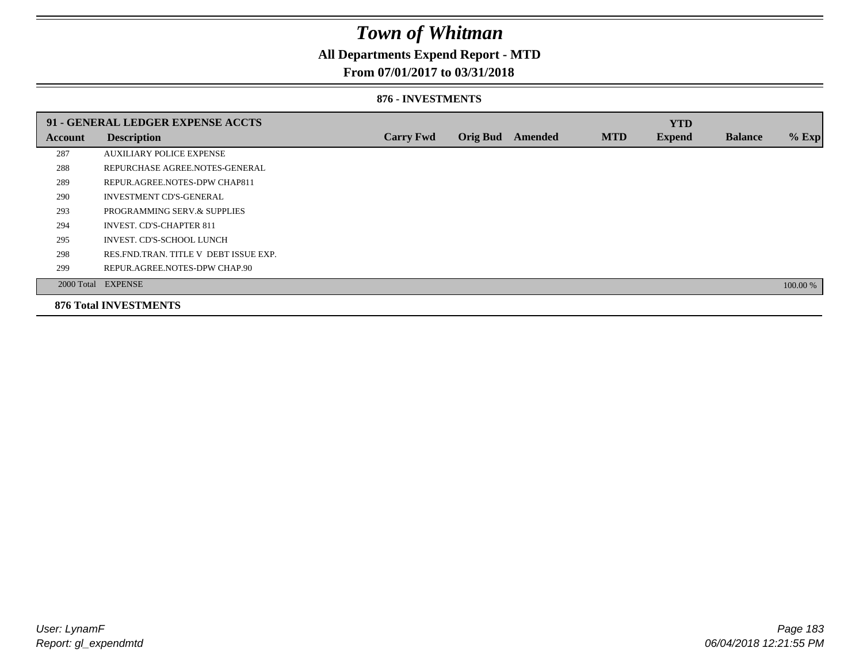## **All Departments Expend Report - MTD**

### **From 07/01/2017 to 03/31/2018**

#### **876 - INVESTMENTS**

|         | 91 - GENERAL LEDGER EXPENSE ACCTS       |                  |                 |         |            | <b>YTD</b>    |                |          |
|---------|-----------------------------------------|------------------|-----------------|---------|------------|---------------|----------------|----------|
| Account | <b>Description</b>                      | <b>Carry Fwd</b> | <b>Orig Bud</b> | Amended | <b>MTD</b> | <b>Expend</b> | <b>Balance</b> | $%$ Exp  |
| 287     | <b>AUXILIARY POLICE EXPENSE</b>         |                  |                 |         |            |               |                |          |
| 288     | REPURCHASE AGREE NOTES-GENERAL          |                  |                 |         |            |               |                |          |
| 289     | REPUR.AGREE.NOTES-DPW CHAP811           |                  |                 |         |            |               |                |          |
| 290     | <b>INVESTMENT CD'S-GENERAL</b>          |                  |                 |         |            |               |                |          |
| 293     | PROGRAMMING SERV.& SUPPLIES             |                  |                 |         |            |               |                |          |
| 294     | <b>INVEST. CD'S-CHAPTER 811</b>         |                  |                 |         |            |               |                |          |
| 295     | INVEST. CD'S-SCHOOL LUNCH               |                  |                 |         |            |               |                |          |
| 298     | RES. FND. TRAN. TITLE V DEBT ISSUE EXP. |                  |                 |         |            |               |                |          |
| 299     | REPUR.AGREE.NOTES-DPW CHAP.90           |                  |                 |         |            |               |                |          |
|         | 2000 Total EXPENSE                      |                  |                 |         |            |               |                | 100.00 % |
|         | <b>876 Total INVESTMENTS</b>            |                  |                 |         |            |               |                |          |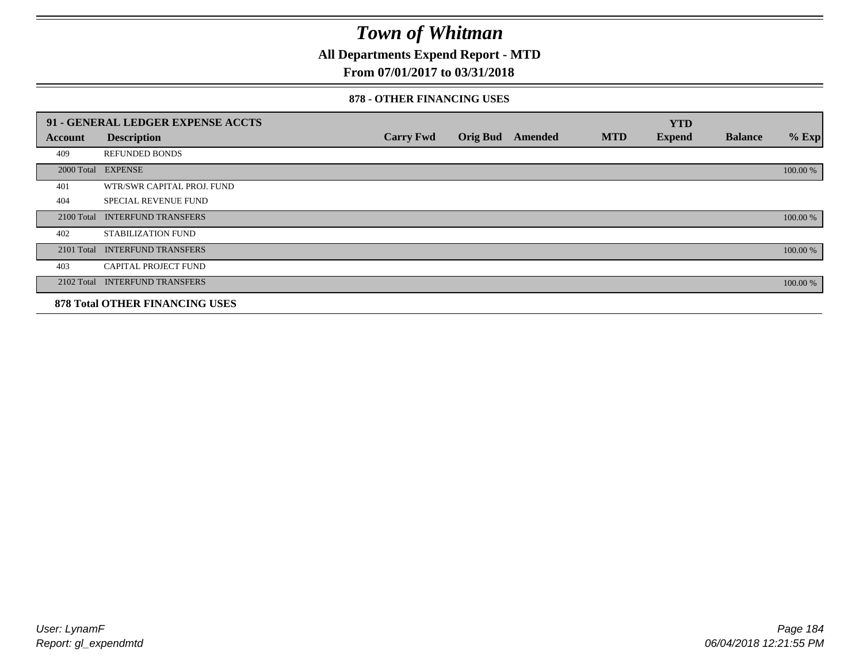**All Departments Expend Report - MTD**

## **From 07/01/2017 to 03/31/2018**

#### **878 - OTHER FINANCING USES**

|                | 91 - GENERAL LEDGER EXPENSE ACCTS     |                  |                 |                |            | <b>YTD</b>    |                |          |
|----------------|---------------------------------------|------------------|-----------------|----------------|------------|---------------|----------------|----------|
| <b>Account</b> | <b>Description</b>                    | <b>Carry Fwd</b> | <b>Orig Bud</b> | <b>Amended</b> | <b>MTD</b> | <b>Expend</b> | <b>Balance</b> | $%$ Exp  |
| 409            | <b>REFUNDED BONDS</b>                 |                  |                 |                |            |               |                |          |
| 2000 Total     | <b>EXPENSE</b>                        |                  |                 |                |            |               |                | 100.00 % |
| 401            | WTR/SWR CAPITAL PROJ. FUND            |                  |                 |                |            |               |                |          |
| 404            | <b>SPECIAL REVENUE FUND</b>           |                  |                 |                |            |               |                |          |
| 2100 Total     | <b>INTERFUND TRANSFERS</b>            |                  |                 |                |            |               |                | 100.00 % |
| 402            | <b>STABILIZATION FUND</b>             |                  |                 |                |            |               |                |          |
| 2101 Total     | <b>INTERFUND TRANSFERS</b>            |                  |                 |                |            |               |                | 100.00 % |
| 403            | <b>CAPITAL PROJECT FUND</b>           |                  |                 |                |            |               |                |          |
|                | 2102 Total INTERFUND TRANSFERS        |                  |                 |                |            |               |                | 100.00 % |
|                | <b>878 Total OTHER FINANCING USES</b> |                  |                 |                |            |               |                |          |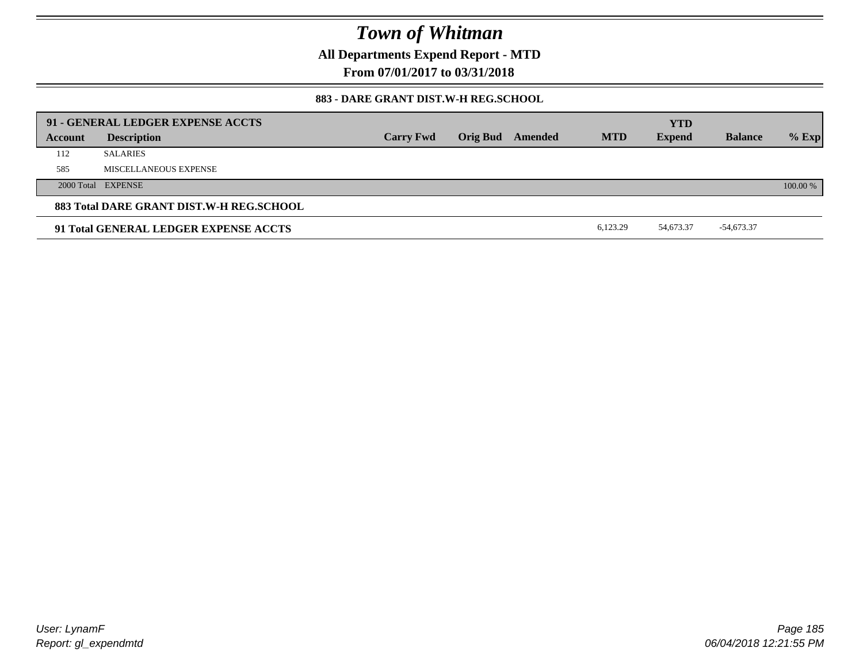**All Departments Expend Report - MTD**

**From 07/01/2017 to 03/31/2018**

#### **883 - DARE GRANT DIST.W-H REG.SCHOOL**

|                                          | 91 - GENERAL LEDGER EXPENSE ACCTS     |                  |  |                         |            | <b>YTD</b>    |                |          |
|------------------------------------------|---------------------------------------|------------------|--|-------------------------|------------|---------------|----------------|----------|
| Account                                  | <b>Description</b>                    | <b>Carry Fwd</b> |  | <b>Orig Bud</b> Amended | <b>MTD</b> | <b>Expend</b> | <b>Balance</b> | $%$ Exp  |
| 112                                      | <b>SALARIES</b>                       |                  |  |                         |            |               |                |          |
| 585                                      | MISCELLANEOUS EXPENSE                 |                  |  |                         |            |               |                |          |
|                                          | 2000 Total EXPENSE                    |                  |  |                         |            |               |                | 100.00 % |
| 883 Total DARE GRANT DIST.W-H REG.SCHOOL |                                       |                  |  |                         |            |               |                |          |
|                                          | 91 Total GENERAL LEDGER EXPENSE ACCTS |                  |  |                         | 6.123.29   | 54.673.37     | -54,673.37     |          |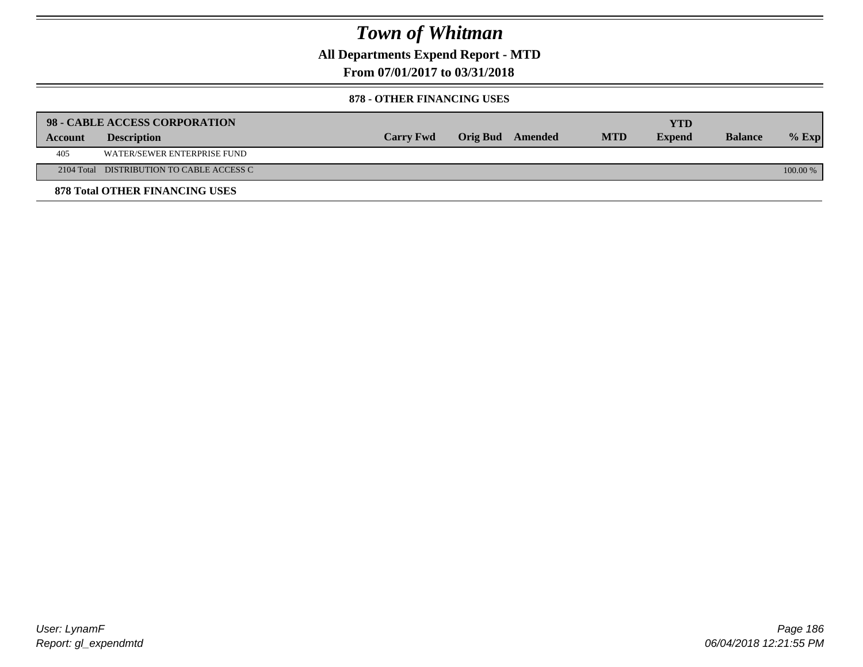**All Departments Expend Report - MTD**

**From 07/01/2017 to 03/31/2018**

#### **878 - OTHER FINANCING USES**

|         | 98 - CABLE ACCESS CORPORATION             |                  |                  |            | YTD           |                |            |
|---------|-------------------------------------------|------------------|------------------|------------|---------------|----------------|------------|
| Account | <b>Description</b>                        | <b>Carry Fwd</b> | Orig Bud Amended | <b>MTD</b> | <b>Expend</b> | <b>Balance</b> | $%$ Exp    |
| 405     | WATER/SEWER ENTERPRISE FUND               |                  |                  |            |               |                |            |
|         | 2104 Total DISTRIBUTION TO CABLE ACCESS C |                  |                  |            |               |                | $100.00\%$ |
|         | <b>878 Total OTHER FINANCING USES</b>     |                  |                  |            |               |                |            |